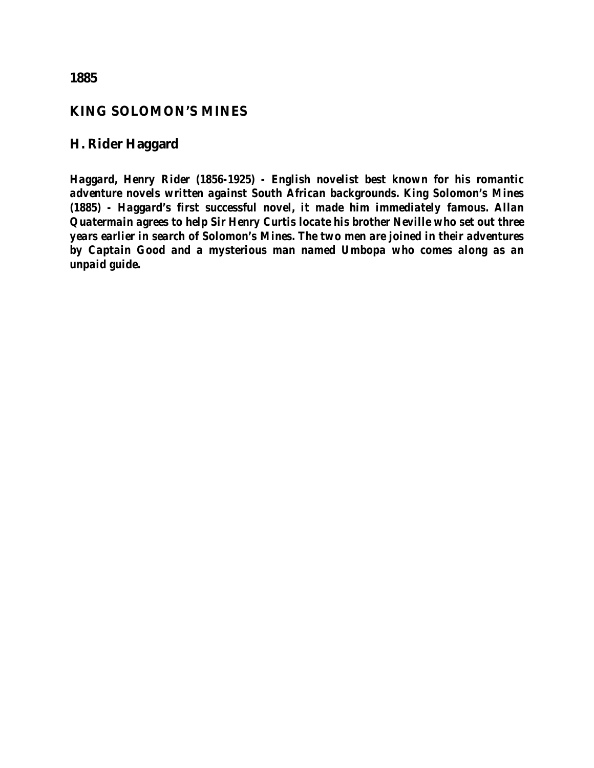## **1885**

## **KING SOLOMON'S MINES**

# **H. Rider Haggard**

*Haggard, Henry Rider (1856-1925) - English novelist best known for his romantic adventure novels written against South African backgrounds. King Solomon's Mines (1885) - Haggard's first successful novel, it made him immediately famous. Allan Quatermain agrees to help Sir Henry Curtis locate his brother Neville who set out three years earlier in search of Solomon's Mines. The two men are joined in their adventures by Captain Good and a mysterious man named Umbopa who comes along as an unpaid guide.*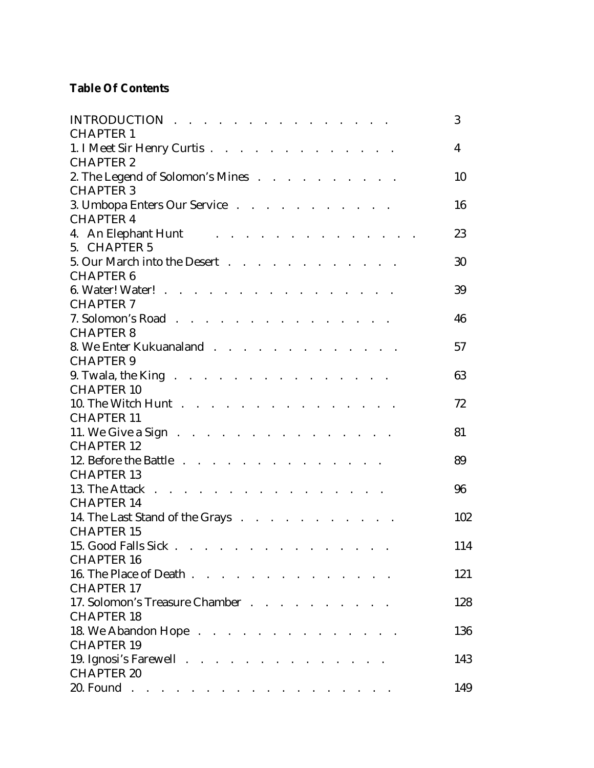# **Table Of Contents**

| INTRODUCTION $\cdots$ $\cdots$ $\cdots$                                                                | 3   |
|--------------------------------------------------------------------------------------------------------|-----|
| <b>CHAPTER 1</b>                                                                                       |     |
| 1. I Meet Sir Henry Curtis                                                                             | 4   |
| <b>CHAPTER 2</b>                                                                                       |     |
| 2. The Legend of Solomon's Mines                                                                       | 10  |
| <b>CHAPTER 3</b>                                                                                       |     |
| 3. Umbopa Enters Our Service                                                                           | 16  |
| <b>CHAPTER 4</b>                                                                                       |     |
| a series and a series and a series of<br>4. An Elephant Hunt                                           | 23  |
| 5. CHAPTER 5                                                                                           |     |
| 5. Our March into the Desert                                                                           | 30  |
| <b>CHAPTER 6</b>                                                                                       |     |
| 6. Water! Water!                                                                                       | 39  |
| <b>CHAPTER 7</b>                                                                                       |     |
| 7. Solomon's Road                                                                                      | 46  |
| <b>CHAPTER 8</b>                                                                                       |     |
| 8. We Enter Kukuanaland                                                                                | 57  |
| <b>CHAPTER 9</b>                                                                                       |     |
| 9. Twala, the King $\ldots$ $\ldots$ $\ldots$ $\ldots$ $\ldots$ $\ldots$ $\ldots$<br><b>CHAPTER 10</b> | 63  |
| 10. The Witch Hunt                                                                                     | 72  |
| <b>CHAPTER 11</b>                                                                                      |     |
| 11. We Give a Sign $\cdots$ $\cdots$ $\cdots$ $\cdots$ $\cdots$ $\cdots$ $\cdots$ $\cdots$             | 81  |
| <b>CHAPTER 12</b>                                                                                      |     |
| 12. Before the Battle                                                                                  | 89  |
| <b>CHAPTER 13</b>                                                                                      |     |
| 13. The Attack                                                                                         | 96  |
| <b>CHAPTER 14</b>                                                                                      |     |
| 14. The Last Stand of the Grays                                                                        | 102 |
| <b>CHAPTER 15</b>                                                                                      |     |
| 15. Good Falls Sick                                                                                    | 114 |
| <b>CHAPTER 16</b>                                                                                      |     |
| 16. The Place of Death                                                                                 | 121 |
| <b>CHAPTER 17</b>                                                                                      |     |
| 17. Solomon's Treasure Chamber                                                                         | 128 |
| <b>CHAPTER 18</b>                                                                                      |     |
| 18. We Abandon Hope                                                                                    | 136 |
| <b>CHAPTER 19</b>                                                                                      |     |
| 19. Ignosi's Farewell                                                                                  | 143 |
| <b>CHAPTER 20</b>                                                                                      |     |
|                                                                                                        | 149 |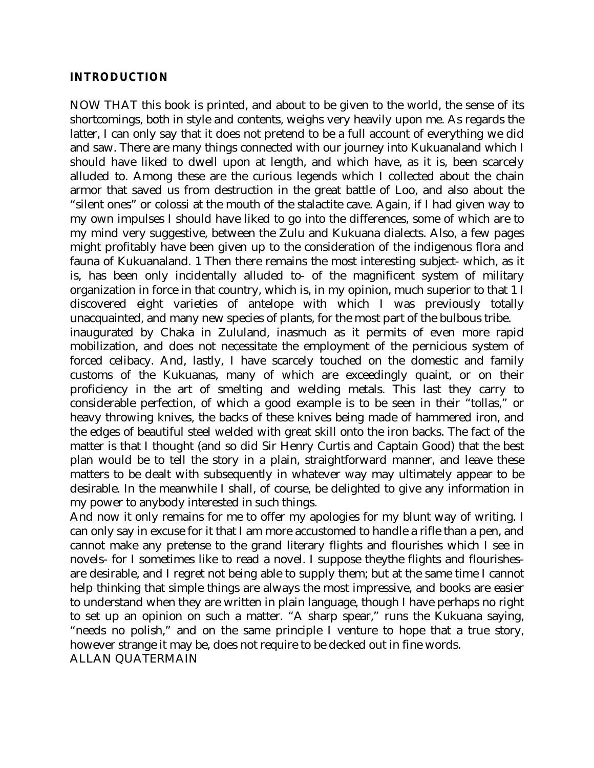#### **INTRODUCTION**

NOW THAT this book is printed, and about to be given to the world, the sense of its shortcomings, both in style and contents, weighs very heavily upon me. As regards the latter, I can only say that it does not pretend to be a full account of everything we did and saw. There are many things connected with our journey into Kukuanaland which I should have liked to dwell upon at length, and which have, as it is, been scarcely alluded to. Among these are the curious legends which I collected about the chain armor that saved us from destruction in the great battle of Loo, and also about the "silent ones" or colossi at the mouth of the stalactite cave. Again, if I had given way to my own impulses I should have liked to go into the differences, some of which are to my mind very suggestive, between the Zulu and Kukuana dialects. Also, a few pages might profitably have been given up to the consideration of the indigenous flora and fauna of Kukuanaland. 1 Then there remains the most interesting subject- which, as it is, has been only incidentally alluded to- of the magnificent system of military organization in force in that country, which is, in my opinion, much superior to that 1 I discovered eight varieties of antelope with which I was previously totally unacquainted, and many new species of plants, for the most part of the bulbous tribe. inaugurated by Chaka in Zululand, inasmuch as it permits of even more rapid mobilization, and does not necessitate the employment of the pernicious system of forced celibacy. And, lastly, I have scarcely touched on the domestic and family customs of the Kukuanas, many of which are exceedingly quaint, or on their proficiency in the art of smelting and welding metals. This last they carry to considerable perfection, of which a good example is to be seen in their "tollas," or heavy throwing knives, the backs of these knives being made of hammered iron, and the edges of beautiful steel welded with great skill onto the iron backs. The fact of the matter is that I thought (and so did Sir Henry Curtis and Captain Good) that the best plan would be to tell the story in a plain, straightforward manner, and leave these matters to be dealt with subsequently in whatever way may ultimately appear to be desirable. In the meanwhile I shall, of course, be delighted to give any information in my power to anybody interested in such things.

And now it only remains for me to offer my apologies for my blunt way of writing. I can only say in excuse for it that I am more accustomed to handle a rifle than a pen, and cannot make any pretense to the grand literary flights and flourishes which I see in novels- for I sometimes like to read a novel. I suppose theythe flights and flourishesare desirable, and I regret not being able to supply them; but at the same time I cannot help thinking that simple things are always the most impressive, and books are easier to understand when they are written in plain language, though I have perhaps no right to set up an opinion on such a matter. "A sharp spear," runs the Kukuana saying, "needs no polish," and on the same principle I venture to hope that a true story, however strange it may be, does not require to be decked out in fine words. ALLAN QUATERMAIN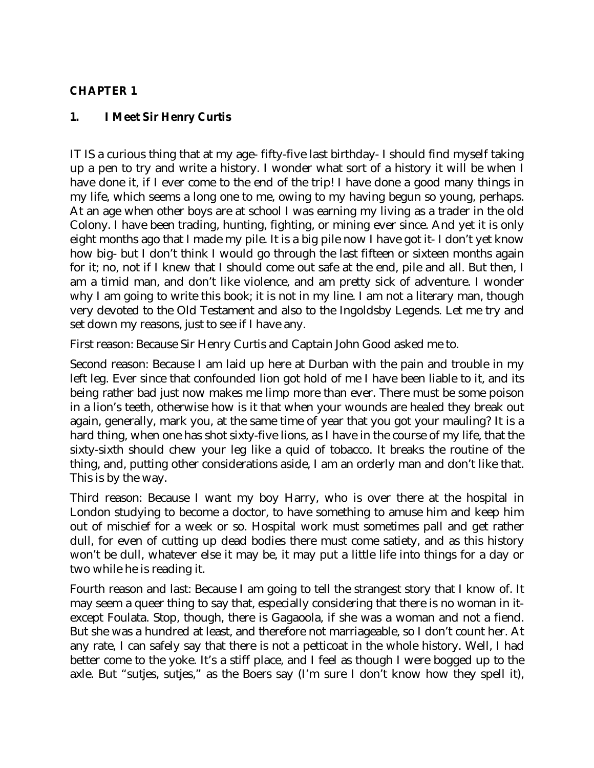## **CHAPTER 1**

## **1. I Meet Sir Henry Curtis**

IT IS a curious thing that at my age- fifty-five last birthday- I should find myself taking up a pen to try and write a history. I wonder what sort of a history it will be when I have done it, if I ever come to the end of the trip! I have done a good many things in my life, which seems a long one to me, owing to my having begun so young, perhaps. At an age when other boys are at school I was earning my living as a trader in the old Colony. I have been trading, hunting, fighting, or mining ever since. And yet it is only eight months ago that I made my pile. It is a big pile now I have got it- I don't yet know how big- but I don't think I would go through the last fifteen or sixteen months again for it; no, not if I knew that I should come out safe at the end, pile and all. But then, I am a timid man, and don't like violence, and am pretty sick of adventure. I wonder why I am going to write this book; it is not in my line. I am not a literary man, though very devoted to the Old Testament and also to the Ingoldsby Legends. Let me try and set down my reasons, just to see if I have any.

First reason: Because Sir Henry Curtis and Captain John Good asked me to.

Second reason: Because I am laid up here at Durban with the pain and trouble in my left leg. Ever since that confounded lion got hold of me I have been liable to it, and its being rather bad just now makes me limp more than ever. There must be some poison in a lion's teeth, otherwise how is it that when your wounds are healed they break out again, generally, mark you, at the same time of year that you got your mauling? It is a hard thing, when one has shot sixty-five lions, as I have in the course of my life, that the sixty-sixth should chew your leg like a quid of tobacco. It breaks the routine of the thing, and, putting other considerations aside, I am an orderly man and don't like that. This is by the way.

Third reason: Because I want my boy Harry, who is over there at the hospital in London studying to become a doctor, to have something to amuse him and keep him out of mischief for a week or so. Hospital work must sometimes pall and get rather dull, for even of cutting up dead bodies there must come satiety, and as this history won't be dull, whatever else it may be, it may put a little life into things for a day or two while he is reading it.

Fourth reason and last: Because I am going to tell the strangest story that I know of. It may seem a queer thing to say that, especially considering that there is no woman in itexcept Foulata. Stop, though, there is Gagaoola, if she was a woman and not a fiend. But she was a hundred at least, and therefore not marriageable, so I don't count her. At any rate, I can safely say that there is not a petticoat in the whole history. Well, I had better come to the yoke. It's a stiff place, and I feel as though I were bogged up to the axle. But "sutjes, sutjes," as the Boers say (I'm sure I don't know how they spell it),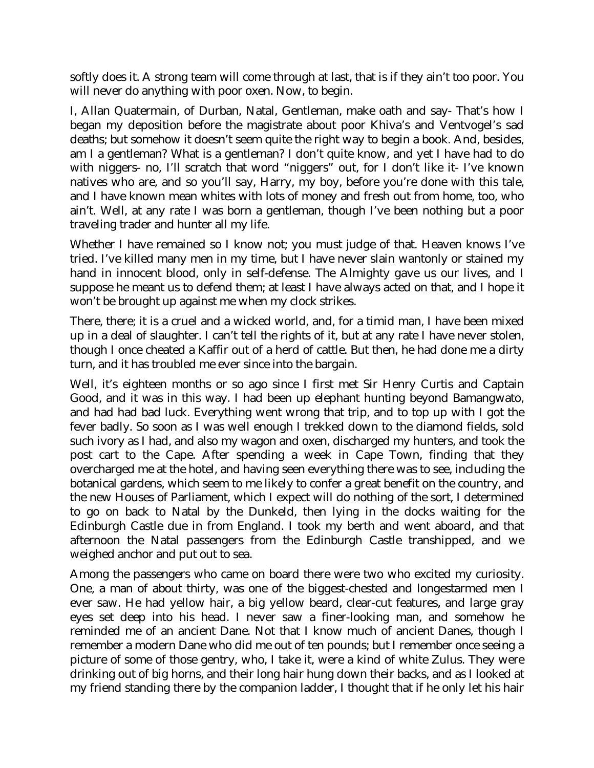softly does it. A strong team will come through at last, that is if they ain't too poor. You will never do anything with poor oxen. Now, to begin.

I, Allan Quatermain, of Durban, Natal, Gentleman, make oath and say- That's how I began my deposition before the magistrate about poor Khiva's and Ventvogel's sad deaths; but somehow it doesn't seem quite the right way to begin a book. And, besides, am I a gentleman? What is a gentleman? I don't quite know, and yet I have had to do with niggers- no, I'll scratch that word "niggers" out, for I don't like it- I've known natives who are, and so you'll say, Harry, my boy, before you're done with this tale, and I have known mean whites with lots of money and fresh out from home, too, who ain't. Well, at any rate I was born a gentleman, though I've been nothing but a poor traveling trader and hunter all my life.

Whether I have remained so I know not; you must judge of that. Heaven knows I've tried. I've killed many men in my time, but I have never slain wantonly or stained my hand in innocent blood, only in self-defense. The Almighty gave us our lives, and I suppose he meant us to defend them; at least I have always acted on that, and I hope it won't be brought up against me when my clock strikes.

There, there; it is a cruel and a wicked world, and, for a timid man, I have been mixed up in a deal of slaughter. I can't tell the rights of it, but at any rate I have never stolen, though I once cheated a Kaffir out of a herd of cattle. But then, he had done me a dirty turn, and it has troubled me ever since into the bargain.

Well, it's eighteen months or so ago since I first met Sir Henry Curtis and Captain Good, and it was in this way. I had been up elephant hunting beyond Bamangwato, and had had bad luck. Everything went wrong that trip, and to top up with I got the fever badly. So soon as I was well enough I trekked down to the diamond fields, sold such ivory as I had, and also my wagon and oxen, discharged my hunters, and took the post cart to the Cape. After spending a week in Cape Town, finding that they overcharged me at the hotel, and having seen everything there was to see, including the botanical gardens, which seem to me likely to confer a great benefit on the country, and the new Houses of Parliament, which I expect will do nothing of the sort, I determined to go on back to Natal by the Dunkeld, then lying in the docks waiting for the Edinburgh Castle due in from England. I took my berth and went aboard, and that afternoon the Natal passengers from the Edinburgh Castle transhipped, and we weighed anchor and put out to sea.

Among the passengers who came on board there were two who excited my curiosity. One, a man of about thirty, was one of the biggest-chested and longestarmed men I ever saw. He had yellow hair, a big yellow beard, clear-cut features, and large gray eyes set deep into his head. I never saw a finer-looking man, and somehow he reminded me of an ancient Dane. Not that I know much of ancient Danes, though I remember a modern Dane who did me out of ten pounds; but I remember once seeing a picture of some of those gentry, who, I take it, were a kind of white Zulus. They were drinking out of big horns, and their long hair hung down their backs, and as I looked at my friend standing there by the companion ladder, I thought that if he only let his hair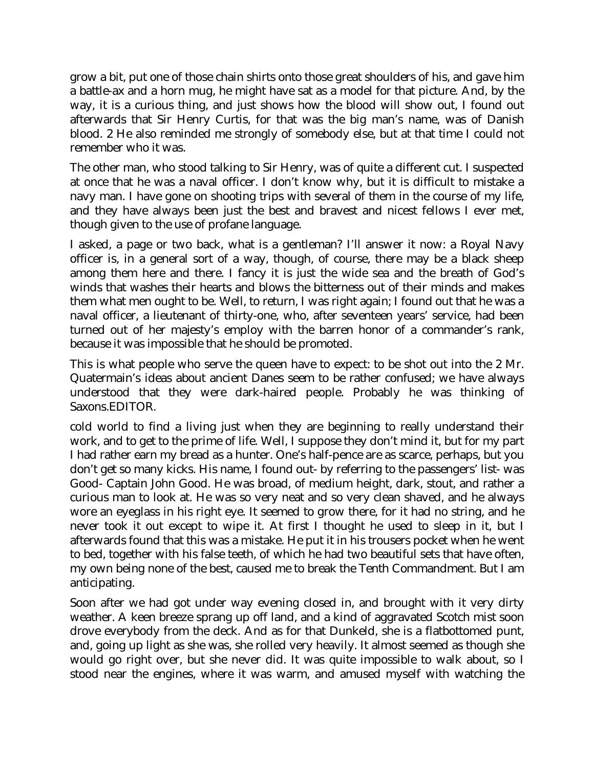grow a bit, put one of those chain shirts onto those great shoulders of his, and gave him a battle-ax and a horn mug, he might have sat as a model for that picture. And, by the way, it is a curious thing, and just shows how the blood will show out, I found out afterwards that Sir Henry Curtis, for that was the big man's name, was of Danish blood. 2 He also reminded me strongly of somebody else, but at that time I could not remember who it was.

The other man, who stood talking to Sir Henry, was of quite a different cut. I suspected at once that he was a naval officer. I don't know why, but it is difficult to mistake a navy man. I have gone on shooting trips with several of them in the course of my life, and they have always been just the best and bravest and nicest fellows I ever met, though given to the use of profane language.

I asked, a page or two back, what is a gentleman? I'll answer it now: a Royal Navy officer is, in a general sort of a way, though, of course, there may be a black sheep among them here and there. I fancy it is just the wide sea and the breath of God's winds that washes their hearts and blows the bitterness out of their minds and makes them what men ought to be. Well, to return, I was right again; I found out that he was a naval officer, a lieutenant of thirty-one, who, after seventeen years' service, had been turned out of her majesty's employ with the barren honor of a commander's rank, because it was impossible that he should be promoted.

This is what people who serve the queen have to expect: to be shot out into the 2 Mr. Quatermain's ideas about ancient Danes seem to be rather confused; we have always understood that they were dark-haired people. Probably he was thinking of Saxons.EDITOR.

cold world to find a living just when they are beginning to really understand their work, and to get to the prime of life. Well, I suppose they don't mind it, but for my part I had rather earn my bread as a hunter. One's half-pence are as scarce, perhaps, but you don't get so many kicks. His name, I found out- by referring to the passengers' list- was Good- Captain John Good. He was broad, of medium height, dark, stout, and rather a curious man to look at. He was so very neat and so very clean shaved, and he always wore an eyeglass in his right eye. It seemed to grow there, for it had no string, and he never took it out except to wipe it. At first I thought he used to sleep in it, but I afterwards found that this was a mistake. He put it in his trousers pocket when he went to bed, together with his false teeth, of which he had two beautiful sets that have often, my own being none of the best, caused me to break the Tenth Commandment. But I am anticipating.

Soon after we had got under way evening closed in, and brought with it very dirty weather. A keen breeze sprang up off land, and a kind of aggravated Scotch mist soon drove everybody from the deck. And as for that Dunkeld, she is a flatbottomed punt, and, going up light as she was, she rolled very heavily. It almost seemed as though she would go right over, but she never did. It was quite impossible to walk about, so I stood near the engines, where it was warm, and amused myself with watching the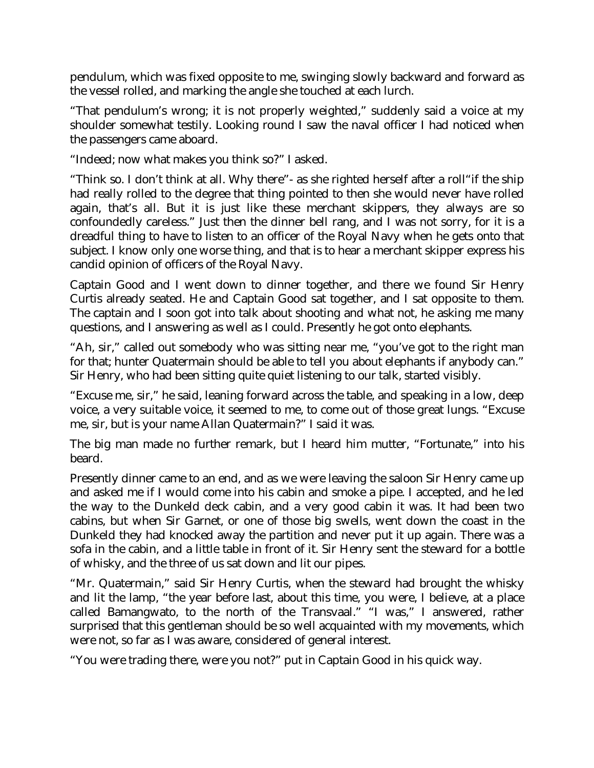pendulum, which was fixed opposite to me, swinging slowly backward and forward as the vessel rolled, and marking the angle she touched at each lurch.

"That pendulum's wrong; it is not properly weighted," suddenly said a voice at my shoulder somewhat testily. Looking round I saw the naval officer I had noticed when the passengers came aboard.

"Indeed; now what makes you think so?" I asked.

"Think so. I don't think at all. Why there"- as she righted herself after a roll"if the ship had really rolled to the degree that thing pointed to then she would never have rolled again, that's all. But it is just like these merchant skippers, they always are so confoundedly careless." Just then the dinner bell rang, and I was not sorry, for it is a dreadful thing to have to listen to an officer of the Royal Navy when he gets onto that subject. I know only one worse thing, and that is to hear a merchant skipper express his candid opinion of officers of the Royal Navy.

Captain Good and I went down to dinner together, and there we found Sir Henry Curtis already seated. He and Captain Good sat together, and I sat opposite to them. The captain and I soon got into talk about shooting and what not, he asking me many questions, and I answering as well as I could. Presently he got onto elephants.

"Ah, sir," called out somebody who was sitting near me, "you've got to the right man for that; hunter Quatermain should be able to tell you about elephants if anybody can." Sir Henry, who had been sitting quite quiet listening to our talk, started visibly.

"Excuse me, sir," he said, leaning forward across the table, and speaking in a low, deep voice, a very suitable voice, it seemed to me, to come out of those great lungs. "Excuse me, sir, but is your name Allan Quatermain?" I said it was.

The big man made no further remark, but I heard him mutter, "Fortunate," into his beard.

Presently dinner came to an end, and as we were leaving the saloon Sir Henry came up and asked me if I would come into his cabin and smoke a pipe. I accepted, and he led the way to the Dunkeld deck cabin, and a very good cabin it was. It had been two cabins, but when Sir Garnet, or one of those big swells, went down the coast in the Dunkeld they had knocked away the partition and never put it up again. There was a sofa in the cabin, and a little table in front of it. Sir Henry sent the steward for a bottle of whisky, and the three of us sat down and lit our pipes.

"Mr. Quatermain," said Sir Henry Curtis, when the steward had brought the whisky and lit the lamp, "the year before last, about this time, you were, I believe, at a place called Bamangwato, to the north of the Transvaal." "I was," I answered, rather surprised that this gentleman should be so well acquainted with my movements, which were not, so far as I was aware, considered of general interest.

"You were trading there, were you not?" put in Captain Good in his quick way.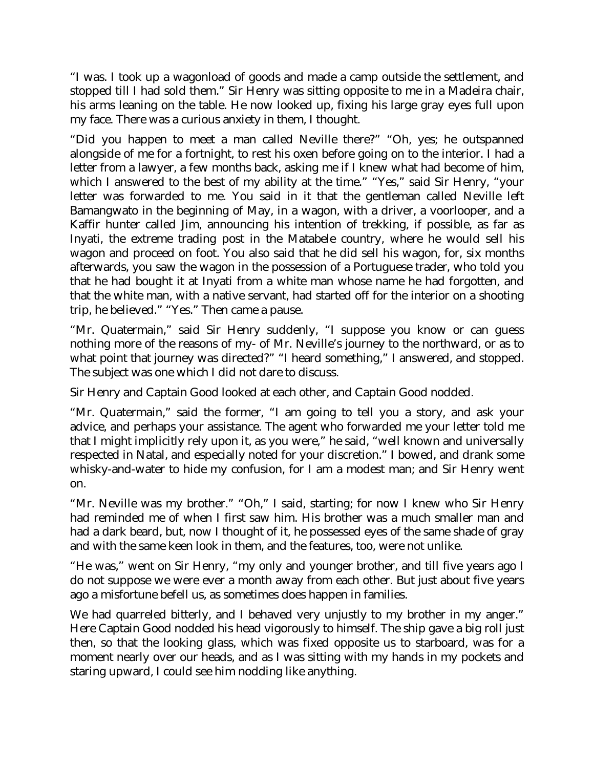"I was. I took up a wagonload of goods and made a camp outside the settlement, and stopped till I had sold them." Sir Henry was sitting opposite to me in a Madeira chair, his arms leaning on the table. He now looked up, fixing his large gray eyes full upon my face. There was a curious anxiety in them, I thought.

"Did you happen to meet a man called Neville there?" "Oh, yes; he outspanned alongside of me for a fortnight, to rest his oxen before going on to the interior. I had a letter from a lawyer, a few months back, asking me if I knew what had become of him, which I answered to the best of my ability at the time." "Yes," said Sir Henry, "your letter was forwarded to me. You said in it that the gentleman called Neville left Bamangwato in the beginning of May, in a wagon, with a driver, a voorlooper, and a Kaffir hunter called Jim, announcing his intention of trekking, if possible, as far as Inyati, the extreme trading post in the Matabele country, where he would sell his wagon and proceed on foot. You also said that he did sell his wagon, for, six months afterwards, you saw the wagon in the possession of a Portuguese trader, who told you that he had bought it at Inyati from a white man whose name he had forgotten, and that the white man, with a native servant, had started off for the interior on a shooting trip, he believed." "Yes." Then came a pause.

"Mr. Quatermain," said Sir Henry suddenly, "I suppose you know or can guess nothing more of the reasons of my- of Mr. Neville's journey to the northward, or as to what point that journey was directed?" "I heard something," I answered, and stopped. The subject was one which I did not dare to discuss.

Sir Henry and Captain Good looked at each other, and Captain Good nodded.

"Mr. Quatermain," said the former, "I am going to tell you a story, and ask your advice, and perhaps your assistance. The agent who forwarded me your letter told me that I might implicitly rely upon it, as you were," he said, "well known and universally respected in Natal, and especially noted for your discretion." I bowed, and drank some whisky-and-water to hide my confusion, for I am a modest man; and Sir Henry went on.

"Mr. Neville was my brother." "Oh," I said, starting; for now I knew who Sir Henry had reminded me of when I first saw him. His brother was a much smaller man and had a dark beard, but, now I thought of it, he possessed eyes of the same shade of gray and with the same keen look in them, and the features, too, were not unlike.

"He was," went on Sir Henry, "my only and younger brother, and till five years ago I do not suppose we were ever a month away from each other. But just about five years ago a misfortune befell us, as sometimes does happen in families.

We had quarreled bitterly, and I behaved very unjustly to my brother in my anger." Here Captain Good nodded his head vigorously to himself. The ship gave a big roll just then, so that the looking glass, which was fixed opposite us to starboard, was for a moment nearly over our heads, and as I was sitting with my hands in my pockets and staring upward, I could see him nodding like anything.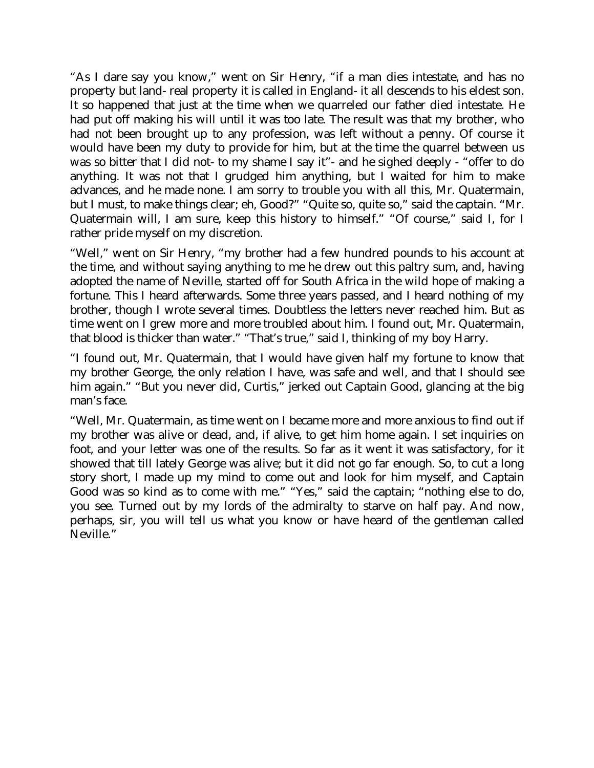"As I dare say you know," went on Sir Henry, "if a man dies intestate, and has no property but land- real property it is called in England- it all descends to his eldest son. It so happened that just at the time when we quarreled our father died intestate. He had put off making his will until it was too late. The result was that my brother, who had not been brought up to any profession, was left without a penny. Of course it would have been my duty to provide for him, but at the time the quarrel between us was so bitter that I did not- to my shame I say it"- and he sighed deeply - "offer to do anything. It was not that I grudged him anything, but I waited for him to make advances, and he made none. I am sorry to trouble you with all this, Mr. Quatermain, but I must, to make things clear; eh, Good?" "Quite so, quite so," said the captain. "Mr. Quatermain will, I am sure, keep this history to himself." "Of course," said I, for I rather pride myself on my discretion.

"Well," went on Sir Henry, "my brother had a few hundred pounds to his account at the time, and without saying anything to me he drew out this paltry sum, and, having adopted the name of Neville, started off for South Africa in the wild hope of making a fortune. This I heard afterwards. Some three years passed, and I heard nothing of my brother, though I wrote several times. Doubtless the letters never reached him. But as time went on I grew more and more troubled about him. I found out, Mr. Quatermain, that blood is thicker than water." "That's true," said I, thinking of my boy Harry.

"I found out, Mr. Quatermain, that I would have given half my fortune to know that my brother George, the only relation I have, was safe and well, and that I should see him again." "But you never did, Curtis," jerked out Captain Good, glancing at the big man's face.

"Well, Mr. Quatermain, as time went on I became more and more anxious to find out if my brother was alive or dead, and, if alive, to get him home again. I set inquiries on foot, and your letter was one of the results. So far as it went it was satisfactory, for it showed that till lately George was alive; but it did not go far enough. So, to cut a long story short, I made up my mind to come out and look for him myself, and Captain Good was so kind as to come with me." "Yes," said the captain; "nothing else to do, you see. Turned out by my lords of the admiralty to starve on half pay. And now, perhaps, sir, you will tell us what you know or have heard of the gentleman called Neville."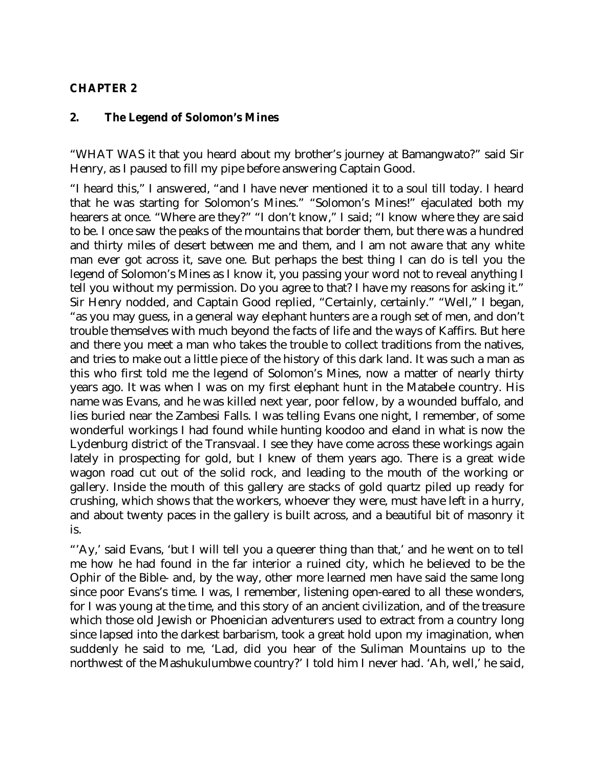### **CHAPTER 2**

#### **2. The Legend of Solomon's Mines**

"WHAT WAS it that you heard about my brother's journey at Bamangwato?" said Sir Henry, as I paused to fill my pipe before answering Captain Good.

"I heard this," I answered, "and I have never mentioned it to a soul till today. I heard that he was starting for Solomon's Mines." "Solomon's Mines!" ejaculated both my hearers at once. "Where are they?" "I don't know," I said; "I know where they are said to be. I once saw the peaks of the mountains that border them, but there was a hundred and thirty miles of desert between me and them, and I am not aware that any white man ever got across it, save one. But perhaps the best thing I can do is tell you the legend of Solomon's Mines as I know it, you passing your word not to reveal anything I tell you without my permission. Do you agree to that? I have my reasons for asking it." Sir Henry nodded, and Captain Good replied, "Certainly, certainly." "Well," I began, "as you may guess, in a general way elephant hunters are a rough set of men, and don't trouble themselves with much beyond the facts of life and the ways of Kaffirs. But here and there you meet a man who takes the trouble to collect traditions from the natives, and tries to make out a little piece of the history of this dark land. It was such a man as this who first told me the legend of Solomon's Mines, now a matter of nearly thirty years ago. It was when I was on my first elephant hunt in the Matabele country. His name was Evans, and he was killed next year, poor fellow, by a wounded buffalo, and lies buried near the Zambesi Falls. I was telling Evans one night, I remember, of some wonderful workings I had found while hunting koodoo and eland in what is now the Lydenburg district of the Transvaal. I see they have come across these workings again lately in prospecting for gold, but I knew of them years ago. There is a great wide wagon road cut out of the solid rock, and leading to the mouth of the working or gallery. Inside the mouth of this gallery are stacks of gold quartz piled up ready for crushing, which shows that the workers, whoever they were, must have left in a hurry, and about twenty paces in the gallery is built across, and a beautiful bit of masonry it is.

"'Ay,' said Evans, 'but I will tell you a queerer thing than that,' and he went on to tell me how he had found in the far interior a ruined city, which he believed to be the Ophir of the Bible- and, by the way, other more learned men have said the same long since poor Evans's time. I was, I remember, listening open-eared to all these wonders, for I was young at the time, and this story of an ancient civilization, and of the treasure which those old Jewish or Phoenician adventurers used to extract from a country long since lapsed into the darkest barbarism, took a great hold upon my imagination, when suddenly he said to me, 'Lad, did you hear of the Suliman Mountains up to the northwest of the Mashukulumbwe country?' I told him I never had. 'Ah, well,' he said,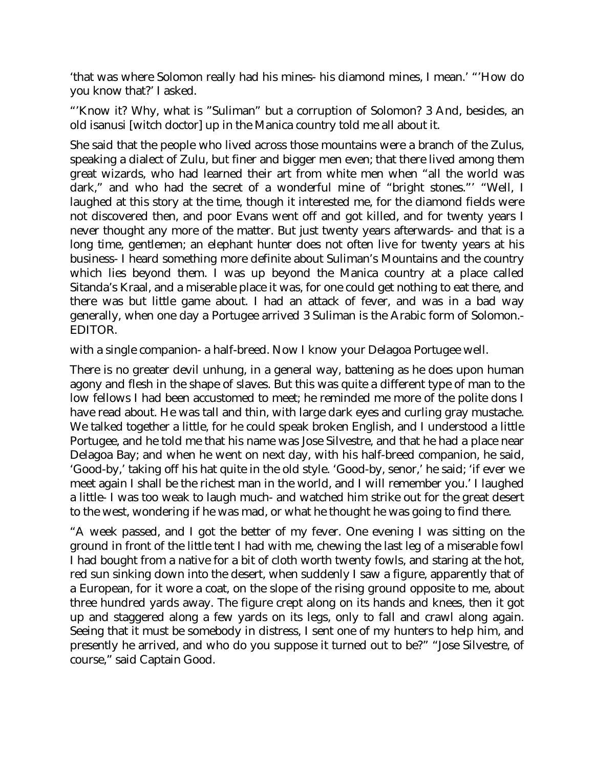'that was where Solomon really had his mines- his diamond mines, I mean.' "'How do you know that?' I asked.

"'Know it? Why, what is "Suliman" but a corruption of Solomon? 3 And, besides, an old isanusi [witch doctor] up in the Manica country told me all about it.

She said that the people who lived across those mountains were a branch of the Zulus, speaking a dialect of Zulu, but finer and bigger men even; that there lived among them great wizards, who had learned their art from white men when "all the world was dark," and who had the secret of a wonderful mine of "bright stones."' "Well, I laughed at this story at the time, though it interested me, for the diamond fields were not discovered then, and poor Evans went off and got killed, and for twenty years I never thought any more of the matter. But just twenty years afterwards- and that is a long time, gentlemen; an elephant hunter does not often live for twenty years at his business- I heard something more definite about Suliman's Mountains and the country which lies beyond them. I was up beyond the Manica country at a place called Sitanda's Kraal, and a miserable place it was, for one could get nothing to eat there, and there was but little game about. I had an attack of fever, and was in a bad way generally, when one day a Portugee arrived 3 Suliman is the Arabic form of Solomon.- EDITOR.

with a single companion- a half-breed. Now I know your Delagoa Portugee well.

There is no greater devil unhung, in a general way, battening as he does upon human agony and flesh in the shape of slaves. But this was quite a different type of man to the low fellows I had been accustomed to meet; he reminded me more of the polite dons I have read about. He was tall and thin, with large dark eyes and curling gray mustache. We talked together a little, for he could speak broken English, and I understood a little Portugee, and he told me that his name was Jose Silvestre, and that he had a place near Delagoa Bay; and when he went on next day, with his half-breed companion, he said, 'Good-by,' taking off his hat quite in the old style. 'Good-by, senor,' he said; 'if ever we meet again I shall be the richest man in the world, and I will remember you.' I laughed a little- I was too weak to laugh much- and watched him strike out for the great desert to the west, wondering if he was mad, or what he thought he was going to find there.

"A week passed, and I got the better of my fever. One evening I was sitting on the ground in front of the little tent I had with me, chewing the last leg of a miserable fowl I had bought from a native for a bit of cloth worth twenty fowls, and staring at the hot, red sun sinking down into the desert, when suddenly I saw a figure, apparently that of a European, for it wore a coat, on the slope of the rising ground opposite to me, about three hundred yards away. The figure crept along on its hands and knees, then it got up and staggered along a few yards on its legs, only to fall and crawl along again. Seeing that it must be somebody in distress, I sent one of my hunters to help him, and presently he arrived, and who do you suppose it turned out to be?" "Jose Silvestre, of course," said Captain Good.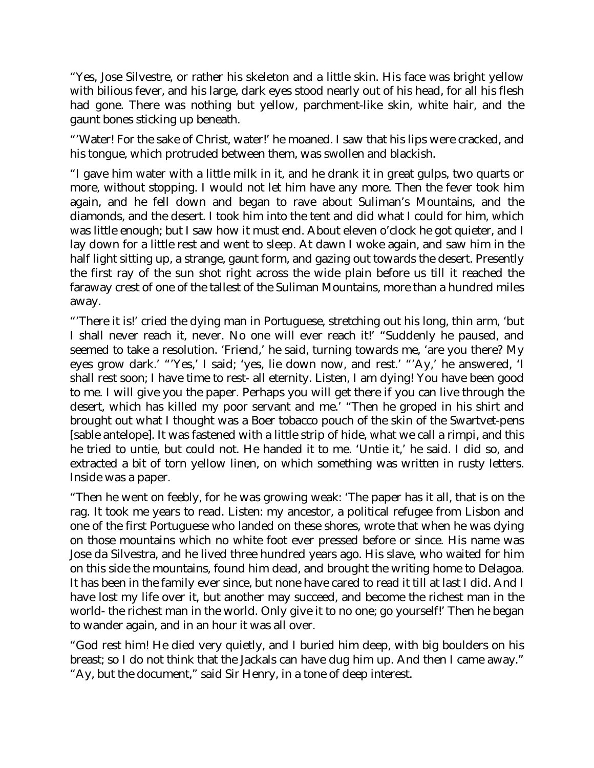"Yes, Jose Silvestre, or rather his skeleton and a little skin. His face was bright yellow with bilious fever, and his large, dark eyes stood nearly out of his head, for all his flesh had gone. There was nothing but yellow, parchment-like skin, white hair, and the gaunt bones sticking up beneath.

"'Water! For the sake of Christ, water!' he moaned. I saw that his lips were cracked, and his tongue, which protruded between them, was swollen and blackish.

"I gave him water with a little milk in it, and he drank it in great gulps, two quarts or more, without stopping. I would not let him have any more. Then the fever took him again, and he fell down and began to rave about Suliman's Mountains, and the diamonds, and the desert. I took him into the tent and did what I could for him, which was little enough; but I saw how it must end. About eleven o'clock he got quieter, and I lay down for a little rest and went to sleep. At dawn I woke again, and saw him in the half light sitting up, a strange, gaunt form, and gazing out towards the desert. Presently the first ray of the sun shot right across the wide plain before us till it reached the faraway crest of one of the tallest of the Suliman Mountains, more than a hundred miles away.

"'There it is!' cried the dying man in Portuguese, stretching out his long, thin arm, 'but I shall never reach it, never. No one will ever reach it!' "Suddenly he paused, and seemed to take a resolution. 'Friend,' he said, turning towards me, 'are you there? My eyes grow dark.' "'Yes,' I said; 'yes, lie down now, and rest.' "'Ay,' he answered, 'I shall rest soon; I have time to rest- all eternity. Listen, I am dying! You have been good to me. I will give you the paper. Perhaps you will get there if you can live through the desert, which has killed my poor servant and me.' "Then he groped in his shirt and brought out what I thought was a Boer tobacco pouch of the skin of the Swartvet-pens [sable antelope]. It was fastened with a little strip of hide, what we call a rimpi, and this he tried to untie, but could not. He handed it to me. 'Untie it,' he said. I did so, and extracted a bit of torn yellow linen, on which something was written in rusty letters. Inside was a paper.

"Then he went on feebly, for he was growing weak: 'The paper has it all, that is on the rag. It took me years to read. Listen: my ancestor, a political refugee from Lisbon and one of the first Portuguese who landed on these shores, wrote that when he was dying on those mountains which no white foot ever pressed before or since. His name was Jose da Silvestra, and he lived three hundred years ago. His slave, who waited for him on this side the mountains, found him dead, and brought the writing home to Delagoa. It has been in the family ever since, but none have cared to read it till at last I did. And I have lost my life over it, but another may succeed, and become the richest man in the world- the richest man in the world. Only give it to no one; go yourself!' Then he began to wander again, and in an hour it was all over.

"God rest him! He died very quietly, and I buried him deep, with big boulders on his breast; so I do not think that the Jackals can have dug him up. And then I came away." "Ay, but the document," said Sir Henry, in a tone of deep interest.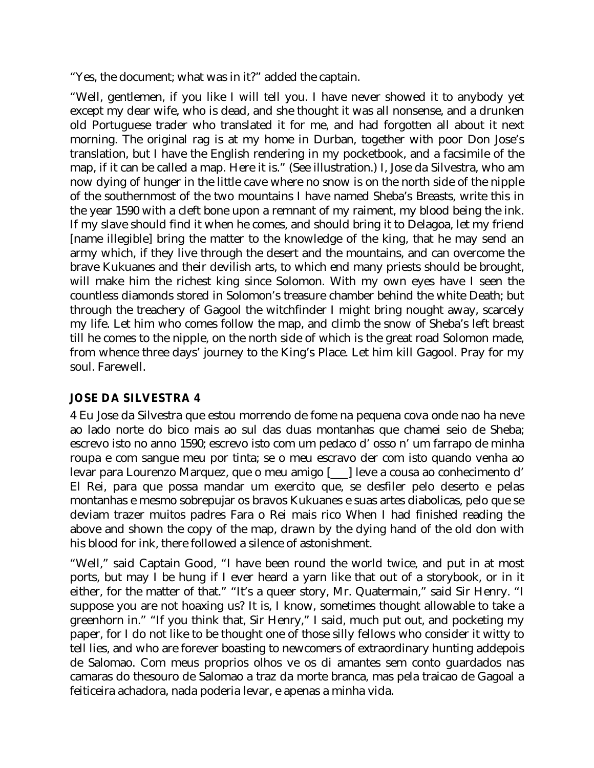"Yes, the document; what was in it?" added the captain.

"Well, gentlemen, if you like I will tell you. I have never showed it to anybody yet except my dear wife, who is dead, and she thought it was all nonsense, and a drunken old Portuguese trader who translated it for me, and had forgotten all about it next morning. The original rag is at my home in Durban, together with poor Don Jose's translation, but I have the English rendering in my pocketbook, and a facsimile of the map, if it can be called a map. Here it is." (See illustration.) I, Jose da Silvestra, who am now dying of hunger in the little cave where no snow is on the north side of the nipple of the southernmost of the two mountains I have named Sheba's Breasts, write this in the year 1590 with a cleft bone upon a remnant of my raiment, my blood being the ink. If my slave should find it when he comes, and should bring it to Delagoa, let my friend [name illegible] bring the matter to the knowledge of the king, that he may send an army which, if they live through the desert and the mountains, and can overcome the brave Kukuanes and their devilish arts, to which end many priests should be brought, will make him the richest king since Solomon. With my own eyes have I seen the countless diamonds stored in Solomon's treasure chamber behind the white Death; but through the treachery of Gagool the witchfinder I might bring nought away, scarcely my life. Let him who comes follow the map, and climb the snow of Sheba's left breast till he comes to the nipple, on the north side of which is the great road Solomon made, from whence three days' journey to the King's Place. Let him kill Gagool. Pray for my soul. Farewell.

## **JOSE DA SILVESTRA 4**

4 Eu Jose da Silvestra que estou morrendo de fome na pequena cova onde nao ha neve ao lado norte do bico mais ao sul das duas montanhas que chamei seio de Sheba; escrevo isto no anno 1590; escrevo isto com um pedaco d' osso n' um farrapo de minha roupa e com sangue meu por tinta; se o meu escravo der com isto quando venha ao levar para Lourenzo Marquez, que o meu amigo [\_\_\_] leve a cousa ao conhecimento d' El Rei, para que possa mandar um exercito que, se desfiler pelo deserto e pelas montanhas e mesmo sobrepujar os bravos Kukuanes e suas artes diabolicas, pelo que se deviam trazer muitos padres Fara o Rei mais rico When I had finished reading the above and shown the copy of the map, drawn by the dying hand of the old don with his blood for ink, there followed a silence of astonishment.

"Well," said Captain Good, "I have been round the world twice, and put in at most ports, but may I be hung if I ever heard a yarn like that out of a storybook, or in it either, for the matter of that." "It's a queer story, Mr. Quatermain," said Sir Henry. "I suppose you are not hoaxing us? It is, I know, sometimes thought allowable to take a greenhorn in." "If you think that, Sir Henry," I said, much put out, and pocketing my paper, for I do not like to be thought one of those silly fellows who consider it witty to tell lies, and who are forever boasting to newcomers of extraordinary hunting addepois de Salomao. Com meus proprios olhos ve os di amantes sem conto guardados nas camaras do thesouro de Salomao a traz da morte branca, mas pela traicao de Gagoal a feiticeira achadora, nada poderia levar, e apenas a minha vida.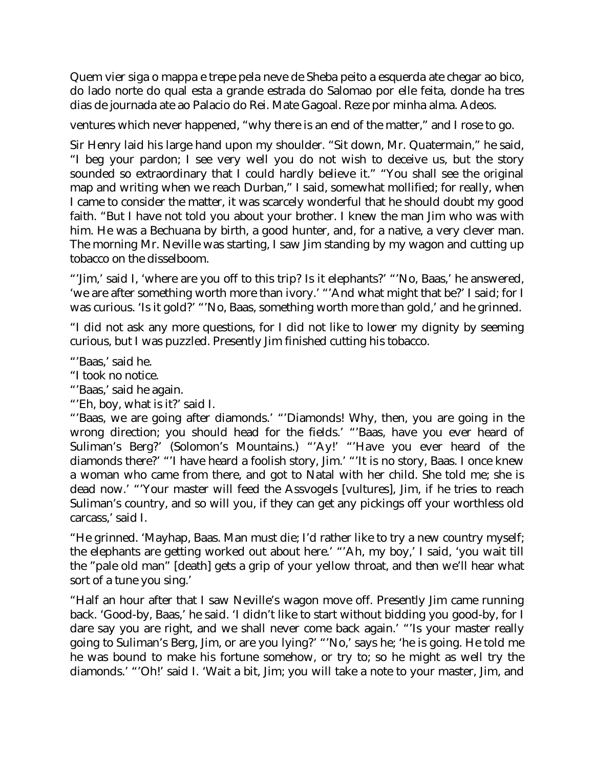Quem vier siga o mappa e trepe pela neve de Sheba peito a esquerda ate chegar ao bico, do lado norte do qual esta a grande estrada do Salomao por elle feita, donde ha tres dias de journada ate ao Palacio do Rei. Mate Gagoal. Reze por minha alma. Adeos.

ventures which never happened, "why there is an end of the matter," and I rose to go.

Sir Henry laid his large hand upon my shoulder. "Sit down, Mr. Quatermain," he said, "I beg your pardon; I see very well you do not wish to deceive us, but the story sounded so extraordinary that I could hardly believe it." "You shall see the original map and writing when we reach Durban," I said, somewhat mollified; for really, when I came to consider the matter, it was scarcely wonderful that he should doubt my good faith. "But I have not told you about your brother. I knew the man Jim who was with him. He was a Bechuana by birth, a good hunter, and, for a native, a very clever man. The morning Mr. Neville was starting, I saw Jim standing by my wagon and cutting up tobacco on the disselboom.

"'Jim,' said I, 'where are you off to this trip? Is it elephants?' "'No, Baas,' he answered, 'we are after something worth more than ivory.' "'And what might that be?' I said; for I was curious. 'Is it gold?' "'No, Baas, something worth more than gold,' and he grinned.

"I did not ask any more questions, for I did not like to lower my dignity by seeming curious, but I was puzzled. Presently Jim finished cutting his tobacco.

"'Baas,' said he.

"I took no notice.

- "'Baas,' said he again.
- "'Eh, boy, what is it?' said I.

"'Baas, we are going after diamonds.' "'Diamonds! Why, then, you are going in the wrong direction; you should head for the fields.' "'Baas, have you ever heard of Suliman's Berg?' (Solomon's Mountains.) "'Ay!' "'Have you ever heard of the diamonds there?' "'I have heard a foolish story, Jim.' "'It is no story, Baas. I once knew a woman who came from there, and got to Natal with her child. She told me; she is dead now.' "'Your master will feed the Assvogels [vultures], Jim, if he tries to reach Suliman's country, and so will you, if they can get any pickings off your worthless old carcass,' said I.

"He grinned. 'Mayhap, Baas. Man must die; I'd rather like to try a new country myself; the elephants are getting worked out about here.' "'Ah, my boy,' I said, 'you wait till the "pale old man" [death] gets a grip of your yellow throat, and then we'll hear what sort of a tune you sing.'

"Half an hour after that I saw Neville's wagon move off. Presently Jim came running back. 'Good-by, Baas,' he said. 'I didn't like to start without bidding you good-by, for I dare say you are right, and we shall never come back again.' "'Is your master really going to Suliman's Berg, Jim, or are you lying?' "'No,' says he; 'he is going. He told me he was bound to make his fortune somehow, or try to; so he might as well try the diamonds.' "'Oh!' said I. 'Wait a bit, Jim; you will take a note to your master, Jim, and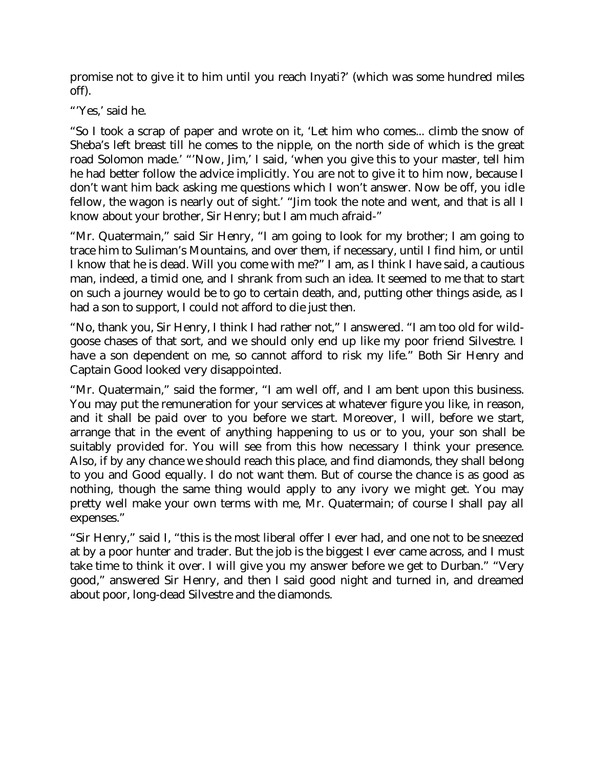promise not to give it to him until you reach Inyati?' (which was some hundred miles off).

"'Yes,' said he.

"So I took a scrap of paper and wrote on it, 'Let him who comes... climb the snow of Sheba's left breast till he comes to the nipple, on the north side of which is the great road Solomon made.' "'Now, Jim,' I said, 'when you give this to your master, tell him he had better follow the advice implicitly. You are not to give it to him now, because I don't want him back asking me questions which I won't answer. Now be off, you idle fellow, the wagon is nearly out of sight.' "Jim took the note and went, and that is all I know about your brother, Sir Henry; but I am much afraid-"

"Mr. Quatermain," said Sir Henry, "I am going to look for my brother; I am going to trace him to Suliman's Mountains, and over them, if necessary, until I find him, or until I know that he is dead. Will you come with me?" I am, as I think I have said, a cautious man, indeed, a timid one, and I shrank from such an idea. It seemed to me that to start on such a journey would be to go to certain death, and, putting other things aside, as I had a son to support, I could not afford to die just then.

"No, thank you, Sir Henry, I think I had rather not," I answered. "I am too old for wildgoose chases of that sort, and we should only end up like my poor friend Silvestre. I have a son dependent on me, so cannot afford to risk my life." Both Sir Henry and Captain Good looked very disappointed.

"Mr. Quatermain," said the former, "I am well off, and I am bent upon this business. You may put the remuneration for your services at whatever figure you like, in reason, and it shall be paid over to you before we start. Moreover, I will, before we start, arrange that in the event of anything happening to us or to you, your son shall be suitably provided for. You will see from this how necessary I think your presence. Also, if by any chance we should reach this place, and find diamonds, they shall belong to you and Good equally. I do not want them. But of course the chance is as good as nothing, though the same thing would apply to any ivory we might get. You may pretty well make your own terms with me, Mr. Quatermain; of course I shall pay all expenses."

"Sir Henry," said I, "this is the most liberal offer I ever had, and one not to be sneezed at by a poor hunter and trader. But the job is the biggest I ever came across, and I must take time to think it over. I will give you my answer before we get to Durban." "Very good," answered Sir Henry, and then I said good night and turned in, and dreamed about poor, long-dead Silvestre and the diamonds.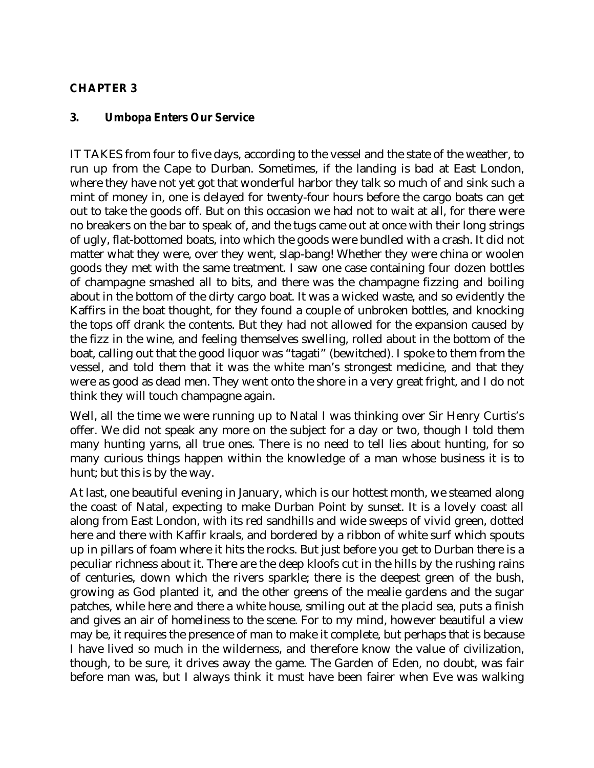### **CHAPTER 3**

### **3. Umbopa Enters Our Service**

IT TAKES from four to five days, according to the vessel and the state of the weather, to run up from the Cape to Durban. Sometimes, if the landing is bad at East London, where they have not yet got that wonderful harbor they talk so much of and sink such a mint of money in, one is delayed for twenty-four hours before the cargo boats can get out to take the goods off. But on this occasion we had not to wait at all, for there were no breakers on the bar to speak of, and the tugs came out at once with their long strings of ugly, flat-bottomed boats, into which the goods were bundled with a crash. It did not matter what they were, over they went, slap-bang! Whether they were china or woolen goods they met with the same treatment. I saw one case containing four dozen bottles of champagne smashed all to bits, and there was the champagne fizzing and boiling about in the bottom of the dirty cargo boat. It was a wicked waste, and so evidently the Kaffirs in the boat thought, for they found a couple of unbroken bottles, and knocking the tops off drank the contents. But they had not allowed for the expansion caused by the fizz in the wine, and feeling themselves swelling, rolled about in the bottom of the boat, calling out that the good liquor was "tagati" (bewitched). I spoke to them from the vessel, and told them that it was the white man's strongest medicine, and that they were as good as dead men. They went onto the shore in a very great fright, and I do not think they will touch champagne again.

Well, all the time we were running up to Natal I was thinking over Sir Henry Curtis's offer. We did not speak any more on the subject for a day or two, though I told them many hunting yarns, all true ones. There is no need to tell lies about hunting, for so many curious things happen within the knowledge of a man whose business it is to hunt; but this is by the way.

At last, one beautiful evening in January, which is our hottest month, we steamed along the coast of Natal, expecting to make Durban Point by sunset. It is a lovely coast all along from East London, with its red sandhills and wide sweeps of vivid green, dotted here and there with Kaffir kraals, and bordered by a ribbon of white surf which spouts up in pillars of foam where it hits the rocks. But just before you get to Durban there is a peculiar richness about it. There are the deep kloofs cut in the hills by the rushing rains of centuries, down which the rivers sparkle; there is the deepest green of the bush, growing as God planted it, and the other greens of the mealie gardens and the sugar patches, while here and there a white house, smiling out at the placid sea, puts a finish and gives an air of homeliness to the scene. For to my mind, however beautiful a view may be, it requires the presence of man to make it complete, but perhaps that is because I have lived so much in the wilderness, and therefore know the value of civilization, though, to be sure, it drives away the game. The Garden of Eden, no doubt, was fair before man was, but I always think it must have been fairer when Eve was walking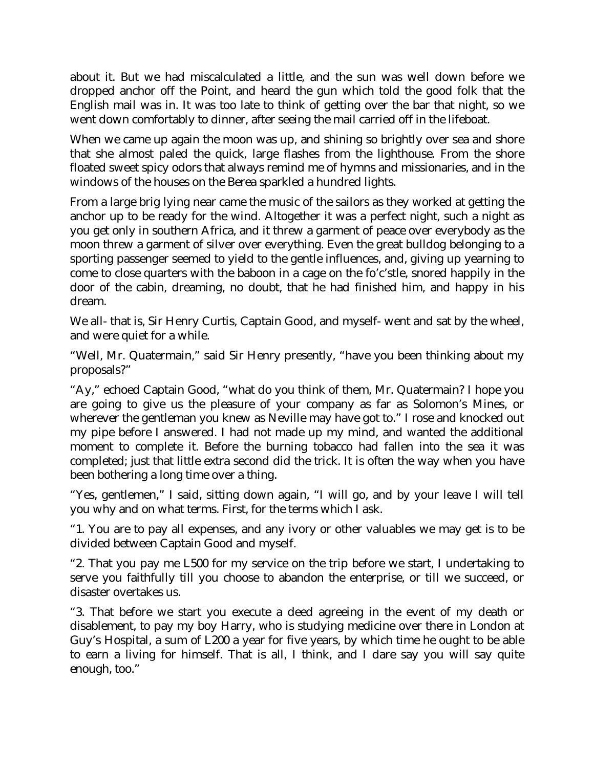about it. But we had miscalculated a little, and the sun was well down before we dropped anchor off the Point, and heard the gun which told the good folk that the English mail was in. It was too late to think of getting over the bar that night, so we went down comfortably to dinner, after seeing the mail carried off in the lifeboat.

When we came up again the moon was up, and shining so brightly over sea and shore that she almost paled the quick, large flashes from the lighthouse. From the shore floated sweet spicy odors that always remind me of hymns and missionaries, and in the windows of the houses on the Berea sparkled a hundred lights.

From a large brig lying near came the music of the sailors as they worked at getting the anchor up to be ready for the wind. Altogether it was a perfect night, such a night as you get only in southern Africa, and it threw a garment of peace over everybody as the moon threw a garment of silver over everything. Even the great bulldog belonging to a sporting passenger seemed to yield to the gentle influences, and, giving up yearning to come to close quarters with the baboon in a cage on the fo'c'stle, snored happily in the door of the cabin, dreaming, no doubt, that he had finished him, and happy in his dream.

We all- that is, Sir Henry Curtis, Captain Good, and myself- went and sat by the wheel, and were quiet for a while.

"Well, Mr. Quatermain," said Sir Henry presently, "have you been thinking about my proposals?"

"Ay," echoed Captain Good, "what do you think of them, Mr. Quatermain? I hope you are going to give us the pleasure of your company as far as Solomon's Mines, or wherever the gentleman you knew as Neville may have got to." I rose and knocked out my pipe before I answered. I had not made up my mind, and wanted the additional moment to complete it. Before the burning tobacco had fallen into the sea it was completed; just that little extra second did the trick. It is often the way when you have been bothering a long time over a thing.

"Yes, gentlemen," I said, sitting down again, "I will go, and by your leave I will tell you why and on what terms. First, for the terms which I ask.

"1. You are to pay all expenses, and any ivory or other valuables we may get is to be divided between Captain Good and myself.

"2. That you pay me L500 for my service on the trip before we start, I undertaking to serve you faithfully till you choose to abandon the enterprise, or till we succeed, or disaster overtakes us.

"3. That before we start you execute a deed agreeing in the event of my death or disablement, to pay my boy Harry, who is studying medicine over there in London at Guy's Hospital, a sum of L200 a year for five years, by which time he ought to be able to earn a living for himself. That is all, I think, and I dare say you will say quite enough, too."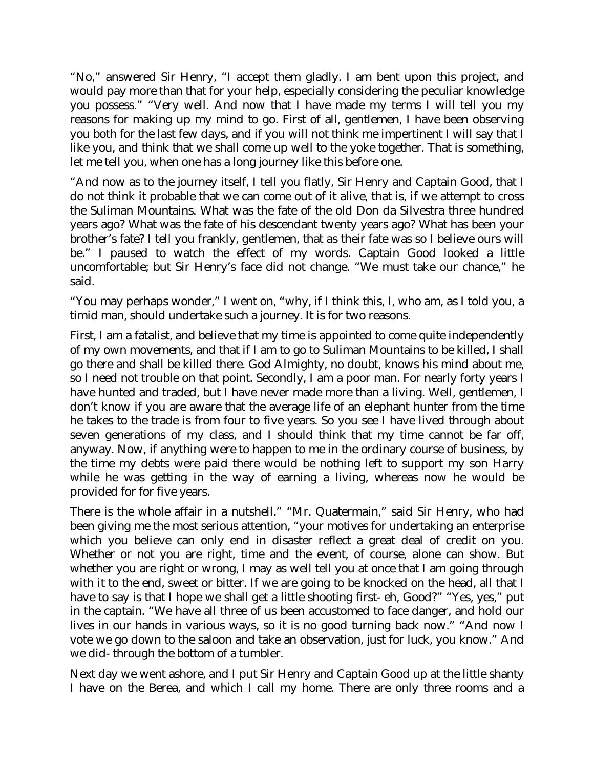"No," answered Sir Henry, "I accept them gladly. I am bent upon this project, and would pay more than that for your help, especially considering the peculiar knowledge you possess." "Very well. And now that I have made my terms I will tell you my reasons for making up my mind to go. First of all, gentlemen, I have been observing you both for the last few days, and if you will not think me impertinent I will say that I like you, and think that we shall come up well to the yoke together. That is something, let me tell you, when one has a long journey like this before one.

"And now as to the journey itself, I tell you flatly, Sir Henry and Captain Good, that I do not think it probable that we can come out of it alive, that is, if we attempt to cross the Suliman Mountains. What was the fate of the old Don da Silvestra three hundred years ago? What was the fate of his descendant twenty years ago? What has been your brother's fate? I tell you frankly, gentlemen, that as their fate was so I believe ours will be." I paused to watch the effect of my words. Captain Good looked a little uncomfortable; but Sir Henry's face did not change. "We must take our chance," he said.

"You may perhaps wonder," I went on, "why, if I think this, I, who am, as I told you, a timid man, should undertake such a journey. It is for two reasons.

First, I am a fatalist, and believe that my time is appointed to come quite independently of my own movements, and that if I am to go to Suliman Mountains to be killed, I shall go there and shall be killed there. God Almighty, no doubt, knows his mind about me, so I need not trouble on that point. Secondly, I am a poor man. For nearly forty years I have hunted and traded, but I have never made more than a living. Well, gentlemen, I don't know if you are aware that the average life of an elephant hunter from the time he takes to the trade is from four to five years. So you see I have lived through about seven generations of my class, and I should think that my time cannot be far off, anyway. Now, if anything were to happen to me in the ordinary course of business, by the time my debts were paid there would be nothing left to support my son Harry while he was getting in the way of earning a living, whereas now he would be provided for for five years.

There is the whole affair in a nutshell." "Mr. Quatermain," said Sir Henry, who had been giving me the most serious attention, "your motives for undertaking an enterprise which you believe can only end in disaster reflect a great deal of credit on you. Whether or not you are right, time and the event, of course, alone can show. But whether you are right or wrong, I may as well tell you at once that I am going through with it to the end, sweet or bitter. If we are going to be knocked on the head, all that I have to say is that I hope we shall get a little shooting first- eh, Good?" "Yes, yes," put in the captain. "We have all three of us been accustomed to face danger, and hold our lives in our hands in various ways, so it is no good turning back now." "And now I vote we go down to the saloon and take an observation, just for luck, you know." And we did- through the bottom of a tumbler.

Next day we went ashore, and I put Sir Henry and Captain Good up at the little shanty I have on the Berea, and which I call my home. There are only three rooms and a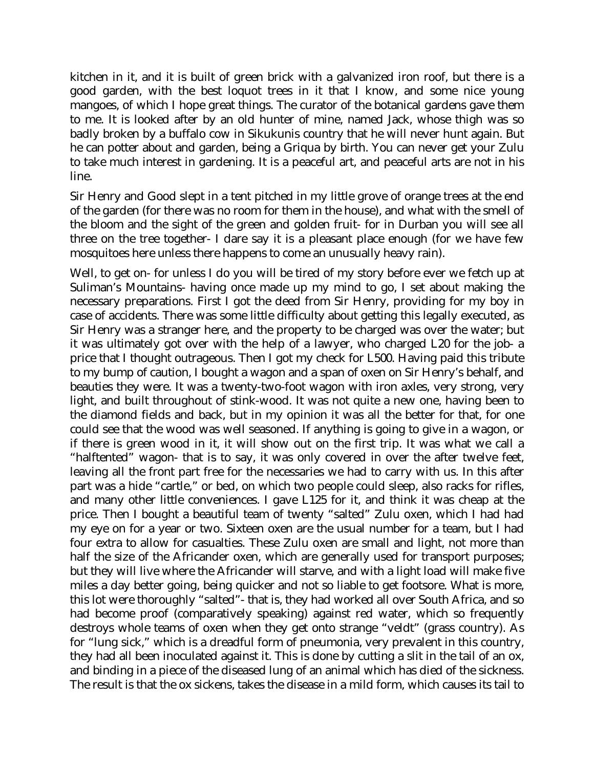kitchen in it, and it is built of green brick with a galvanized iron roof, but there is a good garden, with the best loquot trees in it that I know, and some nice young mangoes, of which I hope great things. The curator of the botanical gardens gave them to me. It is looked after by an old hunter of mine, named Jack, whose thigh was so badly broken by a buffalo cow in Sikukunis country that he will never hunt again. But he can potter about and garden, being a Griqua by birth. You can never get your Zulu to take much interest in gardening. It is a peaceful art, and peaceful arts are not in his line.

Sir Henry and Good slept in a tent pitched in my little grove of orange trees at the end of the garden (for there was no room for them in the house), and what with the smell of the bloom and the sight of the green and golden fruit- for in Durban you will see all three on the tree together- I dare say it is a pleasant place enough (for we have few mosquitoes here unless there happens to come an unusually heavy rain).

Well, to get on- for unless I do you will be tired of my story before ever we fetch up at Suliman's Mountains- having once made up my mind to go, I set about making the necessary preparations. First I got the deed from Sir Henry, providing for my boy in case of accidents. There was some little difficulty about getting this legally executed, as Sir Henry was a stranger here, and the property to be charged was over the water; but it was ultimately got over with the help of a lawyer, who charged L20 for the job- a price that I thought outrageous. Then I got my check for L500. Having paid this tribute to my bump of caution, I bought a wagon and a span of oxen on Sir Henry's behalf, and beauties they were. It was a twenty-two-foot wagon with iron axles, very strong, very light, and built throughout of stink-wood. It was not quite a new one, having been to the diamond fields and back, but in my opinion it was all the better for that, for one could see that the wood was well seasoned. If anything is going to give in a wagon, or if there is green wood in it, it will show out on the first trip. It was what we call a "halftented" wagon- that is to say, it was only covered in over the after twelve feet, leaving all the front part free for the necessaries we had to carry with us. In this after part was a hide "cartle," or bed, on which two people could sleep, also racks for rifles, and many other little conveniences. I gave L125 for it, and think it was cheap at the price. Then I bought a beautiful team of twenty "salted" Zulu oxen, which I had had my eye on for a year or two. Sixteen oxen are the usual number for a team, but I had four extra to allow for casualties. These Zulu oxen are small and light, not more than half the size of the Africander oxen, which are generally used for transport purposes; but they will live where the Africander will starve, and with a light load will make five miles a day better going, being quicker and not so liable to get footsore. What is more, this lot were thoroughly "salted"- that is, they had worked all over South Africa, and so had become proof (comparatively speaking) against red water, which so frequently destroys whole teams of oxen when they get onto strange "veldt" (grass country). As for "lung sick," which is a dreadful form of pneumonia, very prevalent in this country, they had all been inoculated against it. This is done by cutting a slit in the tail of an ox, and binding in a piece of the diseased lung of an animal which has died of the sickness. The result is that the ox sickens, takes the disease in a mild form, which causes its tail to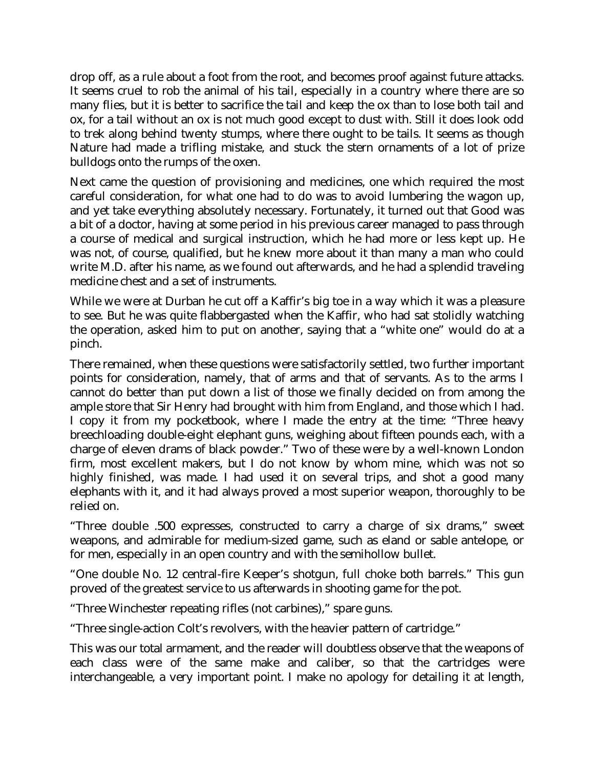drop off, as a rule about a foot from the root, and becomes proof against future attacks. It seems cruel to rob the animal of his tail, especially in a country where there are so many flies, but it is better to sacrifice the tail and keep the ox than to lose both tail and ox, for a tail without an ox is not much good except to dust with. Still it does look odd to trek along behind twenty stumps, where there ought to be tails. It seems as though Nature had made a trifling mistake, and stuck the stern ornaments of a lot of prize bulldogs onto the rumps of the oxen.

Next came the question of provisioning and medicines, one which required the most careful consideration, for what one had to do was to avoid lumbering the wagon up, and yet take everything absolutely necessary. Fortunately, it turned out that Good was a bit of a doctor, having at some period in his previous career managed to pass through a course of medical and surgical instruction, which he had more or less kept up. He was not, of course, qualified, but he knew more about it than many a man who could write M.D. after his name, as we found out afterwards, and he had a splendid traveling medicine chest and a set of instruments.

While we were at Durban he cut off a Kaffir's big toe in a way which it was a pleasure to see. But he was quite flabbergasted when the Kaffir, who had sat stolidly watching the operation, asked him to put on another, saying that a "white one" would do at a pinch.

There remained, when these questions were satisfactorily settled, two further important points for consideration, namely, that of arms and that of servants. As to the arms I cannot do better than put down a list of those we finally decided on from among the ample store that Sir Henry had brought with him from England, and those which I had. I copy it from my pocketbook, where I made the entry at the time: "Three heavy breechloading double-eight elephant guns, weighing about fifteen pounds each, with a charge of eleven drams of black powder." Two of these were by a well-known London firm, most excellent makers, but I do not know by whom mine, which was not so highly finished, was made. I had used it on several trips, and shot a good many elephants with it, and it had always proved a most superior weapon, thoroughly to be relied on.

"Three double .500 expresses, constructed to carry a charge of six drams," sweet weapons, and admirable for medium-sized game, such as eland or sable antelope, or for men, especially in an open country and with the semihollow bullet.

"One double No. 12 central-fire Keeper's shotgun, full choke both barrels." This gun proved of the greatest service to us afterwards in shooting game for the pot.

"Three Winchester repeating rifles (not carbines)," spare guns.

"Three single-action Colt's revolvers, with the heavier pattern of cartridge."

This was our total armament, and the reader will doubtless observe that the weapons of each class were of the same make and caliber, so that the cartridges were interchangeable, a very important point. I make no apology for detailing it at length,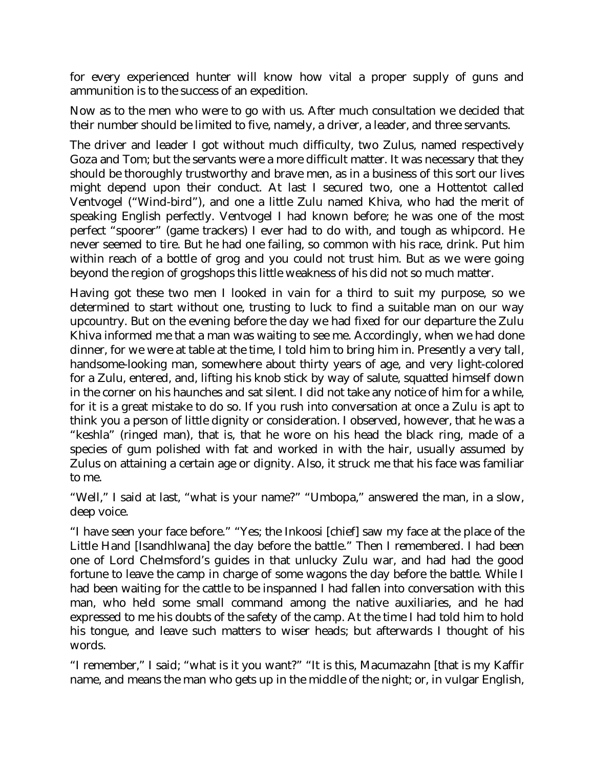for every experienced hunter will know how vital a proper supply of guns and ammunition is to the success of an expedition.

Now as to the men who were to go with us. After much consultation we decided that their number should be limited to five, namely, a driver, a leader, and three servants.

The driver and leader I got without much difficulty, two Zulus, named respectively Goza and Tom; but the servants were a more difficult matter. It was necessary that they should be thoroughly trustworthy and brave men, as in a business of this sort our lives might depend upon their conduct. At last I secured two, one a Hottentot called Ventvogel ("Wind-bird"), and one a little Zulu named Khiva, who had the merit of speaking English perfectly. Ventvogel I had known before; he was one of the most perfect "spoorer" (game trackers) I ever had to do with, and tough as whipcord. He never seemed to tire. But he had one failing, so common with his race, drink. Put him within reach of a bottle of grog and you could not trust him. But as we were going beyond the region of grogshops this little weakness of his did not so much matter.

Having got these two men I looked in vain for a third to suit my purpose, so we determined to start without one, trusting to luck to find a suitable man on our way upcountry. But on the evening before the day we had fixed for our departure the Zulu Khiva informed me that a man was waiting to see me. Accordingly, when we had done dinner, for we were at table at the time, I told him to bring him in. Presently a very tall, handsome-looking man, somewhere about thirty years of age, and very light-colored for a Zulu, entered, and, lifting his knob stick by way of salute, squatted himself down in the corner on his haunches and sat silent. I did not take any notice of him for a while, for it is a great mistake to do so. If you rush into conversation at once a Zulu is apt to think you a person of little dignity or consideration. I observed, however, that he was a "keshla" (ringed man), that is, that he wore on his head the black ring, made of a species of gum polished with fat and worked in with the hair, usually assumed by Zulus on attaining a certain age or dignity. Also, it struck me that his face was familiar to me.

"Well," I said at last, "what is your name?" "Umbopa," answered the man, in a slow, deep voice.

"I have seen your face before." "Yes; the Inkoosi [chief] saw my face at the place of the Little Hand [Isandhlwana] the day before the battle." Then I remembered. I had been one of Lord Chelmsford's guides in that unlucky Zulu war, and had had the good fortune to leave the camp in charge of some wagons the day before the battle. While I had been waiting for the cattle to be inspanned I had fallen into conversation with this man, who held some small command among the native auxiliaries, and he had expressed to me his doubts of the safety of the camp. At the time I had told him to hold his tongue, and leave such matters to wiser heads; but afterwards I thought of his words.

"I remember," I said; "what is it you want?" "It is this, Macumazahn [that is my Kaffir name, and means the man who gets up in the middle of the night; or, in vulgar English,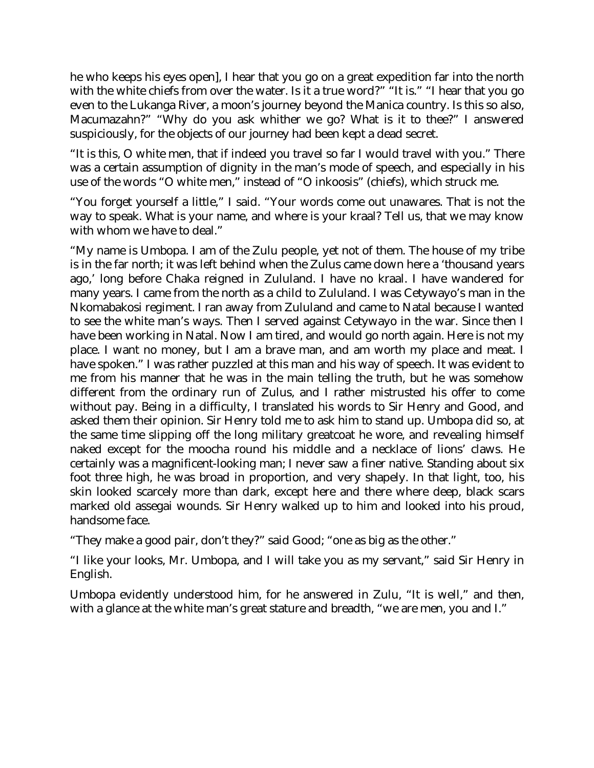he who keeps his eyes open], I hear that you go on a great expedition far into the north with the white chiefs from over the water. Is it a true word?" "It is." "I hear that you go even to the Lukanga River, a moon's journey beyond the Manica country. Is this so also, Macumazahn?" "Why do you ask whither we go? What is it to thee?" I answered suspiciously, for the objects of our journey had been kept a dead secret.

"It is this, O white men, that if indeed you travel so far I would travel with you." There was a certain assumption of dignity in the man's mode of speech, and especially in his use of the words "O white men," instead of "O inkoosis" (chiefs), which struck me.

"You forget yourself a little," I said. "Your words come out unawares. That is not the way to speak. What is your name, and where is your kraal? Tell us, that we may know with whom we have to deal."

"My name is Umbopa. I am of the Zulu people, yet not of them. The house of my tribe is in the far north; it was left behind when the Zulus came down here a 'thousand years ago,' long before Chaka reigned in Zululand. I have no kraal. I have wandered for many years. I came from the north as a child to Zululand. I was Cetywayo's man in the Nkomabakosi regiment. I ran away from Zululand and came to Natal because I wanted to see the white man's ways. Then I served against Cetywayo in the war. Since then I have been working in Natal. Now I am tired, and would go north again. Here is not my place. I want no money, but I am a brave man, and am worth my place and meat. I have spoken." I was rather puzzled at this man and his way of speech. It was evident to me from his manner that he was in the main telling the truth, but he was somehow different from the ordinary run of Zulus, and I rather mistrusted his offer to come without pay. Being in a difficulty, I translated his words to Sir Henry and Good, and asked them their opinion. Sir Henry told me to ask him to stand up. Umbopa did so, at the same time slipping off the long military greatcoat he wore, and revealing himself naked except for the moocha round his middle and a necklace of lions' claws. He certainly was a magnificent-looking man; I never saw a finer native. Standing about six foot three high, he was broad in proportion, and very shapely. In that light, too, his skin looked scarcely more than dark, except here and there where deep, black scars marked old assegai wounds. Sir Henry walked up to him and looked into his proud, handsome face.

"They make a good pair, don't they?" said Good; "one as big as the other."

"I like your looks, Mr. Umbopa, and I will take you as my servant," said Sir Henry in English.

Umbopa evidently understood him, for he answered in Zulu, "It is well," and then, with a glance at the white man's great stature and breadth, "we are men, you and I."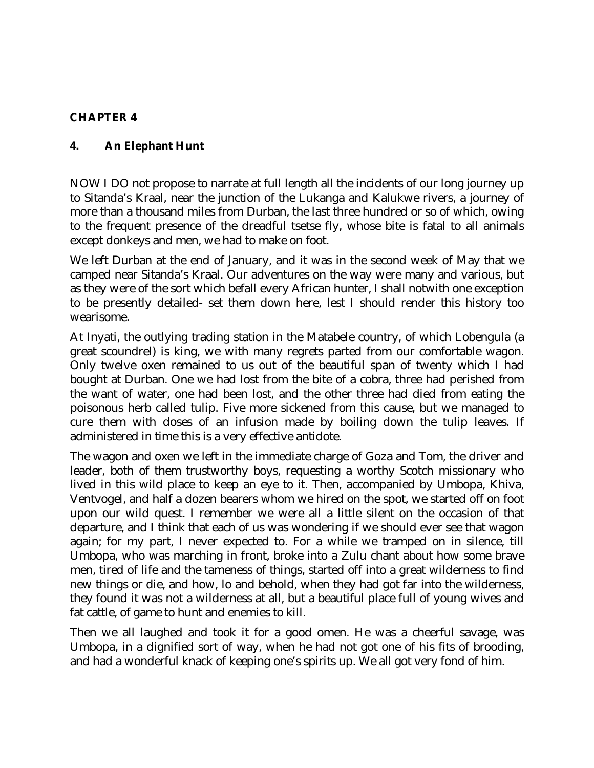## **CHAPTER 4**

### **4. An Elephant Hunt**

NOW I DO not propose to narrate at full length all the incidents of our long journey up to Sitanda's Kraal, near the junction of the Lukanga and Kalukwe rivers, a journey of more than a thousand miles from Durban, the last three hundred or so of which, owing to the frequent presence of the dreadful tsetse fly, whose bite is fatal to all animals except donkeys and men, we had to make on foot.

We left Durban at the end of January, and it was in the second week of May that we camped near Sitanda's Kraal. Our adventures on the way were many and various, but as they were of the sort which befall every African hunter, I shall notwith one exception to be presently detailed- set them down here, lest I should render this history too wearisome.

At Inyati, the outlying trading station in the Matabele country, of which Lobengula (a great scoundrel) is king, we with many regrets parted from our comfortable wagon. Only twelve oxen remained to us out of the beautiful span of twenty which I had bought at Durban. One we had lost from the bite of a cobra, three had perished from the want of water, one had been lost, and the other three had died from eating the poisonous herb called tulip. Five more sickened from this cause, but we managed to cure them with doses of an infusion made by boiling down the tulip leaves. If administered in time this is a very effective antidote.

The wagon and oxen we left in the immediate charge of Goza and Tom, the driver and leader, both of them trustworthy boys, requesting a worthy Scotch missionary who lived in this wild place to keep an eye to it. Then, accompanied by Umbopa, Khiva, Ventvogel, and half a dozen bearers whom we hired on the spot, we started off on foot upon our wild quest. I remember we were all a little silent on the occasion of that departure, and I think that each of us was wondering if we should ever see that wagon again; for my part, I never expected to. For a while we tramped on in silence, till Umbopa, who was marching in front, broke into a Zulu chant about how some brave men, tired of life and the tameness of things, started off into a great wilderness to find new things or die, and how, lo and behold, when they had got far into the wilderness, they found it was not a wilderness at all, but a beautiful place full of young wives and fat cattle, of game to hunt and enemies to kill.

Then we all laughed and took it for a good omen. He was a cheerful savage, was Umbopa, in a dignified sort of way, when he had not got one of his fits of brooding, and had a wonderful knack of keeping one's spirits up. We all got very fond of him.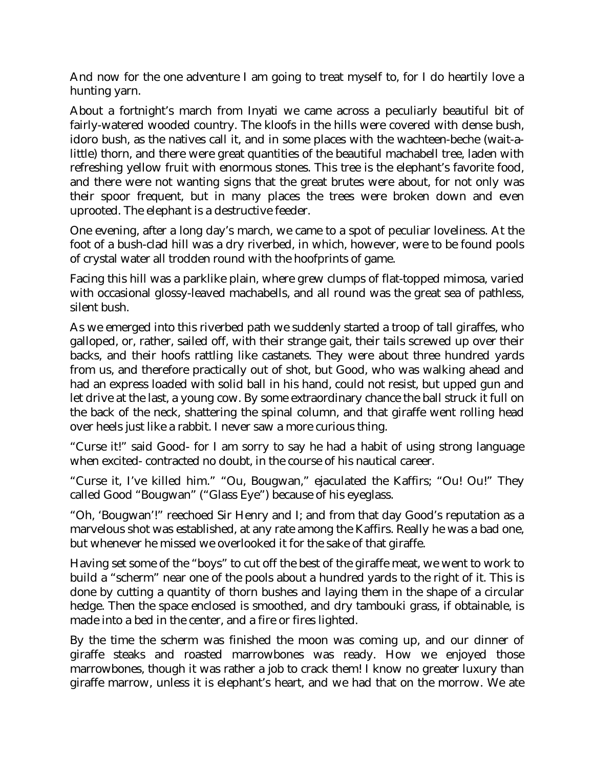And now for the one adventure I am going to treat myself to, for I do heartily love a hunting yarn.

About a fortnight's march from Inyati we came across a peculiarly beautiful bit of fairly-watered wooded country. The kloofs in the hills were covered with dense bush, idoro bush, as the natives call it, and in some places with the wachteen-beche (wait-alittle) thorn, and there were great quantities of the beautiful machabell tree, laden with refreshing yellow fruit with enormous stones. This tree is the elephant's favorite food, and there were not wanting signs that the great brutes were about, for not only was their spoor frequent, but in many places the trees were broken down and even uprooted. The elephant is a destructive feeder.

One evening, after a long day's march, we came to a spot of peculiar loveliness. At the foot of a bush-clad hill was a dry riverbed, in which, however, were to be found pools of crystal water all trodden round with the hoofprints of game.

Facing this hill was a parklike plain, where grew clumps of flat-topped mimosa, varied with occasional glossy-leaved machabells, and all round was the great sea of pathless, silent bush.

As we emerged into this riverbed path we suddenly started a troop of tall giraffes, who galloped, or, rather, sailed off, with their strange gait, their tails screwed up over their backs, and their hoofs rattling like castanets. They were about three hundred yards from us, and therefore practically out of shot, but Good, who was walking ahead and had an express loaded with solid ball in his hand, could not resist, but upped gun and let drive at the last, a young cow. By some extraordinary chance the ball struck it full on the back of the neck, shattering the spinal column, and that giraffe went rolling head over heels just like a rabbit. I never saw a more curious thing.

"Curse it!" said Good- for I am sorry to say he had a habit of using strong language when excited- contracted no doubt, in the course of his nautical career.

"Curse it, I've killed him." "Ou, Bougwan," ejaculated the Kaffirs; "Ou! Ou!" They called Good "Bougwan" ("Glass Eye") because of his eyeglass.

"Oh, 'Bougwan'!" reechoed Sir Henry and I; and from that day Good's reputation as a marvelous shot was established, at any rate among the Kaffirs. Really he was a bad one, but whenever he missed we overlooked it for the sake of that giraffe.

Having set some of the "boys" to cut off the best of the giraffe meat, we went to work to build a "scherm" near one of the pools about a hundred yards to the right of it. This is done by cutting a quantity of thorn bushes and laying them in the shape of a circular hedge. Then the space enclosed is smoothed, and dry tambouki grass, if obtainable, is made into a bed in the center, and a fire or fires lighted.

By the time the scherm was finished the moon was coming up, and our dinner of giraffe steaks and roasted marrowbones was ready. How we enjoyed those marrowbones, though it was rather a job to crack them! I know no greater luxury than giraffe marrow, unless it is elephant's heart, and we had that on the morrow. We ate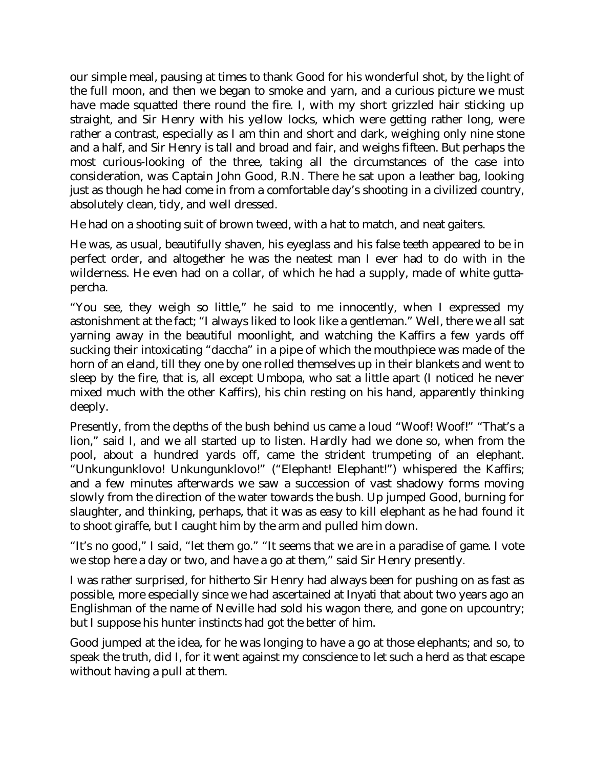our simple meal, pausing at times to thank Good for his wonderful shot, by the light of the full moon, and then we began to smoke and yarn, and a curious picture we must have made squatted there round the fire. I, with my short grizzled hair sticking up straight, and Sir Henry with his yellow locks, which were getting rather long, were rather a contrast, especially as I am thin and short and dark, weighing only nine stone and a half, and Sir Henry is tall and broad and fair, and weighs fifteen. But perhaps the most curious-looking of the three, taking all the circumstances of the case into consideration, was Captain John Good, R.N. There he sat upon a leather bag, looking just as though he had come in from a comfortable day's shooting in a civilized country, absolutely clean, tidy, and well dressed.

He had on a shooting suit of brown tweed, with a hat to match, and neat gaiters.

He was, as usual, beautifully shaven, his eyeglass and his false teeth appeared to be in perfect order, and altogether he was the neatest man I ever had to do with in the wilderness. He even had on a collar, of which he had a supply, made of white guttapercha.

"You see, they weigh so little," he said to me innocently, when I expressed my astonishment at the fact; "I always liked to look like a gentleman." Well, there we all sat yarning away in the beautiful moonlight, and watching the Kaffirs a few yards off sucking their intoxicating "daccha" in a pipe of which the mouthpiece was made of the horn of an eland, till they one by one rolled themselves up in their blankets and went to sleep by the fire, that is, all except Umbopa, who sat a little apart (I noticed he never mixed much with the other Kaffirs), his chin resting on his hand, apparently thinking deeply.

Presently, from the depths of the bush behind us came a loud "Woof! Woof!" "That's a lion," said I, and we all started up to listen. Hardly had we done so, when from the pool, about a hundred yards off, came the strident trumpeting of an elephant. "Unkungunklovo! Unkungunklovo!" ("Elephant! Elephant!") whispered the Kaffirs; and a few minutes afterwards we saw a succession of vast shadowy forms moving slowly from the direction of the water towards the bush. Up jumped Good, burning for slaughter, and thinking, perhaps, that it was as easy to kill elephant as he had found it to shoot giraffe, but I caught him by the arm and pulled him down.

"It's no good," I said, "let them go." "It seems that we are in a paradise of game. I vote we stop here a day or two, and have a go at them," said Sir Henry presently.

I was rather surprised, for hitherto Sir Henry had always been for pushing on as fast as possible, more especially since we had ascertained at Inyati that about two years ago an Englishman of the name of Neville had sold his wagon there, and gone on upcountry; but I suppose his hunter instincts had got the better of him.

Good jumped at the idea, for he was longing to have a go at those elephants; and so, to speak the truth, did I, for it went against my conscience to let such a herd as that escape without having a pull at them.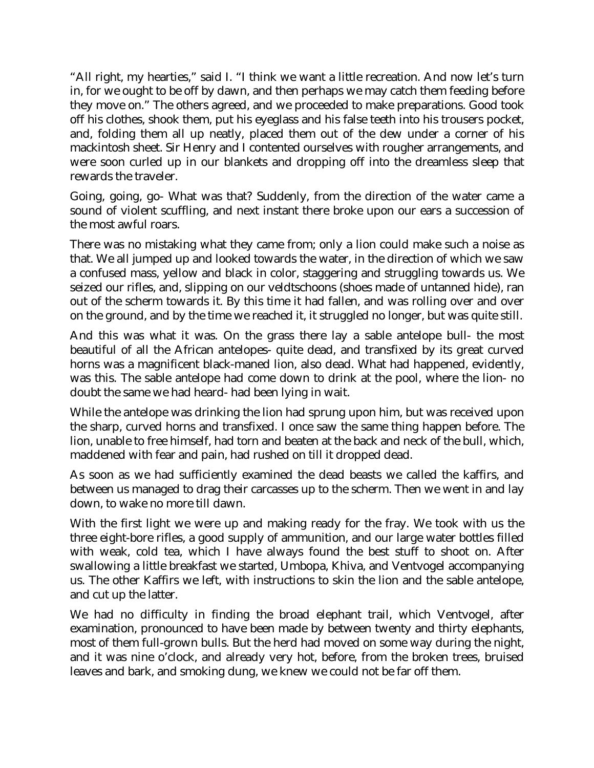"All right, my hearties," said I. "I think we want a little recreation. And now let's turn in, for we ought to be off by dawn, and then perhaps we may catch them feeding before they move on." The others agreed, and we proceeded to make preparations. Good took off his clothes, shook them, put his eyeglass and his false teeth into his trousers pocket, and, folding them all up neatly, placed them out of the dew under a corner of his mackintosh sheet. Sir Henry and I contented ourselves with rougher arrangements, and were soon curled up in our blankets and dropping off into the dreamless sleep that rewards the traveler.

Going, going, go- What was that? Suddenly, from the direction of the water came a sound of violent scuffling, and next instant there broke upon our ears a succession of the most awful roars.

There was no mistaking what they came from; only a lion could make such a noise as that. We all jumped up and looked towards the water, in the direction of which we saw a confused mass, yellow and black in color, staggering and struggling towards us. We seized our rifles, and, slipping on our veldtschoons (shoes made of untanned hide), ran out of the scherm towards it. By this time it had fallen, and was rolling over and over on the ground, and by the time we reached it, it struggled no longer, but was quite still.

And this was what it was. On the grass there lay a sable antelope bull- the most beautiful of all the African antelopes- quite dead, and transfixed by its great curved horns was a magnificent black-maned lion, also dead. What had happened, evidently, was this. The sable antelope had come down to drink at the pool, where the lion- no doubt the same we had heard- had been lying in wait.

While the antelope was drinking the lion had sprung upon him, but was received upon the sharp, curved horns and transfixed. I once saw the same thing happen before. The lion, unable to free himself, had torn and beaten at the back and neck of the bull, which, maddened with fear and pain, had rushed on till it dropped dead.

As soon as we had sufficiently examined the dead beasts we called the kaffirs, and between us managed to drag their carcasses up to the scherm. Then we went in and lay down, to wake no more till dawn.

With the first light we were up and making ready for the fray. We took with us the three eight-bore rifles, a good supply of ammunition, and our large water bottles filled with weak, cold tea, which I have always found the best stuff to shoot on. After swallowing a little breakfast we started, Umbopa, Khiva, and Ventvogel accompanying us. The other Kaffirs we left, with instructions to skin the lion and the sable antelope, and cut up the latter.

We had no difficulty in finding the broad elephant trail, which Ventvogel, after examination, pronounced to have been made by between twenty and thirty elephants, most of them full-grown bulls. But the herd had moved on some way during the night, and it was nine o'clock, and already very hot, before, from the broken trees, bruised leaves and bark, and smoking dung, we knew we could not be far off them.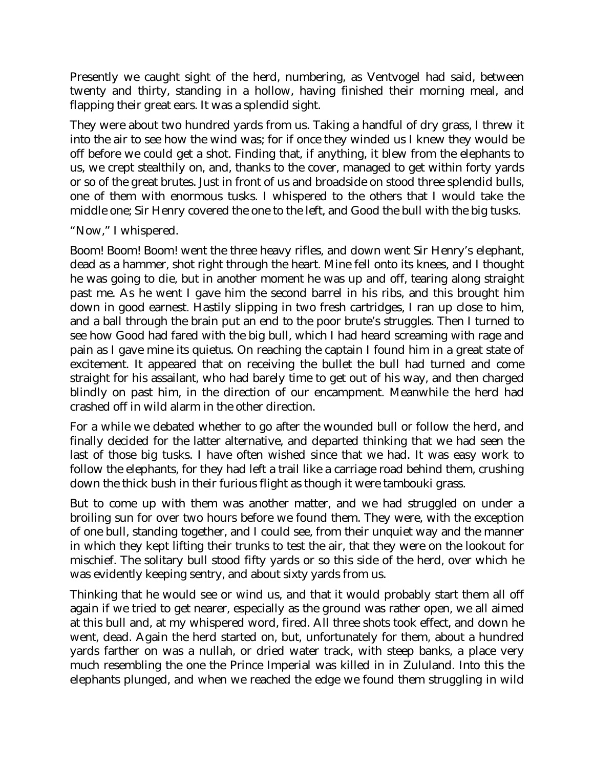Presently we caught sight of the herd, numbering, as Ventvogel had said, between twenty and thirty, standing in a hollow, having finished their morning meal, and flapping their great ears. It was a splendid sight.

They were about two hundred yards from us. Taking a handful of dry grass, I threw it into the air to see how the wind was; for if once they winded us I knew they would be off before we could get a shot. Finding that, if anything, it blew from the elephants to us, we crept stealthily on, and, thanks to the cover, managed to get within forty yards or so of the great brutes. Just in front of us and broadside on stood three splendid bulls, one of them with enormous tusks. I whispered to the others that I would take the middle one; Sir Henry covered the one to the left, and Good the bull with the big tusks.

## "Now," I whispered.

Boom! Boom! Boom! went the three heavy rifles, and down went Sir Henry's elephant, dead as a hammer, shot right through the heart. Mine fell onto its knees, and I thought he was going to die, but in another moment he was up and off, tearing along straight past me. As he went I gave him the second barrel in his ribs, and this brought him down in good earnest. Hastily slipping in two fresh cartridges, I ran up close to him, and a ball through the brain put an end to the poor brute's struggles. Then I turned to see how Good had fared with the big bull, which I had heard screaming with rage and pain as I gave mine its quietus. On reaching the captain I found him in a great state of excitement. It appeared that on receiving the bullet the bull had turned and come straight for his assailant, who had barely time to get out of his way, and then charged blindly on past him, in the direction of our encampment. Meanwhile the herd had crashed off in wild alarm in the other direction.

For a while we debated whether to go after the wounded bull or follow the herd, and finally decided for the latter alternative, and departed thinking that we had seen the last of those big tusks. I have often wished since that we had. It was easy work to follow the elephants, for they had left a trail like a carriage road behind them, crushing down the thick bush in their furious flight as though it were tambouki grass.

But to come up with them was another matter, and we had struggled on under a broiling sun for over two hours before we found them. They were, with the exception of one bull, standing together, and I could see, from their unquiet way and the manner in which they kept lifting their trunks to test the air, that they were on the lookout for mischief. The solitary bull stood fifty yards or so this side of the herd, over which he was evidently keeping sentry, and about sixty yards from us.

Thinking that he would see or wind us, and that it would probably start them all off again if we tried to get nearer, especially as the ground was rather open, we all aimed at this bull and, at my whispered word, fired. All three shots took effect, and down he went, dead. Again the herd started on, but, unfortunately for them, about a hundred yards farther on was a nullah, or dried water track, with steep banks, a place very much resembling the one the Prince Imperial was killed in in Zululand. Into this the elephants plunged, and when we reached the edge we found them struggling in wild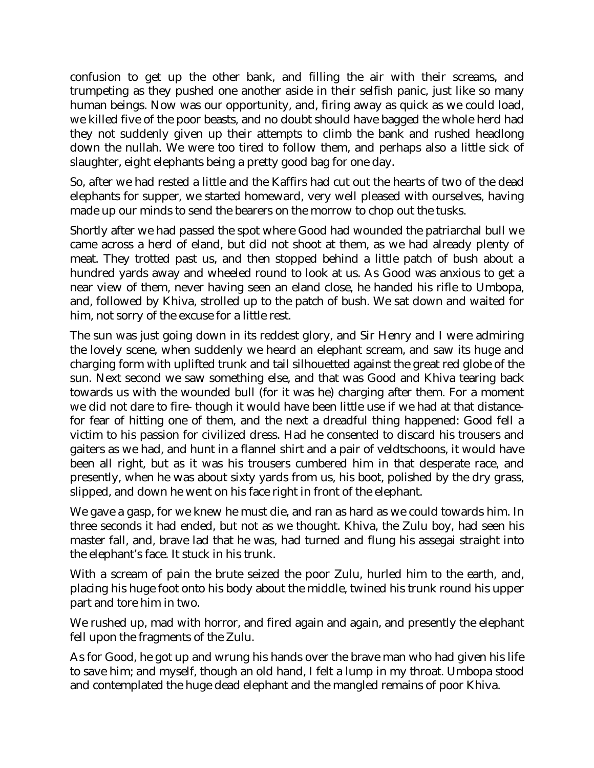confusion to get up the other bank, and filling the air with their screams, and trumpeting as they pushed one another aside in their selfish panic, just like so many human beings. Now was our opportunity, and, firing away as quick as we could load, we killed five of the poor beasts, and no doubt should have bagged the whole herd had they not suddenly given up their attempts to climb the bank and rushed headlong down the nullah. We were too tired to follow them, and perhaps also a little sick of slaughter, eight elephants being a pretty good bag for one day.

So, after we had rested a little and the Kaffirs had cut out the hearts of two of the dead elephants for supper, we started homeward, very well pleased with ourselves, having made up our minds to send the bearers on the morrow to chop out the tusks.

Shortly after we had passed the spot where Good had wounded the patriarchal bull we came across a herd of eland, but did not shoot at them, as we had already plenty of meat. They trotted past us, and then stopped behind a little patch of bush about a hundred yards away and wheeled round to look at us. As Good was anxious to get a near view of them, never having seen an eland close, he handed his rifle to Umbopa, and, followed by Khiva, strolled up to the patch of bush. We sat down and waited for him, not sorry of the excuse for a little rest.

The sun was just going down in its reddest glory, and Sir Henry and I were admiring the lovely scene, when suddenly we heard an elephant scream, and saw its huge and charging form with uplifted trunk and tail silhouetted against the great red globe of the sun. Next second we saw something else, and that was Good and Khiva tearing back towards us with the wounded bull (for it was he) charging after them. For a moment we did not dare to fire- though it would have been little use if we had at that distancefor fear of hitting one of them, and the next a dreadful thing happened: Good fell a victim to his passion for civilized dress. Had he consented to discard his trousers and gaiters as we had, and hunt in a flannel shirt and a pair of veldtschoons, it would have been all right, but as it was his trousers cumbered him in that desperate race, and presently, when he was about sixty yards from us, his boot, polished by the dry grass, slipped, and down he went on his face right in front of the elephant.

We gave a gasp, for we knew he must die, and ran as hard as we could towards him. In three seconds it had ended, but not as we thought. Khiva, the Zulu boy, had seen his master fall, and, brave lad that he was, had turned and flung his assegai straight into the elephant's face. It stuck in his trunk.

With a scream of pain the brute seized the poor Zulu, hurled him to the earth, and, placing his huge foot onto his body about the middle, twined his trunk round his upper part and tore him in two.

We rushed up, mad with horror, and fired again and again, and presently the elephant fell upon the fragments of the Zulu.

As for Good, he got up and wrung his hands over the brave man who had given his life to save him; and myself, though an old hand, I felt a lump in my throat. Umbopa stood and contemplated the huge dead elephant and the mangled remains of poor Khiva.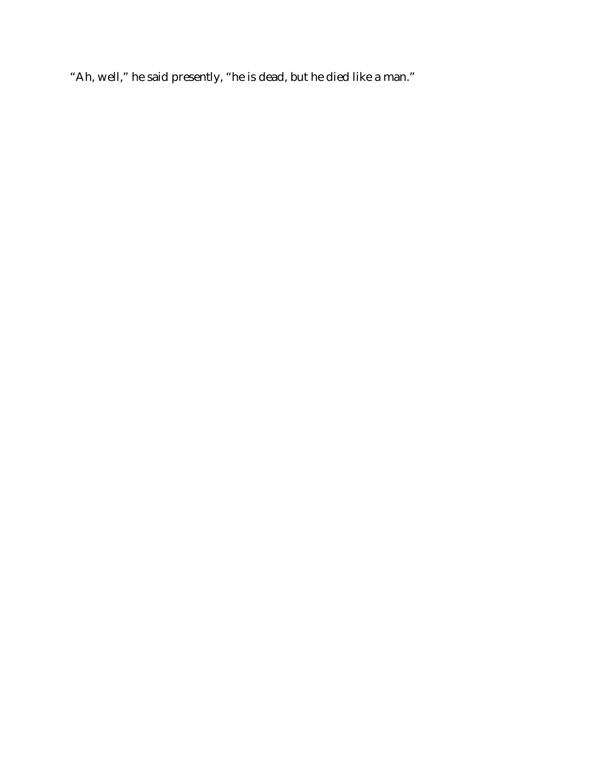"Ah, well," he said presently, "he is dead, but he died like a man."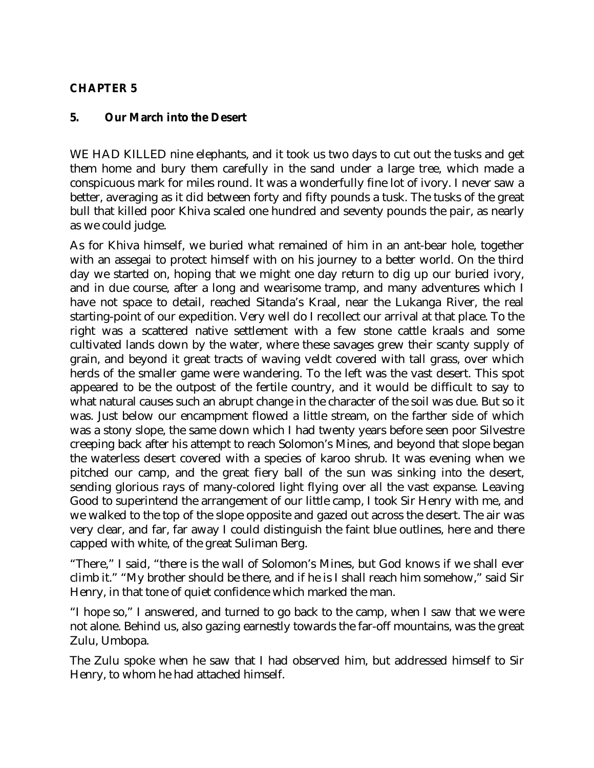### **CHAPTER 5**

### **5. Our March into the Desert**

WE HAD KILLED nine elephants, and it took us two days to cut out the tusks and get them home and bury them carefully in the sand under a large tree, which made a conspicuous mark for miles round. It was a wonderfully fine lot of ivory. I never saw a better, averaging as it did between forty and fifty pounds a tusk. The tusks of the great bull that killed poor Khiva scaled one hundred and seventy pounds the pair, as nearly as we could judge.

As for Khiva himself, we buried what remained of him in an ant-bear hole, together with an assegai to protect himself with on his journey to a better world. On the third day we started on, hoping that we might one day return to dig up our buried ivory, and in due course, after a long and wearisome tramp, and many adventures which I have not space to detail, reached Sitanda's Kraal, near the Lukanga River, the real starting-point of our expedition. Very well do I recollect our arrival at that place. To the right was a scattered native settlement with a few stone cattle kraals and some cultivated lands down by the water, where these savages grew their scanty supply of grain, and beyond it great tracts of waving veldt covered with tall grass, over which herds of the smaller game were wandering. To the left was the vast desert. This spot appeared to be the outpost of the fertile country, and it would be difficult to say to what natural causes such an abrupt change in the character of the soil was due. But so it was. Just below our encampment flowed a little stream, on the farther side of which was a stony slope, the same down which I had twenty years before seen poor Silvestre creeping back after his attempt to reach Solomon's Mines, and beyond that slope began the waterless desert covered with a species of karoo shrub. It was evening when we pitched our camp, and the great fiery ball of the sun was sinking into the desert, sending glorious rays of many-colored light flying over all the vast expanse. Leaving Good to superintend the arrangement of our little camp, I took Sir Henry with me, and we walked to the top of the slope opposite and gazed out across the desert. The air was very clear, and far, far away I could distinguish the faint blue outlines, here and there capped with white, of the great Suliman Berg.

"There," I said, "there is the wall of Solomon's Mines, but God knows if we shall ever climb it." "My brother should be there, and if he is I shall reach him somehow," said Sir Henry, in that tone of quiet confidence which marked the man.

"I hope so," I answered, and turned to go back to the camp, when I saw that we were not alone. Behind us, also gazing earnestly towards the far-off mountains, was the great Zulu, Umbopa.

The Zulu spoke when he saw that I had observed him, but addressed himself to Sir Henry, to whom he had attached himself.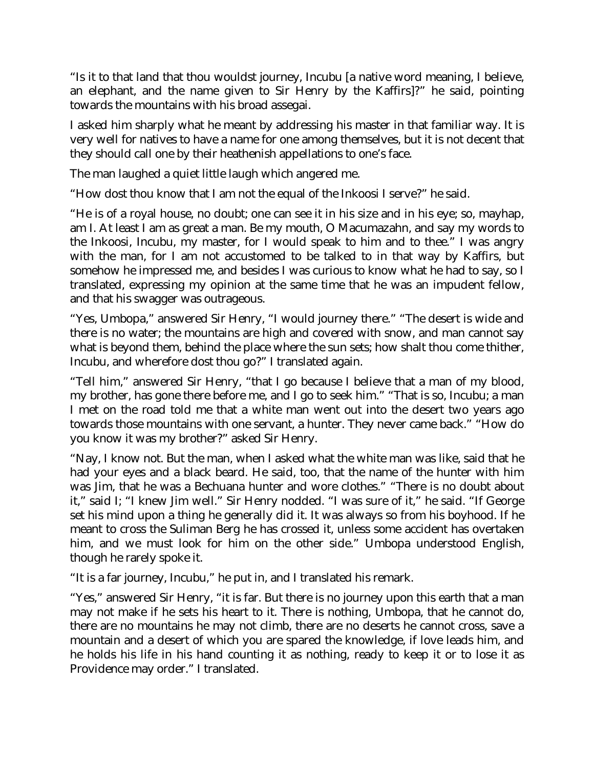"Is it to that land that thou wouldst journey, Incubu [a native word meaning, I believe, an elephant, and the name given to Sir Henry by the Kaffirs]?" he said, pointing towards the mountains with his broad assegai.

I asked him sharply what he meant by addressing his master in that familiar way. It is very well for natives to have a name for one among themselves, but it is not decent that they should call one by their heathenish appellations to one's face.

The man laughed a quiet little laugh which angered me.

"How dost thou know that I am not the equal of the Inkoosi I serve?" he said.

"He is of a royal house, no doubt; one can see it in his size and in his eye; so, mayhap, am I. At least I am as great a man. Be my mouth, O Macumazahn, and say my words to the Inkoosi, Incubu, my master, for I would speak to him and to thee." I was angry with the man, for I am not accustomed to be talked to in that way by Kaffirs, but somehow he impressed me, and besides I was curious to know what he had to say, so I translated, expressing my opinion at the same time that he was an impudent fellow, and that his swagger was outrageous.

"Yes, Umbopa," answered Sir Henry, "I would journey there." "The desert is wide and there is no water; the mountains are high and covered with snow, and man cannot say what is beyond them, behind the place where the sun sets; how shalt thou come thither, Incubu, and wherefore dost thou go?" I translated again.

"Tell him," answered Sir Henry, "that I go because I believe that a man of my blood, my brother, has gone there before me, and I go to seek him." "That is so, Incubu; a man I met on the road told me that a white man went out into the desert two years ago towards those mountains with one servant, a hunter. They never came back." "How do you know it was my brother?" asked Sir Henry.

"Nay, I know not. But the man, when I asked what the white man was like, said that he had your eyes and a black beard. He said, too, that the name of the hunter with him was Jim, that he was a Bechuana hunter and wore clothes." "There is no doubt about it," said I; "I knew Jim well." Sir Henry nodded. "I was sure of it," he said. "If George set his mind upon a thing he generally did it. It was always so from his boyhood. If he meant to cross the Suliman Berg he has crossed it, unless some accident has overtaken him, and we must look for him on the other side." Umbopa understood English, though he rarely spoke it.

"It is a far journey, Incubu," he put in, and I translated his remark.

"Yes," answered Sir Henry, "it is far. But there is no journey upon this earth that a man may not make if he sets his heart to it. There is nothing, Umbopa, that he cannot do, there are no mountains he may not climb, there are no deserts he cannot cross, save a mountain and a desert of which you are spared the knowledge, if love leads him, and he holds his life in his hand counting it as nothing, ready to keep it or to lose it as Providence may order." I translated.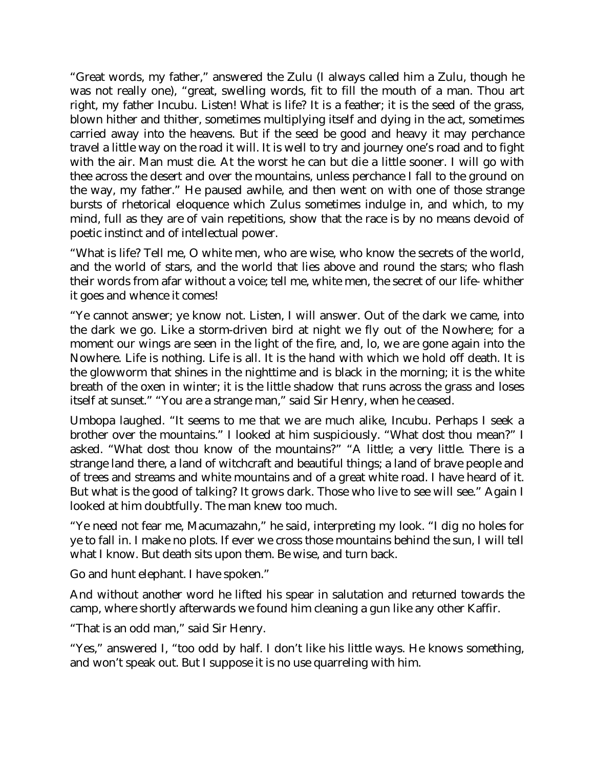"Great words, my father," answered the Zulu (I always called him a Zulu, though he was not really one), "great, swelling words, fit to fill the mouth of a man. Thou art right, my father Incubu. Listen! What is life? It is a feather; it is the seed of the grass, blown hither and thither, sometimes multiplying itself and dying in the act, sometimes carried away into the heavens. But if the seed be good and heavy it may perchance travel a little way on the road it will. It is well to try and journey one's road and to fight with the air. Man must die. At the worst he can but die a little sooner. I will go with thee across the desert and over the mountains, unless perchance I fall to the ground on the way, my father." He paused awhile, and then went on with one of those strange bursts of rhetorical eloquence which Zulus sometimes indulge in, and which, to my mind, full as they are of vain repetitions, show that the race is by no means devoid of poetic instinct and of intellectual power.

"What is life? Tell me, O white men, who are wise, who know the secrets of the world, and the world of stars, and the world that lies above and round the stars; who flash their words from afar without a voice; tell me, white men, the secret of our life- whither it goes and whence it comes!

"Ye cannot answer; ye know not. Listen, I will answer. Out of the dark we came, into the dark we go. Like a storm-driven bird at night we fly out of the Nowhere; for a moment our wings are seen in the light of the fire, and, lo, we are gone again into the Nowhere. Life is nothing. Life is all. It is the hand with which we hold off death. It is the glowworm that shines in the nighttime and is black in the morning; it is the white breath of the oxen in winter; it is the little shadow that runs across the grass and loses itself at sunset." "You are a strange man," said Sir Henry, when he ceased.

Umbopa laughed. "It seems to me that we are much alike, Incubu. Perhaps I seek a brother over the mountains." I looked at him suspiciously. "What dost thou mean?" I asked. "What dost thou know of the mountains?" "A little; a very little. There is a strange land there, a land of witchcraft and beautiful things; a land of brave people and of trees and streams and white mountains and of a great white road. I have heard of it. But what is the good of talking? It grows dark. Those who live to see will see." Again I looked at him doubtfully. The man knew too much.

"Ye need not fear me, Macumazahn," he said, interpreting my look. "I dig no holes for ye to fall in. I make no plots. If ever we cross those mountains behind the sun, I will tell what I know. But death sits upon them. Be wise, and turn back.

Go and hunt elephant. I have spoken."

And without another word he lifted his spear in salutation and returned towards the camp, where shortly afterwards we found him cleaning a gun like any other Kaffir.

"That is an odd man," said Sir Henry.

"Yes," answered I, "too odd by half. I don't like his little ways. He knows something, and won't speak out. But I suppose it is no use quarreling with him.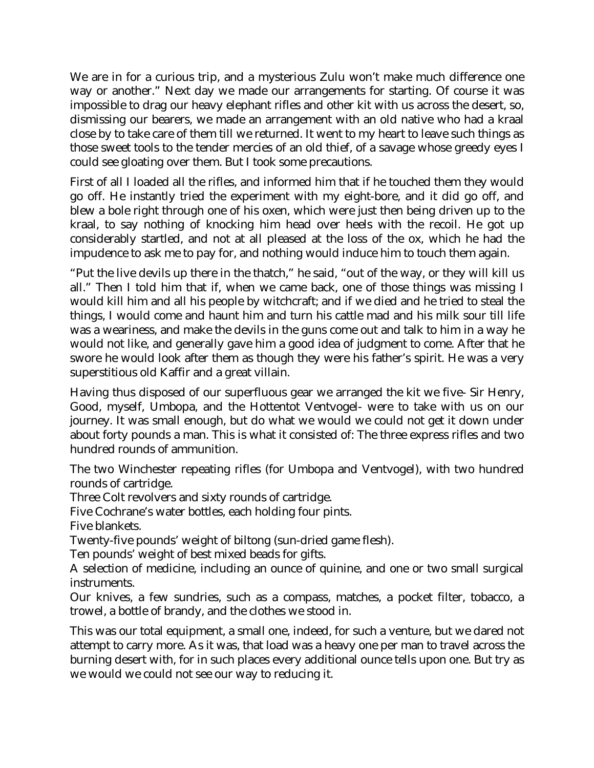We are in for a curious trip, and a mysterious Zulu won't make much difference one way or another." Next day we made our arrangements for starting. Of course it was impossible to drag our heavy elephant rifles and other kit with us across the desert, so, dismissing our bearers, we made an arrangement with an old native who had a kraal close by to take care of them till we returned. It went to my heart to leave such things as those sweet tools to the tender mercies of an old thief, of a savage whose greedy eyes I could see gloating over them. But I took some precautions.

First of all I loaded all the rifles, and informed him that if he touched them they would go off. He instantly tried the experiment with my eight-bore, and it did go off, and blew a bole right through one of his oxen, which were just then being driven up to the kraal, to say nothing of knocking him head over heels with the recoil. He got up considerably startled, and not at all pleased at the loss of the ox, which he had the impudence to ask me to pay for, and nothing would induce him to touch them again.

"Put the live devils up there in the thatch," he said, "out of the way, or they will kill us all." Then I told him that if, when we came back, one of those things was missing I would kill him and all his people by witchcraft; and if we died and he tried to steal the things, I would come and haunt him and turn his cattle mad and his milk sour till life was a weariness, and make the devils in the guns come out and talk to him in a way he would not like, and generally gave him a good idea of judgment to come. After that he swore he would look after them as though they were his father's spirit. He was a very superstitious old Kaffir and a great villain.

Having thus disposed of our superfluous gear we arranged the kit we five- Sir Henry, Good, myself, Umbopa, and the Hottentot Ventvogel- were to take with us on our journey. It was small enough, but do what we would we could not get it down under about forty pounds a man. This is what it consisted of: The three express rifles and two hundred rounds of ammunition.

The two Winchester repeating rifles (for Umbopa and Ventvogel), with two hundred rounds of cartridge.

Three Colt revolvers and sixty rounds of cartridge.

Five Cochrane's water bottles, each holding four pints.

Five blankets.

Twenty-five pounds' weight of biltong (sun-dried game flesh).

Ten pounds' weight of best mixed beads for gifts.

A selection of medicine, including an ounce of quinine, and one or two small surgical instruments.

Our knives, a few sundries, such as a compass, matches, a pocket filter, tobacco, a trowel, a bottle of brandy, and the clothes we stood in.

This was our total equipment, a small one, indeed, for such a venture, but we dared not attempt to carry more. As it was, that load was a heavy one per man to travel across the burning desert with, for in such places every additional ounce tells upon one. But try as we would we could not see our way to reducing it.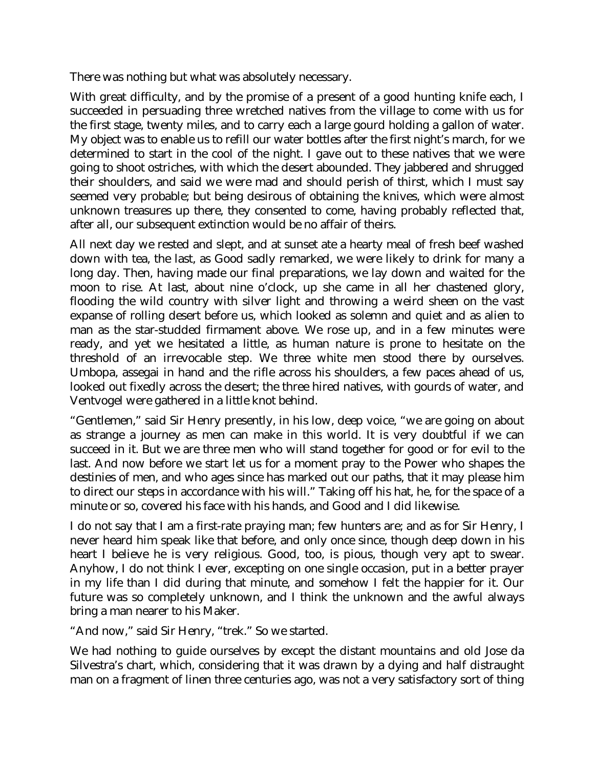There was nothing but what was absolutely necessary.

With great difficulty, and by the promise of a present of a good hunting knife each, I succeeded in persuading three wretched natives from the village to come with us for the first stage, twenty miles, and to carry each a large gourd holding a gallon of water. My object was to enable us to refill our water bottles after the first night's march, for we determined to start in the cool of the night. I gave out to these natives that we were going to shoot ostriches, with which the desert abounded. They jabbered and shrugged their shoulders, and said we were mad and should perish of thirst, which I must say seemed very probable; but being desirous of obtaining the knives, which were almost unknown treasures up there, they consented to come, having probably reflected that, after all, our subsequent extinction would be no affair of theirs.

All next day we rested and slept, and at sunset ate a hearty meal of fresh beef washed down with tea, the last, as Good sadly remarked, we were likely to drink for many a long day. Then, having made our final preparations, we lay down and waited for the moon to rise. At last, about nine o'clock, up she came in all her chastened glory, flooding the wild country with silver light and throwing a weird sheen on the vast expanse of rolling desert before us, which looked as solemn and quiet and as alien to man as the star-studded firmament above. We rose up, and in a few minutes were ready, and yet we hesitated a little, as human nature is prone to hesitate on the threshold of an irrevocable step. We three white men stood there by ourselves. Umbopa, assegai in hand and the rifle across his shoulders, a few paces ahead of us, looked out fixedly across the desert; the three hired natives, with gourds of water, and Ventvogel were gathered in a little knot behind.

"Gentlemen," said Sir Henry presently, in his low, deep voice, "we are going on about as strange a journey as men can make in this world. It is very doubtful if we can succeed in it. But we are three men who will stand together for good or for evil to the last. And now before we start let us for a moment pray to the Power who shapes the destinies of men, and who ages since has marked out our paths, that it may please him to direct our steps in accordance with his will." Taking off his hat, he, for the space of a minute or so, covered his face with his hands, and Good and I did likewise.

I do not say that I am a first-rate praying man; few hunters are; and as for Sir Henry, I never heard him speak like that before, and only once since, though deep down in his heart I believe he is very religious. Good, too, is pious, though very apt to swear. Anyhow, I do not think I ever, excepting on one single occasion, put in a better prayer in my life than I did during that minute, and somehow I felt the happier for it. Our future was so completely unknown, and I think the unknown and the awful always bring a man nearer to his Maker.

"And now," said Sir Henry, "trek." So we started.

We had nothing to guide ourselves by except the distant mountains and old Jose da Silvestra's chart, which, considering that it was drawn by a dying and half distraught man on a fragment of linen three centuries ago, was not a very satisfactory sort of thing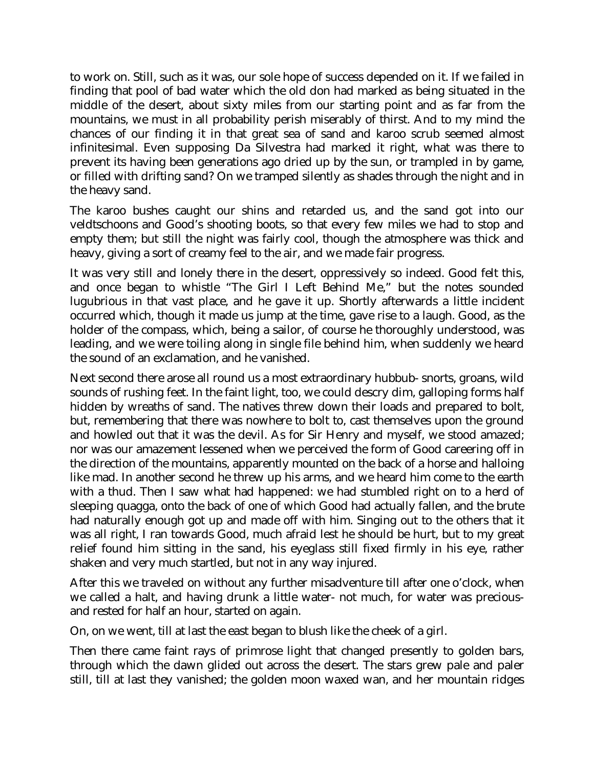to work on. Still, such as it was, our sole hope of success depended on it. If we failed in finding that pool of bad water which the old don had marked as being situated in the middle of the desert, about sixty miles from our starting point and as far from the mountains, we must in all probability perish miserably of thirst. And to my mind the chances of our finding it in that great sea of sand and karoo scrub seemed almost infinitesimal. Even supposing Da Silvestra had marked it right, what was there to prevent its having been generations ago dried up by the sun, or trampled in by game, or filled with drifting sand? On we tramped silently as shades through the night and in the heavy sand.

The karoo bushes caught our shins and retarded us, and the sand got into our veldtschoons and Good's shooting boots, so that every few miles we had to stop and empty them; but still the night was fairly cool, though the atmosphere was thick and heavy, giving a sort of creamy feel to the air, and we made fair progress.

It was very still and lonely there in the desert, oppressively so indeed. Good felt this, and once began to whistle "The Girl I Left Behind Me," but the notes sounded lugubrious in that vast place, and he gave it up. Shortly afterwards a little incident occurred which, though it made us jump at the time, gave rise to a laugh. Good, as the holder of the compass, which, being a sailor, of course he thoroughly understood, was leading, and we were toiling along in single file behind him, when suddenly we heard the sound of an exclamation, and he vanished.

Next second there arose all round us a most extraordinary hubbub- snorts, groans, wild sounds of rushing feet. In the faint light, too, we could descry dim, galloping forms half hidden by wreaths of sand. The natives threw down their loads and prepared to bolt, but, remembering that there was nowhere to bolt to, cast themselves upon the ground and howled out that it was the devil. As for Sir Henry and myself, we stood amazed; nor was our amazement lessened when we perceived the form of Good careering off in the direction of the mountains, apparently mounted on the back of a horse and halloing like mad. In another second he threw up his arms, and we heard him come to the earth with a thud. Then I saw what had happened: we had stumbled right on to a herd of sleeping quagga, onto the back of one of which Good had actually fallen, and the brute had naturally enough got up and made off with him. Singing out to the others that it was all right, I ran towards Good, much afraid lest he should be hurt, but to my great relief found him sitting in the sand, his eyeglass still fixed firmly in his eye, rather shaken and very much startled, but not in any way injured.

After this we traveled on without any further misadventure till after one o'clock, when we called a halt, and having drunk a little water- not much, for water was preciousand rested for half an hour, started on again.

On, on we went, till at last the east began to blush like the cheek of a girl.

Then there came faint rays of primrose light that changed presently to golden bars, through which the dawn glided out across the desert. The stars grew pale and paler still, till at last they vanished; the golden moon waxed wan, and her mountain ridges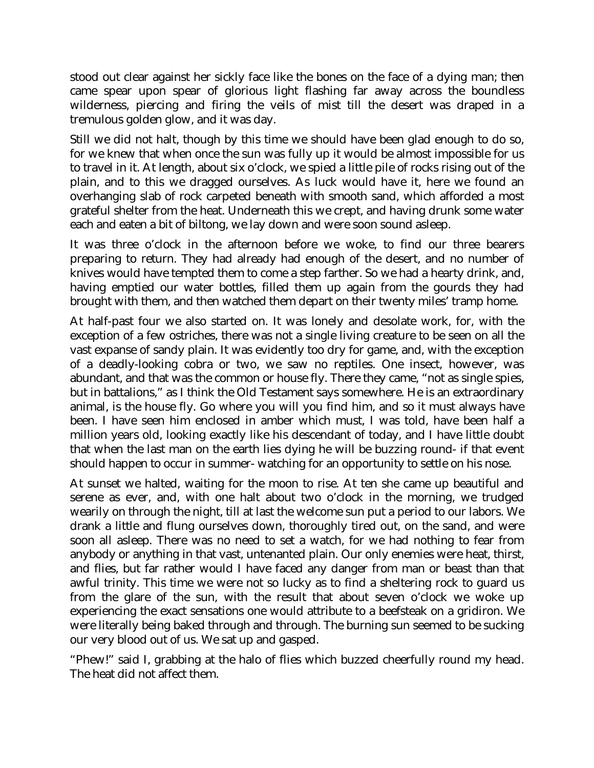stood out clear against her sickly face like the bones on the face of a dying man; then came spear upon spear of glorious light flashing far away across the boundless wilderness, piercing and firing the veils of mist till the desert was draped in a tremulous golden glow, and it was day.

Still we did not halt, though by this time we should have been glad enough to do so, for we knew that when once the sun was fully up it would be almost impossible for us to travel in it. At length, about six o'clock, we spied a little pile of rocks rising out of the plain, and to this we dragged ourselves. As luck would have it, here we found an overhanging slab of rock carpeted beneath with smooth sand, which afforded a most grateful shelter from the heat. Underneath this we crept, and having drunk some water each and eaten a bit of biltong, we lay down and were soon sound asleep.

It was three o'clock in the afternoon before we woke, to find our three bearers preparing to return. They had already had enough of the desert, and no number of knives would have tempted them to come a step farther. So we had a hearty drink, and, having emptied our water bottles, filled them up again from the gourds they had brought with them, and then watched them depart on their twenty miles' tramp home.

At half-past four we also started on. It was lonely and desolate work, for, with the exception of a few ostriches, there was not a single living creature to be seen on all the vast expanse of sandy plain. It was evidently too dry for game, and, with the exception of a deadly-looking cobra or two, we saw no reptiles. One insect, however, was abundant, and that was the common or house fly. There they came, "not as single spies, but in battalions," as I think the Old Testament says somewhere. He is an extraordinary animal, is the house fly. Go where you will you find him, and so it must always have been. I have seen him enclosed in amber which must, I was told, have been half a million years old, looking exactly like his descendant of today, and I have little doubt that when the last man on the earth lies dying he will be buzzing round- if that event should happen to occur in summer- watching for an opportunity to settle on his nose.

At sunset we halted, waiting for the moon to rise. At ten she came up beautiful and serene as ever, and, with one halt about two o'clock in the morning, we trudged wearily on through the night, till at last the welcome sun put a period to our labors. We drank a little and flung ourselves down, thoroughly tired out, on the sand, and were soon all asleep. There was no need to set a watch, for we had nothing to fear from anybody or anything in that vast, untenanted plain. Our only enemies were heat, thirst, and flies, but far rather would I have faced any danger from man or beast than that awful trinity. This time we were not so lucky as to find a sheltering rock to guard us from the glare of the sun, with the result that about seven o'clock we woke up experiencing the exact sensations one would attribute to a beefsteak on a gridiron. We were literally being baked through and through. The burning sun seemed to be sucking our very blood out of us. We sat up and gasped.

"Phew!" said I, grabbing at the halo of flies which buzzed cheerfully round my head. The heat did not affect them.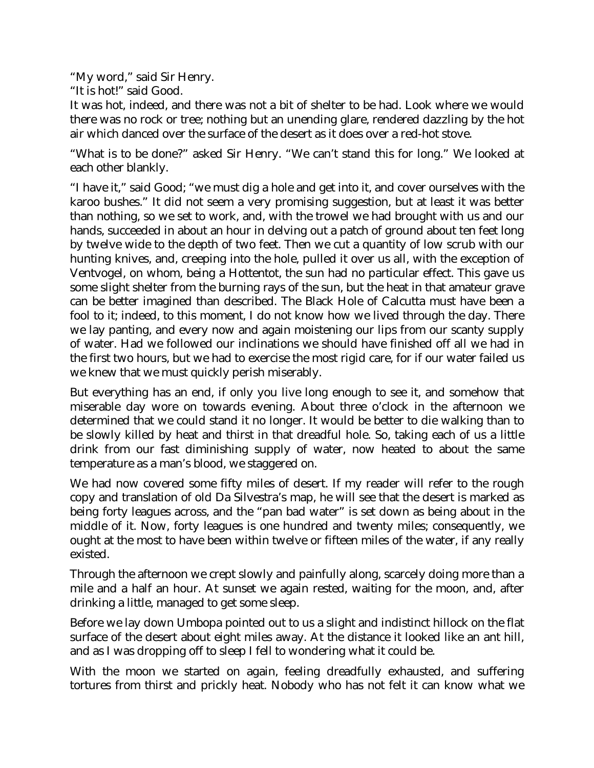"My word," said Sir Henry.

"It is hot!" said Good.

It was hot, indeed, and there was not a bit of shelter to be had. Look where we would there was no rock or tree; nothing but an unending glare, rendered dazzling by the hot air which danced over the surface of the desert as it does over a red-hot stove.

"What is to be done?" asked Sir Henry. "We can't stand this for long." We looked at each other blankly.

"I have it," said Good; "we must dig a hole and get into it, and cover ourselves with the karoo bushes." It did not seem a very promising suggestion, but at least it was better than nothing, so we set to work, and, with the trowel we had brought with us and our hands, succeeded in about an hour in delving out a patch of ground about ten feet long by twelve wide to the depth of two feet. Then we cut a quantity of low scrub with our hunting knives, and, creeping into the hole, pulled it over us all, with the exception of Ventvogel, on whom, being a Hottentot, the sun had no particular effect. This gave us some slight shelter from the burning rays of the sun, but the heat in that amateur grave can be better imagined than described. The Black Hole of Calcutta must have been a fool to it; indeed, to this moment, I do not know how we lived through the day. There we lay panting, and every now and again moistening our lips from our scanty supply of water. Had we followed our inclinations we should have finished off all we had in the first two hours, but we had to exercise the most rigid care, for if our water failed us we knew that we must quickly perish miserably.

But everything has an end, if only you live long enough to see it, and somehow that miserable day wore on towards evening. About three o'clock in the afternoon we determined that we could stand it no longer. It would be better to die walking than to be slowly killed by heat and thirst in that dreadful hole. So, taking each of us a little drink from our fast diminishing supply of water, now heated to about the same temperature as a man's blood, we staggered on.

We had now covered some fifty miles of desert. If my reader will refer to the rough copy and translation of old Da Silvestra's map, he will see that the desert is marked as being forty leagues across, and the "pan bad water" is set down as being about in the middle of it. Now, forty leagues is one hundred and twenty miles; consequently, we ought at the most to have been within twelve or fifteen miles of the water, if any really existed.

Through the afternoon we crept slowly and painfully along, scarcely doing more than a mile and a half an hour. At sunset we again rested, waiting for the moon, and, after drinking a little, managed to get some sleep.

Before we lay down Umbopa pointed out to us a slight and indistinct hillock on the flat surface of the desert about eight miles away. At the distance it looked like an ant hill, and as I was dropping off to sleep I fell to wondering what it could be.

With the moon we started on again, feeling dreadfully exhausted, and suffering tortures from thirst and prickly heat. Nobody who has not felt it can know what we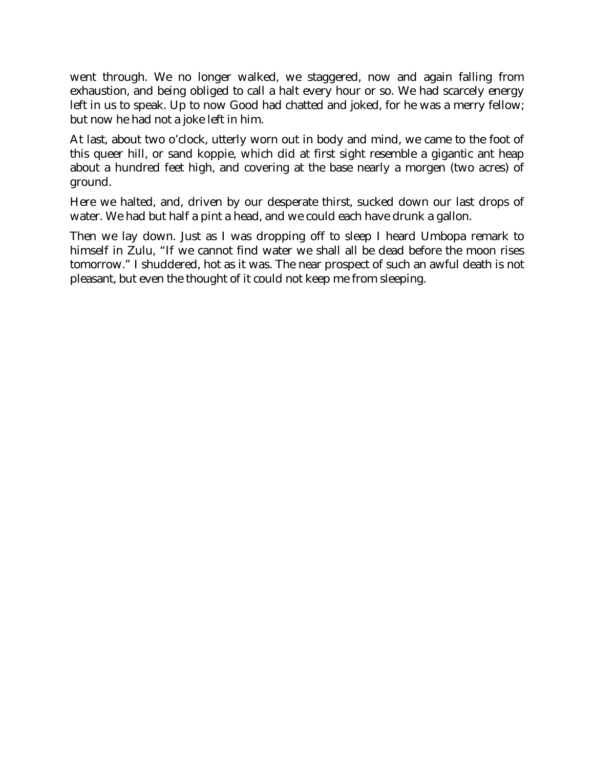went through. We no longer walked, we staggered, now and again falling from exhaustion, and being obliged to call a halt every hour or so. We had scarcely energy left in us to speak. Up to now Good had chatted and joked, for he was a merry fellow; but now he had not a joke left in him.

At last, about two o'clock, utterly worn out in body and mind, we came to the foot of this queer hill, or sand koppie, which did at first sight resemble a gigantic ant heap about a hundred feet high, and covering at the base nearly a morgen (two acres) of ground.

Here we halted, and, driven by our desperate thirst, sucked down our last drops of water. We had but half a pint a head, and we could each have drunk a gallon.

Then we lay down. Just as I was dropping off to sleep I heard Umbopa remark to himself in Zulu, "If we cannot find water we shall all be dead before the moon rises tomorrow." I shuddered, hot as it was. The near prospect of such an awful death is not pleasant, but even the thought of it could not keep me from sleeping.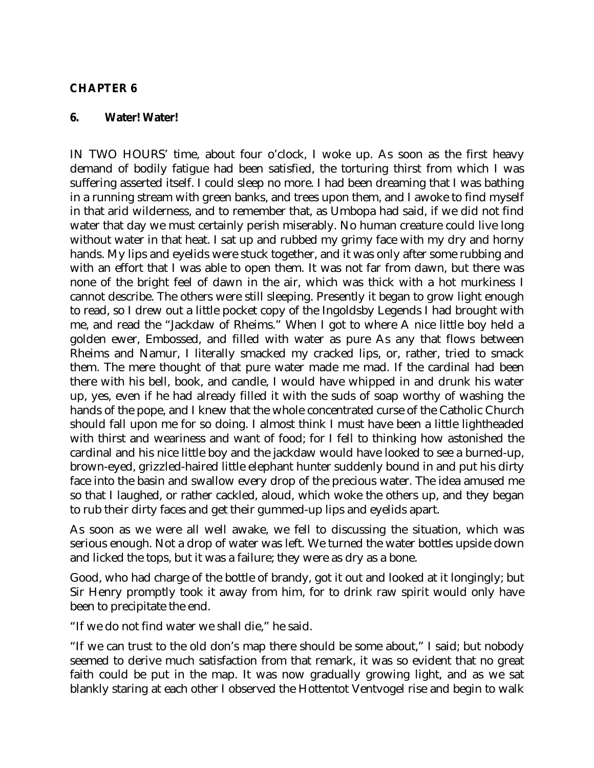#### **CHAPTER 6**

#### **6. Water! Water!**

IN TWO HOURS' time, about four o'clock, I woke up. As soon as the first heavy demand of bodily fatigue had been satisfied, the torturing thirst from which I was suffering asserted itself. I could sleep no more. I had been dreaming that I was bathing in a running stream with green banks, and trees upon them, and I awoke to find myself in that arid wilderness, and to remember that, as Umbopa had said, if we did not find water that day we must certainly perish miserably. No human creature could live long without water in that heat. I sat up and rubbed my grimy face with my dry and horny hands. My lips and eyelids were stuck together, and it was only after some rubbing and with an effort that I was able to open them. It was not far from dawn, but there was none of the bright feel of dawn in the air, which was thick with a hot murkiness I cannot describe. The others were still sleeping. Presently it began to grow light enough to read, so I drew out a little pocket copy of the Ingoldsby Legends I had brought with me, and read the "Jackdaw of Rheims." When I got to where A nice little boy held a golden ewer, Embossed, and filled with water as pure As any that flows between Rheims and Namur, I literally smacked my cracked lips, or, rather, tried to smack them. The mere thought of that pure water made me mad. If the cardinal had been there with his bell, book, and candle, I would have whipped in and drunk his water up, yes, even if he had already filled it with the suds of soap worthy of washing the hands of the pope, and I knew that the whole concentrated curse of the Catholic Church should fall upon me for so doing. I almost think I must have been a little lightheaded with thirst and weariness and want of food; for I fell to thinking how astonished the cardinal and his nice little boy and the jackdaw would have looked to see a burned-up, brown-eyed, grizzled-haired little elephant hunter suddenly bound in and put his dirty face into the basin and swallow every drop of the precious water. The idea amused me so that I laughed, or rather cackled, aloud, which woke the others up, and they began to rub their dirty faces and get their gummed-up lips and eyelids apart.

As soon as we were all well awake, we fell to discussing the situation, which was serious enough. Not a drop of water was left. We turned the water bottles upside down and licked the tops, but it was a failure; they were as dry as a bone.

Good, who had charge of the bottle of brandy, got it out and looked at it longingly; but Sir Henry promptly took it away from him, for to drink raw spirit would only have been to precipitate the end.

"If we do not find water we shall die," he said.

"If we can trust to the old don's map there should be some about," I said; but nobody seemed to derive much satisfaction from that remark, it was so evident that no great faith could be put in the map. It was now gradually growing light, and as we sat blankly staring at each other I observed the Hottentot Ventvogel rise and begin to walk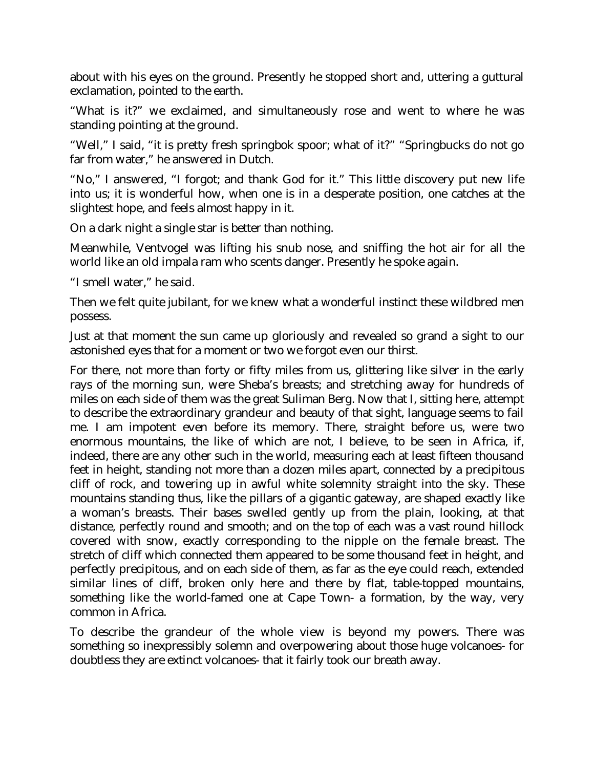about with his eyes on the ground. Presently he stopped short and, uttering a guttural exclamation, pointed to the earth.

"What is it?" we exclaimed, and simultaneously rose and went to where he was standing pointing at the ground.

"Well," I said, "it is pretty fresh springbok spoor; what of it?" "Springbucks do not go far from water," he answered in Dutch.

"No," I answered, "I forgot; and thank God for it." This little discovery put new life into us; it is wonderful how, when one is in a desperate position, one catches at the slightest hope, and feels almost happy in it.

On a dark night a single star is better than nothing.

Meanwhile, Ventvogel was lifting his snub nose, and sniffing the hot air for all the world like an old impala ram who scents danger. Presently he spoke again.

"I smell water," he said.

Then we felt quite jubilant, for we knew what a wonderful instinct these wildbred men possess.

Just at that moment the sun came up gloriously and revealed so grand a sight to our astonished eyes that for a moment or two we forgot even our thirst.

For there, not more than forty or fifty miles from us, glittering like silver in the early rays of the morning sun, were Sheba's breasts; and stretching away for hundreds of miles on each side of them was the great Suliman Berg. Now that I, sitting here, attempt to describe the extraordinary grandeur and beauty of that sight, language seems to fail me. I am impotent even before its memory. There, straight before us, were two enormous mountains, the like of which are not, I believe, to be seen in Africa, if, indeed, there are any other such in the world, measuring each at least fifteen thousand feet in height, standing not more than a dozen miles apart, connected by a precipitous cliff of rock, and towering up in awful white solemnity straight into the sky. These mountains standing thus, like the pillars of a gigantic gateway, are shaped exactly like a woman's breasts. Their bases swelled gently up from the plain, looking, at that distance, perfectly round and smooth; and on the top of each was a vast round hillock covered with snow, exactly corresponding to the nipple on the female breast. The stretch of cliff which connected them appeared to be some thousand feet in height, and perfectly precipitous, and on each side of them, as far as the eye could reach, extended similar lines of cliff, broken only here and there by flat, table-topped mountains, something like the world-famed one at Cape Town- a formation, by the way, very common in Africa.

To describe the grandeur of the whole view is beyond my powers. There was something so inexpressibly solemn and overpowering about those huge volcanoes- for doubtless they are extinct volcanoes- that it fairly took our breath away.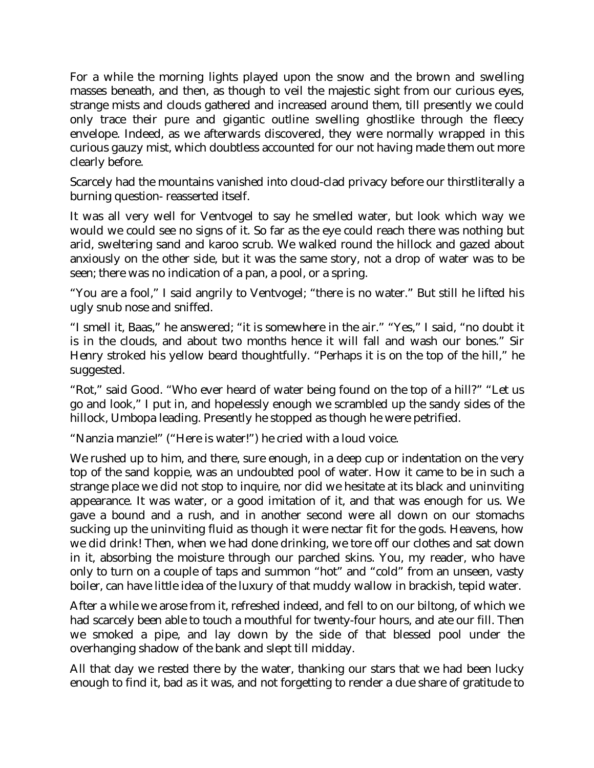For a while the morning lights played upon the snow and the brown and swelling masses beneath, and then, as though to veil the majestic sight from our curious eyes, strange mists and clouds gathered and increased around them, till presently we could only trace their pure and gigantic outline swelling ghostlike through the fleecy envelope. Indeed, as we afterwards discovered, they were normally wrapped in this curious gauzy mist, which doubtless accounted for our not having made them out more clearly before.

Scarcely had the mountains vanished into cloud-clad privacy before our thirstliterally a burning question- reasserted itself.

It was all very well for Ventvogel to say he smelled water, but look which way we would we could see no signs of it. So far as the eye could reach there was nothing but arid, sweltering sand and karoo scrub. We walked round the hillock and gazed about anxiously on the other side, but it was the same story, not a drop of water was to be seen; there was no indication of a pan, a pool, or a spring.

"You are a fool," I said angrily to Ventvogel; "there is no water." But still he lifted his ugly snub nose and sniffed.

"I smell it, Baas," he answered; "it is somewhere in the air." "Yes," I said, "no doubt it is in the clouds, and about two months hence it will fall and wash our bones." Sir Henry stroked his yellow beard thoughtfully. "Perhaps it is on the top of the hill," he suggested.

"Rot," said Good. "Who ever heard of water being found on the top of a hill?" "Let us go and look," I put in, and hopelessly enough we scrambled up the sandy sides of the hillock, Umbopa leading. Presently he stopped as though he were petrified.

"Nanzia manzie!" ("Here is water!") he cried with a loud voice.

We rushed up to him, and there, sure enough, in a deep cup or indentation on the very top of the sand koppie, was an undoubted pool of water. How it came to be in such a strange place we did not stop to inquire, nor did we hesitate at its black and uninviting appearance. It was water, or a good imitation of it, and that was enough for us. We gave a bound and a rush, and in another second were all down on our stomachs sucking up the uninviting fluid as though it were nectar fit for the gods. Heavens, how we did drink! Then, when we had done drinking, we tore off our clothes and sat down in it, absorbing the moisture through our parched skins. You, my reader, who have only to turn on a couple of taps and summon "hot" and "cold" from an unseen, vasty boiler, can have little idea of the luxury of that muddy wallow in brackish, tepid water.

After a while we arose from it, refreshed indeed, and fell to on our biltong, of which we had scarcely been able to touch a mouthful for twenty-four hours, and ate our fill. Then we smoked a pipe, and lay down by the side of that blessed pool under the overhanging shadow of the bank and slept till midday.

All that day we rested there by the water, thanking our stars that we had been lucky enough to find it, bad as it was, and not forgetting to render a due share of gratitude to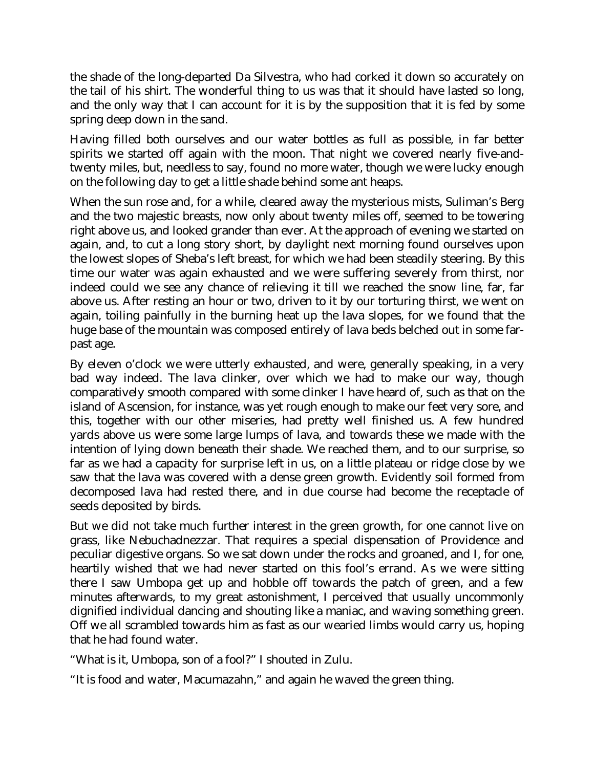the shade of the long-departed Da Silvestra, who had corked it down so accurately on the tail of his shirt. The wonderful thing to us was that it should have lasted so long, and the only way that I can account for it is by the supposition that it is fed by some spring deep down in the sand.

Having filled both ourselves and our water bottles as full as possible, in far better spirits we started off again with the moon. That night we covered nearly five-andtwenty miles, but, needless to say, found no more water, though we were lucky enough on the following day to get a little shade behind some ant heaps.

When the sun rose and, for a while, cleared away the mysterious mists, Suliman's Berg and the two majestic breasts, now only about twenty miles off, seemed to be towering right above us, and looked grander than ever. At the approach of evening we started on again, and, to cut a long story short, by daylight next morning found ourselves upon the lowest slopes of Sheba's left breast, for which we had been steadily steering. By this time our water was again exhausted and we were suffering severely from thirst, nor indeed could we see any chance of relieving it till we reached the snow line, far, far above us. After resting an hour or two, driven to it by our torturing thirst, we went on again, toiling painfully in the burning heat up the lava slopes, for we found that the huge base of the mountain was composed entirely of lava beds belched out in some farpast age.

By eleven o'clock we were utterly exhausted, and were, generally speaking, in a very bad way indeed. The lava clinker, over which we had to make our way, though comparatively smooth compared with some clinker I have heard of, such as that on the island of Ascension, for instance, was yet rough enough to make our feet very sore, and this, together with our other miseries, had pretty well finished us. A few hundred yards above us were some large lumps of lava, and towards these we made with the intention of lying down beneath their shade. We reached them, and to our surprise, so far as we had a capacity for surprise left in us, on a little plateau or ridge close by we saw that the lava was covered with a dense green growth. Evidently soil formed from decomposed lava had rested there, and in due course had become the receptacle of seeds deposited by birds.

But we did not take much further interest in the green growth, for one cannot live on grass, like Nebuchadnezzar. That requires a special dispensation of Providence and peculiar digestive organs. So we sat down under the rocks and groaned, and I, for one, heartily wished that we had never started on this fool's errand. As we were sitting there I saw Umbopa get up and hobble off towards the patch of green, and a few minutes afterwards, to my great astonishment, I perceived that usually uncommonly dignified individual dancing and shouting like a maniac, and waving something green. Off we all scrambled towards him as fast as our wearied limbs would carry us, hoping that he had found water.

"What is it, Umbopa, son of a fool?" I shouted in Zulu.

"It is food and water, Macumazahn," and again he waved the green thing.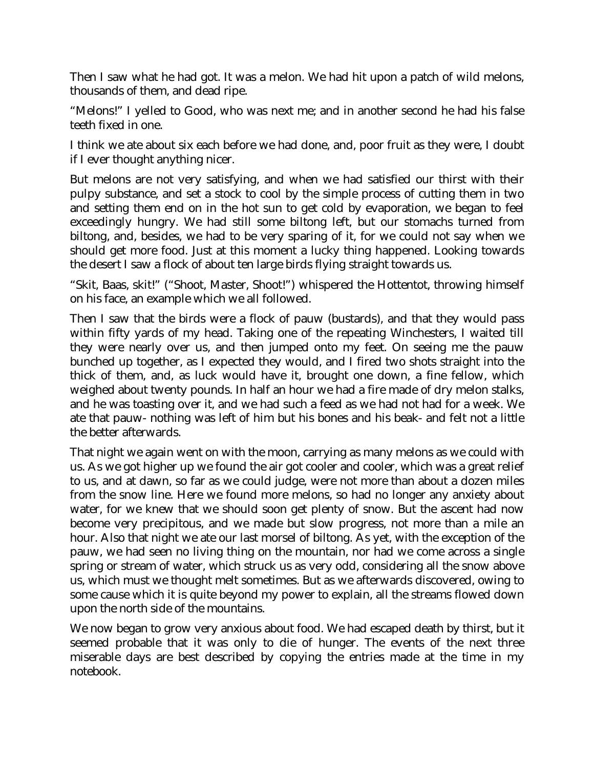Then I saw what he had got. It was a melon. We had hit upon a patch of wild melons, thousands of them, and dead ripe.

"Melons!" I yelled to Good, who was next me; and in another second he had his false teeth fixed in one.

I think we ate about six each before we had done, and, poor fruit as they were, I doubt if I ever thought anything nicer.

But melons are not very satisfying, and when we had satisfied our thirst with their pulpy substance, and set a stock to cool by the simple process of cutting them in two and setting them end on in the hot sun to get cold by evaporation, we began to feel exceedingly hungry. We had still some biltong left, but our stomachs turned from biltong, and, besides, we had to be very sparing of it, for we could not say when we should get more food. Just at this moment a lucky thing happened. Looking towards the desert I saw a flock of about ten large birds flying straight towards us.

"Skit, Baas, skit!" ("Shoot, Master, Shoot!") whispered the Hottentot, throwing himself on his face, an example which we all followed.

Then I saw that the birds were a flock of pauw (bustards), and that they would pass within fifty yards of my head. Taking one of the repeating Winchesters, I waited till they were nearly over us, and then jumped onto my feet. On seeing me the pauw bunched up together, as I expected they would, and I fired two shots straight into the thick of them, and, as luck would have it, brought one down, a fine fellow, which weighed about twenty pounds. In half an hour we had a fire made of dry melon stalks, and he was toasting over it, and we had such a feed as we had not had for a week. We ate that pauw- nothing was left of him but his bones and his beak- and felt not a little the better afterwards.

That night we again went on with the moon, carrying as many melons as we could with us. As we got higher up we found the air got cooler and cooler, which was a great relief to us, and at dawn, so far as we could judge, were not more than about a dozen miles from the snow line. Here we found more melons, so had no longer any anxiety about water, for we knew that we should soon get plenty of snow. But the ascent had now become very precipitous, and we made but slow progress, not more than a mile an hour. Also that night we ate our last morsel of biltong. As yet, with the exception of the pauw, we had seen no living thing on the mountain, nor had we come across a single spring or stream of water, which struck us as very odd, considering all the snow above us, which must we thought melt sometimes. But as we afterwards discovered, owing to some cause which it is quite beyond my power to explain, all the streams flowed down upon the north side of the mountains.

We now began to grow very anxious about food. We had escaped death by thirst, but it seemed probable that it was only to die of hunger. The events of the next three miserable days are best described by copying the entries made at the time in my notebook.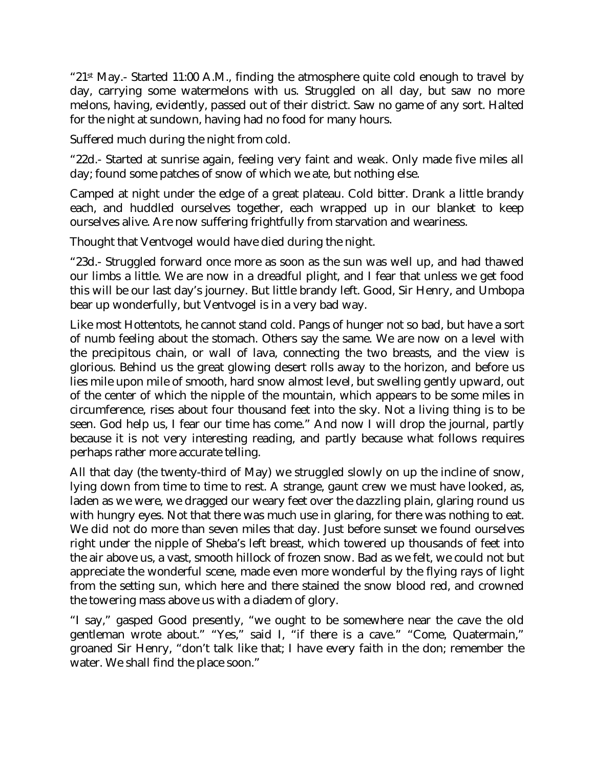"21st May.- Started 11:00 A.M., finding the atmosphere quite cold enough to travel by day, carrying some watermelons with us. Struggled on all day, but saw no more melons, having, evidently, passed out of their district. Saw no game of any sort. Halted for the night at sundown, having had no food for many hours.

Suffered much during the night from cold.

"22d.- Started at sunrise again, feeling very faint and weak. Only made five miles all day; found some patches of snow of which we ate, but nothing else.

Camped at night under the edge of a great plateau. Cold bitter. Drank a little brandy each, and huddled ourselves together, each wrapped up in our blanket to keep ourselves alive. Are now suffering frightfully from starvation and weariness.

Thought that Ventvogel would have died during the night.

"23d.- Struggled forward once more as soon as the sun was well up, and had thawed our limbs a little. We are now in a dreadful plight, and I fear that unless we get food this will be our last day's journey. But little brandy left. Good, Sir Henry, and Umbopa bear up wonderfully, but Ventvogel is in a very bad way.

Like most Hottentots, he cannot stand cold. Pangs of hunger not so bad, but have a sort of numb feeling about the stomach. Others say the same. We are now on a level with the precipitous chain, or wall of lava, connecting the two breasts, and the view is glorious. Behind us the great glowing desert rolls away to the horizon, and before us lies mile upon mile of smooth, hard snow almost level, but swelling gently upward, out of the center of which the nipple of the mountain, which appears to be some miles in circumference, rises about four thousand feet into the sky. Not a living thing is to be seen. God help us, I fear our time has come." And now I will drop the journal, partly because it is not very interesting reading, and partly because what follows requires perhaps rather more accurate telling.

All that day (the twenty-third of May) we struggled slowly on up the incline of snow, lying down from time to time to rest. A strange, gaunt crew we must have looked, as, laden as we were, we dragged our weary feet over the dazzling plain, glaring round us with hungry eyes. Not that there was much use in glaring, for there was nothing to eat. We did not do more than seven miles that day. Just before sunset we found ourselves right under the nipple of Sheba's left breast, which towered up thousands of feet into the air above us, a vast, smooth hillock of frozen snow. Bad as we felt, we could not but appreciate the wonderful scene, made even more wonderful by the flying rays of light from the setting sun, which here and there stained the snow blood red, and crowned the towering mass above us with a diadem of glory.

"I say," gasped Good presently, "we ought to be somewhere near the cave the old gentleman wrote about." "Yes," said I, "if there is a cave." "Come, Quatermain," groaned Sir Henry, "don't talk like that; I have every faith in the don; remember the water. We shall find the place soon."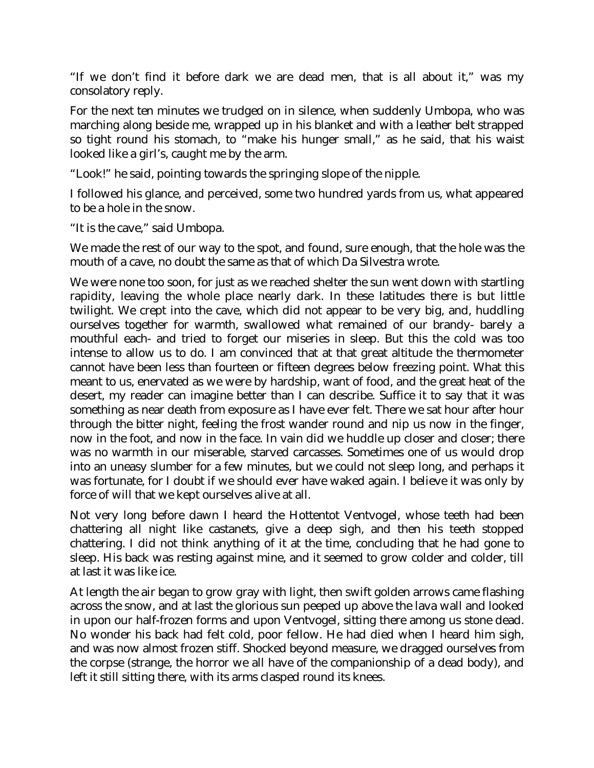"If we don't find it before dark we are dead men, that is all about it," was my consolatory reply.

For the next ten minutes we trudged on in silence, when suddenly Umbopa, who was marching along beside me, wrapped up in his blanket and with a leather belt strapped so tight round his stomach, to "make his hunger small," as he said, that his waist looked like a girl's, caught me by the arm.

"Look!" he said, pointing towards the springing slope of the nipple.

I followed his glance, and perceived, some two hundred yards from us, what appeared to be a hole in the snow.

"It is the cave," said Umbopa.

We made the rest of our way to the spot, and found, sure enough, that the hole was the mouth of a cave, no doubt the same as that of which Da Silvestra wrote.

We were none too soon, for just as we reached shelter the sun went down with startling rapidity, leaving the whole place nearly dark. In these latitudes there is but little twilight. We crept into the cave, which did not appear to be very big, and, huddling ourselves together for warmth, swallowed what remained of our brandy- barely a mouthful each- and tried to forget our miseries in sleep. But this the cold was too intense to allow us to do. I am convinced that at that great altitude the thermometer cannot have been less than fourteen or fifteen degrees below freezing point. What this meant to us, enervated as we were by hardship, want of food, and the great heat of the desert, my reader can imagine better than I can describe. Suffice it to say that it was something as near death from exposure as I have ever felt. There we sat hour after hour through the bitter night, feeling the frost wander round and nip us now in the finger, now in the foot, and now in the face. In vain did we huddle up closer and closer; there was no warmth in our miserable, starved carcasses. Sometimes one of us would drop into an uneasy slumber for a few minutes, but we could not sleep long, and perhaps it was fortunate, for I doubt if we should ever have waked again. I believe it was only by force of will that we kept ourselves alive at all.

Not very long before dawn I heard the Hottentot Ventvogel, whose teeth had been chattering all night like castanets, give a deep sigh, and then his teeth stopped chattering. I did not think anything of it at the time, concluding that he had gone to sleep. His back was resting against mine, and it seemed to grow colder and colder, till at last it was like ice.

At length the air began to grow gray with light, then swift golden arrows came flashing across the snow, and at last the glorious sun peeped up above the lava wall and looked in upon our half-frozen forms and upon Ventvogel, sitting there among us stone dead. No wonder his back had felt cold, poor fellow. He had died when I heard him sigh, and was now almost frozen stiff. Shocked beyond measure, we dragged ourselves from the corpse (strange, the horror we all have of the companionship of a dead body), and left it still sitting there, with its arms clasped round its knees.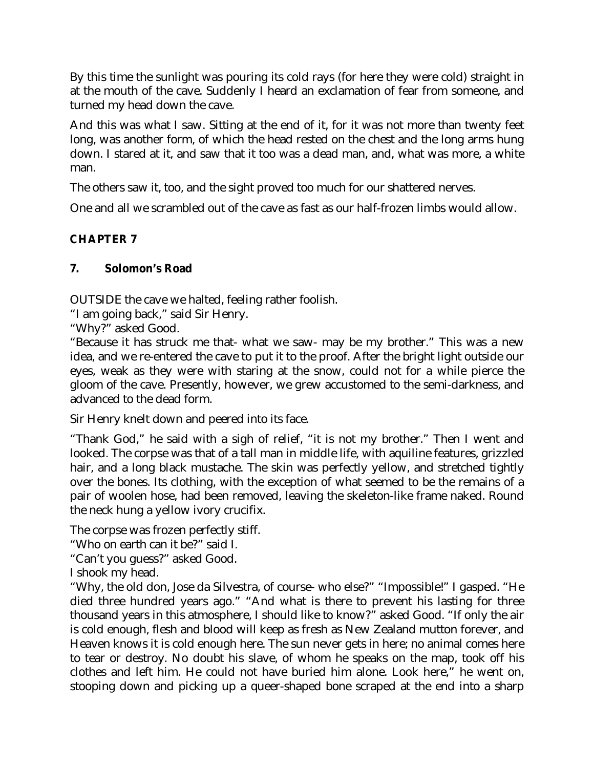By this time the sunlight was pouring its cold rays (for here they were cold) straight in at the mouth of the cave. Suddenly I heard an exclamation of fear from someone, and turned my head down the cave.

And this was what I saw. Sitting at the end of it, for it was not more than twenty feet long, was another form, of which the head rested on the chest and the long arms hung down. I stared at it, and saw that it too was a dead man, and, what was more, a white man.

The others saw it, too, and the sight proved too much for our shattered nerves.

One and all we scrambled out of the cave as fast as our half-frozen limbs would allow.

# **CHAPTER 7**

## **7. Solomon's Road**

OUTSIDE the cave we halted, feeling rather foolish.

"I am going back," said Sir Henry.

"Why?" asked Good.

"Because it has struck me that- what we saw- may be my brother." This was a new idea, and we re-entered the cave to put it to the proof. After the bright light outside our eyes, weak as they were with staring at the snow, could not for a while pierce the gloom of the cave. Presently, however, we grew accustomed to the semi-darkness, and advanced to the dead form.

Sir Henry knelt down and peered into its face.

"Thank God," he said with a sigh of relief, "it is not my brother." Then I went and looked. The corpse was that of a tall man in middle life, with aquiline features, grizzled hair, and a long black mustache. The skin was perfectly yellow, and stretched tightly over the bones. Its clothing, with the exception of what seemed to be the remains of a pair of woolen hose, had been removed, leaving the skeleton-like frame naked. Round the neck hung a yellow ivory crucifix.

The corpse was frozen perfectly stiff.

"Who on earth can it be?" said I.

"Can't you guess?" asked Good.

I shook my head.

"Why, the old don, Jose da Silvestra, of course- who else?" "Impossible!" I gasped. "He died three hundred years ago." "And what is there to prevent his lasting for three thousand years in this atmosphere, I should like to know?" asked Good. "If only the air is cold enough, flesh and blood will keep as fresh as New Zealand mutton forever, and Heaven knows it is cold enough here. The sun never gets in here; no animal comes here to tear or destroy. No doubt his slave, of whom he speaks on the map, took off his clothes and left him. He could not have buried him alone. Look here," he went on, stooping down and picking up a queer-shaped bone scraped at the end into a sharp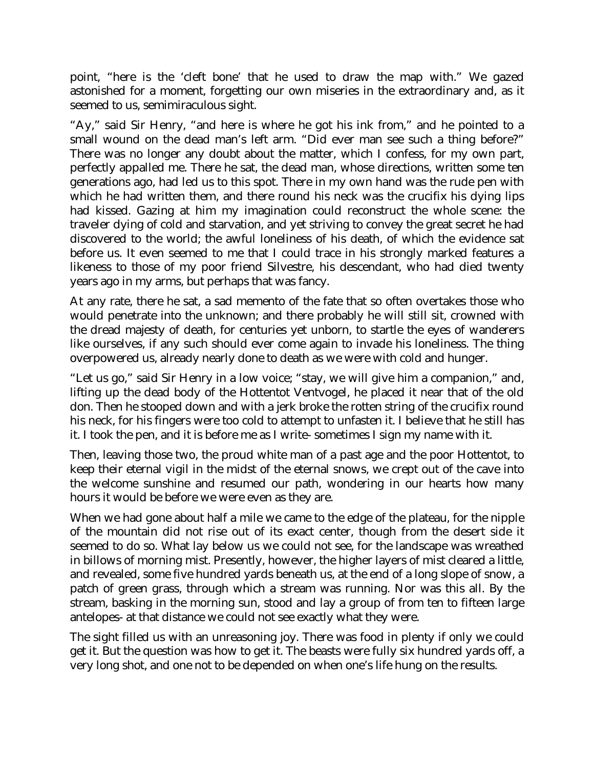point, "here is the 'cleft bone' that he used to draw the map with." We gazed astonished for a moment, forgetting our own miseries in the extraordinary and, as it seemed to us, semimiraculous sight.

"Ay," said Sir Henry, "and here is where he got his ink from," and he pointed to a small wound on the dead man's left arm. "Did ever man see such a thing before?" There was no longer any doubt about the matter, which I confess, for my own part, perfectly appalled me. There he sat, the dead man, whose directions, written some ten generations ago, had led us to this spot. There in my own hand was the rude pen with which he had written them, and there round his neck was the crucifix his dying lips had kissed. Gazing at him my imagination could reconstruct the whole scene: the traveler dying of cold and starvation, and yet striving to convey the great secret he had discovered to the world; the awful loneliness of his death, of which the evidence sat before us. It even seemed to me that I could trace in his strongly marked features a likeness to those of my poor friend Silvestre, his descendant, who had died twenty years ago in my arms, but perhaps that was fancy.

At any rate, there he sat, a sad memento of the fate that so often overtakes those who would penetrate into the unknown; and there probably he will still sit, crowned with the dread majesty of death, for centuries yet unborn, to startle the eyes of wanderers like ourselves, if any such should ever come again to invade his loneliness. The thing overpowered us, already nearly done to death as we were with cold and hunger.

"Let us go," said Sir Henry in a low voice; "stay, we will give him a companion," and, lifting up the dead body of the Hottentot Ventvogel, he placed it near that of the old don. Then he stooped down and with a jerk broke the rotten string of the crucifix round his neck, for his fingers were too cold to attempt to unfasten it. I believe that he still has it. I took the pen, and it is before me as I write- sometimes I sign my name with it.

Then, leaving those two, the proud white man of a past age and the poor Hottentot, to keep their eternal vigil in the midst of the eternal snows, we crept out of the cave into the welcome sunshine and resumed our path, wondering in our hearts how many hours it would be before we were even as they are.

When we had gone about half a mile we came to the edge of the plateau, for the nipple of the mountain did not rise out of its exact center, though from the desert side it seemed to do so. What lay below us we could not see, for the landscape was wreathed in billows of morning mist. Presently, however, the higher layers of mist cleared a little, and revealed, some five hundred yards beneath us, at the end of a long slope of snow, a patch of green grass, through which a stream was running. Nor was this all. By the stream, basking in the morning sun, stood and lay a group of from ten to fifteen large antelopes- at that distance we could not see exactly what they were.

The sight filled us with an unreasoning joy. There was food in plenty if only we could get it. But the question was how to get it. The beasts were fully six hundred yards off, a very long shot, and one not to be depended on when one's life hung on the results.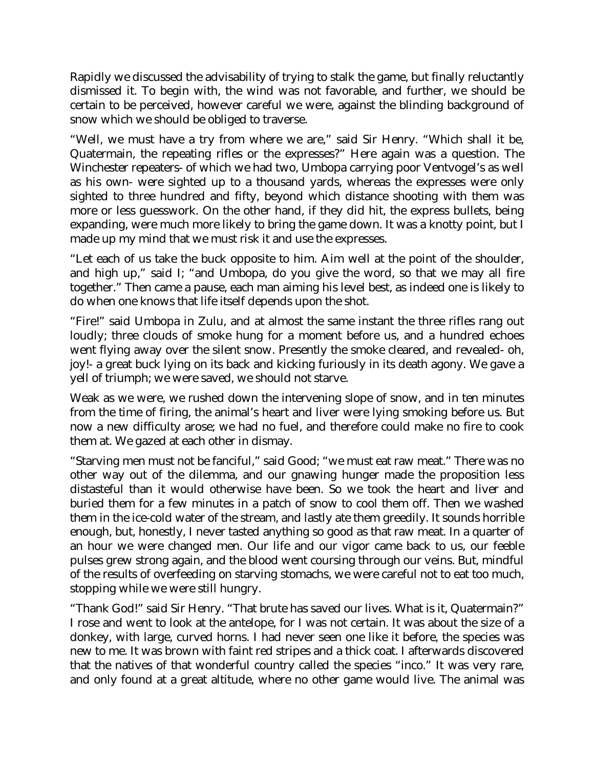Rapidly we discussed the advisability of trying to stalk the game, but finally reluctantly dismissed it. To begin with, the wind was not favorable, and further, we should be certain to be perceived, however careful we were, against the blinding background of snow which we should be obliged to traverse.

"Well, we must have a try from where we are," said Sir Henry. "Which shall it be, Quatermain, the repeating rifles or the expresses?" Here again was a question. The Winchester repeaters- of which we had two, Umbopa carrying poor Ventvogel's as well as his own- were sighted up to a thousand yards, whereas the expresses were only sighted to three hundred and fifty, beyond which distance shooting with them was more or less guesswork. On the other hand, if they did hit, the express bullets, being expanding, were much more likely to bring the game down. It was a knotty point, but I made up my mind that we must risk it and use the expresses.

"Let each of us take the buck opposite to him. Aim well at the point of the shoulder, and high up," said I; "and Umbopa, do you give the word, so that we may all fire together." Then came a pause, each man aiming his level best, as indeed one is likely to do when one knows that life itself depends upon the shot.

"Fire!" said Umbopa in Zulu, and at almost the same instant the three rifles rang out loudly; three clouds of smoke hung for a moment before us, and a hundred echoes went flying away over the silent snow. Presently the smoke cleared, and revealed- oh, joy!- a great buck lying on its back and kicking furiously in its death agony. We gave a yell of triumph; we were saved, we should not starve.

Weak as we were, we rushed down the intervening slope of snow, and in ten minutes from the time of firing, the animal's heart and liver were lying smoking before us. But now a new difficulty arose; we had no fuel, and therefore could make no fire to cook them at. We gazed at each other in dismay.

"Starving men must not be fanciful," said Good; "we must eat raw meat." There was no other way out of the dilemma, and our gnawing hunger made the proposition less distasteful than it would otherwise have been. So we took the heart and liver and buried them for a few minutes in a patch of snow to cool them off. Then we washed them in the ice-cold water of the stream, and lastly ate them greedily. It sounds horrible enough, but, honestly, I never tasted anything so good as that raw meat. In a quarter of an hour we were changed men. Our life and our vigor came back to us, our feeble pulses grew strong again, and the blood went coursing through our veins. But, mindful of the results of overfeeding on starving stomachs, we were careful not to eat too much, stopping while we were still hungry.

"Thank God!" said Sir Henry. "That brute has saved our lives. What is it, Quatermain?" I rose and went to look at the antelope, for I was not certain. It was about the size of a donkey, with large, curved horns. I had never seen one like it before, the species was new to me. It was brown with faint red stripes and a thick coat. I afterwards discovered that the natives of that wonderful country called the species "inco." It was very rare, and only found at a great altitude, where no other game would live. The animal was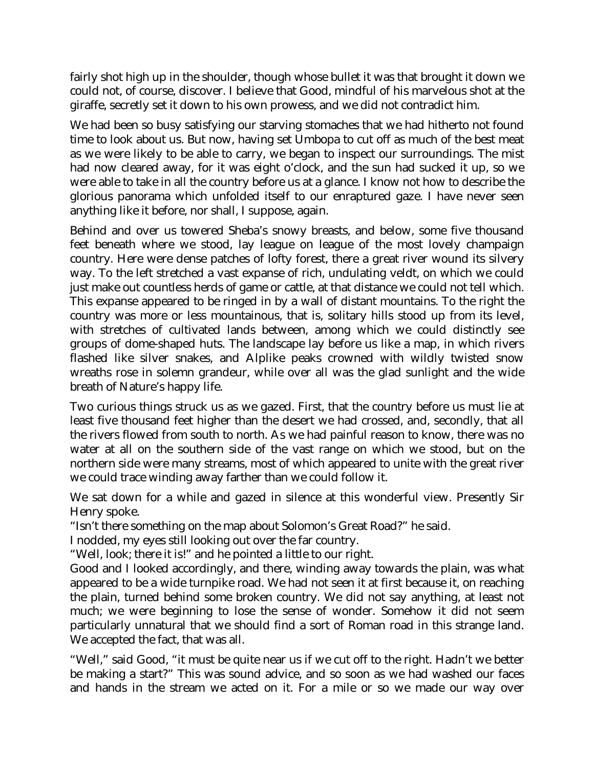fairly shot high up in the shoulder, though whose bullet it was that brought it down we could not, of course, discover. I believe that Good, mindful of his marvelous shot at the giraffe, secretly set it down to his own prowess, and we did not contradict him.

We had been so busy satisfying our starving stomaches that we had hitherto not found time to look about us. But now, having set Umbopa to cut off as much of the best meat as we were likely to be able to carry, we began to inspect our surroundings. The mist had now cleared away, for it was eight o'clock, and the sun had sucked it up, so we were able to take in all the country before us at a glance. I know not how to describe the glorious panorama which unfolded itself to our enraptured gaze. I have never seen anything like it before, nor shall, I suppose, again.

Behind and over us towered Sheba's snowy breasts, and below, some five thousand feet beneath where we stood, lay league on league of the most lovely champaign country. Here were dense patches of lofty forest, there a great river wound its silvery way. To the left stretched a vast expanse of rich, undulating veldt, on which we could just make out countless herds of game or cattle, at that distance we could not tell which. This expanse appeared to be ringed in by a wall of distant mountains. To the right the country was more or less mountainous, that is, solitary hills stood up from its level, with stretches of cultivated lands between, among which we could distinctly see groups of dome-shaped huts. The landscape lay before us like a map, in which rivers flashed like silver snakes, and Alplike peaks crowned with wildly twisted snow wreaths rose in solemn grandeur, while over all was the glad sunlight and the wide breath of Nature's happy life.

Two curious things struck us as we gazed. First, that the country before us must lie at least five thousand feet higher than the desert we had crossed, and, secondly, that all the rivers flowed from south to north. As we had painful reason to know, there was no water at all on the southern side of the vast range on which we stood, but on the northern side were many streams, most of which appeared to unite with the great river we could trace winding away farther than we could follow it.

We sat down for a while and gazed in silence at this wonderful view. Presently Sir Henry spoke.

"Isn't there something on the map about Solomon's Great Road?" he said.

I nodded, my eyes still looking out over the far country.

"Well, look; there it is!" and he pointed a little to our right.

Good and I looked accordingly, and there, winding away towards the plain, was what appeared to be a wide turnpike road. We had not seen it at first because it, on reaching the plain, turned behind some broken country. We did not say anything, at least not much; we were beginning to lose the sense of wonder. Somehow it did not seem particularly unnatural that we should find a sort of Roman road in this strange land. We accepted the fact, that was all.

"Well," said Good, "it must be quite near us if we cut off to the right. Hadn't we better be making a start?" This was sound advice, and so soon as we had washed our faces and hands in the stream we acted on it. For a mile or so we made our way over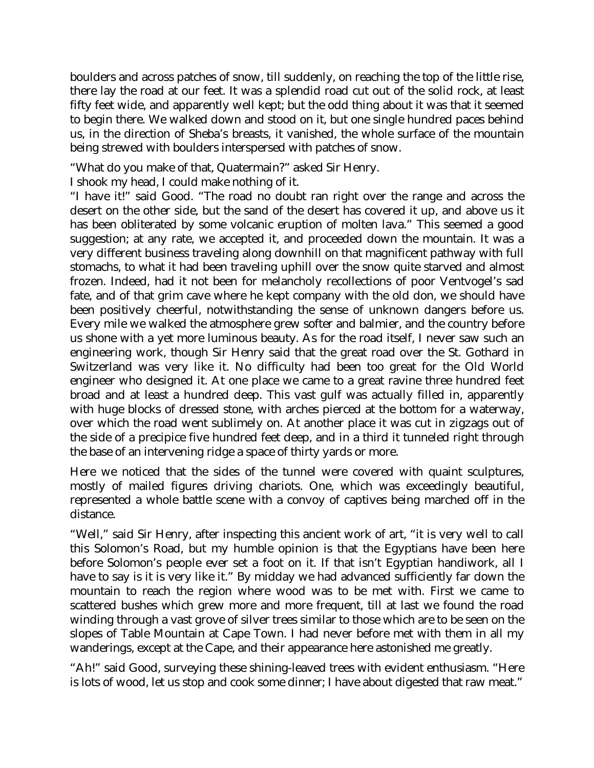boulders and across patches of snow, till suddenly, on reaching the top of the little rise, there lay the road at our feet. It was a splendid road cut out of the solid rock, at least fifty feet wide, and apparently well kept; but the odd thing about it was that it seemed to begin there. We walked down and stood on it, but one single hundred paces behind us, in the direction of Sheba's breasts, it vanished, the whole surface of the mountain being strewed with boulders interspersed with patches of snow.

"What do you make of that, Quatermain?" asked Sir Henry.

I shook my head, I could make nothing of it.

"I have it!" said Good. "The road no doubt ran right over the range and across the desert on the other side, but the sand of the desert has covered it up, and above us it has been obliterated by some volcanic eruption of molten lava." This seemed a good suggestion; at any rate, we accepted it, and proceeded down the mountain. It was a very different business traveling along downhill on that magnificent pathway with full stomachs, to what it had been traveling uphill over the snow quite starved and almost frozen. Indeed, had it not been for melancholy recollections of poor Ventvogel's sad fate, and of that grim cave where he kept company with the old don, we should have been positively cheerful, notwithstanding the sense of unknown dangers before us. Every mile we walked the atmosphere grew softer and balmier, and the country before us shone with a yet more luminous beauty. As for the road itself, I never saw such an engineering work, though Sir Henry said that the great road over the St. Gothard in Switzerland was very like it. No difficulty had been too great for the Old World engineer who designed it. At one place we came to a great ravine three hundred feet broad and at least a hundred deep. This vast gulf was actually filled in, apparently with huge blocks of dressed stone, with arches pierced at the bottom for a waterway, over which the road went sublimely on. At another place it was cut in zigzags out of the side of a precipice five hundred feet deep, and in a third it tunneled right through the base of an intervening ridge a space of thirty yards or more.

Here we noticed that the sides of the tunnel were covered with quaint sculptures, mostly of mailed figures driving chariots. One, which was exceedingly beautiful, represented a whole battle scene with a convoy of captives being marched off in the distance.

"Well," said Sir Henry, after inspecting this ancient work of art, "it is very well to call this Solomon's Road, but my humble opinion is that the Egyptians have been here before Solomon's people ever set a foot on it. If that isn't Egyptian handiwork, all I have to say is it is very like it." By midday we had advanced sufficiently far down the mountain to reach the region where wood was to be met with. First we came to scattered bushes which grew more and more frequent, till at last we found the road winding through a vast grove of silver trees similar to those which are to be seen on the slopes of Table Mountain at Cape Town. I had never before met with them in all my wanderings, except at the Cape, and their appearance here astonished me greatly.

"Ah!" said Good, surveying these shining-leaved trees with evident enthusiasm. "Here is lots of wood, let us stop and cook some dinner; I have about digested that raw meat."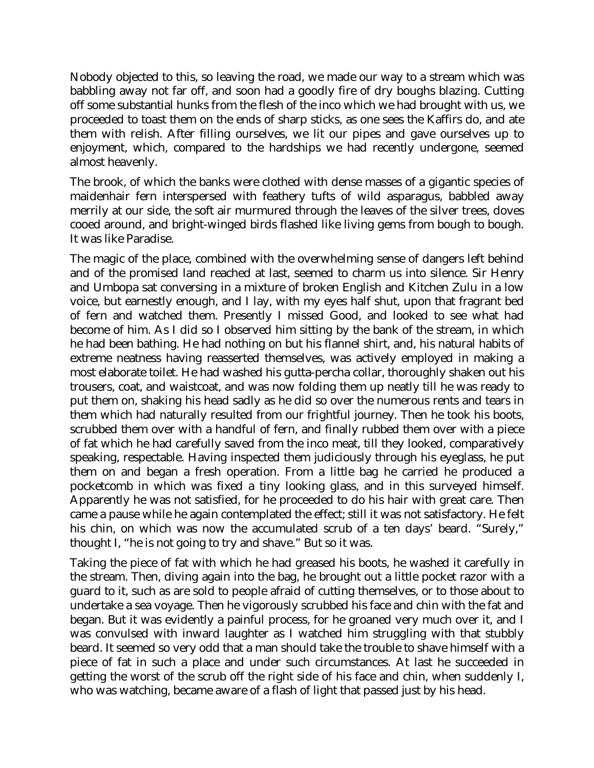Nobody objected to this, so leaving the road, we made our way to a stream which was babbling away not far off, and soon had a goodly fire of dry boughs blazing. Cutting off some substantial hunks from the flesh of the inco which we had brought with us, we proceeded to toast them on the ends of sharp sticks, as one sees the Kaffirs do, and ate them with relish. After filling ourselves, we lit our pipes and gave ourselves up to enjoyment, which, compared to the hardships we had recently undergone, seemed almost heavenly.

The brook, of which the banks were clothed with dense masses of a gigantic species of maidenhair fern interspersed with feathery tufts of wild asparagus, babbled away merrily at our side, the soft air murmured through the leaves of the silver trees, doves cooed around, and bright-winged birds flashed like living gems from bough to bough. It was like Paradise.

The magic of the place, combined with the overwhelming sense of dangers left behind and of the promised land reached at last, seemed to charm us into silence. Sir Henry and Umbopa sat conversing in a mixture of broken English and Kitchen Zulu in a low voice, but earnestly enough, and I lay, with my eyes half shut, upon that fragrant bed of fern and watched them. Presently I missed Good, and looked to see what had become of him. As I did so I observed him sitting by the bank of the stream, in which he had been bathing. He had nothing on but his flannel shirt, and, his natural habits of extreme neatness having reasserted themselves, was actively employed in making a most elaborate toilet. He had washed his gutta-percha collar, thoroughly shaken out his trousers, coat, and waistcoat, and was now folding them up neatly till he was ready to put them on, shaking his head sadly as he did so over the numerous rents and tears in them which had naturally resulted from our frightful journey. Then he took his boots, scrubbed them over with a handful of fern, and finally rubbed them over with a piece of fat which he had carefully saved from the inco meat, till they looked, comparatively speaking, respectable. Having inspected them judiciously through his eyeglass, he put them on and began a fresh operation. From a little bag he carried he produced a pocketcomb in which was fixed a tiny looking glass, and in this surveyed himself. Apparently he was not satisfied, for he proceeded to do his hair with great care. Then came a pause while he again contemplated the effect; still it was not satisfactory. He felt his chin, on which was now the accumulated scrub of a ten days' beard. "Surely," thought I, "he is not going to try and shave." But so it was.

Taking the piece of fat with which he had greased his boots, he washed it carefully in the stream. Then, diving again into the bag, he brought out a little pocket razor with a guard to it, such as are sold to people afraid of cutting themselves, or to those about to undertake a sea voyage. Then he vigorously scrubbed his face and chin with the fat and began. But it was evidently a painful process, for he groaned very much over it, and I was convulsed with inward laughter as I watched him struggling with that stubbly beard. It seemed so very odd that a man should take the trouble to shave himself with a piece of fat in such a place and under such circumstances. At last he succeeded in getting the worst of the scrub off the right side of his face and chin, when suddenly I, who was watching, became aware of a flash of light that passed just by his head.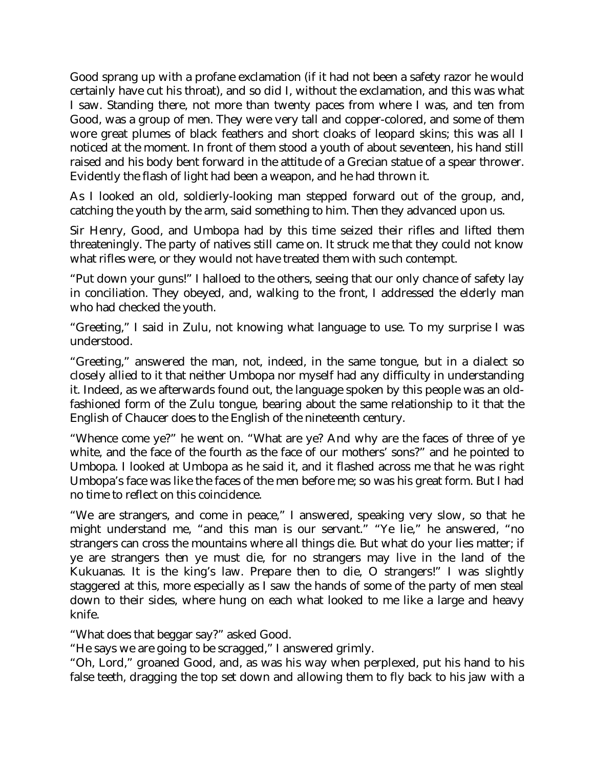Good sprang up with a profane exclamation (if it had not been a safety razor he would certainly have cut his throat), and so did I, without the exclamation, and this was what I saw. Standing there, not more than twenty paces from where I was, and ten from Good, was a group of men. They were very tall and copper-colored, and some of them wore great plumes of black feathers and short cloaks of leopard skins; this was all I noticed at the moment. In front of them stood a youth of about seventeen, his hand still raised and his body bent forward in the attitude of a Grecian statue of a spear thrower. Evidently the flash of light had been a weapon, and he had thrown it.

As I looked an old, soldierly-looking man stepped forward out of the group, and, catching the youth by the arm, said something to him. Then they advanced upon us.

Sir Henry, Good, and Umbopa had by this time seized their rifles and lifted them threateningly. The party of natives still came on. It struck me that they could not know what rifles were, or they would not have treated them with such contempt.

"Put down your guns!" I halloed to the others, seeing that our only chance of safety lay in conciliation. They obeyed, and, walking to the front, I addressed the elderly man who had checked the youth.

"Greeting," I said in Zulu, not knowing what language to use. To my surprise I was understood.

"Greeting," answered the man, not, indeed, in the same tongue, but in a dialect so closely allied to it that neither Umbopa nor myself had any difficulty in understanding it. Indeed, as we afterwards found out, the language spoken by this people was an oldfashioned form of the Zulu tongue, bearing about the same relationship to it that the English of Chaucer does to the English of the nineteenth century.

"Whence come ye?" he went on. "What are ye? And why are the faces of three of ye white, and the face of the fourth as the face of our mothers' sons?" and he pointed to Umbopa. I looked at Umbopa as he said it, and it flashed across me that he was right Umbopa's face was like the faces of the men before me; so was his great form. But I had no time to reflect on this coincidence.

"We are strangers, and come in peace," I answered, speaking very slow, so that he might understand me, "and this man is our servant." "Ye lie," he answered, "no strangers can cross the mountains where all things die. But what do your lies matter; if ye are strangers then ye must die, for no strangers may live in the land of the Kukuanas. It is the king's law. Prepare then to die, O strangers!" I was slightly staggered at this, more especially as I saw the hands of some of the party of men steal down to their sides, where hung on each what looked to me like a large and heavy knife.

"What does that beggar say?" asked Good.

"He says we are going to be scragged," I answered grimly.

"Oh, Lord," groaned Good, and, as was his way when perplexed, put his hand to his false teeth, dragging the top set down and allowing them to fly back to his jaw with a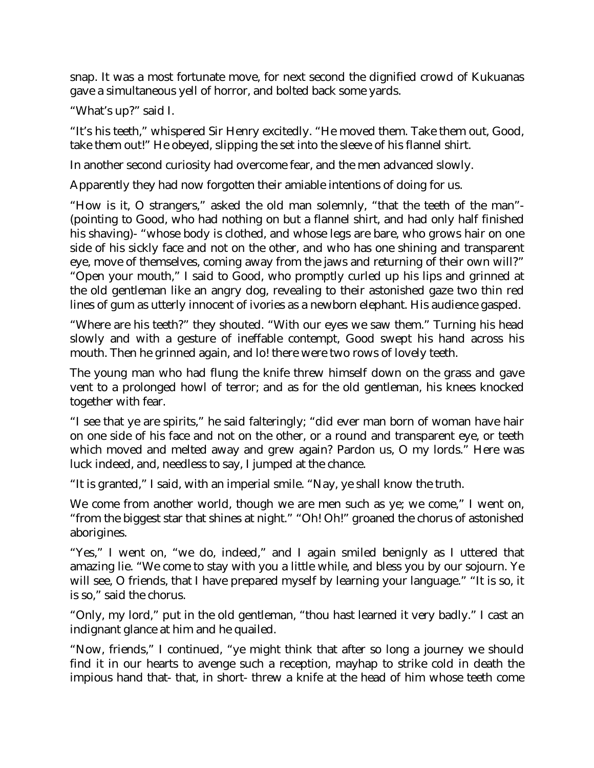snap. It was a most fortunate move, for next second the dignified crowd of Kukuanas gave a simultaneous yell of horror, and bolted back some yards.

"What's up?" said I.

"It's his teeth," whispered Sir Henry excitedly. "He moved them. Take them out, Good, take them out!" He obeyed, slipping the set into the sleeve of his flannel shirt.

In another second curiosity had overcome fear, and the men advanced slowly.

Apparently they had now forgotten their amiable intentions of doing for us.

"How is it, O strangers," asked the old man solemnly, "that the teeth of the man"- (pointing to Good, who had nothing on but a flannel shirt, and had only half finished his shaving)- "whose body is clothed, and whose legs are bare, who grows hair on one side of his sickly face and not on the other, and who has one shining and transparent eye, move of themselves, coming away from the jaws and returning of their own will?" "Open your mouth," I said to Good, who promptly curled up his lips and grinned at the old gentleman like an angry dog, revealing to their astonished gaze two thin red lines of gum as utterly innocent of ivories as a newborn elephant. His audience gasped.

"Where are his teeth?" they shouted. "With our eyes we saw them." Turning his head slowly and with a gesture of ineffable contempt, Good swept his hand across his mouth. Then he grinned again, and lo! there were two rows of lovely teeth.

The young man who had flung the knife threw himself down on the grass and gave vent to a prolonged howl of terror; and as for the old gentleman, his knees knocked together with fear.

"I see that ye are spirits," he said falteringly; "did ever man born of woman have hair on one side of his face and not on the other, or a round and transparent eye, or teeth which moved and melted away and grew again? Pardon us, O my lords." Here was luck indeed, and, needless to say, I jumped at the chance.

"It is granted," I said, with an imperial smile. "Nay, ye shall know the truth.

We come from another world, though we are men such as ye; we come," I went on, "from the biggest star that shines at night." "Oh! Oh!" groaned the chorus of astonished aborigines.

"Yes," I went on, "we do, indeed," and I again smiled benignly as I uttered that amazing lie. "We come to stay with you a little while, and bless you by our sojourn. Ye will see, O friends, that I have prepared myself by learning your language." "It is so, it is so," said the chorus.

"Only, my lord," put in the old gentleman, "thou hast learned it very badly." I cast an indignant glance at him and he quailed.

"Now, friends," I continued, "ye might think that after so long a journey we should find it in our hearts to avenge such a reception, mayhap to strike cold in death the impious hand that- that, in short- threw a knife at the head of him whose teeth come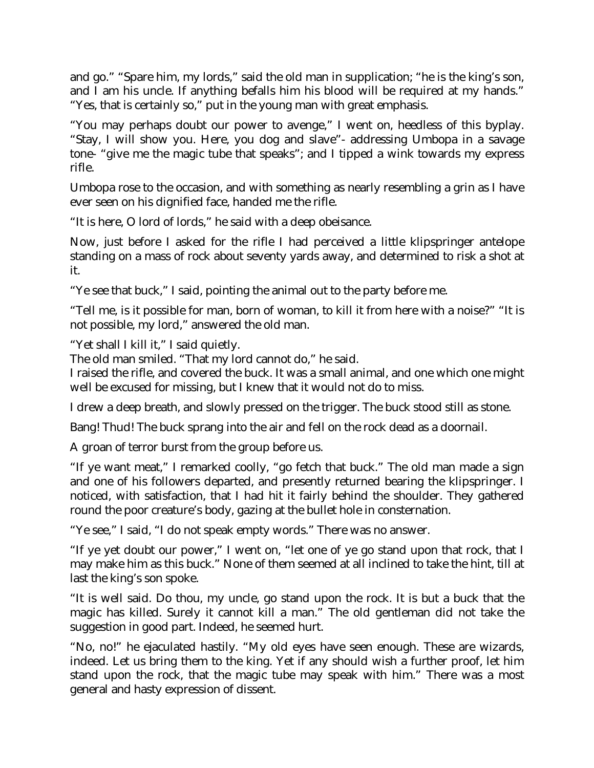and go." "Spare him, my lords," said the old man in supplication; "he is the king's son, and I am his uncle. If anything befalls him his blood will be required at my hands." "Yes, that is certainly so," put in the young man with great emphasis.

"You may perhaps doubt our power to avenge," I went on, heedless of this byplay. "Stay, I will show you. Here, you dog and slave"- addressing Umbopa in a savage tone- "give me the magic tube that speaks"; and I tipped a wink towards my express rifle.

Umbopa rose to the occasion, and with something as nearly resembling a grin as I have ever seen on his dignified face, handed me the rifle.

"It is here, O lord of lords," he said with a deep obeisance.

Now, just before I asked for the rifle I had perceived a little klipspringer antelope standing on a mass of rock about seventy yards away, and determined to risk a shot at it.

"Ye see that buck," I said, pointing the animal out to the party before me.

"Tell me, is it possible for man, born of woman, to kill it from here with a noise?" "It is not possible, my lord," answered the old man.

"Yet shall I kill it," I said quietly.

The old man smiled. "That my lord cannot do," he said.

I raised the rifle, and covered the buck. It was a small animal, and one which one might well be excused for missing, but I knew that it would not do to miss.

I drew a deep breath, and slowly pressed on the trigger. The buck stood still as stone.

Bang! Thud! The buck sprang into the air and fell on the rock dead as a doornail.

A groan of terror burst from the group before us.

"If ye want meat," I remarked coolly, "go fetch that buck." The old man made a sign and one of his followers departed, and presently returned bearing the klipspringer. I noticed, with satisfaction, that I had hit it fairly behind the shoulder. They gathered round the poor creature's body, gazing at the bullet hole in consternation.

"Ye see," I said, "I do not speak empty words." There was no answer.

"If ye yet doubt our power," I went on, "let one of ye go stand upon that rock, that I may make him as this buck." None of them seemed at all inclined to take the hint, till at last the king's son spoke.

"It is well said. Do thou, my uncle, go stand upon the rock. It is but a buck that the magic has killed. Surely it cannot kill a man." The old gentleman did not take the suggestion in good part. Indeed, he seemed hurt.

"No, no!" he ejaculated hastily. "My old eyes have seen enough. These are wizards, indeed. Let us bring them to the king. Yet if any should wish a further proof, let him stand upon the rock, that the magic tube may speak with him." There was a most general and hasty expression of dissent.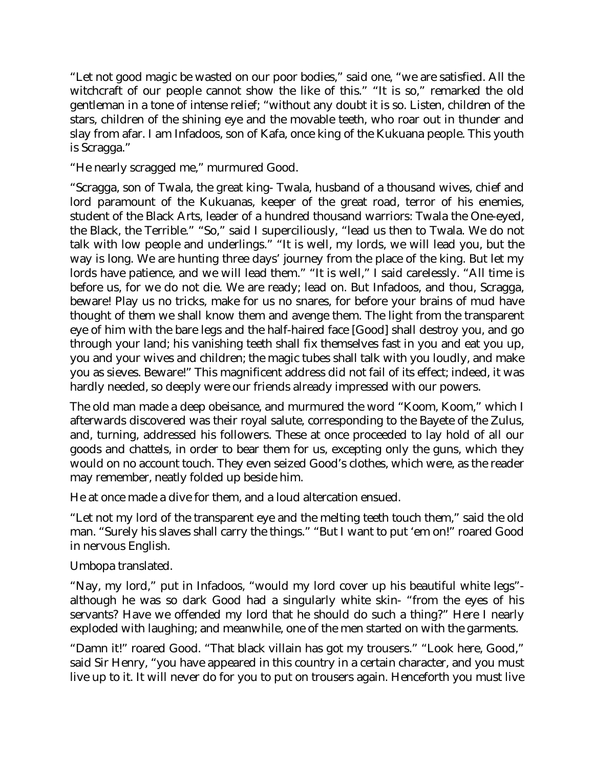"Let not good magic be wasted on our poor bodies," said one, "we are satisfied. All the witchcraft of our people cannot show the like of this." "It is so," remarked the old gentleman in a tone of intense relief; "without any doubt it is so. Listen, children of the stars, children of the shining eye and the movable teeth, who roar out in thunder and slay from afar. I am Infadoos, son of Kafa, once king of the Kukuana people. This youth is Scragga."

"He nearly scragged me," murmured Good.

"Scragga, son of Twala, the great king- Twala, husband of a thousand wives, chief and lord paramount of the Kukuanas, keeper of the great road, terror of his enemies, student of the Black Arts, leader of a hundred thousand warriors: Twala the One-eyed, the Black, the Terrible." "So," said I superciliously, "lead us then to Twala. We do not talk with low people and underlings." "It is well, my lords, we will lead you, but the way is long. We are hunting three days' journey from the place of the king. But let my lords have patience, and we will lead them." "It is well," I said carelessly. "All time is before us, for we do not die. We are ready; lead on. But Infadoos, and thou, Scragga, beware! Play us no tricks, make for us no snares, for before your brains of mud have thought of them we shall know them and avenge them. The light from the transparent eye of him with the bare legs and the half-haired face [Good] shall destroy you, and go through your land; his vanishing teeth shall fix themselves fast in you and eat you up, you and your wives and children; the magic tubes shall talk with you loudly, and make you as sieves. Beware!" This magnificent address did not fail of its effect; indeed, it was hardly needed, so deeply were our friends already impressed with our powers.

The old man made a deep obeisance, and murmured the word "Koom, Koom," which I afterwards discovered was their royal salute, corresponding to the Bayete of the Zulus, and, turning, addressed his followers. These at once proceeded to lay hold of all our goods and chattels, in order to bear them for us, excepting only the guns, which they would on no account touch. They even seized Good's clothes, which were, as the reader may remember, neatly folded up beside him.

He at once made a dive for them, and a loud altercation ensued.

"Let not my lord of the transparent eye and the melting teeth touch them," said the old man. "Surely his slaves shall carry the things." "But I want to put 'em on!" roared Good in nervous English.

Umbopa translated.

"Nay, my lord," put in Infadoos, "would my lord cover up his beautiful white legs" although he was so dark Good had a singularly white skin- "from the eyes of his servants? Have we offended my lord that he should do such a thing?" Here I nearly exploded with laughing; and meanwhile, one of the men started on with the garments.

"Damn it!" roared Good. "That black villain has got my trousers." "Look here, Good," said Sir Henry, "you have appeared in this country in a certain character, and you must live up to it. It will never do for you to put on trousers again. Henceforth you must live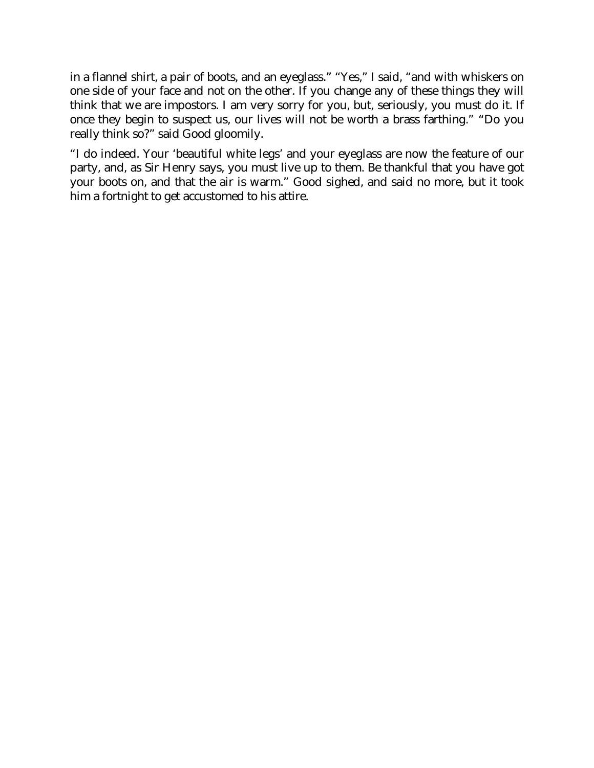in a flannel shirt, a pair of boots, and an eyeglass." "Yes," I said, "and with whiskers on one side of your face and not on the other. If you change any of these things they will think that we are impostors. I am very sorry for you, but, seriously, you must do it. If once they begin to suspect us, our lives will not be worth a brass farthing." "Do you really think so?" said Good gloomily.

"I do indeed. Your 'beautiful white legs' and your eyeglass are now the feature of our party, and, as Sir Henry says, you must live up to them. Be thankful that you have got your boots on, and that the air is warm." Good sighed, and said no more, but it took him a fortnight to get accustomed to his attire.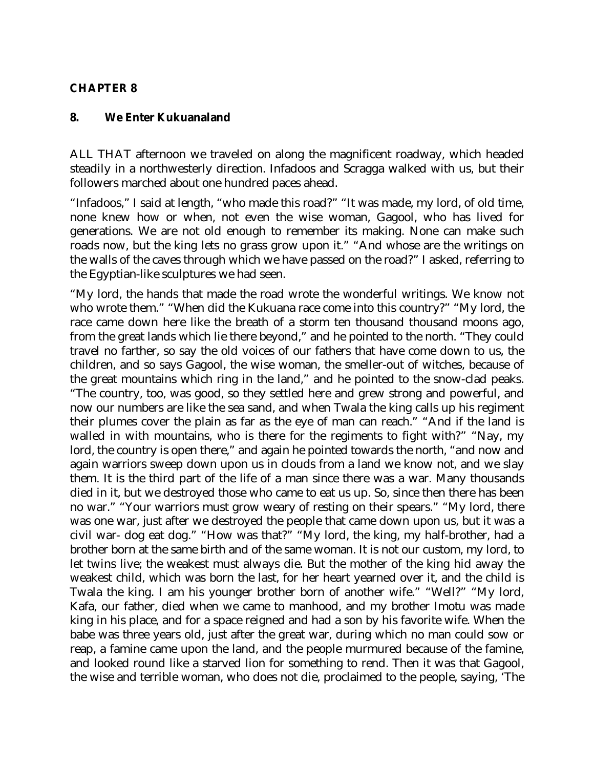#### **CHAPTER 8**

#### **8. We Enter Kukuanaland**

ALL THAT afternoon we traveled on along the magnificent roadway, which headed steadily in a northwesterly direction. Infadoos and Scragga walked with us, but their followers marched about one hundred paces ahead.

"Infadoos," I said at length, "who made this road?" "It was made, my lord, of old time, none knew how or when, not even the wise woman, Gagool, who has lived for generations. We are not old enough to remember its making. None can make such roads now, but the king lets no grass grow upon it." "And whose are the writings on the walls of the caves through which we have passed on the road?" I asked, referring to the Egyptian-like sculptures we had seen.

"My lord, the hands that made the road wrote the wonderful writings. We know not who wrote them." "When did the Kukuana race come into this country?" "My lord, the race came down here like the breath of a storm ten thousand thousand moons ago, from the great lands which lie there beyond," and he pointed to the north. "They could travel no farther, so say the old voices of our fathers that have come down to us, the children, and so says Gagool, the wise woman, the smeller-out of witches, because of the great mountains which ring in the land," and he pointed to the snow-clad peaks. "The country, too, was good, so they settled here and grew strong and powerful, and now our numbers are like the sea sand, and when Twala the king calls up his regiment their plumes cover the plain as far as the eye of man can reach." "And if the land is walled in with mountains, who is there for the regiments to fight with?" "Nay, my lord, the country is open there," and again he pointed towards the north, "and now and again warriors sweep down upon us in clouds from a land we know not, and we slay them. It is the third part of the life of a man since there was a war. Many thousands died in it, but we destroyed those who came to eat us up. So, since then there has been no war." "Your warriors must grow weary of resting on their spears." "My lord, there was one war, just after we destroyed the people that came down upon us, but it was a civil war- dog eat dog." "How was that?" "My lord, the king, my half-brother, had a brother born at the same birth and of the same woman. It is not our custom, my lord, to let twins live; the weakest must always die. But the mother of the king hid away the weakest child, which was born the last, for her heart yearned over it, and the child is Twala the king. I am his younger brother born of another wife." "Well?" "My lord, Kafa, our father, died when we came to manhood, and my brother Imotu was made king in his place, and for a space reigned and had a son by his favorite wife. When the babe was three years old, just after the great war, during which no man could sow or reap, a famine came upon the land, and the people murmured because of the famine, and looked round like a starved lion for something to rend. Then it was that Gagool, the wise and terrible woman, who does not die, proclaimed to the people, saying, 'The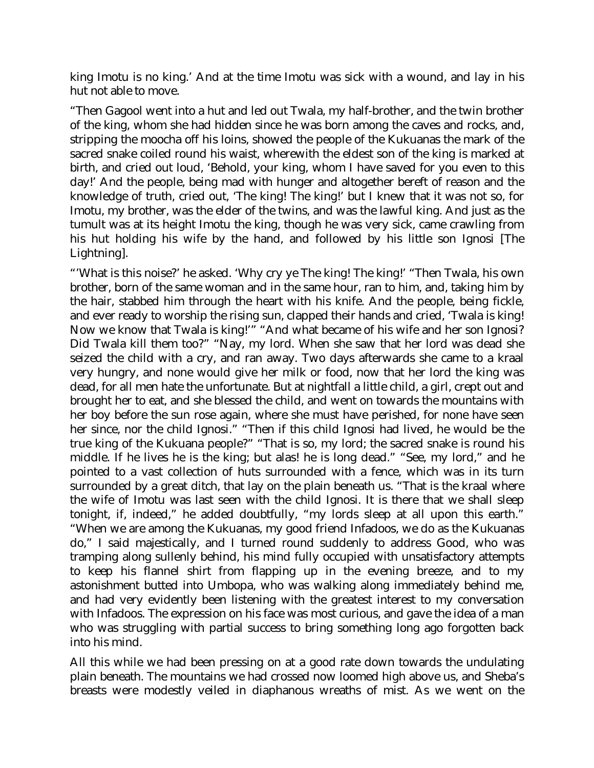king Imotu is no king.' And at the time Imotu was sick with a wound, and lay in his hut not able to move.

"Then Gagool went into a hut and led out Twala, my half-brother, and the twin brother of the king, whom she had hidden since he was born among the caves and rocks, and, stripping the moocha off his loins, showed the people of the Kukuanas the mark of the sacred snake coiled round his waist, wherewith the eldest son of the king is marked at birth, and cried out loud, 'Behold, your king, whom I have saved for you even to this day!' And the people, being mad with hunger and altogether bereft of reason and the knowledge of truth, cried out, 'The king! The king!' but I knew that it was not so, for Imotu, my brother, was the elder of the twins, and was the lawful king. And just as the tumult was at its height Imotu the king, though he was very sick, came crawling from his hut holding his wife by the hand, and followed by his little son Ignosi [The Lightning].

"'What is this noise?' he asked. 'Why cry ye The king! The king!' "Then Twala, his own brother, born of the same woman and in the same hour, ran to him, and, taking him by the hair, stabbed him through the heart with his knife. And the people, being fickle, and ever ready to worship the rising sun, clapped their hands and cried, 'Twala is king! Now we know that Twala is king!'" "And what became of his wife and her son Ignosi? Did Twala kill them too?" "Nay, my lord. When she saw that her lord was dead she seized the child with a cry, and ran away. Two days afterwards she came to a kraal very hungry, and none would give her milk or food, now that her lord the king was dead, for all men hate the unfortunate. But at nightfall a little child, a girl, crept out and brought her to eat, and she blessed the child, and went on towards the mountains with her boy before the sun rose again, where she must have perished, for none have seen her since, nor the child Ignosi." "Then if this child Ignosi had lived, he would be the true king of the Kukuana people?" "That is so, my lord; the sacred snake is round his middle. If he lives he is the king; but alas! he is long dead." "See, my lord," and he pointed to a vast collection of huts surrounded with a fence, which was in its turn surrounded by a great ditch, that lay on the plain beneath us. "That is the kraal where the wife of Imotu was last seen with the child Ignosi. It is there that we shall sleep tonight, if, indeed," he added doubtfully, "my lords sleep at all upon this earth." "When we are among the Kukuanas, my good friend Infadoos, we do as the Kukuanas do," I said majestically, and I turned round suddenly to address Good, who was tramping along sullenly behind, his mind fully occupied with unsatisfactory attempts to keep his flannel shirt from flapping up in the evening breeze, and to my astonishment butted into Umbopa, who was walking along immediately behind me, and had very evidently been listening with the greatest interest to my conversation with Infadoos. The expression on his face was most curious, and gave the idea of a man who was struggling with partial success to bring something long ago forgotten back into his mind.

All this while we had been pressing on at a good rate down towards the undulating plain beneath. The mountains we had crossed now loomed high above us, and Sheba's breasts were modestly veiled in diaphanous wreaths of mist. As we went on the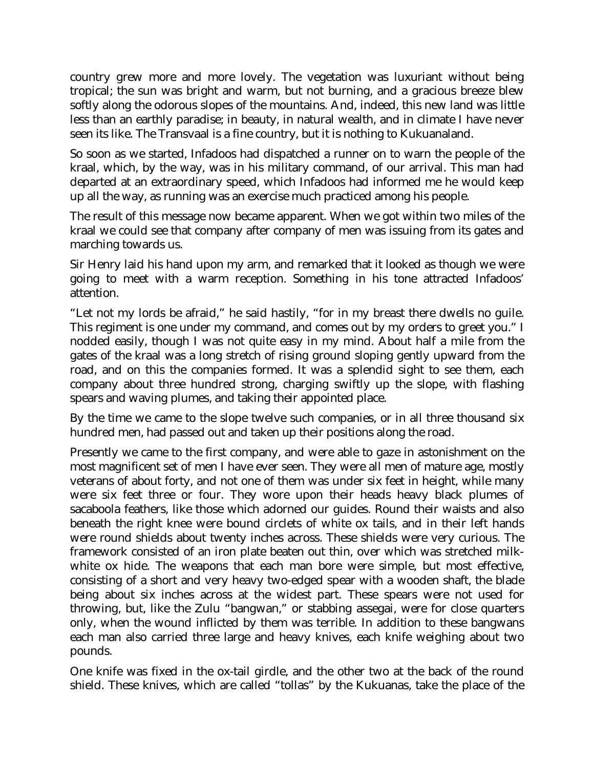country grew more and more lovely. The vegetation was luxuriant without being tropical; the sun was bright and warm, but not burning, and a gracious breeze blew softly along the odorous slopes of the mountains. And, indeed, this new land was little less than an earthly paradise; in beauty, in natural wealth, and in climate I have never seen its like. The Transvaal is a fine country, but it is nothing to Kukuanaland.

So soon as we started, Infadoos had dispatched a runner on to warn the people of the kraal, which, by the way, was in his military command, of our arrival. This man had departed at an extraordinary speed, which Infadoos had informed me he would keep up all the way, as running was an exercise much practiced among his people.

The result of this message now became apparent. When we got within two miles of the kraal we could see that company after company of men was issuing from its gates and marching towards us.

Sir Henry laid his hand upon my arm, and remarked that it looked as though we were going to meet with a warm reception. Something in his tone attracted Infadoos' attention.

"Let not my lords be afraid," he said hastily, "for in my breast there dwells no guile. This regiment is one under my command, and comes out by my orders to greet you." I nodded easily, though I was not quite easy in my mind. About half a mile from the gates of the kraal was a long stretch of rising ground sloping gently upward from the road, and on this the companies formed. It was a splendid sight to see them, each company about three hundred strong, charging swiftly up the slope, with flashing spears and waving plumes, and taking their appointed place.

By the time we came to the slope twelve such companies, or in all three thousand six hundred men, had passed out and taken up their positions along the road.

Presently we came to the first company, and were able to gaze in astonishment on the most magnificent set of men I have ever seen. They were all men of mature age, mostly veterans of about forty, and not one of them was under six feet in height, while many were six feet three or four. They wore upon their heads heavy black plumes of sacaboola feathers, like those which adorned our guides. Round their waists and also beneath the right knee were bound circlets of white ox tails, and in their left hands were round shields about twenty inches across. These shields were very curious. The framework consisted of an iron plate beaten out thin, over which was stretched milkwhite ox hide. The weapons that each man bore were simple, but most effective, consisting of a short and very heavy two-edged spear with a wooden shaft, the blade being about six inches across at the widest part. These spears were not used for throwing, but, like the Zulu "bangwan," or stabbing assegai, were for close quarters only, when the wound inflicted by them was terrible. In addition to these bangwans each man also carried three large and heavy knives, each knife weighing about two pounds.

One knife was fixed in the ox-tail girdle, and the other two at the back of the round shield. These knives, which are called "tollas" by the Kukuanas, take the place of the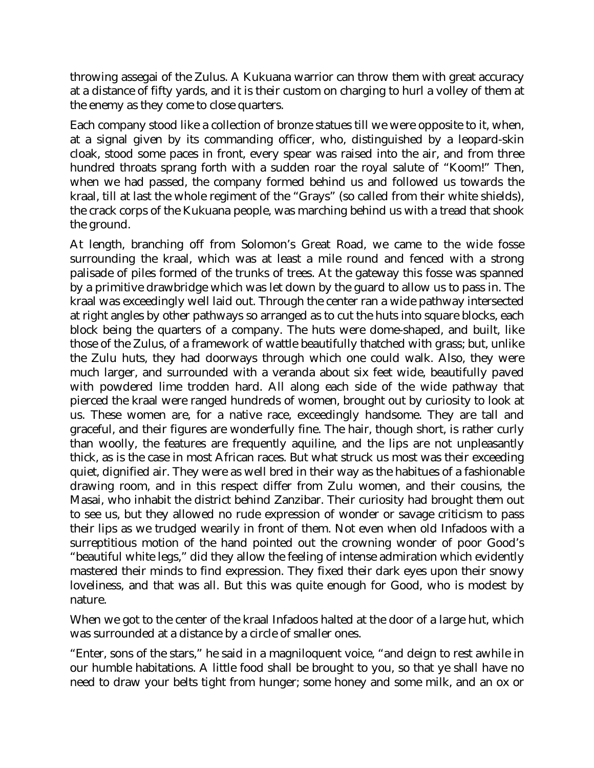throwing assegai of the Zulus. A Kukuana warrior can throw them with great accuracy at a distance of fifty yards, and it is their custom on charging to hurl a volley of them at the enemy as they come to close quarters.

Each company stood like a collection of bronze statues till we were opposite to it, when, at a signal given by its commanding officer, who, distinguished by a leopard-skin cloak, stood some paces in front, every spear was raised into the air, and from three hundred throats sprang forth with a sudden roar the royal salute of "Koom!" Then, when we had passed, the company formed behind us and followed us towards the kraal, till at last the whole regiment of the "Grays" (so called from their white shields), the crack corps of the Kukuana people, was marching behind us with a tread that shook the ground.

At length, branching off from Solomon's Great Road, we came to the wide fosse surrounding the kraal, which was at least a mile round and fenced with a strong palisade of piles formed of the trunks of trees. At the gateway this fosse was spanned by a primitive drawbridge which was let down by the guard to allow us to pass in. The kraal was exceedingly well laid out. Through the center ran a wide pathway intersected at right angles by other pathways so arranged as to cut the huts into square blocks, each block being the quarters of a company. The huts were dome-shaped, and built, like those of the Zulus, of a framework of wattle beautifully thatched with grass; but, unlike the Zulu huts, they had doorways through which one could walk. Also, they were much larger, and surrounded with a veranda about six feet wide, beautifully paved with powdered lime trodden hard. All along each side of the wide pathway that pierced the kraal were ranged hundreds of women, brought out by curiosity to look at us. These women are, for a native race, exceedingly handsome. They are tall and graceful, and their figures are wonderfully fine. The hair, though short, is rather curly than woolly, the features are frequently aquiline, and the lips are not unpleasantly thick, as is the case in most African races. But what struck us most was their exceeding quiet, dignified air. They were as well bred in their way as the habitues of a fashionable drawing room, and in this respect differ from Zulu women, and their cousins, the Masai, who inhabit the district behind Zanzibar. Their curiosity had brought them out to see us, but they allowed no rude expression of wonder or savage criticism to pass their lips as we trudged wearily in front of them. Not even when old Infadoos with a surreptitious motion of the hand pointed out the crowning wonder of poor Good's "beautiful white legs," did they allow the feeling of intense admiration which evidently mastered their minds to find expression. They fixed their dark eyes upon their snowy loveliness, and that was all. But this was quite enough for Good, who is modest by nature.

When we got to the center of the kraal Infadoos halted at the door of a large hut, which was surrounded at a distance by a circle of smaller ones.

"Enter, sons of the stars," he said in a magniloquent voice, "and deign to rest awhile in our humble habitations. A little food shall be brought to you, so that ye shall have no need to draw your belts tight from hunger; some honey and some milk, and an ox or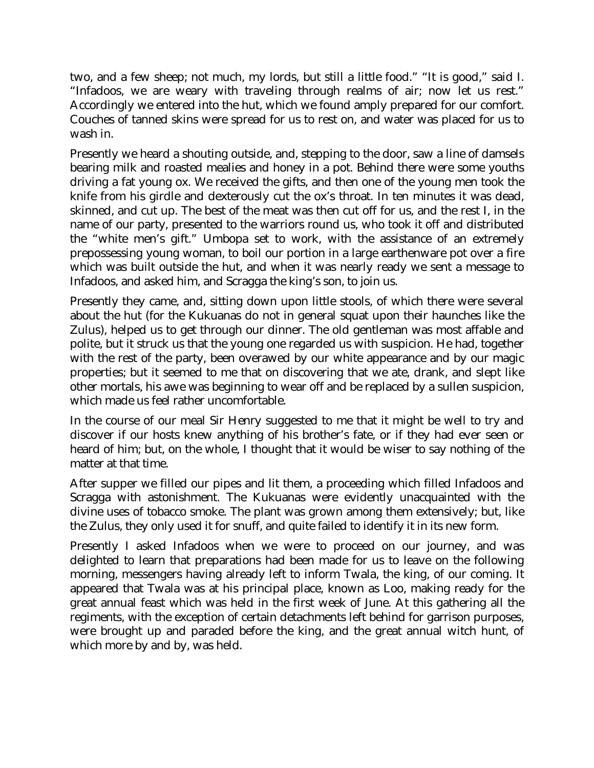two, and a few sheep; not much, my lords, but still a little food." "It is good," said I. "Infadoos, we are weary with traveling through realms of air; now let us rest." Accordingly we entered into the hut, which we found amply prepared for our comfort. Couches of tanned skins were spread for us to rest on, and water was placed for us to wash in.

Presently we heard a shouting outside, and, stepping to the door, saw a line of damsels bearing milk and roasted mealies and honey in a pot. Behind there were some youths driving a fat young ox. We received the gifts, and then one of the young men took the knife from his girdle and dexterously cut the ox's throat. In ten minutes it was dead, skinned, and cut up. The best of the meat was then cut off for us, and the rest I, in the name of our party, presented to the warriors round us, who took it off and distributed the "white men's gift." Umbopa set to work, with the assistance of an extremely prepossessing young woman, to boil our portion in a large earthenware pot over a fire which was built outside the hut, and when it was nearly ready we sent a message to Infadoos, and asked him, and Scragga the king's son, to join us.

Presently they came, and, sitting down upon little stools, of which there were several about the hut (for the Kukuanas do not in general squat upon their haunches like the Zulus), helped us to get through our dinner. The old gentleman was most affable and polite, but it struck us that the young one regarded us with suspicion. He had, together with the rest of the party, been overawed by our white appearance and by our magic properties; but it seemed to me that on discovering that we ate, drank, and slept like other mortals, his awe was beginning to wear off and be replaced by a sullen suspicion, which made us feel rather uncomfortable.

In the course of our meal Sir Henry suggested to me that it might be well to try and discover if our hosts knew anything of his brother's fate, or if they had ever seen or heard of him; but, on the whole, I thought that it would be wiser to say nothing of the matter at that time.

After supper we filled our pipes and lit them, a proceeding which filled Infadoos and Scragga with astonishment. The Kukuanas were evidently unacquainted with the divine uses of tobacco smoke. The plant was grown among them extensively; but, like the Zulus, they only used it for snuff, and quite failed to identify it in its new form.

Presently I asked Infadoos when we were to proceed on our journey, and was delighted to learn that preparations had been made for us to leave on the following morning, messengers having already left to inform Twala, the king, of our coming. It appeared that Twala was at his principal place, known as Loo, making ready for the great annual feast which was held in the first week of June. At this gathering all the regiments, with the exception of certain detachments left behind for garrison purposes, were brought up and paraded before the king, and the great annual witch hunt, of which more by and by, was held.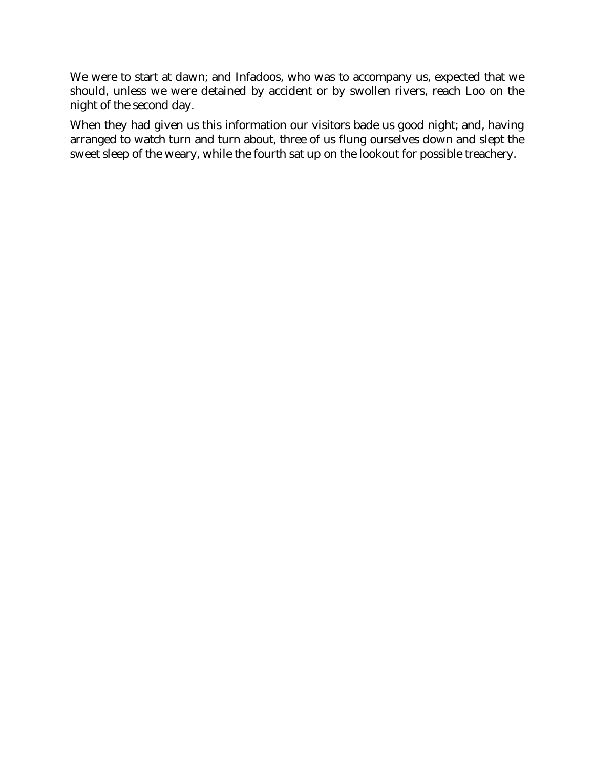We were to start at dawn; and Infadoos, who was to accompany us, expected that we should, unless we were detained by accident or by swollen rivers, reach Loo on the night of the second day.

When they had given us this information our visitors bade us good night; and, having arranged to watch turn and turn about, three of us flung ourselves down and slept the sweet sleep of the weary, while the fourth sat up on the lookout for possible treachery.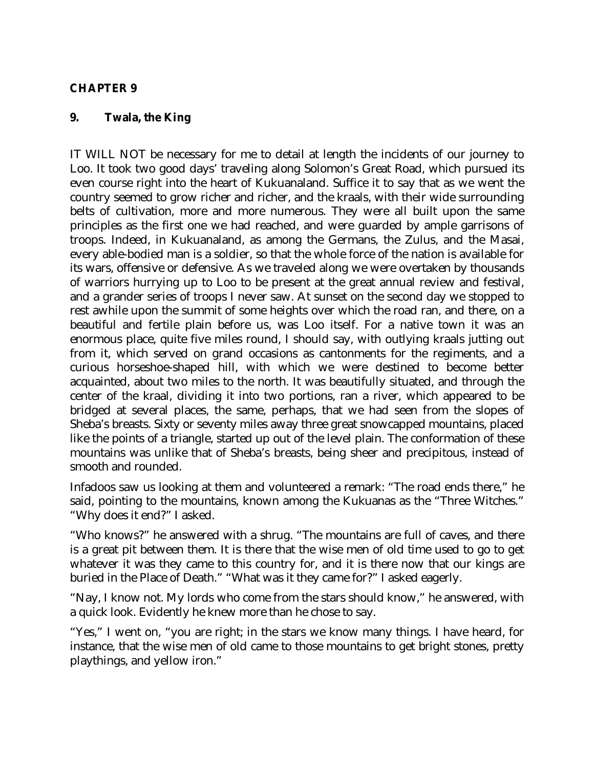#### **CHAPTER 9**

#### **9. Twala, the King**

IT WILL NOT be necessary for me to detail at length the incidents of our journey to Loo. It took two good days' traveling along Solomon's Great Road, which pursued its even course right into the heart of Kukuanaland. Suffice it to say that as we went the country seemed to grow richer and richer, and the kraals, with their wide surrounding belts of cultivation, more and more numerous. They were all built upon the same principles as the first one we had reached, and were guarded by ample garrisons of troops. Indeed, in Kukuanaland, as among the Germans, the Zulus, and the Masai, every able-bodied man is a soldier, so that the whole force of the nation is available for its wars, offensive or defensive. As we traveled along we were overtaken by thousands of warriors hurrying up to Loo to be present at the great annual review and festival, and a grander series of troops I never saw. At sunset on the second day we stopped to rest awhile upon the summit of some heights over which the road ran, and there, on a beautiful and fertile plain before us, was Loo itself. For a native town it was an enormous place, quite five miles round, I should say, with outlying kraals jutting out from it, which served on grand occasions as cantonments for the regiments, and a curious horseshoe-shaped hill, with which we were destined to become better acquainted, about two miles to the north. It was beautifully situated, and through the center of the kraal, dividing it into two portions, ran a river, which appeared to be bridged at several places, the same, perhaps, that we had seen from the slopes of Sheba's breasts. Sixty or seventy miles away three great snowcapped mountains, placed like the points of a triangle, started up out of the level plain. The conformation of these mountains was unlike that of Sheba's breasts, being sheer and precipitous, instead of smooth and rounded.

Infadoos saw us looking at them and volunteered a remark: "The road ends there," he said, pointing to the mountains, known among the Kukuanas as the "Three Witches." "Why does it end?" I asked.

"Who knows?" he answered with a shrug. "The mountains are full of caves, and there is a great pit between them. It is there that the wise men of old time used to go to get whatever it was they came to this country for, and it is there now that our kings are buried in the Place of Death." "What was it they came for?" I asked eagerly.

"Nay, I know not. My lords who come from the stars should know," he answered, with a quick look. Evidently he knew more than he chose to say.

"Yes," I went on, "you are right; in the stars we know many things. I have heard, for instance, that the wise men of old came to those mountains to get bright stones, pretty playthings, and yellow iron."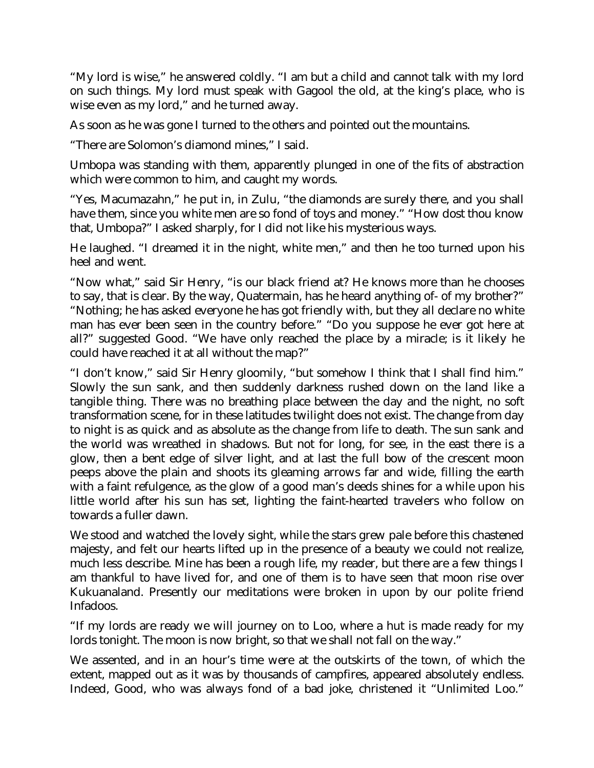"My lord is wise," he answered coldly. "I am but a child and cannot talk with my lord on such things. My lord must speak with Gagool the old, at the king's place, who is wise even as my lord," and he turned away.

As soon as he was gone I turned to the others and pointed out the mountains.

"There are Solomon's diamond mines," I said.

Umbopa was standing with them, apparently plunged in one of the fits of abstraction which were common to him, and caught my words.

"Yes, Macumazahn," he put in, in Zulu, "the diamonds are surely there, and you shall have them, since you white men are so fond of toys and money." "How dost thou know that, Umbopa?" I asked sharply, for I did not like his mysterious ways.

He laughed. "I dreamed it in the night, white men," and then he too turned upon his heel and went.

"Now what," said Sir Henry, "is our black friend at? He knows more than he chooses to say, that is clear. By the way, Quatermain, has he heard anything of- of my brother?" "Nothing; he has asked everyone he has got friendly with, but they all declare no white man has ever been seen in the country before." "Do you suppose he ever got here at all?" suggested Good. "We have only reached the place by a miracle; is it likely he could have reached it at all without the map?"

"I don't know," said Sir Henry gloomily, "but somehow I think that I shall find him." Slowly the sun sank, and then suddenly darkness rushed down on the land like a tangible thing. There was no breathing place between the day and the night, no soft transformation scene, for in these latitudes twilight does not exist. The change from day to night is as quick and as absolute as the change from life to death. The sun sank and the world was wreathed in shadows. But not for long, for see, in the east there is a glow, then a bent edge of silver light, and at last the full bow of the crescent moon peeps above the plain and shoots its gleaming arrows far and wide, filling the earth with a faint refulgence, as the glow of a good man's deeds shines for a while upon his little world after his sun has set, lighting the faint-hearted travelers who follow on towards a fuller dawn.

We stood and watched the lovely sight, while the stars grew pale before this chastened majesty, and felt our hearts lifted up in the presence of a beauty we could not realize, much less describe. Mine has been a rough life, my reader, but there are a few things I am thankful to have lived for, and one of them is to have seen that moon rise over Kukuanaland. Presently our meditations were broken in upon by our polite friend Infadoos.

"If my lords are ready we will journey on to Loo, where a hut is made ready for my lords tonight. The moon is now bright, so that we shall not fall on the way."

We assented, and in an hour's time were at the outskirts of the town, of which the extent, mapped out as it was by thousands of campfires, appeared absolutely endless. Indeed, Good, who was always fond of a bad joke, christened it "Unlimited Loo."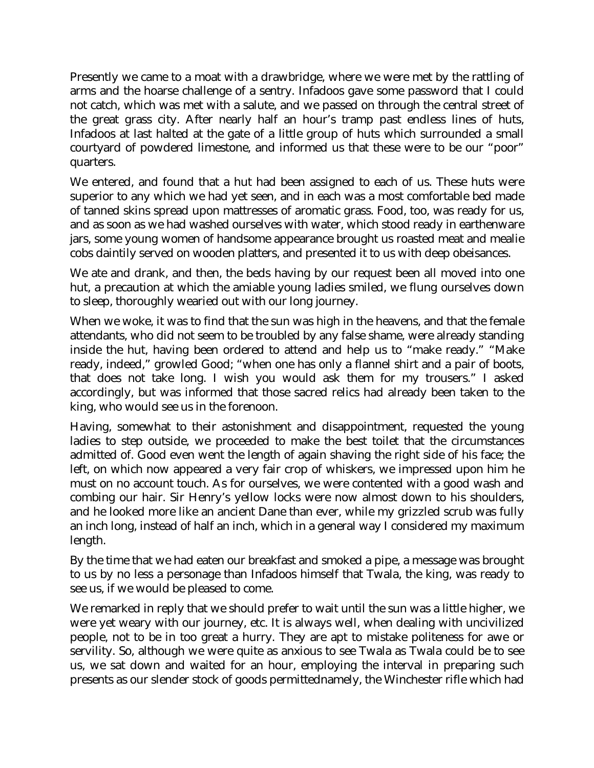Presently we came to a moat with a drawbridge, where we were met by the rattling of arms and the hoarse challenge of a sentry. Infadoos gave some password that I could not catch, which was met with a salute, and we passed on through the central street of the great grass city. After nearly half an hour's tramp past endless lines of huts, Infadoos at last halted at the gate of a little group of huts which surrounded a small courtyard of powdered limestone, and informed us that these were to be our "poor" quarters.

We entered, and found that a hut had been assigned to each of us. These huts were superior to any which we had yet seen, and in each was a most comfortable bed made of tanned skins spread upon mattresses of aromatic grass. Food, too, was ready for us, and as soon as we had washed ourselves with water, which stood ready in earthenware jars, some young women of handsome appearance brought us roasted meat and mealie cobs daintily served on wooden platters, and presented it to us with deep obeisances.

We ate and drank, and then, the beds having by our request been all moved into one hut, a precaution at which the amiable young ladies smiled, we flung ourselves down to sleep, thoroughly wearied out with our long journey.

When we woke, it was to find that the sun was high in the heavens, and that the female attendants, who did not seem to be troubled by any false shame, were already standing inside the hut, having been ordered to attend and help us to "make ready." "Make ready, indeed," growled Good; "when one has only a flannel shirt and a pair of boots, that does not take long. I wish you would ask them for my trousers." I asked accordingly, but was informed that those sacred relics had already been taken to the king, who would see us in the forenoon.

Having, somewhat to their astonishment and disappointment, requested the young ladies to step outside, we proceeded to make the best toilet that the circumstances admitted of. Good even went the length of again shaving the right side of his face; the left, on which now appeared a very fair crop of whiskers, we impressed upon him he must on no account touch. As for ourselves, we were contented with a good wash and combing our hair. Sir Henry's yellow locks were now almost down to his shoulders, and he looked more like an ancient Dane than ever, while my grizzled scrub was fully an inch long, instead of half an inch, which in a general way I considered my maximum length.

By the time that we had eaten our breakfast and smoked a pipe, a message was brought to us by no less a personage than Infadoos himself that Twala, the king, was ready to see us, if we would be pleased to come.

We remarked in reply that we should prefer to wait until the sun was a little higher, we were yet weary with our journey, etc. It is always well, when dealing with uncivilized people, not to be in too great a hurry. They are apt to mistake politeness for awe or servility. So, although we were quite as anxious to see Twala as Twala could be to see us, we sat down and waited for an hour, employing the interval in preparing such presents as our slender stock of goods permittednamely, the Winchester rifle which had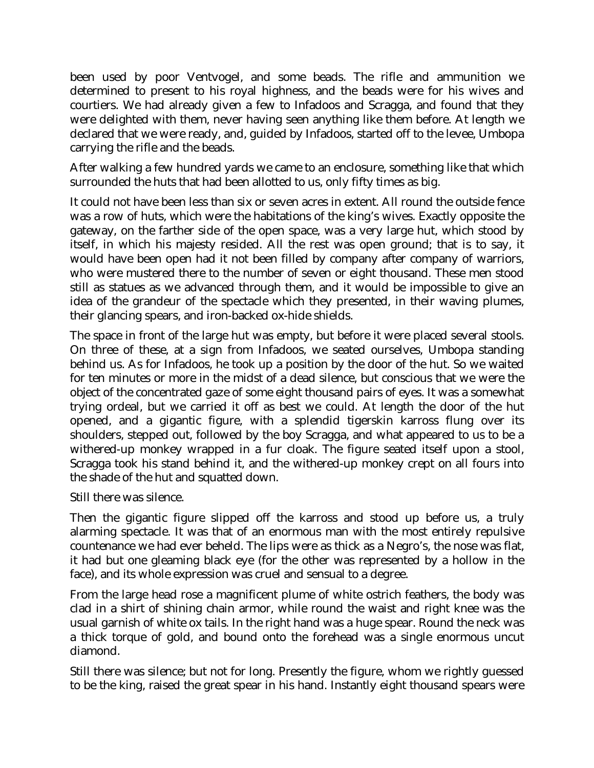been used by poor Ventvogel, and some beads. The rifle and ammunition we determined to present to his royal highness, and the beads were for his wives and courtiers. We had already given a few to Infadoos and Scragga, and found that they were delighted with them, never having seen anything like them before. At length we declared that we were ready, and, guided by Infadoos, started off to the levee, Umbopa carrying the rifle and the beads.

After walking a few hundred yards we came to an enclosure, something like that which surrounded the huts that had been allotted to us, only fifty times as big.

It could not have been less than six or seven acres in extent. All round the outside fence was a row of huts, which were the habitations of the king's wives. Exactly opposite the gateway, on the farther side of the open space, was a very large hut, which stood by itself, in which his majesty resided. All the rest was open ground; that is to say, it would have been open had it not been filled by company after company of warriors, who were mustered there to the number of seven or eight thousand. These men stood still as statues as we advanced through them, and it would be impossible to give an idea of the grandeur of the spectacle which they presented, in their waving plumes, their glancing spears, and iron-backed ox-hide shields.

The space in front of the large hut was empty, but before it were placed several stools. On three of these, at a sign from Infadoos, we seated ourselves, Umbopa standing behind us. As for Infadoos, he took up a position by the door of the hut. So we waited for ten minutes or more in the midst of a dead silence, but conscious that we were the object of the concentrated gaze of some eight thousand pairs of eyes. It was a somewhat trying ordeal, but we carried it off as best we could. At length the door of the hut opened, and a gigantic figure, with a splendid tigerskin karross flung over its shoulders, stepped out, followed by the boy Scragga, and what appeared to us to be a withered-up monkey wrapped in a fur cloak. The figure seated itself upon a stool, Scragga took his stand behind it, and the withered-up monkey crept on all fours into the shade of the hut and squatted down.

Still there was silence.

Then the gigantic figure slipped off the karross and stood up before us, a truly alarming spectacle. It was that of an enormous man with the most entirely repulsive countenance we had ever beheld. The lips were as thick as a Negro's, the nose was flat, it had but one gleaming black eye (for the other was represented by a hollow in the face), and its whole expression was cruel and sensual to a degree.

From the large head rose a magnificent plume of white ostrich feathers, the body was clad in a shirt of shining chain armor, while round the waist and right knee was the usual garnish of white ox tails. In the right hand was a huge spear. Round the neck was a thick torque of gold, and bound onto the forehead was a single enormous uncut diamond.

Still there was silence; but not for long. Presently the figure, whom we rightly guessed to be the king, raised the great spear in his hand. Instantly eight thousand spears were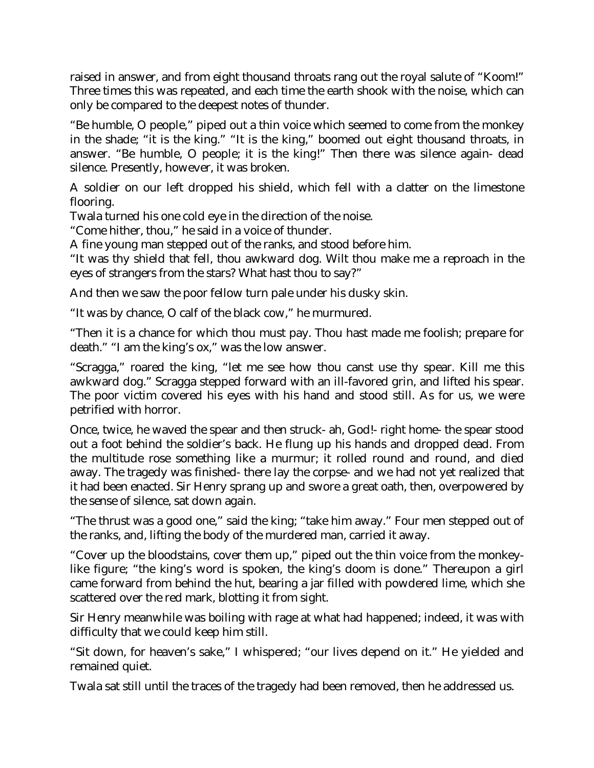raised in answer, and from eight thousand throats rang out the royal salute of "Koom!" Three times this was repeated, and each time the earth shook with the noise, which can only be compared to the deepest notes of thunder.

"Be humble, O people," piped out a thin voice which seemed to come from the monkey in the shade; "it is the king." "It is the king," boomed out eight thousand throats, in answer. "Be humble, O people; it is the king!" Then there was silence again- dead silence. Presently, however, it was broken.

A soldier on our left dropped his shield, which fell with a clatter on the limestone flooring.

Twala turned his one cold eye in the direction of the noise.

"Come hither, thou," he said in a voice of thunder.

A fine young man stepped out of the ranks, and stood before him.

"It was thy shield that fell, thou awkward dog. Wilt thou make me a reproach in the eyes of strangers from the stars? What hast thou to say?"

And then we saw the poor fellow turn pale under his dusky skin.

"It was by chance, O calf of the black cow," he murmured.

"Then it is a chance for which thou must pay. Thou hast made me foolish; prepare for death." "I am the king's ox," was the low answer.

"Scragga," roared the king, "let me see how thou canst use thy spear. Kill me this awkward dog." Scragga stepped forward with an ill-favored grin, and lifted his spear. The poor victim covered his eyes with his hand and stood still. As for us, we were petrified with horror.

Once, twice, he waved the spear and then struck- ah, God!- right home- the spear stood out a foot behind the soldier's back. He flung up his hands and dropped dead. From the multitude rose something like a murmur; it rolled round and round, and died away. The tragedy was finished- there lay the corpse- and we had not yet realized that it had been enacted. Sir Henry sprang up and swore a great oath, then, overpowered by the sense of silence, sat down again.

"The thrust was a good one," said the king; "take him away." Four men stepped out of the ranks, and, lifting the body of the murdered man, carried it away.

"Cover up the bloodstains, cover them up," piped out the thin voice from the monkeylike figure; "the king's word is spoken, the king's doom is done." Thereupon a girl came forward from behind the hut, bearing a jar filled with powdered lime, which she scattered over the red mark, blotting it from sight.

Sir Henry meanwhile was boiling with rage at what had happened; indeed, it was with difficulty that we could keep him still.

"Sit down, for heaven's sake," I whispered; "our lives depend on it." He yielded and remained quiet.

Twala sat still until the traces of the tragedy had been removed, then he addressed us.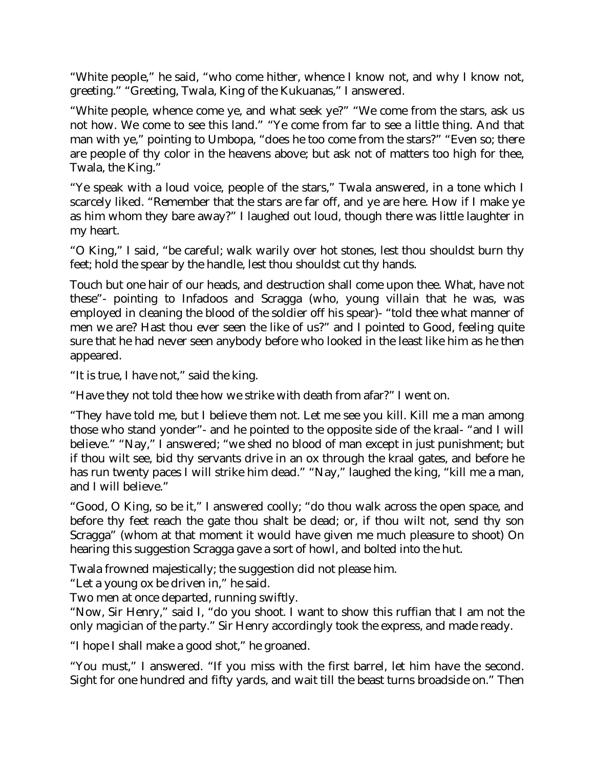"White people," he said, "who come hither, whence I know not, and why I know not, greeting." "Greeting, Twala, King of the Kukuanas," I answered.

"White people, whence come ye, and what seek ye?" "We come from the stars, ask us not how. We come to see this land." "Ye come from far to see a little thing. And that man with ye," pointing to Umbopa, "does he too come from the stars?" "Even so; there are people of thy color in the heavens above; but ask not of matters too high for thee, Twala, the King."

"Ye speak with a loud voice, people of the stars," Twala answered, in a tone which I scarcely liked. "Remember that the stars are far off, and ye are here. How if I make ye as him whom they bare away?" I laughed out loud, though there was little laughter in my heart.

"O King," I said, "be careful; walk warily over hot stones, lest thou shouldst burn thy feet; hold the spear by the handle, lest thou shouldst cut thy hands.

Touch but one hair of our heads, and destruction shall come upon thee. What, have not these"- pointing to Infadoos and Scragga (who, young villain that he was, was employed in cleaning the blood of the soldier off his spear)- "told thee what manner of men we are? Hast thou ever seen the like of us?" and I pointed to Good, feeling quite sure that he had never seen anybody before who looked in the least like him as he then appeared.

"It is true, I have not," said the king.

"Have they not told thee how we strike with death from afar?" I went on.

"They have told me, but I believe them not. Let me see you kill. Kill me a man among those who stand yonder"- and he pointed to the opposite side of the kraal- "and I will believe." "Nay," I answered; "we shed no blood of man except in just punishment; but if thou wilt see, bid thy servants drive in an ox through the kraal gates, and before he has run twenty paces I will strike him dead." "Nay," laughed the king, "kill me a man, and I will believe."

"Good, O King, so be it," I answered coolly; "do thou walk across the open space, and before thy feet reach the gate thou shalt be dead; or, if thou wilt not, send thy son Scragga" (whom at that moment it would have given me much pleasure to shoot) On hearing this suggestion Scragga gave a sort of howl, and bolted into the hut.

Twala frowned majestically; the suggestion did not please him.

"Let a young ox be driven in," he said.

Two men at once departed, running swiftly.

"Now, Sir Henry," said I, "do you shoot. I want to show this ruffian that I am not the only magician of the party." Sir Henry accordingly took the express, and made ready.

"I hope I shall make a good shot," he groaned.

"You must," I answered. "If you miss with the first barrel, let him have the second. Sight for one hundred and fifty yards, and wait till the beast turns broadside on." Then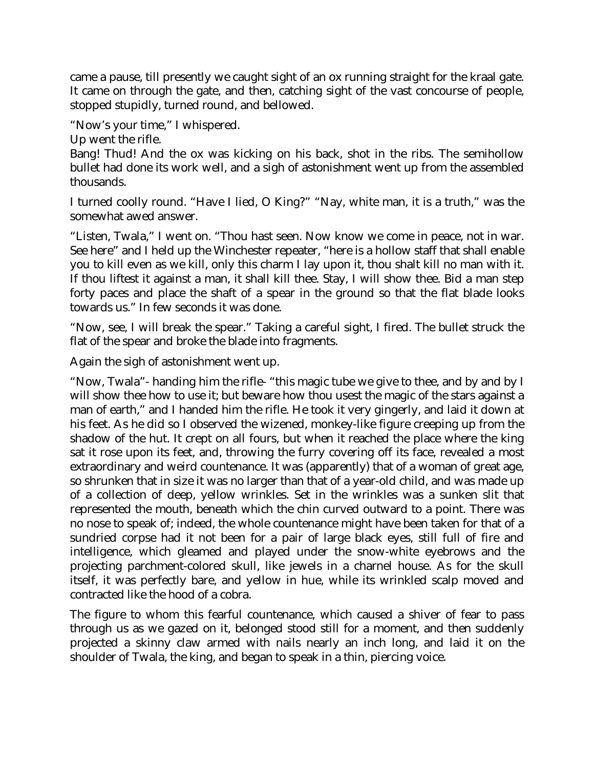came a pause, till presently we caught sight of an ox running straight for the kraal gate. It came on through the gate, and then, catching sight of the vast concourse of people, stopped stupidly, turned round, and bellowed.

"Now's your time," I whispered.

Up went the rifle.

Bang! Thud! And the ox was kicking on his back, shot in the ribs. The semihollow bullet had done its work well, and a sigh of astonishment went up from the assembled thousands.

I turned coolly round. "Have I lied, O King?" "Nay, white man, it is a truth," was the somewhat awed answer.

"Listen, Twala," I went on. "Thou hast seen. Now know we come in peace, not in war. See here" and I held up the Winchester repeater, "here is a hollow staff that shall enable you to kill even as we kill, only this charm I lay upon it, thou shalt kill no man with it. If thou liftest it against a man, it shall kill thee. Stay, I will show thee. Bid a man step forty paces and place the shaft of a spear in the ground so that the flat blade looks towards us." In few seconds it was done.

"Now, see, I will break the spear." Taking a careful sight, I fired. The bullet struck the flat of the spear and broke the blade into fragments.

Again the sigh of astonishment went up.

"Now, Twala"- handing him the rifle- "this magic tube we give to thee, and by and by I will show thee how to use it; but beware how thou usest the magic of the stars against a man of earth," and I handed him the rifle. He took it very gingerly, and laid it down at his feet. As he did so I observed the wizened, monkey-like figure creeping up from the shadow of the hut. It crept on all fours, but when it reached the place where the king sat it rose upon its feet, and, throwing the furry covering off its face, revealed a most extraordinary and weird countenance. It was (apparently) that of a woman of great age, so shrunken that in size it was no larger than that of a year-old child, and was made up of a collection of deep, yellow wrinkles. Set in the wrinkles was a sunken slit that represented the mouth, beneath which the chin curved outward to a point. There was no nose to speak of; indeed, the whole countenance might have been taken for that of a sundried corpse had it not been for a pair of large black eyes, still full of fire and intelligence, which gleamed and played under the snow-white eyebrows and the projecting parchment-colored skull, like jewels in a charnel house. As for the skull itself, it was perfectly bare, and yellow in hue, while its wrinkled scalp moved and contracted like the hood of a cobra.

The figure to whom this fearful countenance, which caused a shiver of fear to pass through us as we gazed on it, belonged stood still for a moment, and then suddenly projected a skinny claw armed with nails nearly an inch long, and laid it on the shoulder of Twala, the king, and began to speak in a thin, piercing voice.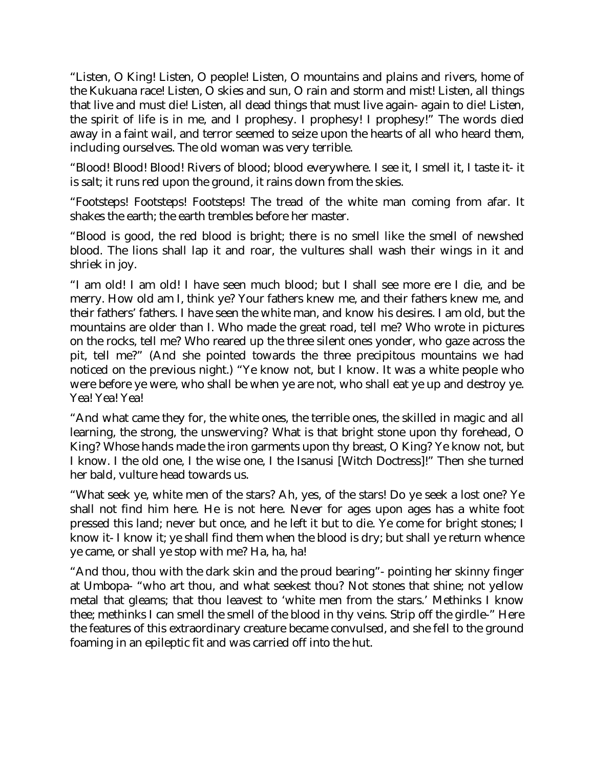"Listen, O King! Listen, O people! Listen, O mountains and plains and rivers, home of the Kukuana race! Listen, O skies and sun, O rain and storm and mist! Listen, all things that live and must die! Listen, all dead things that must live again- again to die! Listen, the spirit of life is in me, and I prophesy. I prophesy! I prophesy!" The words died away in a faint wail, and terror seemed to seize upon the hearts of all who heard them, including ourselves. The old woman was very terrible.

"Blood! Blood! Blood! Rivers of blood; blood everywhere. I see it, I smell it, I taste it- it is salt; it runs red upon the ground, it rains down from the skies.

"Footsteps! Footsteps! Footsteps! The tread of the white man coming from afar. It shakes the earth; the earth trembles before her master.

"Blood is good, the red blood is bright; there is no smell like the smell of newshed blood. The lions shall lap it and roar, the vultures shall wash their wings in it and shriek in joy.

"I am old! I am old! I have seen much blood; but I shall see more ere I die, and be merry. How old am I, think ye? Your fathers knew me, and their fathers knew me, and their fathers' fathers. I have seen the white man, and know his desires. I am old, but the mountains are older than I. Who made the great road, tell me? Who wrote in pictures on the rocks, tell me? Who reared up the three silent ones yonder, who gaze across the pit, tell me?" (And she pointed towards the three precipitous mountains we had noticed on the previous night.) "Ye know not, but I know. It was a white people who were before ye were, who shall be when ye are not, who shall eat ye up and destroy ye. Yea! Yea! Yea!

"And what came they for, the white ones, the terrible ones, the skilled in magic and all learning, the strong, the unswerving? What is that bright stone upon thy forehead, O King? Whose hands made the iron garments upon thy breast, O King? Ye know not, but I know. I the old one, I the wise one, I the Isanusi [Witch Doctress]!" Then she turned her bald, vulture head towards us.

"What seek ye, white men of the stars? Ah, yes, of the stars! Do ye seek a lost one? Ye shall not find him here. He is not here. Never for ages upon ages has a white foot pressed this land; never but once, and he left it but to die. Ye come for bright stones; I know it- I know it; ye shall find them when the blood is dry; but shall ye return whence ye came, or shall ye stop with me? Ha, ha, ha!

"And thou, thou with the dark skin and the proud bearing"- pointing her skinny finger at Umbopa- "who art thou, and what seekest thou? Not stones that shine; not yellow metal that gleams; that thou leavest to 'white men from the stars.' Methinks I know thee; methinks I can smell the smell of the blood in thy veins. Strip off the girdle-" Here the features of this extraordinary creature became convulsed, and she fell to the ground foaming in an epileptic fit and was carried off into the hut.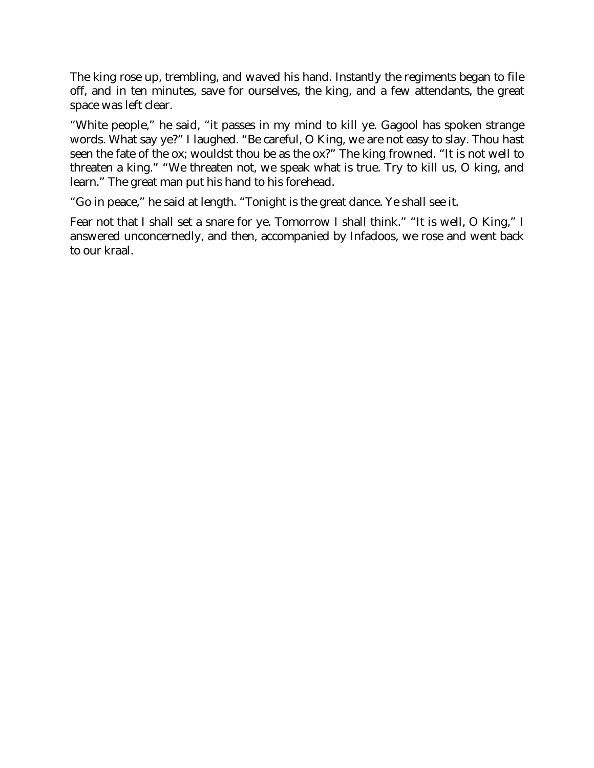The king rose up, trembling, and waved his hand. Instantly the regiments began to file off, and in ten minutes, save for ourselves, the king, and a few attendants, the great space was left clear.

"White people," he said, "it passes in my mind to kill ye. Gagool has spoken strange words. What say ye?" I laughed. "Be careful, O King, we are not easy to slay. Thou hast seen the fate of the ox; wouldst thou be as the ox?" The king frowned. "It is not well to threaten a king." "We threaten not, we speak what is true. Try to kill us, O king, and learn." The great man put his hand to his forehead.

"Go in peace," he said at length. "Tonight is the great dance. Ye shall see it.

Fear not that I shall set a snare for ye. Tomorrow I shall think." "It is well, O King," I answered unconcernedly, and then, accompanied by Infadoos, we rose and went back to our kraal.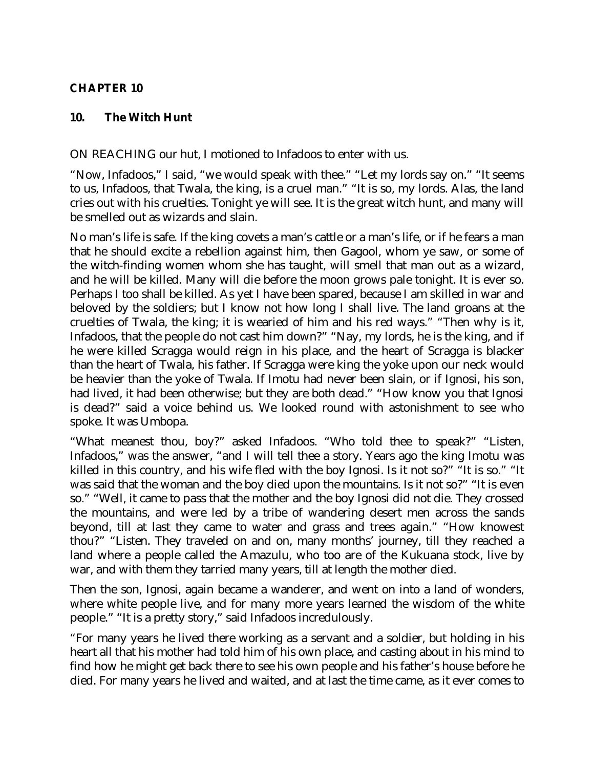## **CHAPTER 10**

### **10. The Witch Hunt**

ON REACHING our hut, I motioned to Infadoos to enter with us.

"Now, Infadoos," I said, "we would speak with thee." "Let my lords say on." "It seems to us, Infadoos, that Twala, the king, is a cruel man." "It is so, my lords. Alas, the land cries out with his cruelties. Tonight ye will see. It is the great witch hunt, and many will be smelled out as wizards and slain.

No man's life is safe. If the king covets a man's cattle or a man's life, or if he fears a man that he should excite a rebellion against him, then Gagool, whom ye saw, or some of the witch-finding women whom she has taught, will smell that man out as a wizard, and he will be killed. Many will die before the moon grows pale tonight. It is ever so. Perhaps I too shall be killed. As yet I have been spared, because I am skilled in war and beloved by the soldiers; but I know not how long I shall live. The land groans at the cruelties of Twala, the king; it is wearied of him and his red ways." "Then why is it, Infadoos, that the people do not cast him down?" "Nay, my lords, he is the king, and if he were killed Scragga would reign in his place, and the heart of Scragga is blacker than the heart of Twala, his father. If Scragga were king the yoke upon our neck would be heavier than the yoke of Twala. If Imotu had never been slain, or if Ignosi, his son, had lived, it had been otherwise; but they are both dead." "How know you that Ignosi is dead?" said a voice behind us. We looked round with astonishment to see who spoke. It was Umbopa.

"What meanest thou, boy?" asked Infadoos. "Who told thee to speak?" "Listen, Infadoos," was the answer, "and I will tell thee a story. Years ago the king Imotu was killed in this country, and his wife fled with the boy Ignosi. Is it not so?" "It is so." "It was said that the woman and the boy died upon the mountains. Is it not so?" "It is even so." "Well, it came to pass that the mother and the boy Ignosi did not die. They crossed the mountains, and were led by a tribe of wandering desert men across the sands beyond, till at last they came to water and grass and trees again." "How knowest thou?" "Listen. They traveled on and on, many months' journey, till they reached a land where a people called the Amazulu, who too are of the Kukuana stock, live by war, and with them they tarried many years, till at length the mother died.

Then the son, Ignosi, again became a wanderer, and went on into a land of wonders, where white people live, and for many more years learned the wisdom of the white people." "It is a pretty story," said Infadoos incredulously.

"For many years he lived there working as a servant and a soldier, but holding in his heart all that his mother had told him of his own place, and casting about in his mind to find how he might get back there to see his own people and his father's house before he died. For many years he lived and waited, and at last the time came, as it ever comes to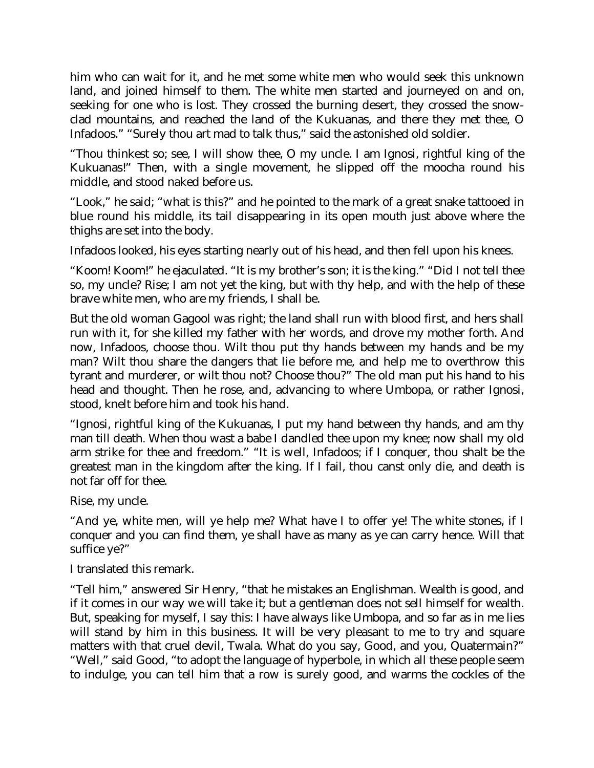him who can wait for it, and he met some white men who would seek this unknown land, and joined himself to them. The white men started and journeyed on and on, seeking for one who is lost. They crossed the burning desert, they crossed the snowclad mountains, and reached the land of the Kukuanas, and there they met thee, O Infadoos." "Surely thou art mad to talk thus," said the astonished old soldier.

"Thou thinkest so; see, I will show thee, O my uncle. I am Ignosi, rightful king of the Kukuanas!" Then, with a single movement, he slipped off the moocha round his middle, and stood naked before us.

"Look," he said; "what is this?" and he pointed to the mark of a great snake tattooed in blue round his middle, its tail disappearing in its open mouth just above where the thighs are set into the body.

Infadoos looked, his eyes starting nearly out of his head, and then fell upon his knees.

"Koom! Koom!" he ejaculated. "It is my brother's son; it is the king." "Did I not tell thee so, my uncle? Rise; I am not yet the king, but with thy help, and with the help of these brave white men, who are my friends, I shall be.

But the old woman Gagool was right; the land shall run with blood first, and hers shall run with it, for she killed my father with her words, and drove my mother forth. And now, Infadoos, choose thou. Wilt thou put thy hands between my hands and be my man? Wilt thou share the dangers that lie before me, and help me to overthrow this tyrant and murderer, or wilt thou not? Choose thou?" The old man put his hand to his head and thought. Then he rose, and, advancing to where Umbopa, or rather Ignosi, stood, knelt before him and took his hand.

"Ignosi, rightful king of the Kukuanas, I put my hand between thy hands, and am thy man till death. When thou wast a babe I dandled thee upon my knee; now shall my old arm strike for thee and freedom." "It is well, Infadoos; if I conquer, thou shalt be the greatest man in the kingdom after the king. If I fail, thou canst only die, and death is not far off for thee.

Rise, my uncle.

"And ye, white men, will ye help me? What have I to offer ye! The white stones, if I conquer and you can find them, ye shall have as many as ye can carry hence. Will that suffice ye?"

I translated this remark.

"Tell him," answered Sir Henry, "that he mistakes an Englishman. Wealth is good, and if it comes in our way we will take it; but a gentleman does not sell himself for wealth. But, speaking for myself, I say this: I have always like Umbopa, and so far as in me lies will stand by him in this business. It will be very pleasant to me to try and square matters with that cruel devil, Twala. What do you say, Good, and you, Quatermain?" "Well," said Good, "to adopt the language of hyperbole, in which all these people seem to indulge, you can tell him that a row is surely good, and warms the cockles of the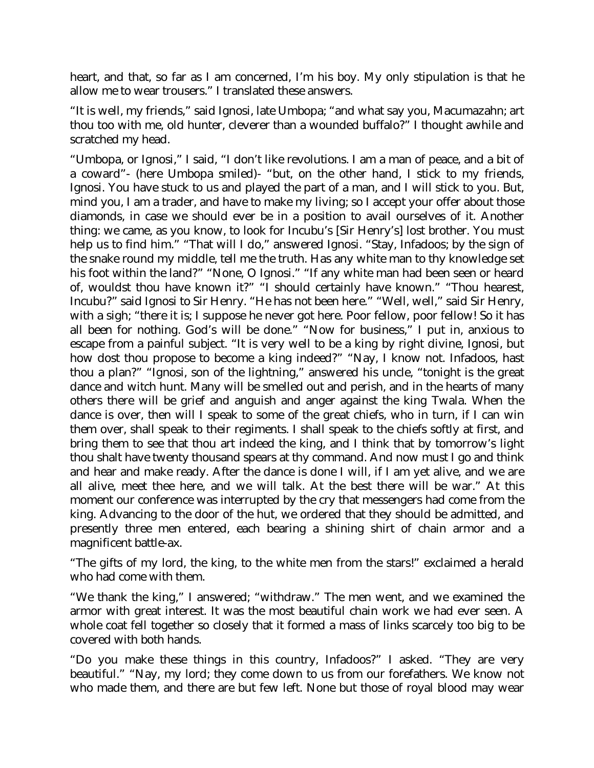heart, and that, so far as I am concerned, I'm his boy. My only stipulation is that he allow me to wear trousers." I translated these answers.

"It is well, my friends," said Ignosi, late Umbopa; "and what say you, Macumazahn; art thou too with me, old hunter, cleverer than a wounded buffalo?" I thought awhile and scratched my head.

"Umbopa, or Ignosi," I said, "I don't like revolutions. I am a man of peace, and a bit of a coward"- (here Umbopa smiled)- "but, on the other hand, I stick to my friends, Ignosi. You have stuck to us and played the part of a man, and I will stick to you. But, mind you, I am a trader, and have to make my living; so I accept your offer about those diamonds, in case we should ever be in a position to avail ourselves of it. Another thing: we came, as you know, to look for Incubu's [Sir Henry's] lost brother. You must help us to find him." "That will I do," answered Ignosi. "Stay, Infadoos; by the sign of the snake round my middle, tell me the truth. Has any white man to thy knowledge set his foot within the land?" "None, O Ignosi." "If any white man had been seen or heard of, wouldst thou have known it?" "I should certainly have known." "Thou hearest, Incubu?" said Ignosi to Sir Henry. "He has not been here." "Well, well," said Sir Henry, with a sigh; "there it is; I suppose he never got here. Poor fellow, poor fellow! So it has all been for nothing. God's will be done." "Now for business," I put in, anxious to escape from a painful subject. "It is very well to be a king by right divine, Ignosi, but how dost thou propose to become a king indeed?" "Nay, I know not. Infadoos, hast thou a plan?" "Ignosi, son of the lightning," answered his uncle, "tonight is the great dance and witch hunt. Many will be smelled out and perish, and in the hearts of many others there will be grief and anguish and anger against the king Twala. When the dance is over, then will I speak to some of the great chiefs, who in turn, if I can win them over, shall speak to their regiments. I shall speak to the chiefs softly at first, and bring them to see that thou art indeed the king, and I think that by tomorrow's light thou shalt have twenty thousand spears at thy command. And now must I go and think and hear and make ready. After the dance is done I will, if I am yet alive, and we are all alive, meet thee here, and we will talk. At the best there will be war." At this moment our conference was interrupted by the cry that messengers had come from the king. Advancing to the door of the hut, we ordered that they should be admitted, and presently three men entered, each bearing a shining shirt of chain armor and a magnificent battle-ax.

"The gifts of my lord, the king, to the white men from the stars!" exclaimed a herald who had come with them.

"We thank the king," I answered; "withdraw." The men went, and we examined the armor with great interest. It was the most beautiful chain work we had ever seen. A whole coat fell together so closely that it formed a mass of links scarcely too big to be covered with both hands.

"Do you make these things in this country, Infadoos?" I asked. "They are very beautiful." "Nay, my lord; they come down to us from our forefathers. We know not who made them, and there are but few left. None but those of royal blood may wear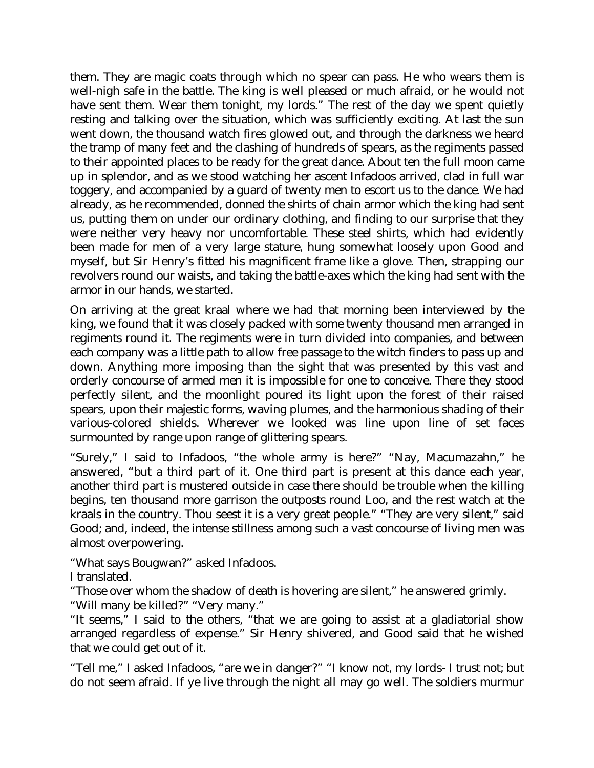them. They are magic coats through which no spear can pass. He who wears them is well-nigh safe in the battle. The king is well pleased or much afraid, or he would not have sent them. Wear them tonight, my lords." The rest of the day we spent quietly resting and talking over the situation, which was sufficiently exciting. At last the sun went down, the thousand watch fires glowed out, and through the darkness we heard the tramp of many feet and the clashing of hundreds of spears, as the regiments passed to their appointed places to be ready for the great dance. About ten the full moon came up in splendor, and as we stood watching her ascent Infadoos arrived, clad in full war toggery, and accompanied by a guard of twenty men to escort us to the dance. We had already, as he recommended, donned the shirts of chain armor which the king had sent us, putting them on under our ordinary clothing, and finding to our surprise that they were neither very heavy nor uncomfortable. These steel shirts, which had evidently been made for men of a very large stature, hung somewhat loosely upon Good and myself, but Sir Henry's fitted his magnificent frame like a glove. Then, strapping our revolvers round our waists, and taking the battle-axes which the king had sent with the armor in our hands, we started.

On arriving at the great kraal where we had that morning been interviewed by the king, we found that it was closely packed with some twenty thousand men arranged in regiments round it. The regiments were in turn divided into companies, and between each company was a little path to allow free passage to the witch finders to pass up and down. Anything more imposing than the sight that was presented by this vast and orderly concourse of armed men it is impossible for one to conceive. There they stood perfectly silent, and the moonlight poured its light upon the forest of their raised spears, upon their majestic forms, waving plumes, and the harmonious shading of their various-colored shields. Wherever we looked was line upon line of set faces surmounted by range upon range of glittering spears.

"Surely," I said to Infadoos, "the whole army is here?" "Nay, Macumazahn," he answered, "but a third part of it. One third part is present at this dance each year, another third part is mustered outside in case there should be trouble when the killing begins, ten thousand more garrison the outposts round Loo, and the rest watch at the kraals in the country. Thou seest it is a very great people." "They are very silent," said Good; and, indeed, the intense stillness among such a vast concourse of living men was almost overpowering.

"What says Bougwan?" asked Infadoos.

I translated.

"Those over whom the shadow of death is hovering are silent," he answered grimly. "Will many be killed?" "Very many."

"It seems," I said to the others, "that we are going to assist at a gladiatorial show arranged regardless of expense." Sir Henry shivered, and Good said that he wished that we could get out of it.

"Tell me," I asked Infadoos, "are we in danger?" "I know not, my lords- I trust not; but do not seem afraid. If ye live through the night all may go well. The soldiers murmur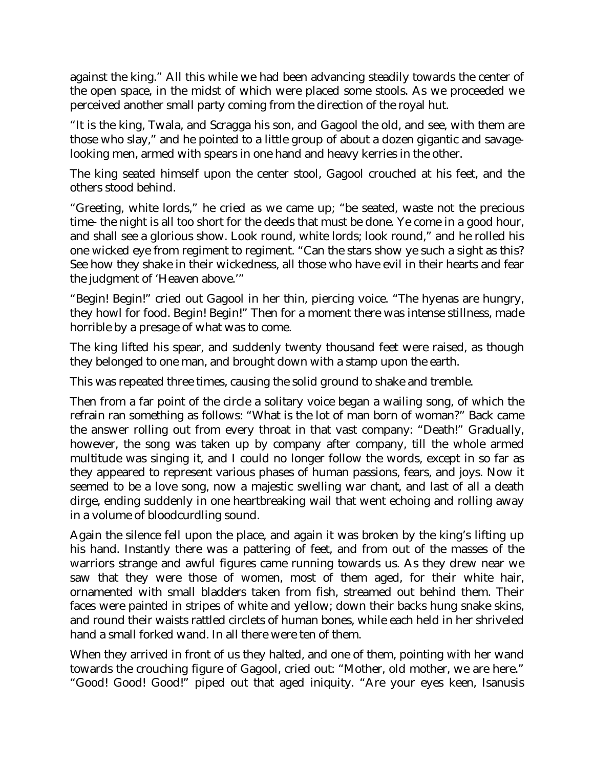against the king." All this while we had been advancing steadily towards the center of the open space, in the midst of which were placed some stools. As we proceeded we perceived another small party coming from the direction of the royal hut.

"It is the king, Twala, and Scragga his son, and Gagool the old, and see, with them are those who slay," and he pointed to a little group of about a dozen gigantic and savagelooking men, armed with spears in one hand and heavy kerries in the other.

The king seated himself upon the center stool, Gagool crouched at his feet, and the others stood behind.

"Greeting, white lords," he cried as we came up; "be seated, waste not the precious time- the night is all too short for the deeds that must be done. Ye come in a good hour, and shall see a glorious show. Look round, white lords; look round," and he rolled his one wicked eye from regiment to regiment. "Can the stars show ye such a sight as this? See how they shake in their wickedness, all those who have evil in their hearts and fear the judgment of 'Heaven above.'"

"Begin! Begin!" cried out Gagool in her thin, piercing voice. "The hyenas are hungry, they howl for food. Begin! Begin!" Then for a moment there was intense stillness, made horrible by a presage of what was to come.

The king lifted his spear, and suddenly twenty thousand feet were raised, as though they belonged to one man, and brought down with a stamp upon the earth.

This was repeated three times, causing the solid ground to shake and tremble.

Then from a far point of the circle a solitary voice began a wailing song, of which the refrain ran something as follows: "What is the lot of man born of woman?" Back came the answer rolling out from every throat in that vast company: "Death!" Gradually, however, the song was taken up by company after company, till the whole armed multitude was singing it, and I could no longer follow the words, except in so far as they appeared to represent various phases of human passions, fears, and joys. Now it seemed to be a love song, now a majestic swelling war chant, and last of all a death dirge, ending suddenly in one heartbreaking wail that went echoing and rolling away in a volume of bloodcurdling sound.

Again the silence fell upon the place, and again it was broken by the king's lifting up his hand. Instantly there was a pattering of feet, and from out of the masses of the warriors strange and awful figures came running towards us. As they drew near we saw that they were those of women, most of them aged, for their white hair, ornamented with small bladders taken from fish, streamed out behind them. Their faces were painted in stripes of white and yellow; down their backs hung snake skins, and round their waists rattled circlets of human bones, while each held in her shriveled hand a small forked wand. In all there were ten of them.

When they arrived in front of us they halted, and one of them, pointing with her wand towards the crouching figure of Gagool, cried out: "Mother, old mother, we are here." "Good! Good! Good!" piped out that aged iniquity. "Are your eyes keen, Isanusis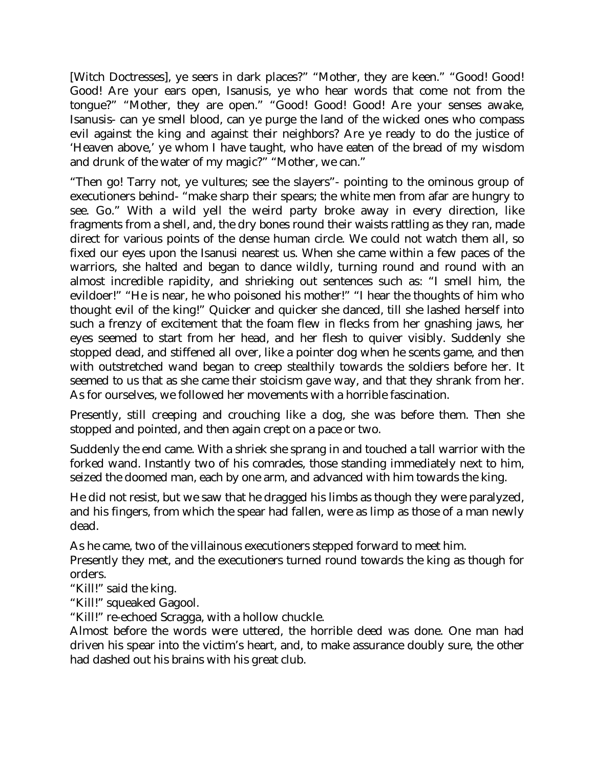[Witch Doctresses], ye seers in dark places?" "Mother, they are keen." "Good! Good! Good! Are your ears open, Isanusis, ye who hear words that come not from the tongue?" "Mother, they are open." "Good! Good! Good! Are your senses awake, Isanusis- can ye smell blood, can ye purge the land of the wicked ones who compass evil against the king and against their neighbors? Are ye ready to do the justice of 'Heaven above,' ye whom I have taught, who have eaten of the bread of my wisdom and drunk of the water of my magic?" "Mother, we can."

"Then go! Tarry not, ye vultures; see the slayers"- pointing to the ominous group of executioners behind- "make sharp their spears; the white men from afar are hungry to see. Go." With a wild yell the weird party broke away in every direction, like fragments from a shell, and, the dry bones round their waists rattling as they ran, made direct for various points of the dense human circle. We could not watch them all, so fixed our eyes upon the Isanusi nearest us. When she came within a few paces of the warriors, she halted and began to dance wildly, turning round and round with an almost incredible rapidity, and shrieking out sentences such as: "I smell him, the evildoer!" "He is near, he who poisoned his mother!" "I hear the thoughts of him who thought evil of the king!" Quicker and quicker she danced, till she lashed herself into such a frenzy of excitement that the foam flew in flecks from her gnashing jaws, her eyes seemed to start from her head, and her flesh to quiver visibly. Suddenly she stopped dead, and stiffened all over, like a pointer dog when he scents game, and then with outstretched wand began to creep stealthily towards the soldiers before her. It seemed to us that as she came their stoicism gave way, and that they shrank from her. As for ourselves, we followed her movements with a horrible fascination.

Presently, still creeping and crouching like a dog, she was before them. Then she stopped and pointed, and then again crept on a pace or two.

Suddenly the end came. With a shriek she sprang in and touched a tall warrior with the forked wand. Instantly two of his comrades, those standing immediately next to him, seized the doomed man, each by one arm, and advanced with him towards the king.

He did not resist, but we saw that he dragged his limbs as though they were paralyzed, and his fingers, from which the spear had fallen, were as limp as those of a man newly dead.

As he came, two of the villainous executioners stepped forward to meet him.

Presently they met, and the executioners turned round towards the king as though for orders.

"Kill!" said the king.

"Kill!" squeaked Gagool.

"Kill!" re-echoed Scragga, with a hollow chuckle.

Almost before the words were uttered, the horrible deed was done. One man had driven his spear into the victim's heart, and, to make assurance doubly sure, the other had dashed out his brains with his great club.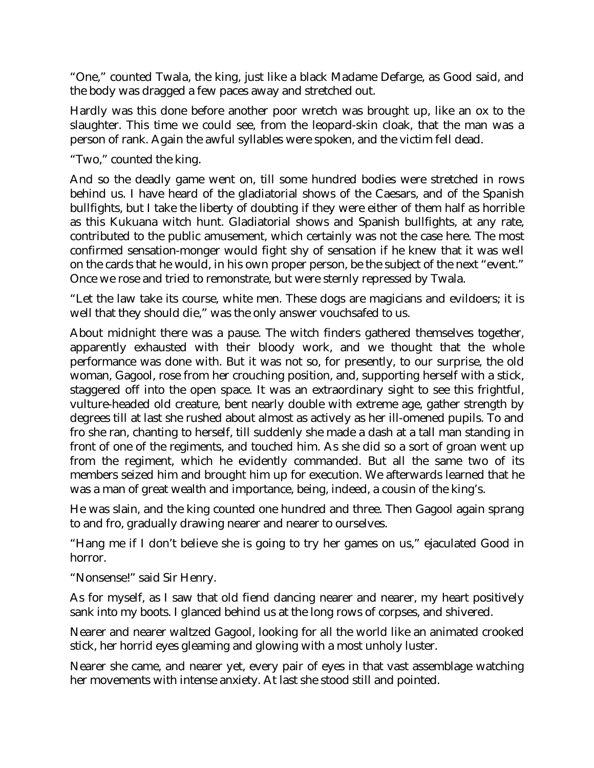"One," counted Twala, the king, just like a black Madame Defarge, as Good said, and the body was dragged a few paces away and stretched out.

Hardly was this done before another poor wretch was brought up, like an ox to the slaughter. This time we could see, from the leopard-skin cloak, that the man was a person of rank. Again the awful syllables were spoken, and the victim fell dead.

"Two," counted the king.

And so the deadly game went on, till some hundred bodies were stretched in rows behind us. I have heard of the gladiatorial shows of the Caesars, and of the Spanish bullfights, but I take the liberty of doubting if they were either of them half as horrible as this Kukuana witch hunt. Gladiatorial shows and Spanish bullfights, at any rate, contributed to the public amusement, which certainly was not the case here. The most confirmed sensation-monger would fight shy of sensation if he knew that it was well on the cards that he would, in his own proper person, be the subject of the next "event." Once we rose and tried to remonstrate, but were sternly repressed by Twala.

"Let the law take its course, white men. These dogs are magicians and evildoers; it is well that they should die," was the only answer vouchsafed to us.

About midnight there was a pause. The witch finders gathered themselves together, apparently exhausted with their bloody work, and we thought that the whole performance was done with. But it was not so, for presently, to our surprise, the old woman, Gagool, rose from her crouching position, and, supporting herself with a stick, staggered off into the open space. It was an extraordinary sight to see this frightful, vulture-headed old creature, bent nearly double with extreme age, gather strength by degrees till at last she rushed about almost as actively as her ill-omened pupils. To and fro she ran, chanting to herself, till suddenly she made a dash at a tall man standing in front of one of the regiments, and touched him. As she did so a sort of groan went up from the regiment, which he evidently commanded. But all the same two of its members seized him and brought him up for execution. We afterwards learned that he was a man of great wealth and importance, being, indeed, a cousin of the king's.

He was slain, and the king counted one hundred and three. Then Gagool again sprang to and fro, gradually drawing nearer and nearer to ourselves.

"Hang me if I don't believe she is going to try her games on us," ejaculated Good in horror.

"Nonsense!" said Sir Henry.

As for myself, as I saw that old fiend dancing nearer and nearer, my heart positively sank into my boots. I glanced behind us at the long rows of corpses, and shivered.

Nearer and nearer waltzed Gagool, looking for all the world like an animated crooked stick, her horrid eyes gleaming and glowing with a most unholy luster.

Nearer she came, and nearer yet, every pair of eyes in that vast assemblage watching her movements with intense anxiety. At last she stood still and pointed.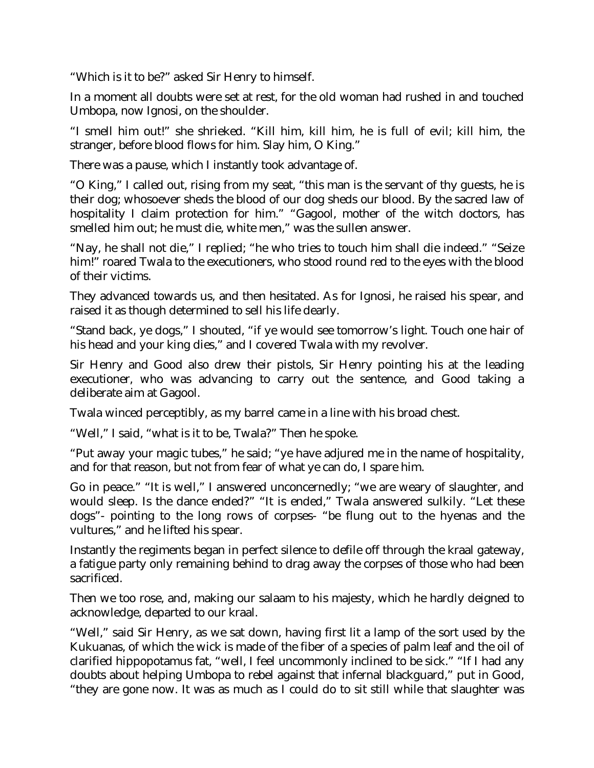"Which is it to be?" asked Sir Henry to himself.

In a moment all doubts were set at rest, for the old woman had rushed in and touched Umbopa, now Ignosi, on the shoulder.

"I smell him out!" she shrieked. "Kill him, kill him, he is full of evil; kill him, the stranger, before blood flows for him. Slay him, O King."

There was a pause, which I instantly took advantage of.

"O King," I called out, rising from my seat, "this man is the servant of thy guests, he is their dog; whosoever sheds the blood of our dog sheds our blood. By the sacred law of hospitality I claim protection for him." "Gagool, mother of the witch doctors, has smelled him out; he must die, white men," was the sullen answer.

"Nay, he shall not die," I replied; "he who tries to touch him shall die indeed." "Seize him!" roared Twala to the executioners, who stood round red to the eyes with the blood of their victims.

They advanced towards us, and then hesitated. As for Ignosi, he raised his spear, and raised it as though determined to sell his life dearly.

"Stand back, ye dogs," I shouted, "if ye would see tomorrow's light. Touch one hair of his head and your king dies," and I covered Twala with my revolver.

Sir Henry and Good also drew their pistols, Sir Henry pointing his at the leading executioner, who was advancing to carry out the sentence, and Good taking a deliberate aim at Gagool.

Twala winced perceptibly, as my barrel came in a line with his broad chest.

"Well," I said, "what is it to be, Twala?" Then he spoke.

"Put away your magic tubes," he said; "ye have adjured me in the name of hospitality, and for that reason, but not from fear of what ye can do, I spare him.

Go in peace." "It is well," I answered unconcernedly; "we are weary of slaughter, and would sleep. Is the dance ended?" "It is ended," Twala answered sulkily. "Let these dogs"- pointing to the long rows of corpses- "be flung out to the hyenas and the vultures," and he lifted his spear.

Instantly the regiments began in perfect silence to defile off through the kraal gateway, a fatigue party only remaining behind to drag away the corpses of those who had been sacrificed.

Then we too rose, and, making our salaam to his majesty, which he hardly deigned to acknowledge, departed to our kraal.

"Well," said Sir Henry, as we sat down, having first lit a lamp of the sort used by the Kukuanas, of which the wick is made of the fiber of a species of palm leaf and the oil of clarified hippopotamus fat, "well, I feel uncommonly inclined to be sick." "If I had any doubts about helping Umbopa to rebel against that infernal blackguard," put in Good, "they are gone now. It was as much as I could do to sit still while that slaughter was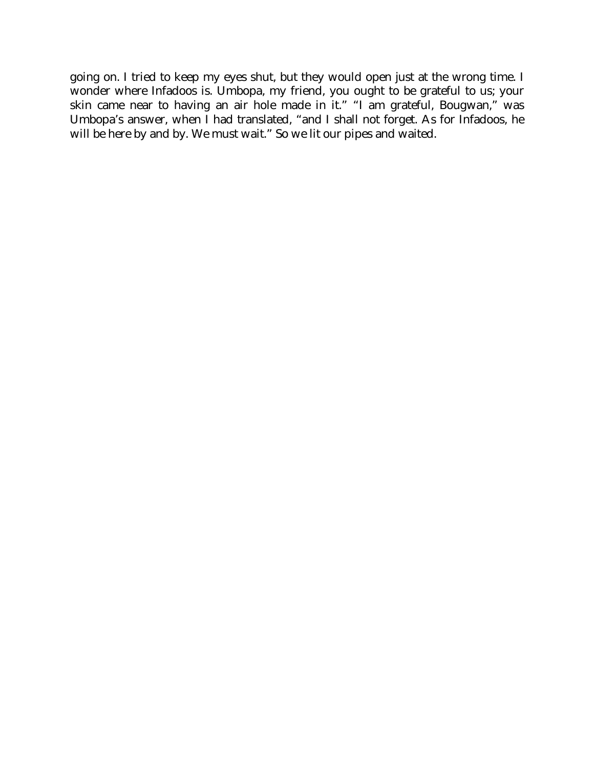going on. I tried to keep my eyes shut, but they would open just at the wrong time. I wonder where Infadoos is. Umbopa, my friend, you ought to be grateful to us; your skin came near to having an air hole made in it." "I am grateful, Bougwan," was Umbopa's answer, when I had translated, "and I shall not forget. As for Infadoos, he will be here by and by. We must wait." So we lit our pipes and waited.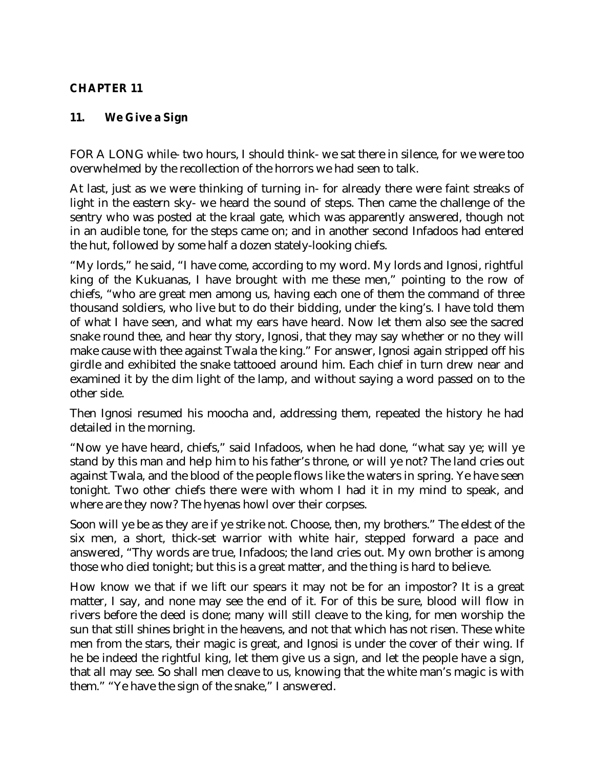# **CHAPTER 11**

### **11. We Give a Sign**

FOR A LONG while- two hours, I should think- we sat there in silence, for we were too overwhelmed by the recollection of the horrors we had seen to talk.

At last, just as we were thinking of turning in- for already there were faint streaks of light in the eastern sky- we heard the sound of steps. Then came the challenge of the sentry who was posted at the kraal gate, which was apparently answered, though not in an audible tone, for the steps came on; and in another second Infadoos had entered the hut, followed by some half a dozen stately-looking chiefs.

"My lords," he said, "I have come, according to my word. My lords and Ignosi, rightful king of the Kukuanas, I have brought with me these men," pointing to the row of chiefs, "who are great men among us, having each one of them the command of three thousand soldiers, who live but to do their bidding, under the king's. I have told them of what I have seen, and what my ears have heard. Now let them also see the sacred snake round thee, and hear thy story, Ignosi, that they may say whether or no they will make cause with thee against Twala the king." For answer, Ignosi again stripped off his girdle and exhibited the snake tattooed around him. Each chief in turn drew near and examined it by the dim light of the lamp, and without saying a word passed on to the other side.

Then Ignosi resumed his moocha and, addressing them, repeated the history he had detailed in the morning.

"Now ye have heard, chiefs," said Infadoos, when he had done, "what say ye; will ye stand by this man and help him to his father's throne, or will ye not? The land cries out against Twala, and the blood of the people flows like the waters in spring. Ye have seen tonight. Two other chiefs there were with whom I had it in my mind to speak, and where are they now? The hyenas howl over their corpses.

Soon will ye be as they are if ye strike not. Choose, then, my brothers." The eldest of the six men, a short, thick-set warrior with white hair, stepped forward a pace and answered, "Thy words are true, Infadoos; the land cries out. My own brother is among those who died tonight; but this is a great matter, and the thing is hard to believe.

How know we that if we lift our spears it may not be for an impostor? It is a great matter, I say, and none may see the end of it. For of this be sure, blood will flow in rivers before the deed is done; many will still cleave to the king, for men worship the sun that still shines bright in the heavens, and not that which has not risen. These white men from the stars, their magic is great, and Ignosi is under the cover of their wing. If he be indeed the rightful king, let them give us a sign, and let the people have a sign, that all may see. So shall men cleave to us, knowing that the white man's magic is with them." "Ye have the sign of the snake," I answered.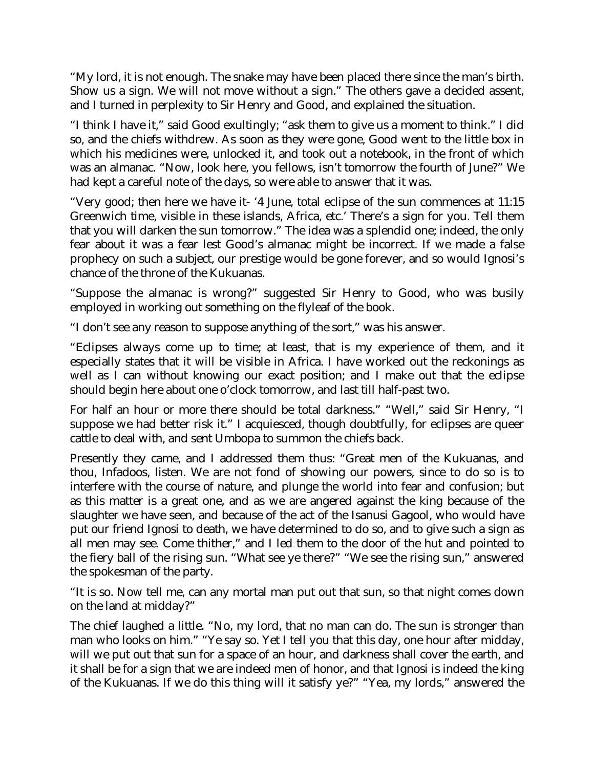"My lord, it is not enough. The snake may have been placed there since the man's birth. Show us a sign. We will not move without a sign." The others gave a decided assent, and I turned in perplexity to Sir Henry and Good, and explained the situation.

"I think I have it," said Good exultingly; "ask them to give us a moment to think." I did so, and the chiefs withdrew. As soon as they were gone, Good went to the little box in which his medicines were, unlocked it, and took out a notebook, in the front of which was an almanac. "Now, look here, you fellows, isn't tomorrow the fourth of June?" We had kept a careful note of the days, so were able to answer that it was.

"Very good; then here we have it- '4 June, total eclipse of the sun commences at 11:15 Greenwich time, visible in these islands, Africa, etc.' There's a sign for you. Tell them that you will darken the sun tomorrow." The idea was a splendid one; indeed, the only fear about it was a fear lest Good's almanac might be incorrect. If we made a false prophecy on such a subject, our prestige would be gone forever, and so would Ignosi's chance of the throne of the Kukuanas.

"Suppose the almanac is wrong?" suggested Sir Henry to Good, who was busily employed in working out something on the flyleaf of the book.

"I don't see any reason to suppose anything of the sort," was his answer.

"Eclipses always come up to time; at least, that is my experience of them, and it especially states that it will be visible in Africa. I have worked out the reckonings as well as I can without knowing our exact position; and I make out that the eclipse should begin here about one o'clock tomorrow, and last till half-past two.

For half an hour or more there should be total darkness." "Well," said Sir Henry, "I suppose we had better risk it." I acquiesced, though doubtfully, for eclipses are queer cattle to deal with, and sent Umbopa to summon the chiefs back.

Presently they came, and I addressed them thus: "Great men of the Kukuanas, and thou, Infadoos, listen. We are not fond of showing our powers, since to do so is to interfere with the course of nature, and plunge the world into fear and confusion; but as this matter is a great one, and as we are angered against the king because of the slaughter we have seen, and because of the act of the Isanusi Gagool, who would have put our friend Ignosi to death, we have determined to do so, and to give such a sign as all men may see. Come thither," and I led them to the door of the hut and pointed to the fiery ball of the rising sun. "What see ye there?" "We see the rising sun," answered the spokesman of the party.

"It is so. Now tell me, can any mortal man put out that sun, so that night comes down on the land at midday?"

The chief laughed a little. "No, my lord, that no man can do. The sun is stronger than man who looks on him." "Ye say so. Yet I tell you that this day, one hour after midday, will we put out that sun for a space of an hour, and darkness shall cover the earth, and it shall be for a sign that we are indeed men of honor, and that Ignosi is indeed the king of the Kukuanas. If we do this thing will it satisfy ye?" "Yea, my lords," answered the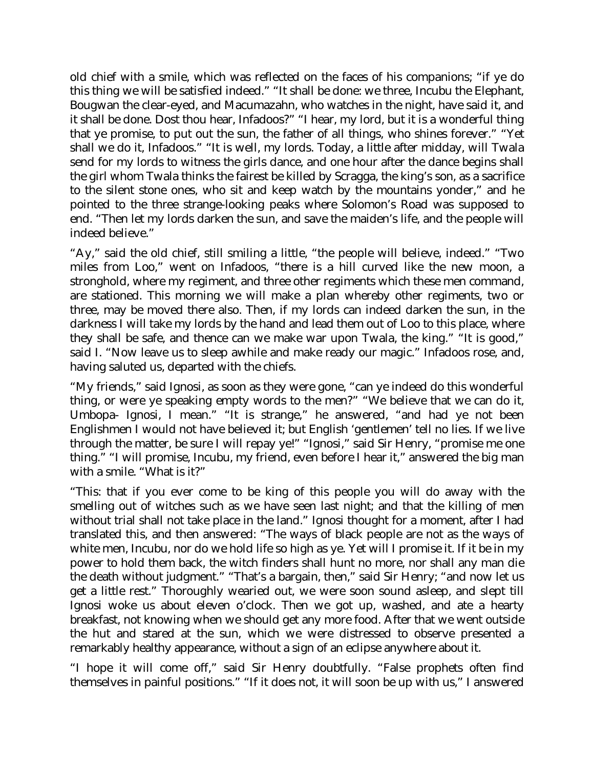old chief with a smile, which was reflected on the faces of his companions; "if ye do this thing we will be satisfied indeed." "It shall be done: we three, Incubu the Elephant, Bougwan the clear-eyed, and Macumazahn, who watches in the night, have said it, and it shall be done. Dost thou hear, Infadoos?" "I hear, my lord, but it is a wonderful thing that ye promise, to put out the sun, the father of all things, who shines forever." "Yet shall we do it, Infadoos." "It is well, my lords. Today, a little after midday, will Twala send for my lords to witness the girls dance, and one hour after the dance begins shall the girl whom Twala thinks the fairest be killed by Scragga, the king's son, as a sacrifice to the silent stone ones, who sit and keep watch by the mountains yonder," and he pointed to the three strange-looking peaks where Solomon's Road was supposed to end. "Then let my lords darken the sun, and save the maiden's life, and the people will indeed believe."

"Ay," said the old chief, still smiling a little, "the people will believe, indeed." "Two miles from Loo," went on Infadoos, "there is a hill curved like the new moon, a stronghold, where my regiment, and three other regiments which these men command, are stationed. This morning we will make a plan whereby other regiments, two or three, may be moved there also. Then, if my lords can indeed darken the sun, in the darkness I will take my lords by the hand and lead them out of Loo to this place, where they shall be safe, and thence can we make war upon Twala, the king." "It is good," said I. "Now leave us to sleep awhile and make ready our magic." Infadoos rose, and, having saluted us, departed with the chiefs.

"My friends," said Ignosi, as soon as they were gone, "can ye indeed do this wonderful thing, or were ye speaking empty words to the men?" "We believe that we can do it, Umbopa- Ignosi, I mean." "It is strange," he answered, "and had ye not been Englishmen I would not have believed it; but English 'gentlemen' tell no lies. If we live through the matter, be sure I will repay ye!" "Ignosi," said Sir Henry, "promise me one thing." "I will promise, Incubu, my friend, even before I hear it," answered the big man with a smile. "What is it?"

"This: that if you ever come to be king of this people you will do away with the smelling out of witches such as we have seen last night; and that the killing of men without trial shall not take place in the land." Ignosi thought for a moment, after I had translated this, and then answered: "The ways of black people are not as the ways of white men, Incubu, nor do we hold life so high as ye. Yet will I promise it. If it be in my power to hold them back, the witch finders shall hunt no more, nor shall any man die the death without judgment." "That's a bargain, then," said Sir Henry; "and now let us get a little rest." Thoroughly wearied out, we were soon sound asleep, and slept till Ignosi woke us about eleven o'clock. Then we got up, washed, and ate a hearty breakfast, not knowing when we should get any more food. After that we went outside the hut and stared at the sun, which we were distressed to observe presented a remarkably healthy appearance, without a sign of an eclipse anywhere about it.

"I hope it will come off," said Sir Henry doubtfully. "False prophets often find themselves in painful positions." "If it does not, it will soon be up with us," I answered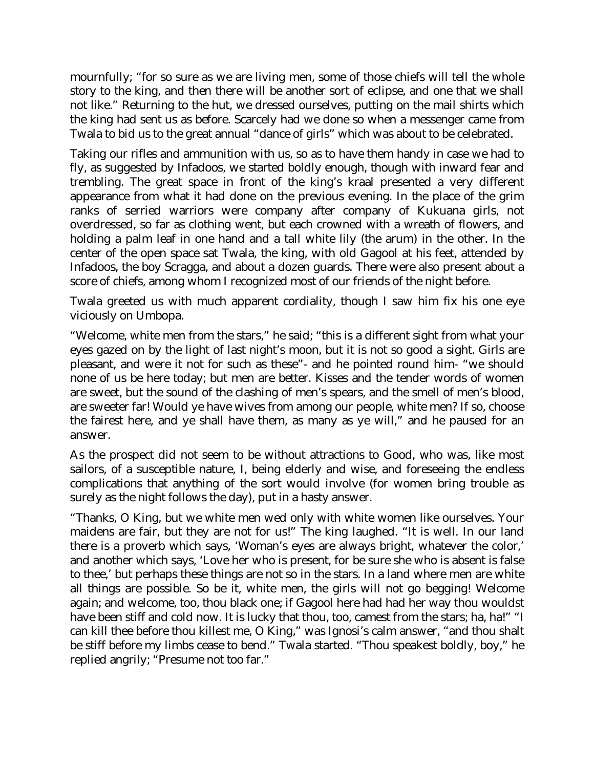mournfully; "for so sure as we are living men, some of those chiefs will tell the whole story to the king, and then there will be another sort of eclipse, and one that we shall not like." Returning to the hut, we dressed ourselves, putting on the mail shirts which the king had sent us as before. Scarcely had we done so when a messenger came from Twala to bid us to the great annual "dance of girls" which was about to be celebrated.

Taking our rifles and ammunition with us, so as to have them handy in case we had to fly, as suggested by Infadoos, we started boldly enough, though with inward fear and trembling. The great space in front of the king's kraal presented a very different appearance from what it had done on the previous evening. In the place of the grim ranks of serried warriors were company after company of Kukuana girls, not overdressed, so far as clothing went, but each crowned with a wreath of flowers, and holding a palm leaf in one hand and a tall white lily (the arum) in the other. In the center of the open space sat Twala, the king, with old Gagool at his feet, attended by Infadoos, the boy Scragga, and about a dozen guards. There were also present about a score of chiefs, among whom I recognized most of our friends of the night before.

Twala greeted us with much apparent cordiality, though I saw him fix his one eye viciously on Umbopa.

"Welcome, white men from the stars," he said; "this is a different sight from what your eyes gazed on by the light of last night's moon, but it is not so good a sight. Girls are pleasant, and were it not for such as these"- and he pointed round him- "we should none of us be here today; but men are better. Kisses and the tender words of women are sweet, but the sound of the clashing of men's spears, and the smell of men's blood, are sweeter far! Would ye have wives from among our people, white men? If so, choose the fairest here, and ye shall have them, as many as ye will," and he paused for an answer.

As the prospect did not seem to be without attractions to Good, who was, like most sailors, of a susceptible nature, I, being elderly and wise, and foreseeing the endless complications that anything of the sort would involve (for women bring trouble as surely as the night follows the day), put in a hasty answer.

"Thanks, O King, but we white men wed only with white women like ourselves. Your maidens are fair, but they are not for us!" The king laughed. "It is well. In our land there is a proverb which says, 'Woman's eyes are always bright, whatever the color,' and another which says, 'Love her who is present, for be sure she who is absent is false to thee,' but perhaps these things are not so in the stars. In a land where men are white all things are possible. So be it, white men, the girls will not go begging! Welcome again; and welcome, too, thou black one; if Gagool here had had her way thou wouldst have been stiff and cold now. It is lucky that thou, too, camest from the stars; ha, ha!" "I can kill thee before thou killest me, O King," was Ignosi's calm answer, "and thou shalt be stiff before my limbs cease to bend." Twala started. "Thou speakest boldly, boy," he replied angrily; "Presume not too far."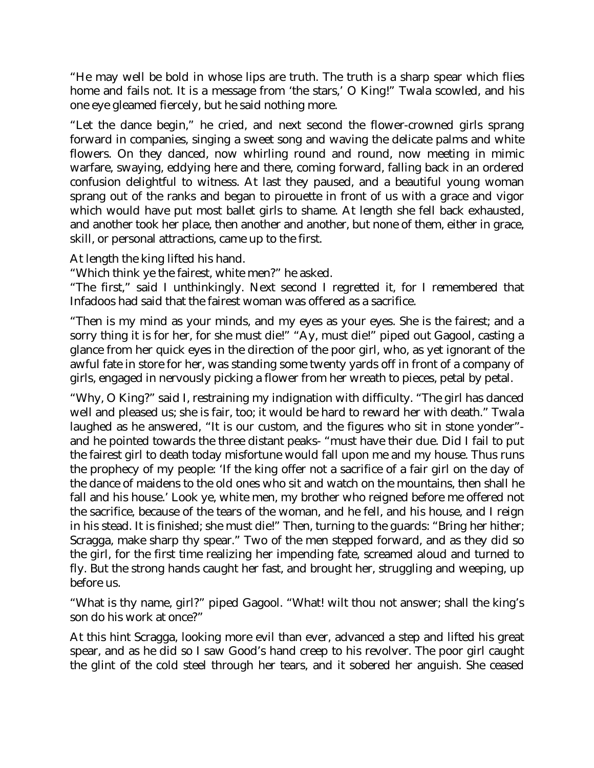"He may well be bold in whose lips are truth. The truth is a sharp spear which flies home and fails not. It is a message from 'the stars,' O King!" Twala scowled, and his one eye gleamed fiercely, but he said nothing more.

"Let the dance begin," he cried, and next second the flower-crowned girls sprang forward in companies, singing a sweet song and waving the delicate palms and white flowers. On they danced, now whirling round and round, now meeting in mimic warfare, swaying, eddying here and there, coming forward, falling back in an ordered confusion delightful to witness. At last they paused, and a beautiful young woman sprang out of the ranks and began to pirouette in front of us with a grace and vigor which would have put most ballet girls to shame. At length she fell back exhausted, and another took her place, then another and another, but none of them, either in grace, skill, or personal attractions, came up to the first.

At length the king lifted his hand.

"Which think ye the fairest, white men?" he asked.

"The first," said I unthinkingly. Next second I regretted it, for I remembered that Infadoos had said that the fairest woman was offered as a sacrifice.

"Then is my mind as your minds, and my eyes as your eyes. She is the fairest; and a sorry thing it is for her, for she must die!" "Ay, must die!" piped out Gagool, casting a glance from her quick eyes in the direction of the poor girl, who, as yet ignorant of the awful fate in store for her, was standing some twenty yards off in front of a company of girls, engaged in nervously picking a flower from her wreath to pieces, petal by petal.

"Why, O King?" said I, restraining my indignation with difficulty. "The girl has danced well and pleased us; she is fair, too; it would be hard to reward her with death." Twala laughed as he answered, "It is our custom, and the figures who sit in stone yonder" and he pointed towards the three distant peaks- "must have their due. Did I fail to put the fairest girl to death today misfortune would fall upon me and my house. Thus runs the prophecy of my people: 'If the king offer not a sacrifice of a fair girl on the day of the dance of maidens to the old ones who sit and watch on the mountains, then shall he fall and his house.' Look ye, white men, my brother who reigned before me offered not the sacrifice, because of the tears of the woman, and he fell, and his house, and I reign in his stead. It is finished; she must die!" Then, turning to the guards: "Bring her hither; Scragga, make sharp thy spear." Two of the men stepped forward, and as they did so the girl, for the first time realizing her impending fate, screamed aloud and turned to fly. But the strong hands caught her fast, and brought her, struggling and weeping, up before us.

"What is thy name, girl?" piped Gagool. "What! wilt thou not answer; shall the king's son do his work at once?"

At this hint Scragga, looking more evil than ever, advanced a step and lifted his great spear, and as he did so I saw Good's hand creep to his revolver. The poor girl caught the glint of the cold steel through her tears, and it sobered her anguish. She ceased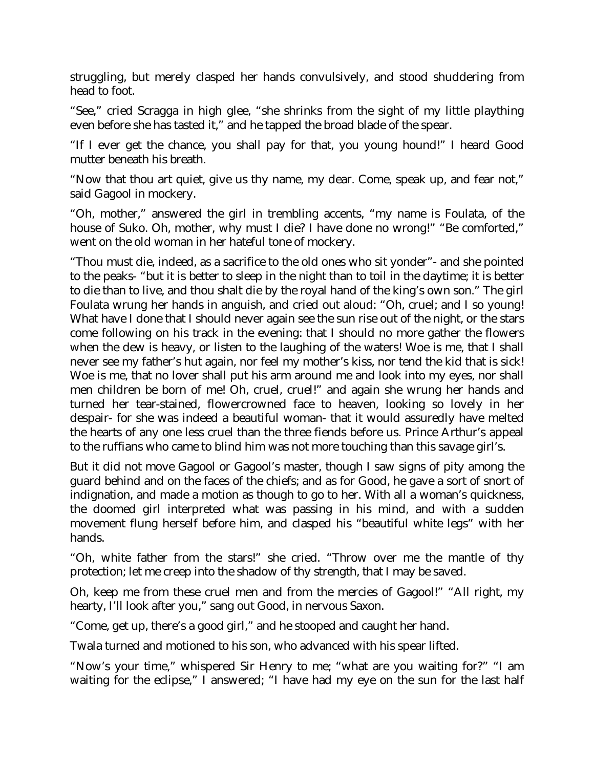struggling, but merely clasped her hands convulsively, and stood shuddering from head to foot.

"See," cried Scragga in high glee, "she shrinks from the sight of my little plaything even before she has tasted it," and he tapped the broad blade of the spear.

"If I ever get the chance, you shall pay for that, you young hound!" I heard Good mutter beneath his breath.

"Now that thou art quiet, give us thy name, my dear. Come, speak up, and fear not," said Gagool in mockery.

"Oh, mother," answered the girl in trembling accents, "my name is Foulata, of the house of Suko. Oh, mother, why must I die? I have done no wrong!" "Be comforted," went on the old woman in her hateful tone of mockery.

"Thou must die, indeed, as a sacrifice to the old ones who sit yonder"- and she pointed to the peaks- "but it is better to sleep in the night than to toil in the daytime; it is better to die than to live, and thou shalt die by the royal hand of the king's own son." The girl Foulata wrung her hands in anguish, and cried out aloud: "Oh, cruel; and I so young! What have I done that I should never again see the sun rise out of the night, or the stars come following on his track in the evening: that I should no more gather the flowers when the dew is heavy, or listen to the laughing of the waters! Woe is me, that I shall never see my father's hut again, nor feel my mother's kiss, nor tend the kid that is sick! Woe is me, that no lover shall put his arm around me and look into my eyes, nor shall men children be born of me! Oh, cruel, cruel!" and again she wrung her hands and turned her tear-stained, flowercrowned face to heaven, looking so lovely in her despair- for she was indeed a beautiful woman- that it would assuredly have melted the hearts of any one less cruel than the three fiends before us. Prince Arthur's appeal to the ruffians who came to blind him was not more touching than this savage girl's.

But it did not move Gagool or Gagool's master, though I saw signs of pity among the guard behind and on the faces of the chiefs; and as for Good, he gave a sort of snort of indignation, and made a motion as though to go to her. With all a woman's quickness, the doomed girl interpreted what was passing in his mind, and with a sudden movement flung herself before him, and clasped his "beautiful white legs" with her hands.

"Oh, white father from the stars!" she cried. "Throw over me the mantle of thy protection; let me creep into the shadow of thy strength, that I may be saved.

Oh, keep me from these cruel men and from the mercies of Gagool!" "All right, my hearty, I'll look after you," sang out Good, in nervous Saxon.

"Come, get up, there's a good girl," and he stooped and caught her hand.

Twala turned and motioned to his son, who advanced with his spear lifted.

"Now's your time," whispered Sir Henry to me; "what are you waiting for?" "I am waiting for the eclipse," I answered; "I have had my eye on the sun for the last half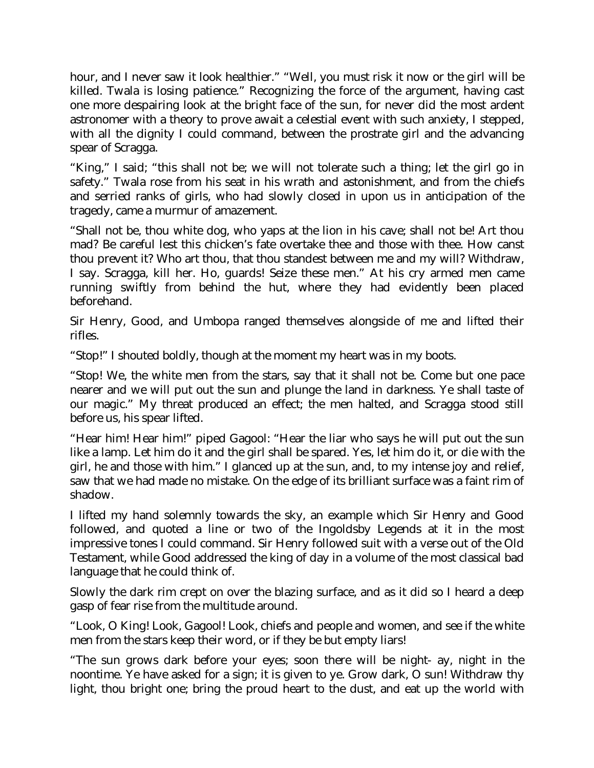hour, and I never saw it look healthier." "Well, you must risk it now or the girl will be killed. Twala is losing patience." Recognizing the force of the argument, having cast one more despairing look at the bright face of the sun, for never did the most ardent astronomer with a theory to prove await a celestial event with such anxiety, I stepped, with all the dignity I could command, between the prostrate girl and the advancing spear of Scragga.

"King," I said; "this shall not be; we will not tolerate such a thing; let the girl go in safety." Twala rose from his seat in his wrath and astonishment, and from the chiefs and serried ranks of girls, who had slowly closed in upon us in anticipation of the tragedy, came a murmur of amazement.

"Shall not be, thou white dog, who yaps at the lion in his cave; shall not be! Art thou mad? Be careful lest this chicken's fate overtake thee and those with thee. How canst thou prevent it? Who art thou, that thou standest between me and my will? Withdraw, I say. Scragga, kill her. Ho, guards! Seize these men." At his cry armed men came running swiftly from behind the hut, where they had evidently been placed beforehand.

Sir Henry, Good, and Umbopa ranged themselves alongside of me and lifted their rifles.

"Stop!" I shouted boldly, though at the moment my heart was in my boots.

"Stop! We, the white men from the stars, say that it shall not be. Come but one pace nearer and we will put out the sun and plunge the land in darkness. Ye shall taste of our magic." My threat produced an effect; the men halted, and Scragga stood still before us, his spear lifted.

"Hear him! Hear him!" piped Gagool: "Hear the liar who says he will put out the sun like a lamp. Let him do it and the girl shall be spared. Yes, let him do it, or die with the girl, he and those with him." I glanced up at the sun, and, to my intense joy and relief, saw that we had made no mistake. On the edge of its brilliant surface was a faint rim of shadow.

I lifted my hand solemnly towards the sky, an example which Sir Henry and Good followed, and quoted a line or two of the Ingoldsby Legends at it in the most impressive tones I could command. Sir Henry followed suit with a verse out of the Old Testament, while Good addressed the king of day in a volume of the most classical bad language that he could think of.

Slowly the dark rim crept on over the blazing surface, and as it did so I heard a deep gasp of fear rise from the multitude around.

"Look, O King! Look, Gagool! Look, chiefs and people and women, and see if the white men from the stars keep their word, or if they be but empty liars!

"The sun grows dark before your eyes; soon there will be night- ay, night in the noontime. Ye have asked for a sign; it is given to ye. Grow dark, O sun! Withdraw thy light, thou bright one; bring the proud heart to the dust, and eat up the world with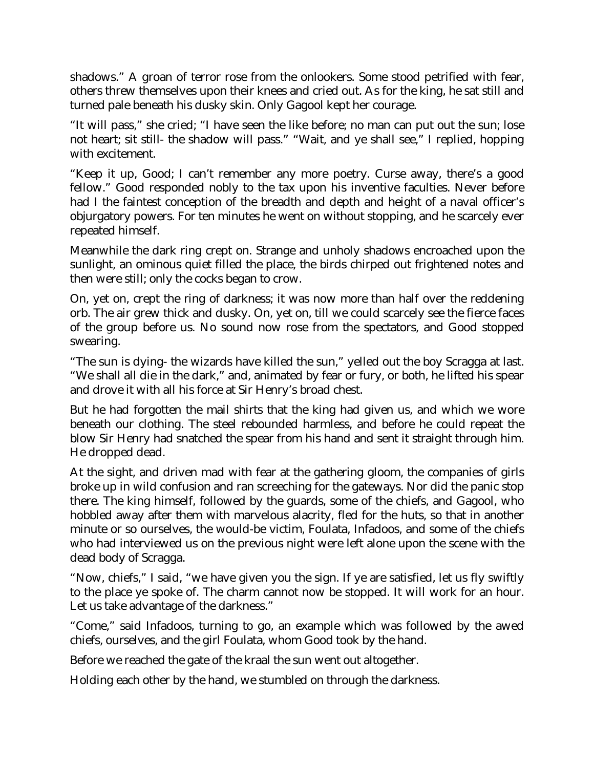shadows." A groan of terror rose from the onlookers. Some stood petrified with fear, others threw themselves upon their knees and cried out. As for the king, he sat still and turned pale beneath his dusky skin. Only Gagool kept her courage.

"It will pass," she cried; "I have seen the like before; no man can put out the sun; lose not heart; sit still- the shadow will pass." "Wait, and ye shall see," I replied, hopping with excitement.

"Keep it up, Good; I can't remember any more poetry. Curse away, there's a good fellow." Good responded nobly to the tax upon his inventive faculties. Never before had I the faintest conception of the breadth and depth and height of a naval officer's objurgatory powers. For ten minutes he went on without stopping, and he scarcely ever repeated himself.

Meanwhile the dark ring crept on. Strange and unholy shadows encroached upon the sunlight, an ominous quiet filled the place, the birds chirped out frightened notes and then were still; only the cocks began to crow.

On, yet on, crept the ring of darkness; it was now more than half over the reddening orb. The air grew thick and dusky. On, yet on, till we could scarcely see the fierce faces of the group before us. No sound now rose from the spectators, and Good stopped swearing.

"The sun is dying- the wizards have killed the sun," yelled out the boy Scragga at last. "We shall all die in the dark," and, animated by fear or fury, or both, he lifted his spear and drove it with all his force at Sir Henry's broad chest.

But he had forgotten the mail shirts that the king had given us, and which we wore beneath our clothing. The steel rebounded harmless, and before he could repeat the blow Sir Henry had snatched the spear from his hand and sent it straight through him. He dropped dead.

At the sight, and driven mad with fear at the gathering gloom, the companies of girls broke up in wild confusion and ran screeching for the gateways. Nor did the panic stop there. The king himself, followed by the guards, some of the chiefs, and Gagool, who hobbled away after them with marvelous alacrity, fled for the huts, so that in another minute or so ourselves, the would-be victim, Foulata, Infadoos, and some of the chiefs who had interviewed us on the previous night were left alone upon the scene with the dead body of Scragga.

"Now, chiefs," I said, "we have given you the sign. If ye are satisfied, let us fly swiftly to the place ye spoke of. The charm cannot now be stopped. It will work for an hour. Let us take advantage of the darkness."

"Come," said Infadoos, turning to go, an example which was followed by the awed chiefs, ourselves, and the girl Foulata, whom Good took by the hand.

Before we reached the gate of the kraal the sun went out altogether.

Holding each other by the hand, we stumbled on through the darkness.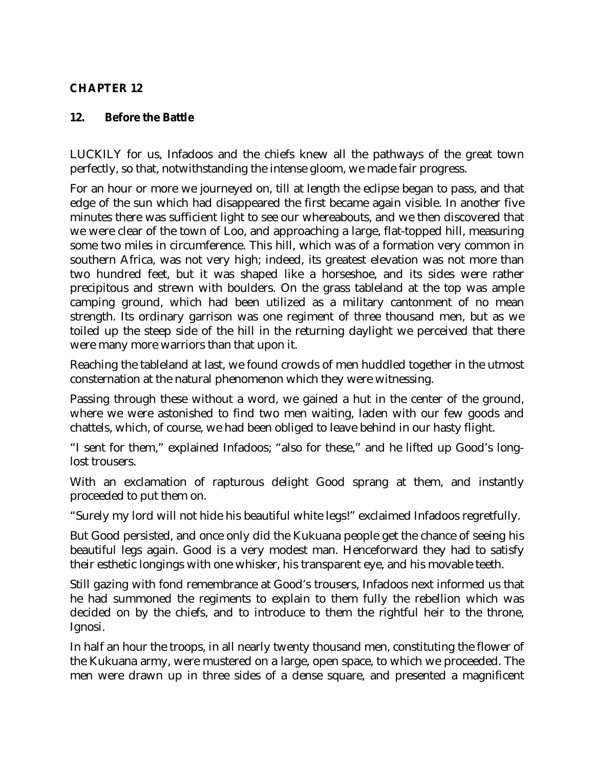## **CHAPTER 12**

### **12. Before the Battle**

LUCKILY for us, Infadoos and the chiefs knew all the pathways of the great town perfectly, so that, notwithstanding the intense gloom, we made fair progress.

For an hour or more we journeyed on, till at length the eclipse began to pass, and that edge of the sun which had disappeared the first became again visible. In another five minutes there was sufficient light to see our whereabouts, and we then discovered that we were clear of the town of Loo, and approaching a large, flat-topped hill, measuring some two miles in circumference. This hill, which was of a formation very common in southern Africa, was not very high; indeed, its greatest elevation was not more than two hundred feet, but it was shaped like a horseshoe, and its sides were rather precipitous and strewn with boulders. On the grass tableland at the top was ample camping ground, which had been utilized as a military cantonment of no mean strength. Its ordinary garrison was one regiment of three thousand men, but as we toiled up the steep side of the hill in the returning daylight we perceived that there were many more warriors than that upon it.

Reaching the tableland at last, we found crowds of men huddled together in the utmost consternation at the natural phenomenon which they were witnessing.

Passing through these without a word, we gained a hut in the center of the ground, where we were astonished to find two men waiting, laden with our few goods and chattels, which, of course, we had been obliged to leave behind in our hasty flight.

"I sent for them," explained Infadoos; "also for these," and he lifted up Good's longlost trousers.

With an exclamation of rapturous delight Good sprang at them, and instantly proceeded to put them on.

"Surely my lord will not hide his beautiful white legs!" exclaimed Infadoos regretfully.

But Good persisted, and once only did the Kukuana people get the chance of seeing his beautiful legs again. Good is a very modest man. Henceforward they had to satisfy their esthetic longings with one whisker, his transparent eye, and his movable teeth.

Still gazing with fond remembrance at Good's trousers, Infadoos next informed us that he had summoned the regiments to explain to them fully the rebellion which was decided on by the chiefs, and to introduce to them the rightful heir to the throne, Ignosi.

In half an hour the troops, in all nearly twenty thousand men, constituting the flower of the Kukuana army, were mustered on a large, open space, to which we proceeded. The men were drawn up in three sides of a dense square, and presented a magnificent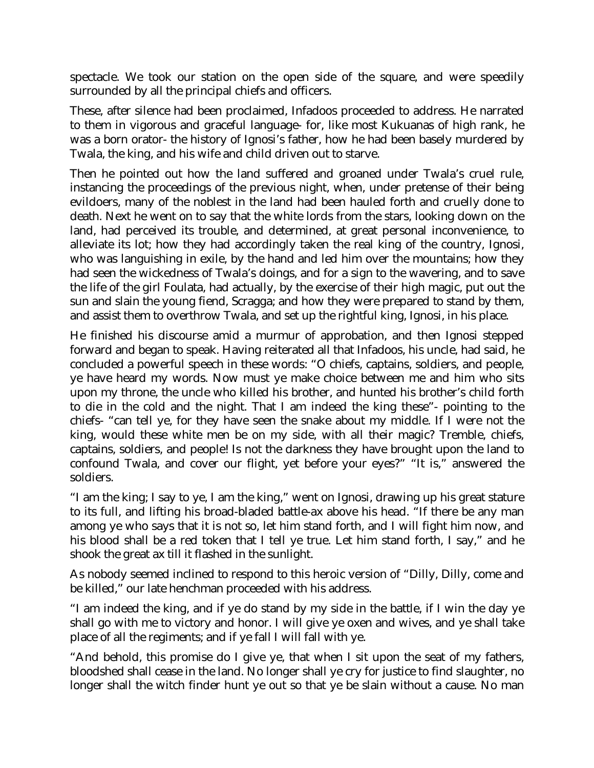spectacle. We took our station on the open side of the square, and were speedily surrounded by all the principal chiefs and officers.

These, after silence had been proclaimed, Infadoos proceeded to address. He narrated to them in vigorous and graceful language- for, like most Kukuanas of high rank, he was a born orator- the history of Ignosi's father, how he had been basely murdered by Twala, the king, and his wife and child driven out to starve.

Then he pointed out how the land suffered and groaned under Twala's cruel rule, instancing the proceedings of the previous night, when, under pretense of their being evildoers, many of the noblest in the land had been hauled forth and cruelly done to death. Next he went on to say that the white lords from the stars, looking down on the land, had perceived its trouble, and determined, at great personal inconvenience, to alleviate its lot; how they had accordingly taken the real king of the country, Ignosi, who was languishing in exile, by the hand and led him over the mountains; how they had seen the wickedness of Twala's doings, and for a sign to the wavering, and to save the life of the girl Foulata, had actually, by the exercise of their high magic, put out the sun and slain the young fiend, Scragga; and how they were prepared to stand by them, and assist them to overthrow Twala, and set up the rightful king, Ignosi, in his place.

He finished his discourse amid a murmur of approbation, and then Ignosi stepped forward and began to speak. Having reiterated all that Infadoos, his uncle, had said, he concluded a powerful speech in these words: "O chiefs, captains, soldiers, and people, ye have heard my words. Now must ye make choice between me and him who sits upon my throne, the uncle who killed his brother, and hunted his brother's child forth to die in the cold and the night. That I am indeed the king these"- pointing to the chiefs- "can tell ye, for they have seen the snake about my middle. If I were not the king, would these white men be on my side, with all their magic? Tremble, chiefs, captains, soldiers, and people! Is not the darkness they have brought upon the land to confound Twala, and cover our flight, yet before your eyes?" "It is," answered the soldiers.

"I am the king; I say to ye, I am the king," went on Ignosi, drawing up his great stature to its full, and lifting his broad-bladed battle-ax above his head. "If there be any man among ye who says that it is not so, let him stand forth, and I will fight him now, and his blood shall be a red token that I tell ye true. Let him stand forth, I say," and he shook the great ax till it flashed in the sunlight.

As nobody seemed inclined to respond to this heroic version of "Dilly, Dilly, come and be killed," our late henchman proceeded with his address.

"I am indeed the king, and if ye do stand by my side in the battle, if I win the day ye shall go with me to victory and honor. I will give ye oxen and wives, and ye shall take place of all the regiments; and if ye fall I will fall with ye.

"And behold, this promise do I give ye, that when I sit upon the seat of my fathers, bloodshed shall cease in the land. No longer shall ye cry for justice to find slaughter, no longer shall the witch finder hunt ye out so that ye be slain without a cause. No man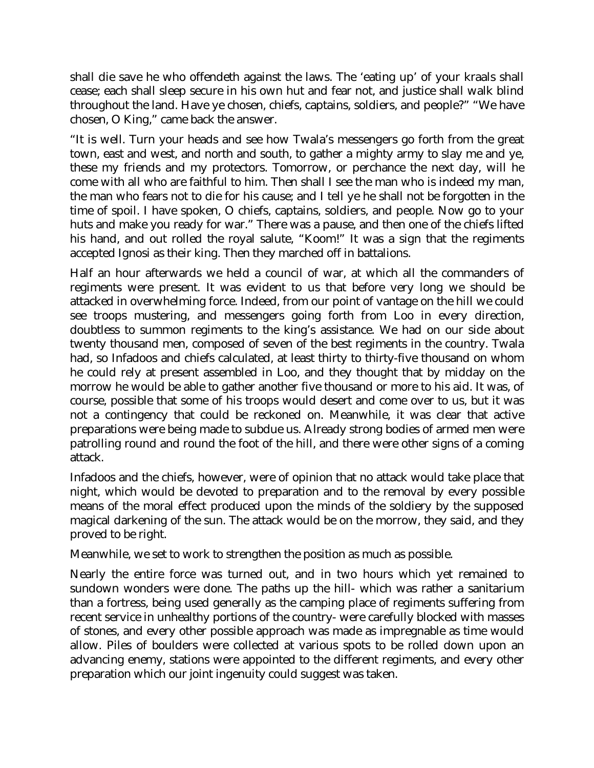shall die save he who offendeth against the laws. The 'eating up' of your kraals shall cease; each shall sleep secure in his own hut and fear not, and justice shall walk blind throughout the land. Have ye chosen, chiefs, captains, soldiers, and people?" "We have chosen, O King," came back the answer.

"It is well. Turn your heads and see how Twala's messengers go forth from the great town, east and west, and north and south, to gather a mighty army to slay me and ye, these my friends and my protectors. Tomorrow, or perchance the next day, will he come with all who are faithful to him. Then shall I see the man who is indeed my man, the man who fears not to die for his cause; and I tell ye he shall not be forgotten in the time of spoil. I have spoken, O chiefs, captains, soldiers, and people. Now go to your huts and make you ready for war." There was a pause, and then one of the chiefs lifted his hand, and out rolled the royal salute, "Koom!" It was a sign that the regiments accepted Ignosi as their king. Then they marched off in battalions.

Half an hour afterwards we held a council of war, at which all the commanders of regiments were present. It was evident to us that before very long we should be attacked in overwhelming force. Indeed, from our point of vantage on the hill we could see troops mustering, and messengers going forth from Loo in every direction, doubtless to summon regiments to the king's assistance. We had on our side about twenty thousand men, composed of seven of the best regiments in the country. Twala had, so Infadoos and chiefs calculated, at least thirty to thirty-five thousand on whom he could rely at present assembled in Loo, and they thought that by midday on the morrow he would be able to gather another five thousand or more to his aid. It was, of course, possible that some of his troops would desert and come over to us, but it was not a contingency that could be reckoned on. Meanwhile, it was clear that active preparations were being made to subdue us. Already strong bodies of armed men were patrolling round and round the foot of the hill, and there were other signs of a coming attack.

Infadoos and the chiefs, however, were of opinion that no attack would take place that night, which would be devoted to preparation and to the removal by every possible means of the moral effect produced upon the minds of the soldiery by the supposed magical darkening of the sun. The attack would be on the morrow, they said, and they proved to be right.

Meanwhile, we set to work to strengthen the position as much as possible.

Nearly the entire force was turned out, and in two hours which yet remained to sundown wonders were done. The paths up the hill- which was rather a sanitarium than a fortress, being used generally as the camping place of regiments suffering from recent service in unhealthy portions of the country- were carefully blocked with masses of stones, and every other possible approach was made as impregnable as time would allow. Piles of boulders were collected at various spots to be rolled down upon an advancing enemy, stations were appointed to the different regiments, and every other preparation which our joint ingenuity could suggest was taken.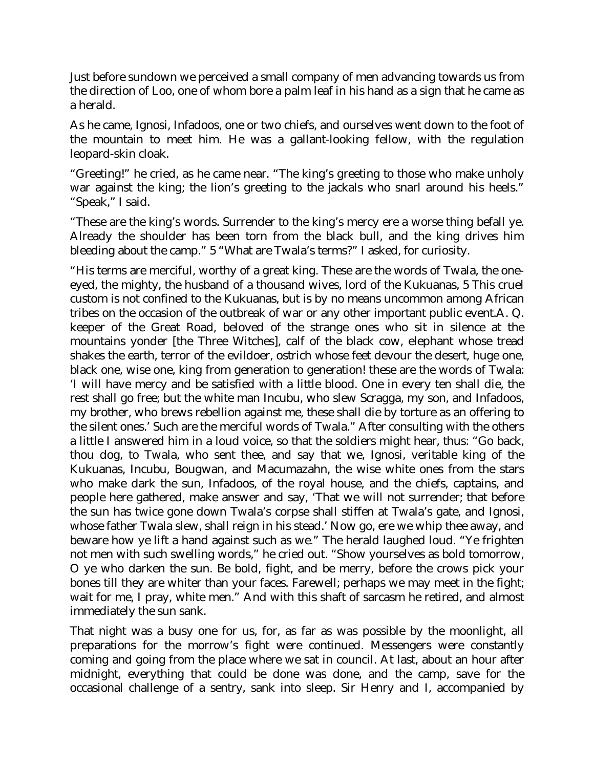Just before sundown we perceived a small company of men advancing towards us from the direction of Loo, one of whom bore a palm leaf in his hand as a sign that he came as a herald.

As he came, Ignosi, Infadoos, one or two chiefs, and ourselves went down to the foot of the mountain to meet him. He was a gallant-looking fellow, with the regulation leopard-skin cloak.

"Greeting!" he cried, as he came near. "The king's greeting to those who make unholy war against the king; the lion's greeting to the jackals who snarl around his heels." "Speak," I said.

"These are the king's words. Surrender to the king's mercy ere a worse thing befall ye. Already the shoulder has been torn from the black bull, and the king drives him bleeding about the camp." 5 "What are Twala's terms?" I asked, for curiosity.

"His terms are merciful, worthy of a great king. These are the words of Twala, the oneeyed, the mighty, the husband of a thousand wives, lord of the Kukuanas, 5 This cruel custom is not confined to the Kukuanas, but is by no means uncommon among African tribes on the occasion of the outbreak of war or any other important public event.A. Q. keeper of the Great Road, beloved of the strange ones who sit in silence at the mountains yonder [the Three Witches], calf of the black cow, elephant whose tread shakes the earth, terror of the evildoer, ostrich whose feet devour the desert, huge one, black one, wise one, king from generation to generation! these are the words of Twala: 'I will have mercy and be satisfied with a little blood. One in every ten shall die, the rest shall go free; but the white man Incubu, who slew Scragga, my son, and Infadoos, my brother, who brews rebellion against me, these shall die by torture as an offering to the silent ones.' Such are the merciful words of Twala." After consulting with the others a little I answered him in a loud voice, so that the soldiers might hear, thus: "Go back, thou dog, to Twala, who sent thee, and say that we, Ignosi, veritable king of the Kukuanas, Incubu, Bougwan, and Macumazahn, the wise white ones from the stars who make dark the sun, Infadoos, of the royal house, and the chiefs, captains, and people here gathered, make answer and say, 'That we will not surrender; that before the sun has twice gone down Twala's corpse shall stiffen at Twala's gate, and Ignosi, whose father Twala slew, shall reign in his stead.' Now go, ere we whip thee away, and beware how ye lift a hand against such as we." The herald laughed loud. "Ye frighten not men with such swelling words," he cried out. "Show yourselves as bold tomorrow, O ye who darken the sun. Be bold, fight, and be merry, before the crows pick your bones till they are whiter than your faces. Farewell; perhaps we may meet in the fight; wait for me, I pray, white men." And with this shaft of sarcasm he retired, and almost immediately the sun sank.

That night was a busy one for us, for, as far as was possible by the moonlight, all preparations for the morrow's fight were continued. Messengers were constantly coming and going from the place where we sat in council. At last, about an hour after midnight, everything that could be done was done, and the camp, save for the occasional challenge of a sentry, sank into sleep. Sir Henry and I, accompanied by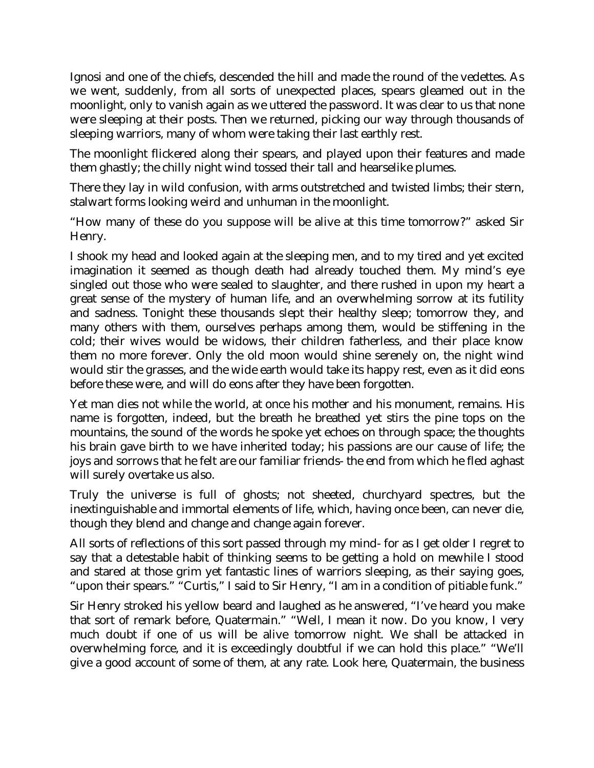Ignosi and one of the chiefs, descended the hill and made the round of the vedettes. As we went, suddenly, from all sorts of unexpected places, spears gleamed out in the moonlight, only to vanish again as we uttered the password. It was clear to us that none were sleeping at their posts. Then we returned, picking our way through thousands of sleeping warriors, many of whom were taking their last earthly rest.

The moonlight flickered along their spears, and played upon their features and made them ghastly; the chilly night wind tossed their tall and hearselike plumes.

There they lay in wild confusion, with arms outstretched and twisted limbs; their stern, stalwart forms looking weird and unhuman in the moonlight.

"How many of these do you suppose will be alive at this time tomorrow?" asked Sir Henry.

I shook my head and looked again at the sleeping men, and to my tired and yet excited imagination it seemed as though death had already touched them. My mind's eye singled out those who were sealed to slaughter, and there rushed in upon my heart a great sense of the mystery of human life, and an overwhelming sorrow at its futility and sadness. Tonight these thousands slept their healthy sleep; tomorrow they, and many others with them, ourselves perhaps among them, would be stiffening in the cold; their wives would be widows, their children fatherless, and their place know them no more forever. Only the old moon would shine serenely on, the night wind would stir the grasses, and the wide earth would take its happy rest, even as it did eons before these were, and will do eons after they have been forgotten.

Yet man dies not while the world, at once his mother and his monument, remains. His name is forgotten, indeed, but the breath he breathed yet stirs the pine tops on the mountains, the sound of the words he spoke yet echoes on through space; the thoughts his brain gave birth to we have inherited today; his passions are our cause of life; the joys and sorrows that he felt are our familiar friends- the end from which he fled aghast will surely overtake us also.

Truly the universe is full of ghosts; not sheeted, churchyard spectres, but the inextinguishable and immortal elements of life, which, having once been, can never die, though they blend and change and change again forever.

All sorts of reflections of this sort passed through my mind- for as I get older I regret to say that a detestable habit of thinking seems to be getting a hold on mewhile I stood and stared at those grim yet fantastic lines of warriors sleeping, as their saying goes, "upon their spears." "Curtis," I said to Sir Henry, "I am in a condition of pitiable funk."

Sir Henry stroked his yellow beard and laughed as he answered, "I've heard you make that sort of remark before, Quatermain." "Well, I mean it now. Do you know, I very much doubt if one of us will be alive tomorrow night. We shall be attacked in overwhelming force, and it is exceedingly doubtful if we can hold this place." "We'll give a good account of some of them, at any rate. Look here, Quatermain, the business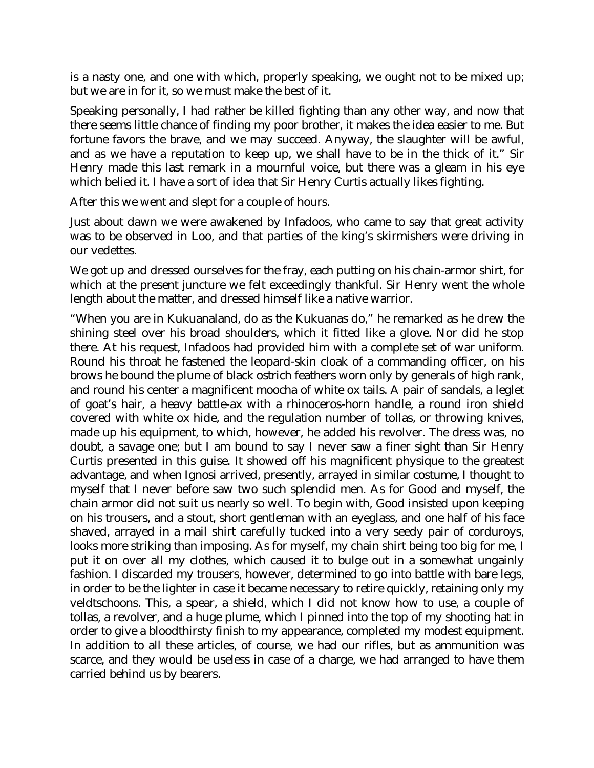is a nasty one, and one with which, properly speaking, we ought not to be mixed up; but we are in for it, so we must make the best of it.

Speaking personally, I had rather be killed fighting than any other way, and now that there seems little chance of finding my poor brother, it makes the idea easier to me. But fortune favors the brave, and we may succeed. Anyway, the slaughter will be awful, and as we have a reputation to keep up, we shall have to be in the thick of it." Sir Henry made this last remark in a mournful voice, but there was a gleam in his eye which belied it. I have a sort of idea that Sir Henry Curtis actually likes fighting.

After this we went and slept for a couple of hours.

Just about dawn we were awakened by Infadoos, who came to say that great activity was to be observed in Loo, and that parties of the king's skirmishers were driving in our vedettes.

We got up and dressed ourselves for the fray, each putting on his chain-armor shirt, for which at the present juncture we felt exceedingly thankful. Sir Henry went the whole length about the matter, and dressed himself like a native warrior.

"When you are in Kukuanaland, do as the Kukuanas do," he remarked as he drew the shining steel over his broad shoulders, which it fitted like a glove. Nor did he stop there. At his request, Infadoos had provided him with a complete set of war uniform. Round his throat he fastened the leopard-skin cloak of a commanding officer, on his brows he bound the plume of black ostrich feathers worn only by generals of high rank, and round his center a magnificent moocha of white ox tails. A pair of sandals, a leglet of goat's hair, a heavy battle-ax with a rhinoceros-horn handle, a round iron shield covered with white ox hide, and the regulation number of tollas, or throwing knives, made up his equipment, to which, however, he added his revolver. The dress was, no doubt, a savage one; but I am bound to say I never saw a finer sight than Sir Henry Curtis presented in this guise. It showed off his magnificent physique to the greatest advantage, and when Ignosi arrived, presently, arrayed in similar costume, I thought to myself that I never before saw two such splendid men. As for Good and myself, the chain armor did not suit us nearly so well. To begin with, Good insisted upon keeping on his trousers, and a stout, short gentleman with an eyeglass, and one half of his face shaved, arrayed in a mail shirt carefully tucked into a very seedy pair of corduroys, looks more striking than imposing. As for myself, my chain shirt being too big for me, I put it on over all my clothes, which caused it to bulge out in a somewhat ungainly fashion. I discarded my trousers, however, determined to go into battle with bare legs, in order to be the lighter in case it became necessary to retire quickly, retaining only my veldtschoons. This, a spear, a shield, which I did not know how to use, a couple of tollas, a revolver, and a huge plume, which I pinned into the top of my shooting hat in order to give a bloodthirsty finish to my appearance, completed my modest equipment. In addition to all these articles, of course, we had our rifles, but as ammunition was scarce, and they would be useless in case of a charge, we had arranged to have them carried behind us by bearers.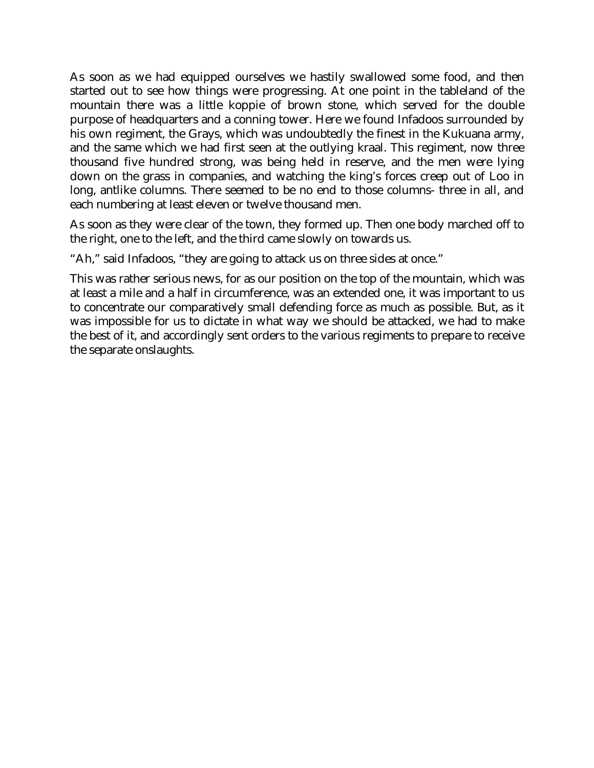As soon as we had equipped ourselves we hastily swallowed some food, and then started out to see how things were progressing. At one point in the tableland of the mountain there was a little koppie of brown stone, which served for the double purpose of headquarters and a conning tower. Here we found Infadoos surrounded by his own regiment, the Grays, which was undoubtedly the finest in the Kukuana army, and the same which we had first seen at the outlying kraal. This regiment, now three thousand five hundred strong, was being held in reserve, and the men were lying down on the grass in companies, and watching the king's forces creep out of Loo in long, antlike columns. There seemed to be no end to those columns- three in all, and each numbering at least eleven or twelve thousand men.

As soon as they were clear of the town, they formed up. Then one body marched off to the right, one to the left, and the third came slowly on towards us.

"Ah," said Infadoos, "they are going to attack us on three sides at once."

This was rather serious news, for as our position on the top of the mountain, which was at least a mile and a half in circumference, was an extended one, it was important to us to concentrate our comparatively small defending force as much as possible. But, as it was impossible for us to dictate in what way we should be attacked, we had to make the best of it, and accordingly sent orders to the various regiments to prepare to receive the separate onslaughts.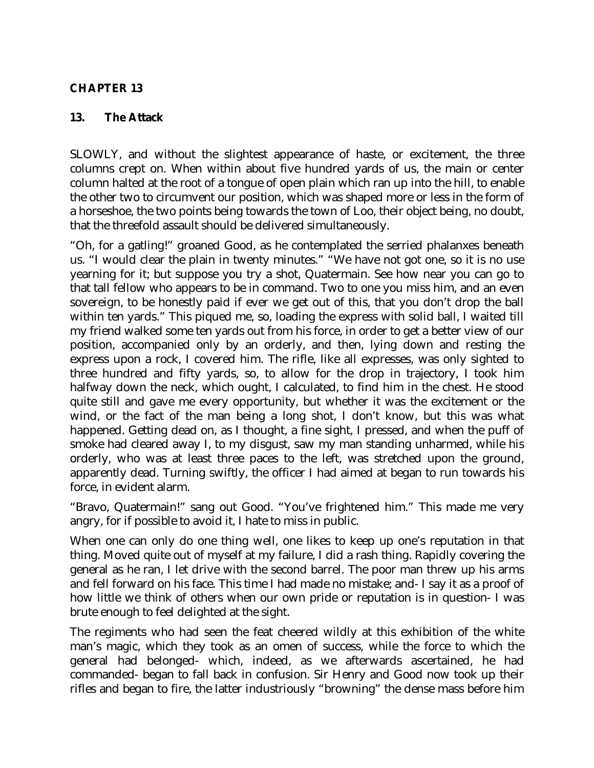## **CHAPTER 13**

### **13. The Attack**

SLOWLY, and without the slightest appearance of haste, or excitement, the three columns crept on. When within about five hundred yards of us, the main or center column halted at the root of a tongue of open plain which ran up into the hill, to enable the other two to circumvent our position, which was shaped more or less in the form of a horseshoe, the two points being towards the town of Loo, their object being, no doubt, that the threefold assault should be delivered simultaneously.

"Oh, for a gatling!" groaned Good, as he contemplated the serried phalanxes beneath us. "I would clear the plain in twenty minutes." "We have not got one, so it is no use yearning for it; but suppose you try a shot, Quatermain. See how near you can go to that tall fellow who appears to be in command. Two to one you miss him, and an even sovereign, to be honestly paid if ever we get out of this, that you don't drop the ball within ten yards." This piqued me, so, loading the express with solid ball, I waited till my friend walked some ten yards out from his force, in order to get a better view of our position, accompanied only by an orderly, and then, lying down and resting the express upon a rock, I covered him. The rifle, like all expresses, was only sighted to three hundred and fifty yards, so, to allow for the drop in trajectory, I took him halfway down the neck, which ought, I calculated, to find him in the chest. He stood quite still and gave me every opportunity, but whether it was the excitement or the wind, or the fact of the man being a long shot, I don't know, but this was what happened. Getting dead on, as I thought, a fine sight, I pressed, and when the puff of smoke had cleared away I, to my disgust, saw my man standing unharmed, while his orderly, who was at least three paces to the left, was stretched upon the ground, apparently dead. Turning swiftly, the officer I had aimed at began to run towards his force, in evident alarm.

"Bravo, Quatermain!" sang out Good. "You've frightened him." This made me very angry, for if possible to avoid it, I hate to miss in public.

When one can only do one thing well, one likes to keep up one's reputation in that thing. Moved quite out of myself at my failure, I did a rash thing. Rapidly covering the general as he ran, I let drive with the second barrel. The poor man threw up his arms and fell forward on his face. This time I had made no mistake; and- I say it as a proof of how little we think of others when our own pride or reputation is in question- I was brute enough to feel delighted at the sight.

The regiments who had seen the feat cheered wildly at this exhibition of the white man's magic, which they took as an omen of success, while the force to which the general had belonged- which, indeed, as we afterwards ascertained, he had commanded- began to fall back in confusion. Sir Henry and Good now took up their rifles and began to fire, the latter industriously "browning" the dense mass before him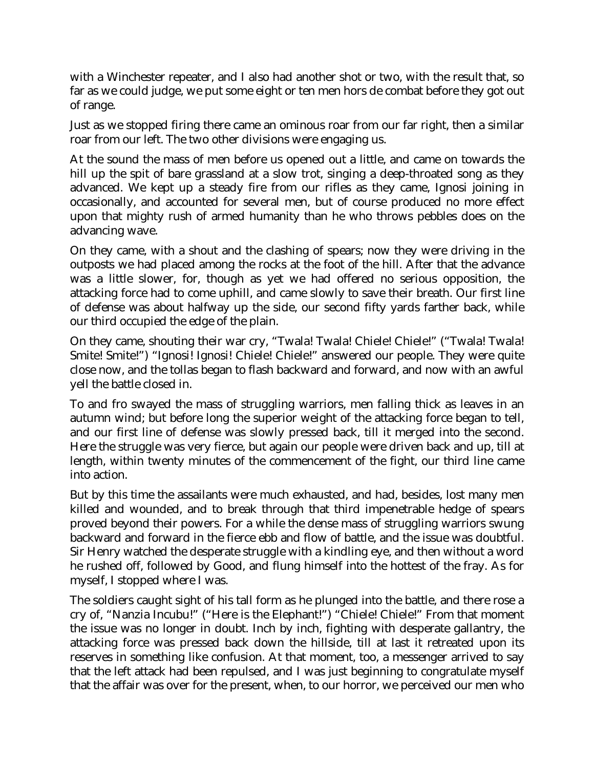with a Winchester repeater, and I also had another shot or two, with the result that, so far as we could judge, we put some eight or ten men hors de combat before they got out of range.

Just as we stopped firing there came an ominous roar from our far right, then a similar roar from our left. The two other divisions were engaging us.

At the sound the mass of men before us opened out a little, and came on towards the hill up the spit of bare grassland at a slow trot, singing a deep-throated song as they advanced. We kept up a steady fire from our rifles as they came, Ignosi joining in occasionally, and accounted for several men, but of course produced no more effect upon that mighty rush of armed humanity than he who throws pebbles does on the advancing wave.

On they came, with a shout and the clashing of spears; now they were driving in the outposts we had placed among the rocks at the foot of the hill. After that the advance was a little slower, for, though as yet we had offered no serious opposition, the attacking force had to come uphill, and came slowly to save their breath. Our first line of defense was about halfway up the side, our second fifty yards farther back, while our third occupied the edge of the plain.

On they came, shouting their war cry, "Twala! Twala! Chiele! Chiele!" ("Twala! Twala! Smite! Smite!") "Ignosi! Ignosi! Chiele! Chiele!" answered our people. They were quite close now, and the tollas began to flash backward and forward, and now with an awful yell the battle closed in.

To and fro swayed the mass of struggling warriors, men falling thick as leaves in an autumn wind; but before long the superior weight of the attacking force began to tell, and our first line of defense was slowly pressed back, till it merged into the second. Here the struggle was very fierce, but again our people were driven back and up, till at length, within twenty minutes of the commencement of the fight, our third line came into action.

But by this time the assailants were much exhausted, and had, besides, lost many men killed and wounded, and to break through that third impenetrable hedge of spears proved beyond their powers. For a while the dense mass of struggling warriors swung backward and forward in the fierce ebb and flow of battle, and the issue was doubtful. Sir Henry watched the desperate struggle with a kindling eye, and then without a word he rushed off, followed by Good, and flung himself into the hottest of the fray. As for myself, I stopped where I was.

The soldiers caught sight of his tall form as he plunged into the battle, and there rose a cry of, "Nanzia Incubu!" ("Here is the Elephant!") "Chiele! Chiele!" From that moment the issue was no longer in doubt. Inch by inch, fighting with desperate gallantry, the attacking force was pressed back down the hillside, till at last it retreated upon its reserves in something like confusion. At that moment, too, a messenger arrived to say that the left attack had been repulsed, and I was just beginning to congratulate myself that the affair was over for the present, when, to our horror, we perceived our men who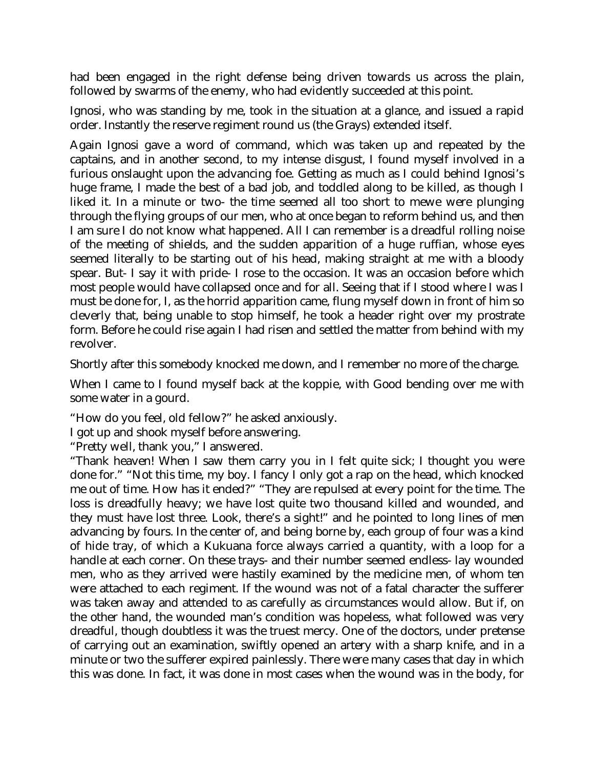had been engaged in the right defense being driven towards us across the plain, followed by swarms of the enemy, who had evidently succeeded at this point.

Ignosi, who was standing by me, took in the situation at a glance, and issued a rapid order. Instantly the reserve regiment round us (the Grays) extended itself.

Again Ignosi gave a word of command, which was taken up and repeated by the captains, and in another second, to my intense disgust, I found myself involved in a furious onslaught upon the advancing foe. Getting as much as I could behind Ignosi's huge frame, I made the best of a bad job, and toddled along to be killed, as though I liked it. In a minute or two- the time seemed all too short to mewe were plunging through the flying groups of our men, who at once began to reform behind us, and then I am sure I do not know what happened. All I can remember is a dreadful rolling noise of the meeting of shields, and the sudden apparition of a huge ruffian, whose eyes seemed literally to be starting out of his head, making straight at me with a bloody spear. But- I say it with pride- I rose to the occasion. It was an occasion before which most people would have collapsed once and for all. Seeing that if I stood where I was I must be done for, I, as the horrid apparition came, flung myself down in front of him so cleverly that, being unable to stop himself, he took a header right over my prostrate form. Before he could rise again I had risen and settled the matter from behind with my revolver.

Shortly after this somebody knocked me down, and I remember no more of the charge.

When I came to I found myself back at the koppie, with Good bending over me with some water in a gourd.

"How do you feel, old fellow?" he asked anxiously.

I got up and shook myself before answering.

"Pretty well, thank you," I answered.

"Thank heaven! When I saw them carry you in I felt quite sick; I thought you were done for." "Not this time, my boy. I fancy I only got a rap on the head, which knocked me out of time. How has it ended?" "They are repulsed at every point for the time. The loss is dreadfully heavy; we have lost quite two thousand killed and wounded, and they must have lost three. Look, there's a sight!" and he pointed to long lines of men advancing by fours. In the center of, and being borne by, each group of four was a kind of hide tray, of which a Kukuana force always carried a quantity, with a loop for a handle at each corner. On these trays- and their number seemed endless- lay wounded men, who as they arrived were hastily examined by the medicine men, of whom ten were attached to each regiment. If the wound was not of a fatal character the sufferer was taken away and attended to as carefully as circumstances would allow. But if, on the other hand, the wounded man's condition was hopeless, what followed was very dreadful, though doubtless it was the truest mercy. One of the doctors, under pretense of carrying out an examination, swiftly opened an artery with a sharp knife, and in a minute or two the sufferer expired painlessly. There were many cases that day in which this was done. In fact, it was done in most cases when the wound was in the body, for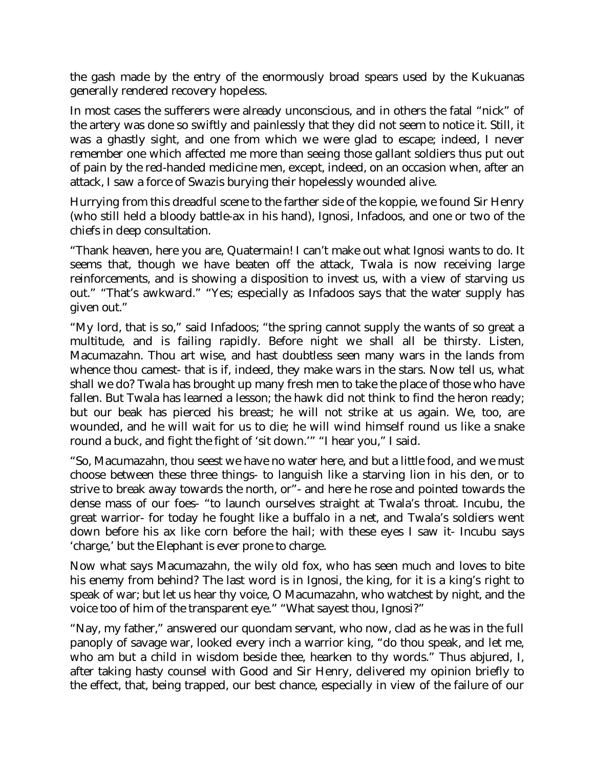the gash made by the entry of the enormously broad spears used by the Kukuanas generally rendered recovery hopeless.

In most cases the sufferers were already unconscious, and in others the fatal "nick" of the artery was done so swiftly and painlessly that they did not seem to notice it. Still, it was a ghastly sight, and one from which we were glad to escape; indeed, I never remember one which affected me more than seeing those gallant soldiers thus put out of pain by the red-handed medicine men, except, indeed, on an occasion when, after an attack, I saw a force of Swazis burying their hopelessly wounded alive.

Hurrying from this dreadful scene to the farther side of the koppie, we found Sir Henry (who still held a bloody battle-ax in his hand), Ignosi, Infadoos, and one or two of the chiefs in deep consultation.

"Thank heaven, here you are, Quatermain! I can't make out what Ignosi wants to do. It seems that, though we have beaten off the attack, Twala is now receiving large reinforcements, and is showing a disposition to invest us, with a view of starving us out." "That's awkward." "Yes; especially as Infadoos says that the water supply has given out."

"My lord, that is so," said Infadoos; "the spring cannot supply the wants of so great a multitude, and is failing rapidly. Before night we shall all be thirsty. Listen, Macumazahn. Thou art wise, and hast doubtless seen many wars in the lands from whence thou camest- that is if, indeed, they make wars in the stars. Now tell us, what shall we do? Twala has brought up many fresh men to take the place of those who have fallen. But Twala has learned a lesson; the hawk did not think to find the heron ready; but our beak has pierced his breast; he will not strike at us again. We, too, are wounded, and he will wait for us to die; he will wind himself round us like a snake round a buck, and fight the fight of 'sit down.'" "I hear you," I said.

"So, Macumazahn, thou seest we have no water here, and but a little food, and we must choose between these three things- to languish like a starving lion in his den, or to strive to break away towards the north, or"- and here he rose and pointed towards the dense mass of our foes- "to launch ourselves straight at Twala's throat. Incubu, the great warrior- for today he fought like a buffalo in a net, and Twala's soldiers went down before his ax like corn before the hail; with these eyes I saw it- Incubu says 'charge,' but the Elephant is ever prone to charge.

Now what says Macumazahn, the wily old fox, who has seen much and loves to bite his enemy from behind? The last word is in Ignosi, the king, for it is a king's right to speak of war; but let us hear thy voice, O Macumazahn, who watchest by night, and the voice too of him of the transparent eye." "What sayest thou, Ignosi?"

"Nay, my father," answered our quondam servant, who now, clad as he was in the full panoply of savage war, looked every inch a warrior king, "do thou speak, and let me, who am but a child in wisdom beside thee, hearken to thy words." Thus abjured, I, after taking hasty counsel with Good and Sir Henry, delivered my opinion briefly to the effect, that, being trapped, our best chance, especially in view of the failure of our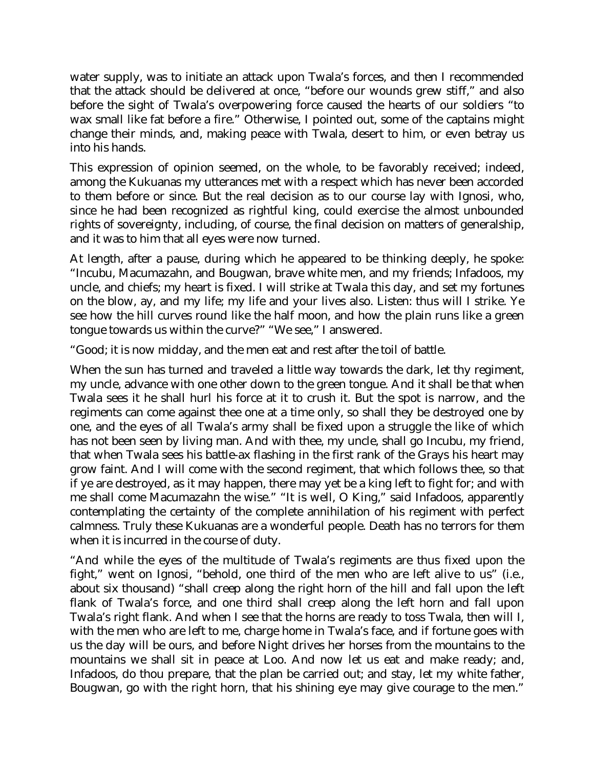water supply, was to initiate an attack upon Twala's forces, and then I recommended that the attack should be delivered at once, "before our wounds grew stiff," and also before the sight of Twala's overpowering force caused the hearts of our soldiers "to wax small like fat before a fire." Otherwise, I pointed out, some of the captains might change their minds, and, making peace with Twala, desert to him, or even betray us into his hands.

This expression of opinion seemed, on the whole, to be favorably received; indeed, among the Kukuanas my utterances met with a respect which has never been accorded to them before or since. But the real decision as to our course lay with Ignosi, who, since he had been recognized as rightful king, could exercise the almost unbounded rights of sovereignty, including, of course, the final decision on matters of generalship, and it was to him that all eyes were now turned.

At length, after a pause, during which he appeared to be thinking deeply, he spoke: "Incubu, Macumazahn, and Bougwan, brave white men, and my friends; Infadoos, my uncle, and chiefs; my heart is fixed. I will strike at Twala this day, and set my fortunes on the blow, ay, and my life; my life and your lives also. Listen: thus will I strike. Ye see how the hill curves round like the half moon, and how the plain runs like a green tongue towards us within the curve?" "We see," I answered.

"Good; it is now midday, and the men eat and rest after the toil of battle.

When the sun has turned and traveled a little way towards the dark, let thy regiment, my uncle, advance with one other down to the green tongue. And it shall be that when Twala sees it he shall hurl his force at it to crush it. But the spot is narrow, and the regiments can come against thee one at a time only, so shall they be destroyed one by one, and the eyes of all Twala's army shall be fixed upon a struggle the like of which has not been seen by living man. And with thee, my uncle, shall go Incubu, my friend, that when Twala sees his battle-ax flashing in the first rank of the Grays his heart may grow faint. And I will come with the second regiment, that which follows thee, so that if ye are destroyed, as it may happen, there may yet be a king left to fight for; and with me shall come Macumazahn the wise." "It is well, O King," said Infadoos, apparently contemplating the certainty of the complete annihilation of his regiment with perfect calmness. Truly these Kukuanas are a wonderful people. Death has no terrors for them when it is incurred in the course of duty.

"And while the eyes of the multitude of Twala's regiments are thus fixed upon the fight," went on Ignosi, "behold, one third of the men who are left alive to us" (i.e., about six thousand) "shall creep along the right horn of the hill and fall upon the left flank of Twala's force, and one third shall creep along the left horn and fall upon Twala's right flank. And when I see that the horns are ready to toss Twala, then will I, with the men who are left to me, charge home in Twala's face, and if fortune goes with us the day will be ours, and before Night drives her horses from the mountains to the mountains we shall sit in peace at Loo. And now let us eat and make ready; and, Infadoos, do thou prepare, that the plan be carried out; and stay, let my white father, Bougwan, go with the right horn, that his shining eye may give courage to the men."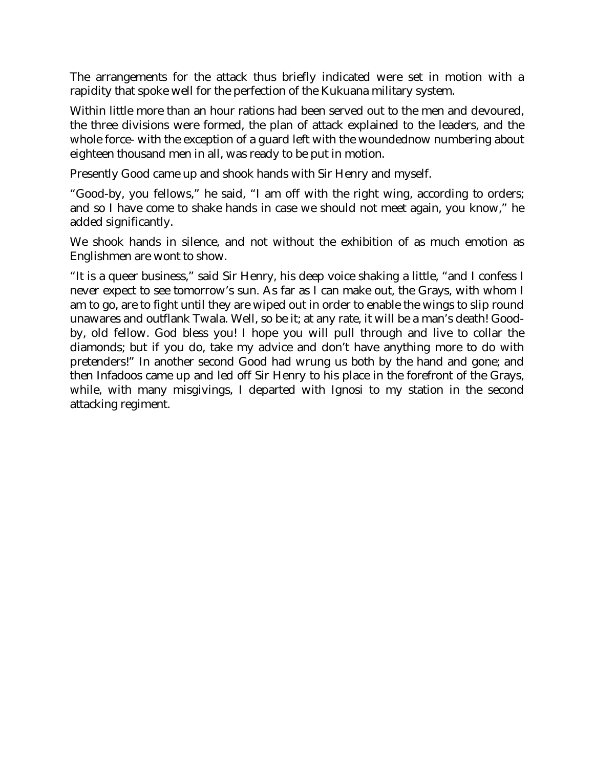The arrangements for the attack thus briefly indicated were set in motion with a rapidity that spoke well for the perfection of the Kukuana military system.

Within little more than an hour rations had been served out to the men and devoured, the three divisions were formed, the plan of attack explained to the leaders, and the whole force- with the exception of a guard left with the woundednow numbering about eighteen thousand men in all, was ready to be put in motion.

Presently Good came up and shook hands with Sir Henry and myself.

"Good-by, you fellows," he said, "I am off with the right wing, according to orders; and so I have come to shake hands in case we should not meet again, you know," he added significantly.

We shook hands in silence, and not without the exhibition of as much emotion as Englishmen are wont to show.

"It is a queer business," said Sir Henry, his deep voice shaking a little, "and I confess I never expect to see tomorrow's sun. As far as I can make out, the Grays, with whom I am to go, are to fight until they are wiped out in order to enable the wings to slip round unawares and outflank Twala. Well, so be it; at any rate, it will be a man's death! Goodby, old fellow. God bless you! I hope you will pull through and live to collar the diamonds; but if you do, take my advice and don't have anything more to do with pretenders!" In another second Good had wrung us both by the hand and gone; and then Infadoos came up and led off Sir Henry to his place in the forefront of the Grays, while, with many misgivings, I departed with Ignosi to my station in the second attacking regiment.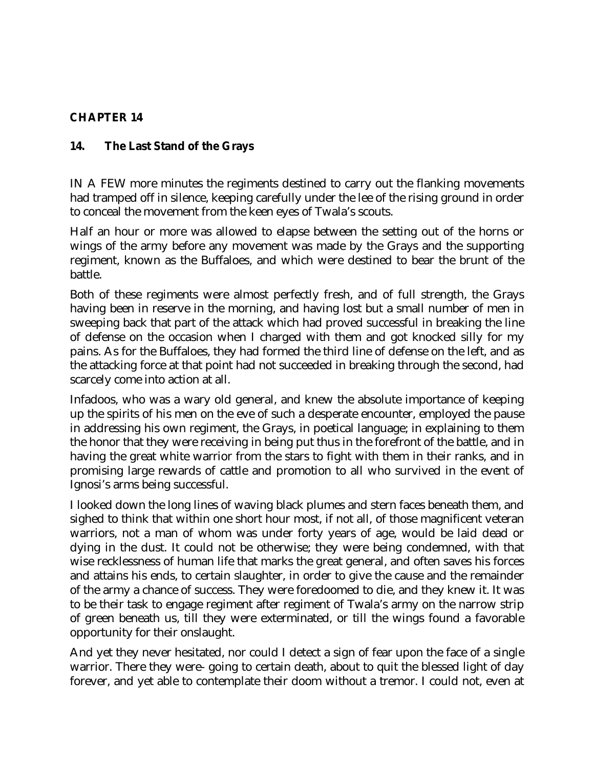# **CHAPTER 14**

# **14. The Last Stand of the Grays**

IN A FEW more minutes the regiments destined to carry out the flanking movements had tramped off in silence, keeping carefully under the lee of the rising ground in order to conceal the movement from the keen eyes of Twala's scouts.

Half an hour or more was allowed to elapse between the setting out of the horns or wings of the army before any movement was made by the Grays and the supporting regiment, known as the Buffaloes, and which were destined to bear the brunt of the battle.

Both of these regiments were almost perfectly fresh, and of full strength, the Grays having been in reserve in the morning, and having lost but a small number of men in sweeping back that part of the attack which had proved successful in breaking the line of defense on the occasion when I charged with them and got knocked silly for my pains. As for the Buffaloes, they had formed the third line of defense on the left, and as the attacking force at that point had not succeeded in breaking through the second, had scarcely come into action at all.

Infadoos, who was a wary old general, and knew the absolute importance of keeping up the spirits of his men on the eve of such a desperate encounter, employed the pause in addressing his own regiment, the Grays, in poetical language; in explaining to them the honor that they were receiving in being put thus in the forefront of the battle, and in having the great white warrior from the stars to fight with them in their ranks, and in promising large rewards of cattle and promotion to all who survived in the event of Ignosi's arms being successful.

I looked down the long lines of waving black plumes and stern faces beneath them, and sighed to think that within one short hour most, if not all, of those magnificent veteran warriors, not a man of whom was under forty years of age, would be laid dead or dying in the dust. It could not be otherwise; they were being condemned, with that wise recklessness of human life that marks the great general, and often saves his forces and attains his ends, to certain slaughter, in order to give the cause and the remainder of the army a chance of success. They were foredoomed to die, and they knew it. It was to be their task to engage regiment after regiment of Twala's army on the narrow strip of green beneath us, till they were exterminated, or till the wings found a favorable opportunity for their onslaught.

And yet they never hesitated, nor could I detect a sign of fear upon the face of a single warrior. There they were- going to certain death, about to quit the blessed light of day forever, and yet able to contemplate their doom without a tremor. I could not, even at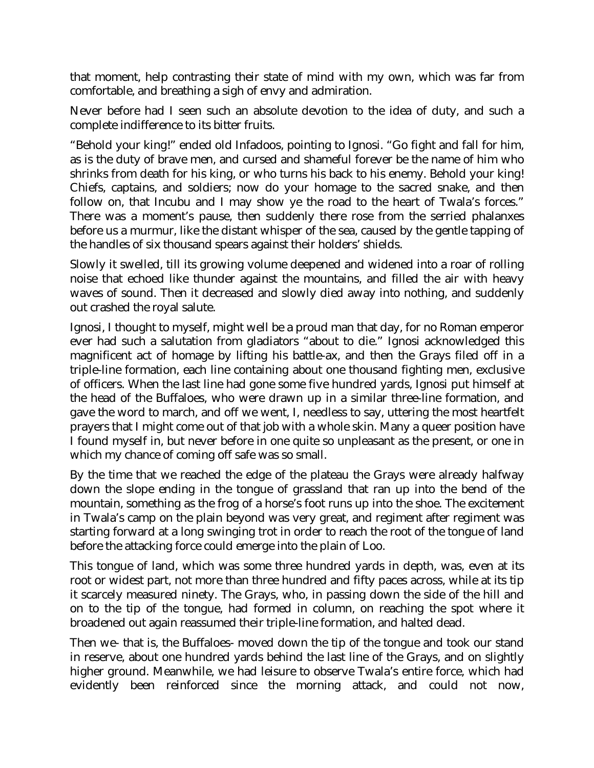that moment, help contrasting their state of mind with my own, which was far from comfortable, and breathing a sigh of envy and admiration.

Never before had I seen such an absolute devotion to the idea of duty, and such a complete indifference to its bitter fruits.

"Behold your king!" ended old Infadoos, pointing to Ignosi. "Go fight and fall for him, as is the duty of brave men, and cursed and shameful forever be the name of him who shrinks from death for his king, or who turns his back to his enemy. Behold your king! Chiefs, captains, and soldiers; now do your homage to the sacred snake, and then follow on, that Incubu and I may show ye the road to the heart of Twala's forces." There was a moment's pause, then suddenly there rose from the serried phalanxes before us a murmur, like the distant whisper of the sea, caused by the gentle tapping of the handles of six thousand spears against their holders' shields.

Slowly it swelled, till its growing volume deepened and widened into a roar of rolling noise that echoed like thunder against the mountains, and filled the air with heavy waves of sound. Then it decreased and slowly died away into nothing, and suddenly out crashed the royal salute.

Ignosi, I thought to myself, might well be a proud man that day, for no Roman emperor ever had such a salutation from gladiators "about to die." Ignosi acknowledged this magnificent act of homage by lifting his battle-ax, and then the Grays filed off in a triple-line formation, each line containing about one thousand fighting men, exclusive of officers. When the last line had gone some five hundred yards, Ignosi put himself at the head of the Buffaloes, who were drawn up in a similar three-line formation, and gave the word to march, and off we went, I, needless to say, uttering the most heartfelt prayers that I might come out of that job with a whole skin. Many a queer position have I found myself in, but never before in one quite so unpleasant as the present, or one in which my chance of coming off safe was so small.

By the time that we reached the edge of the plateau the Grays were already halfway down the slope ending in the tongue of grassland that ran up into the bend of the mountain, something as the frog of a horse's foot runs up into the shoe. The excitement in Twala's camp on the plain beyond was very great, and regiment after regiment was starting forward at a long swinging trot in order to reach the root of the tongue of land before the attacking force could emerge into the plain of Loo.

This tongue of land, which was some three hundred yards in depth, was, even at its root or widest part, not more than three hundred and fifty paces across, while at its tip it scarcely measured ninety. The Grays, who, in passing down the side of the hill and on to the tip of the tongue, had formed in column, on reaching the spot where it broadened out again reassumed their triple-line formation, and halted dead.

Then we- that is, the Buffaloes- moved down the tip of the tongue and took our stand in reserve, about one hundred yards behind the last line of the Grays, and on slightly higher ground. Meanwhile, we had leisure to observe Twala's entire force, which had evidently been reinforced since the morning attack, and could not now,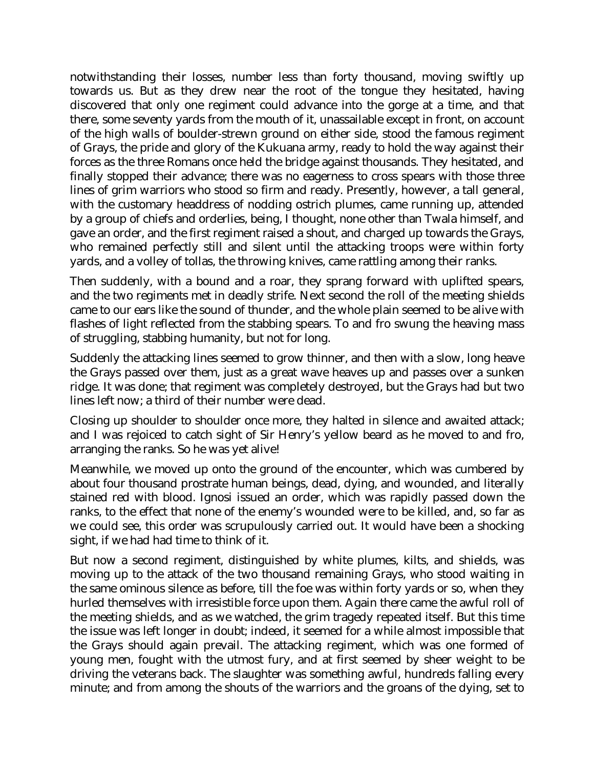notwithstanding their losses, number less than forty thousand, moving swiftly up towards us. But as they drew near the root of the tongue they hesitated, having discovered that only one regiment could advance into the gorge at a time, and that there, some seventy yards from the mouth of it, unassailable except in front, on account of the high walls of boulder-strewn ground on either side, stood the famous regiment of Grays, the pride and glory of the Kukuana army, ready to hold the way against their forces as the three Romans once held the bridge against thousands. They hesitated, and finally stopped their advance; there was no eagerness to cross spears with those three lines of grim warriors who stood so firm and ready. Presently, however, a tall general, with the customary headdress of nodding ostrich plumes, came running up, attended by a group of chiefs and orderlies, being, I thought, none other than Twala himself, and gave an order, and the first regiment raised a shout, and charged up towards the Grays, who remained perfectly still and silent until the attacking troops were within forty yards, and a volley of tollas, the throwing knives, came rattling among their ranks.

Then suddenly, with a bound and a roar, they sprang forward with uplifted spears, and the two regiments met in deadly strife. Next second the roll of the meeting shields came to our ears like the sound of thunder, and the whole plain seemed to be alive with flashes of light reflected from the stabbing spears. To and fro swung the heaving mass of struggling, stabbing humanity, but not for long.

Suddenly the attacking lines seemed to grow thinner, and then with a slow, long heave the Grays passed over them, just as a great wave heaves up and passes over a sunken ridge. It was done; that regiment was completely destroyed, but the Grays had but two lines left now; a third of their number were dead.

Closing up shoulder to shoulder once more, they halted in silence and awaited attack; and I was rejoiced to catch sight of Sir Henry's yellow beard as he moved to and fro, arranging the ranks. So he was yet alive!

Meanwhile, we moved up onto the ground of the encounter, which was cumbered by about four thousand prostrate human beings, dead, dying, and wounded, and literally stained red with blood. Ignosi issued an order, which was rapidly passed down the ranks, to the effect that none of the enemy's wounded were to be killed, and, so far as we could see, this order was scrupulously carried out. It would have been a shocking sight, if we had had time to think of it.

But now a second regiment, distinguished by white plumes, kilts, and shields, was moving up to the attack of the two thousand remaining Grays, who stood waiting in the same ominous silence as before, till the foe was within forty yards or so, when they hurled themselves with irresistible force upon them. Again there came the awful roll of the meeting shields, and as we watched, the grim tragedy repeated itself. But this time the issue was left longer in doubt; indeed, it seemed for a while almost impossible that the Grays should again prevail. The attacking regiment, which was one formed of young men, fought with the utmost fury, and at first seemed by sheer weight to be driving the veterans back. The slaughter was something awful, hundreds falling every minute; and from among the shouts of the warriors and the groans of the dying, set to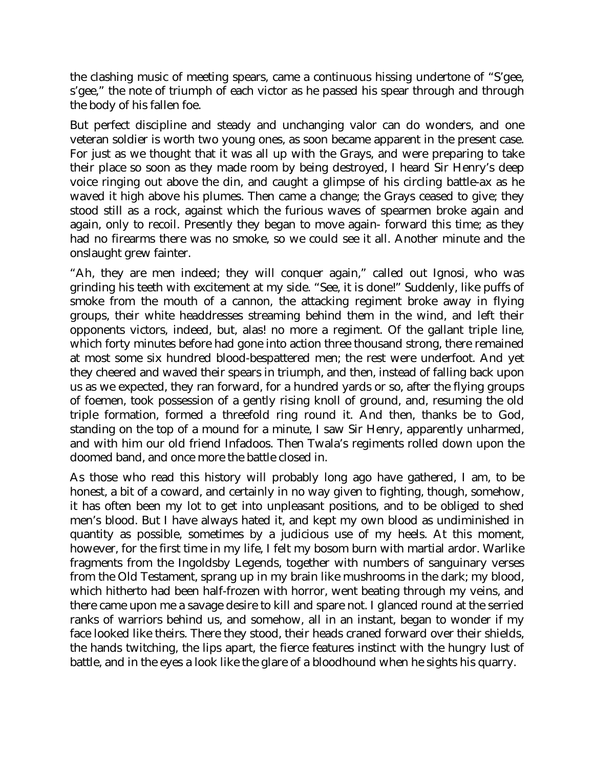the clashing music of meeting spears, came a continuous hissing undertone of "S'gee, s'gee," the note of triumph of each victor as he passed his spear through and through the body of his fallen foe.

But perfect discipline and steady and unchanging valor can do wonders, and one veteran soldier is worth two young ones, as soon became apparent in the present case. For just as we thought that it was all up with the Grays, and were preparing to take their place so soon as they made room by being destroyed, I heard Sir Henry's deep voice ringing out above the din, and caught a glimpse of his circling battle-ax as he waved it high above his plumes. Then came a change; the Grays ceased to give; they stood still as a rock, against which the furious waves of spearmen broke again and again, only to recoil. Presently they began to move again- forward this time; as they had no firearms there was no smoke, so we could see it all. Another minute and the onslaught grew fainter.

"Ah, they are men indeed; they will conquer again," called out Ignosi, who was grinding his teeth with excitement at my side. "See, it is done!" Suddenly, like puffs of smoke from the mouth of a cannon, the attacking regiment broke away in flying groups, their white headdresses streaming behind them in the wind, and left their opponents victors, indeed, but, alas! no more a regiment. Of the gallant triple line, which forty minutes before had gone into action three thousand strong, there remained at most some six hundred blood-bespattered men; the rest were underfoot. And yet they cheered and waved their spears in triumph, and then, instead of falling back upon us as we expected, they ran forward, for a hundred yards or so, after the flying groups of foemen, took possession of a gently rising knoll of ground, and, resuming the old triple formation, formed a threefold ring round it. And then, thanks be to God, standing on the top of a mound for a minute, I saw Sir Henry, apparently unharmed, and with him our old friend Infadoos. Then Twala's regiments rolled down upon the doomed band, and once more the battle closed in.

As those who read this history will probably long ago have gathered, I am, to be honest, a bit of a coward, and certainly in no way given to fighting, though, somehow, it has often been my lot to get into unpleasant positions, and to be obliged to shed men's blood. But I have always hated it, and kept my own blood as undiminished in quantity as possible, sometimes by a judicious use of my heels. At this moment, however, for the first time in my life, I felt my bosom burn with martial ardor. Warlike fragments from the Ingoldsby Legends, together with numbers of sanguinary verses from the Old Testament, sprang up in my brain like mushrooms in the dark; my blood, which hitherto had been half-frozen with horror, went beating through my veins, and there came upon me a savage desire to kill and spare not. I glanced round at the serried ranks of warriors behind us, and somehow, all in an instant, began to wonder if my face looked like theirs. There they stood, their heads craned forward over their shields, the hands twitching, the lips apart, the fierce features instinct with the hungry lust of battle, and in the eyes a look like the glare of a bloodhound when he sights his quarry.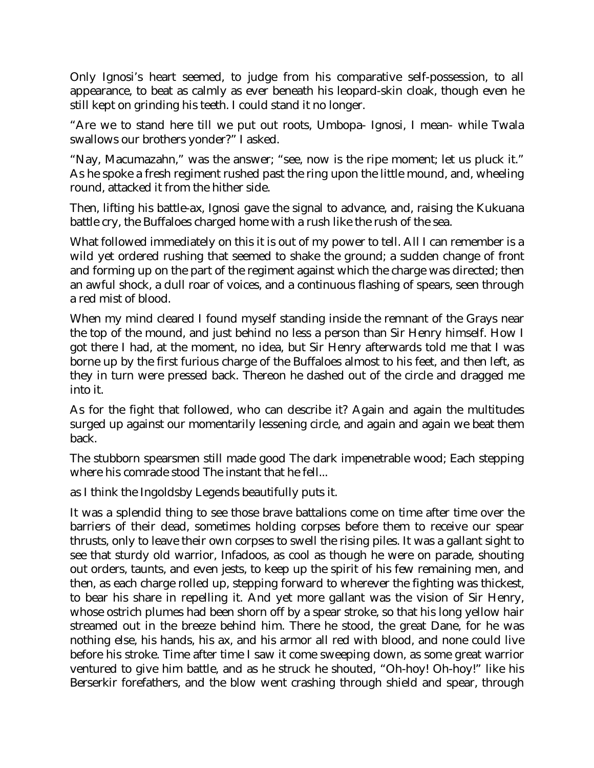Only Ignosi's heart seemed, to judge from his comparative self-possession, to all appearance, to beat as calmly as ever beneath his leopard-skin cloak, though even he still kept on grinding his teeth. I could stand it no longer.

"Are we to stand here till we put out roots, Umbopa- Ignosi, I mean- while Twala swallows our brothers yonder?" I asked.

"Nay, Macumazahn," was the answer; "see, now is the ripe moment; let us pluck it." As he spoke a fresh regiment rushed past the ring upon the little mound, and, wheeling round, attacked it from the hither side.

Then, lifting his battle-ax, Ignosi gave the signal to advance, and, raising the Kukuana battle cry, the Buffaloes charged home with a rush like the rush of the sea.

What followed immediately on this it is out of my power to tell. All I can remember is a wild yet ordered rushing that seemed to shake the ground; a sudden change of front and forming up on the part of the regiment against which the charge was directed; then an awful shock, a dull roar of voices, and a continuous flashing of spears, seen through a red mist of blood.

When my mind cleared I found myself standing inside the remnant of the Grays near the top of the mound, and just behind no less a person than Sir Henry himself. How I got there I had, at the moment, no idea, but Sir Henry afterwards told me that I was borne up by the first furious charge of the Buffaloes almost to his feet, and then left, as they in turn were pressed back. Thereon he dashed out of the circle and dragged me into it.

As for the fight that followed, who can describe it? Again and again the multitudes surged up against our momentarily lessening circle, and again and again we beat them back.

The stubborn spearsmen still made good The dark impenetrable wood; Each stepping where his comrade stood The instant that he fell...

as I think the Ingoldsby Legends beautifully puts it.

It was a splendid thing to see those brave battalions come on time after time over the barriers of their dead, sometimes holding corpses before them to receive our spear thrusts, only to leave their own corpses to swell the rising piles. It was a gallant sight to see that sturdy old warrior, Infadoos, as cool as though he were on parade, shouting out orders, taunts, and even jests, to keep up the spirit of his few remaining men, and then, as each charge rolled up, stepping forward to wherever the fighting was thickest, to bear his share in repelling it. And yet more gallant was the vision of Sir Henry, whose ostrich plumes had been shorn off by a spear stroke, so that his long yellow hair streamed out in the breeze behind him. There he stood, the great Dane, for he was nothing else, his hands, his ax, and his armor all red with blood, and none could live before his stroke. Time after time I saw it come sweeping down, as some great warrior ventured to give him battle, and as he struck he shouted, "Oh-hoy! Oh-hoy!" like his Berserkir forefathers, and the blow went crashing through shield and spear, through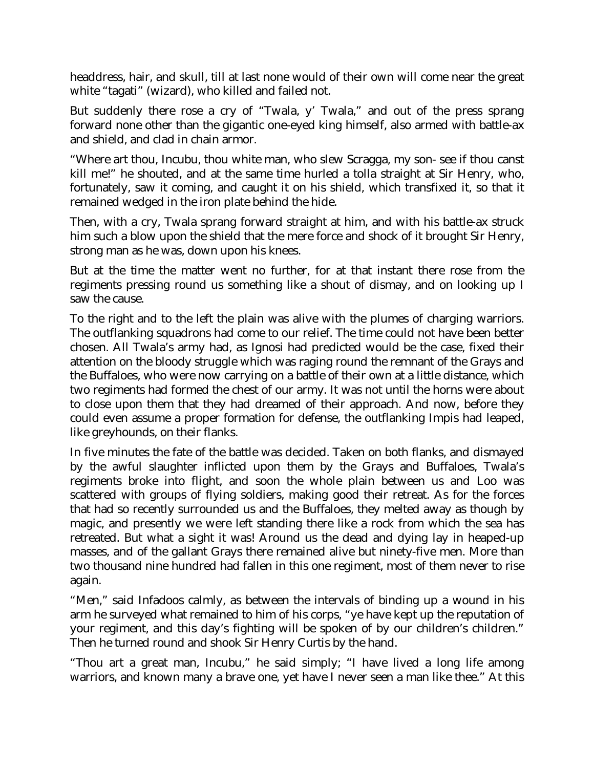headdress, hair, and skull, till at last none would of their own will come near the great white "tagati" (wizard), who killed and failed not.

But suddenly there rose a cry of "Twala, y' Twala," and out of the press sprang forward none other than the gigantic one-eyed king himself, also armed with battle-ax and shield, and clad in chain armor.

"Where art thou, Incubu, thou white man, who slew Scragga, my son- see if thou canst kill me!" he shouted, and at the same time hurled a tolla straight at Sir Henry, who, fortunately, saw it coming, and caught it on his shield, which transfixed it, so that it remained wedged in the iron plate behind the hide.

Then, with a cry, Twala sprang forward straight at him, and with his battle-ax struck him such a blow upon the shield that the mere force and shock of it brought Sir Henry, strong man as he was, down upon his knees.

But at the time the matter went no further, for at that instant there rose from the regiments pressing round us something like a shout of dismay, and on looking up I saw the cause.

To the right and to the left the plain was alive with the plumes of charging warriors. The outflanking squadrons had come to our relief. The time could not have been better chosen. All Twala's army had, as Ignosi had predicted would be the case, fixed their attention on the bloody struggle which was raging round the remnant of the Grays and the Buffaloes, who were now carrying on a battle of their own at a little distance, which two regiments had formed the chest of our army. It was not until the horns were about to close upon them that they had dreamed of their approach. And now, before they could even assume a proper formation for defense, the outflanking Impis had leaped, like greyhounds, on their flanks.

In five minutes the fate of the battle was decided. Taken on both flanks, and dismayed by the awful slaughter inflicted upon them by the Grays and Buffaloes, Twala's regiments broke into flight, and soon the whole plain between us and Loo was scattered with groups of flying soldiers, making good their retreat. As for the forces that had so recently surrounded us and the Buffaloes, they melted away as though by magic, and presently we were left standing there like a rock from which the sea has retreated. But what a sight it was! Around us the dead and dying lay in heaped-up masses, and of the gallant Grays there remained alive but ninety-five men. More than two thousand nine hundred had fallen in this one regiment, most of them never to rise again.

"Men," said Infadoos calmly, as between the intervals of binding up a wound in his arm he surveyed what remained to him of his corps, "ye have kept up the reputation of your regiment, and this day's fighting will be spoken of by our children's children." Then he turned round and shook Sir Henry Curtis by the hand.

"Thou art a great man, Incubu," he said simply; "I have lived a long life among warriors, and known many a brave one, yet have I never seen a man like thee." At this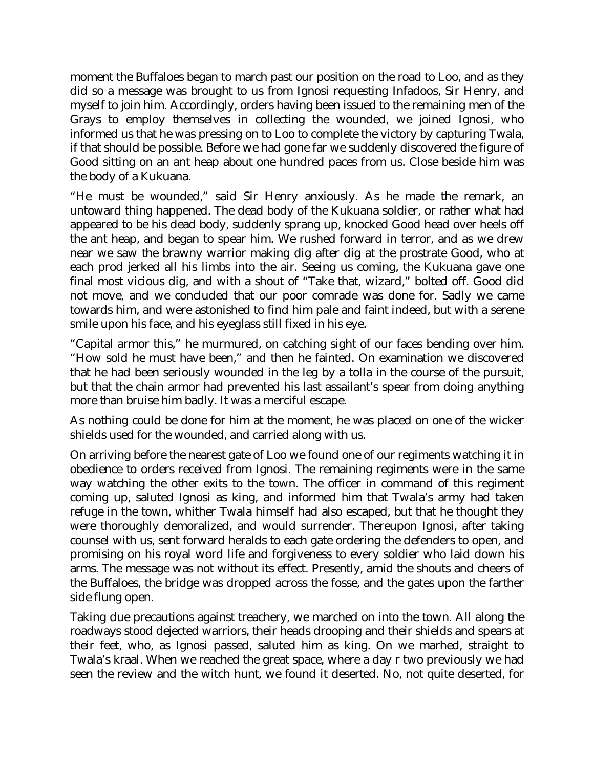moment the Buffaloes began to march past our position on the road to Loo, and as they did so a message was brought to us from Ignosi requesting Infadoos, Sir Henry, and myself to join him. Accordingly, orders having been issued to the remaining men of the Grays to employ themselves in collecting the wounded, we joined Ignosi, who informed us that he was pressing on to Loo to complete the victory by capturing Twala, if that should be possible. Before we had gone far we suddenly discovered the figure of Good sitting on an ant heap about one hundred paces from us. Close beside him was the body of a Kukuana.

"He must be wounded," said Sir Henry anxiously. As he made the remark, an untoward thing happened. The dead body of the Kukuana soldier, or rather what had appeared to be his dead body, suddenly sprang up, knocked Good head over heels off the ant heap, and began to spear him. We rushed forward in terror, and as we drew near we saw the brawny warrior making dig after dig at the prostrate Good, who at each prod jerked all his limbs into the air. Seeing us coming, the Kukuana gave one final most vicious dig, and with a shout of "Take that, wizard," bolted off. Good did not move, and we concluded that our poor comrade was done for. Sadly we came towards him, and were astonished to find him pale and faint indeed, but with a serene smile upon his face, and his eyeglass still fixed in his eye.

"Capital armor this," he murmured, on catching sight of our faces bending over him. "How sold he must have been," and then he fainted. On examination we discovered that he had been seriously wounded in the leg by a tolla in the course of the pursuit, but that the chain armor had prevented his last assailant's spear from doing anything more than bruise him badly. It was a merciful escape.

As nothing could be done for him at the moment, he was placed on one of the wicker shields used for the wounded, and carried along with us.

On arriving before the nearest gate of Loo we found one of our regiments watching it in obedience to orders received from Ignosi. The remaining regiments were in the same way watching the other exits to the town. The officer in command of this regiment coming up, saluted Ignosi as king, and informed him that Twala's army had taken refuge in the town, whither Twala himself had also escaped, but that he thought they were thoroughly demoralized, and would surrender. Thereupon Ignosi, after taking counsel with us, sent forward heralds to each gate ordering the defenders to open, and promising on his royal word life and forgiveness to every soldier who laid down his arms. The message was not without its effect. Presently, amid the shouts and cheers of the Buffaloes, the bridge was dropped across the fosse, and the gates upon the farther side flung open.

Taking due precautions against treachery, we marched on into the town. All along the roadways stood dejected warriors, their heads drooping and their shields and spears at their feet, who, as Ignosi passed, saluted him as king. On we marhed, straight to Twala's kraal. When we reached the great space, where a day r two previously we had seen the review and the witch hunt, we found it deserted. No, not quite deserted, for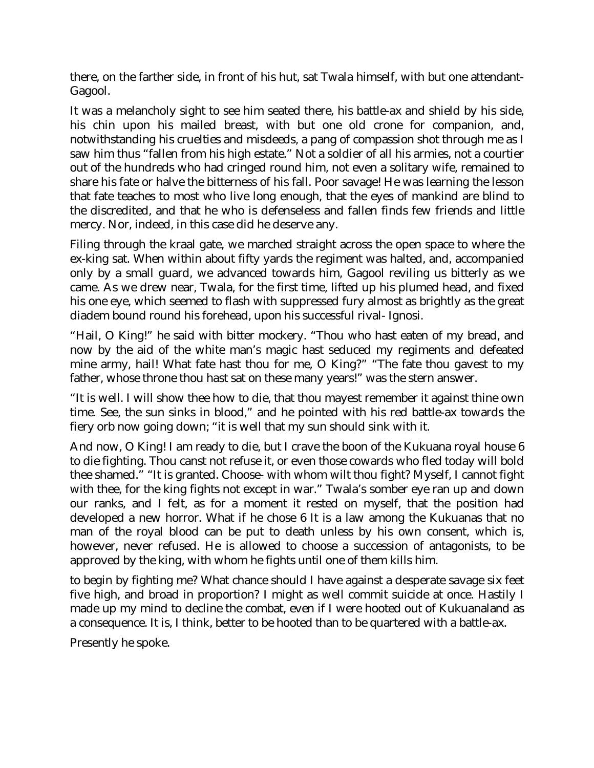there, on the farther side, in front of his hut, sat Twala himself, with but one attendant-Gagool.

It was a melancholy sight to see him seated there, his battle-ax and shield by his side, his chin upon his mailed breast, with but one old crone for companion, and, notwithstanding his cruelties and misdeeds, a pang of compassion shot through me as I saw him thus "fallen from his high estate." Not a soldier of all his armies, not a courtier out of the hundreds who had cringed round him, not even a solitary wife, remained to share his fate or halve the bitterness of his fall. Poor savage! He was learning the lesson that fate teaches to most who live long enough, that the eyes of mankind are blind to the discredited, and that he who is defenseless and fallen finds few friends and little mercy. Nor, indeed, in this case did he deserve any.

Filing through the kraal gate, we marched straight across the open space to where the ex-king sat. When within about fifty yards the regiment was halted, and, accompanied only by a small guard, we advanced towards him, Gagool reviling us bitterly as we came. As we drew near, Twala, for the first time, lifted up his plumed head, and fixed his one eye, which seemed to flash with suppressed fury almost as brightly as the great diadem bound round his forehead, upon his successful rival- Ignosi.

"Hail, O King!" he said with bitter mockery. "Thou who hast eaten of my bread, and now by the aid of the white man's magic hast seduced my regiments and defeated mine army, hail! What fate hast thou for me, O King?" "The fate thou gavest to my father, whose throne thou hast sat on these many years!" was the stern answer.

"It is well. I will show thee how to die, that thou mayest remember it against thine own time. See, the sun sinks in blood," and he pointed with his red battle-ax towards the fiery orb now going down; "it is well that my sun should sink with it.

And now, O King! I am ready to die, but I crave the boon of the Kukuana royal house 6 to die fighting. Thou canst not refuse it, or even those cowards who fled today will bold thee shamed." "It is granted. Choose- with whom wilt thou fight? Myself, I cannot fight with thee, for the king fights not except in war." Twala's somber eye ran up and down our ranks, and I felt, as for a moment it rested on myself, that the position had developed a new horror. What if he chose 6 It is a law among the Kukuanas that no man of the royal blood can be put to death unless by his own consent, which is, however, never refused. He is allowed to choose a succession of antagonists, to be approved by the king, with whom he fights until one of them kills him.

to begin by fighting me? What chance should I have against a desperate savage six feet five high, and broad in proportion? I might as well commit suicide at once. Hastily I made up my mind to decline the combat, even if I were hooted out of Kukuanaland as a consequence. It is, I think, better to be hooted than to be quartered with a battle-ax.

Presently he spoke.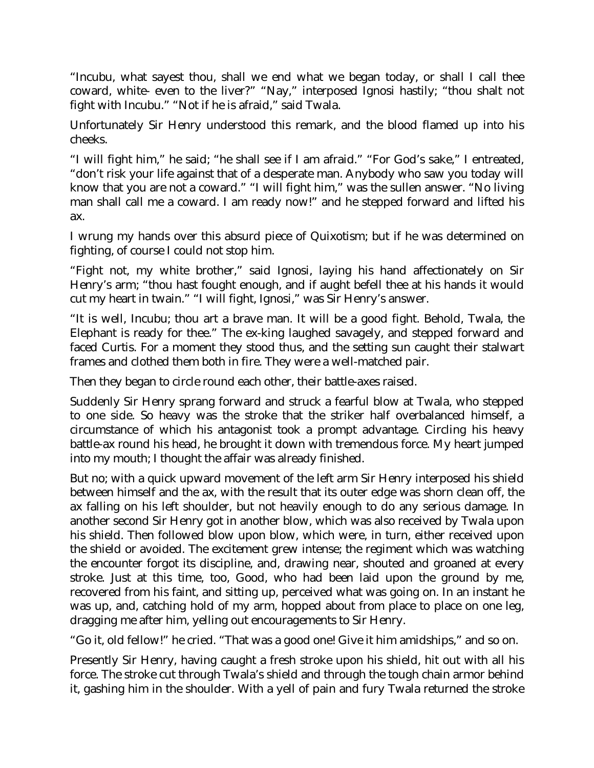"Incubu, what sayest thou, shall we end what we began today, or shall I call thee coward, white- even to the liver?" "Nay," interposed Ignosi hastily; "thou shalt not fight with Incubu." "Not if he is afraid," said Twala.

Unfortunately Sir Henry understood this remark, and the blood flamed up into his cheeks.

"I will fight him," he said; "he shall see if I am afraid." "For God's sake," I entreated, "don't risk your life against that of a desperate man. Anybody who saw you today will know that you are not a coward." "I will fight him," was the sullen answer. "No living man shall call me a coward. I am ready now!" and he stepped forward and lifted his ax.

I wrung my hands over this absurd piece of Quixotism; but if he was determined on fighting, of course I could not stop him.

"Fight not, my white brother," said Ignosi, laying his hand affectionately on Sir Henry's arm; "thou hast fought enough, and if aught befell thee at his hands it would cut my heart in twain." "I will fight, Ignosi," was Sir Henry's answer.

"It is well, Incubu; thou art a brave man. It will be a good fight. Behold, Twala, the Elephant is ready for thee." The ex-king laughed savagely, and stepped forward and faced Curtis. For a moment they stood thus, and the setting sun caught their stalwart frames and clothed them both in fire. They were a well-matched pair.

Then they began to circle round each other, their battle-axes raised.

Suddenly Sir Henry sprang forward and struck a fearful blow at Twala, who stepped to one side. So heavy was the stroke that the striker half overbalanced himself, a circumstance of which his antagonist took a prompt advantage. Circling his heavy battle-ax round his head, he brought it down with tremendous force. My heart jumped into my mouth; I thought the affair was already finished.

But no; with a quick upward movement of the left arm Sir Henry interposed his shield between himself and the ax, with the result that its outer edge was shorn clean off, the ax falling on his left shoulder, but not heavily enough to do any serious damage. In another second Sir Henry got in another blow, which was also received by Twala upon his shield. Then followed blow upon blow, which were, in turn, either received upon the shield or avoided. The excitement grew intense; the regiment which was watching the encounter forgot its discipline, and, drawing near, shouted and groaned at every stroke. Just at this time, too, Good, who had been laid upon the ground by me, recovered from his faint, and sitting up, perceived what was going on. In an instant he was up, and, catching hold of my arm, hopped about from place to place on one leg, dragging me after him, yelling out encouragements to Sir Henry.

"Go it, old fellow!" he cried. "That was a good one! Give it him amidships," and so on.

Presently Sir Henry, having caught a fresh stroke upon his shield, hit out with all his force. The stroke cut through Twala's shield and through the tough chain armor behind it, gashing him in the shoulder. With a yell of pain and fury Twala returned the stroke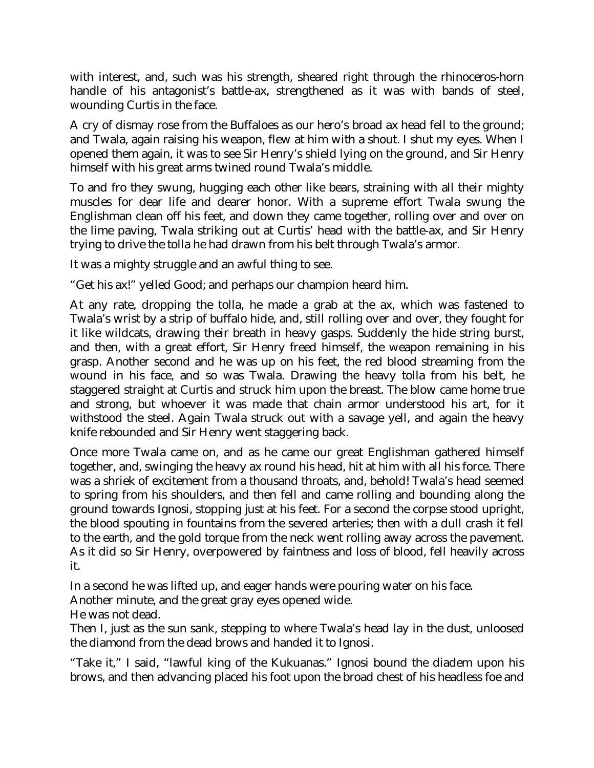with interest, and, such was his strength, sheared right through the rhinoceros-horn handle of his antagonist's battle-ax, strengthened as it was with bands of steel, wounding Curtis in the face.

A cry of dismay rose from the Buffaloes as our hero's broad ax head fell to the ground; and Twala, again raising his weapon, flew at him with a shout. I shut my eyes. When I opened them again, it was to see Sir Henry's shield lying on the ground, and Sir Henry himself with his great arms twined round Twala's middle.

To and fro they swung, hugging each other like bears, straining with all their mighty muscles for dear life and dearer honor. With a supreme effort Twala swung the Englishman clean off his feet, and down they came together, rolling over and over on the lime paving, Twala striking out at Curtis' head with the battle-ax, and Sir Henry trying to drive the tolla he had drawn from his belt through Twala's armor.

It was a mighty struggle and an awful thing to see.

"Get his ax!" yelled Good; and perhaps our champion heard him.

At any rate, dropping the tolla, he made a grab at the ax, which was fastened to Twala's wrist by a strip of buffalo hide, and, still rolling over and over, they fought for it like wildcats, drawing their breath in heavy gasps. Suddenly the hide string burst, and then, with a great effort, Sir Henry freed himself, the weapon remaining in his grasp. Another second and he was up on his feet, the red blood streaming from the wound in his face, and so was Twala. Drawing the heavy tolla from his belt, he staggered straight at Curtis and struck him upon the breast. The blow came home true and strong, but whoever it was made that chain armor understood his art, for it withstood the steel. Again Twala struck out with a savage yell, and again the heavy knife rebounded and Sir Henry went staggering back.

Once more Twala came on, and as he came our great Englishman gathered himself together, and, swinging the heavy ax round his head, hit at him with all his force. There was a shriek of excitement from a thousand throats, and, behold! Twala's head seemed to spring from his shoulders, and then fell and came rolling and bounding along the ground towards Ignosi, stopping just at his feet. For a second the corpse stood upright, the blood spouting in fountains from the severed arteries; then with a dull crash it fell to the earth, and the gold torque from the neck went rolling away across the pavement. As it did so Sir Henry, overpowered by faintness and loss of blood, fell heavily across it.

In a second he was lifted up, and eager hands were pouring water on his face.

Another minute, and the great gray eyes opened wide.

He was not dead.

Then I, just as the sun sank, stepping to where Twala's head lay in the dust, unloosed the diamond from the dead brows and handed it to Ignosi.

"Take it," I said, "lawful king of the Kukuanas." Ignosi bound the diadem upon his brows, and then advancing placed his foot upon the broad chest of his headless foe and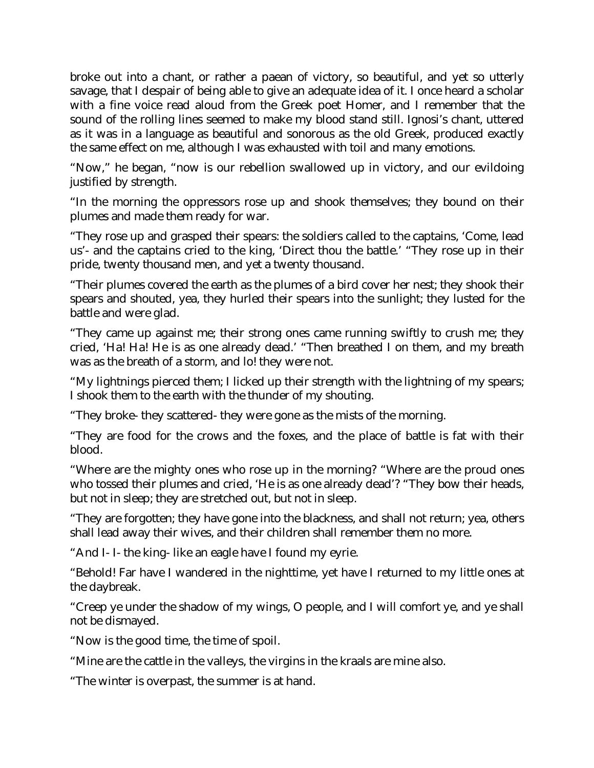broke out into a chant, or rather a paean of victory, so beautiful, and yet so utterly savage, that I despair of being able to give an adequate idea of it. I once heard a scholar with a fine voice read aloud from the Greek poet Homer, and I remember that the sound of the rolling lines seemed to make my blood stand still. Ignosi's chant, uttered as it was in a language as beautiful and sonorous as the old Greek, produced exactly the same effect on me, although I was exhausted with toil and many emotions.

"Now," he began, "now is our rebellion swallowed up in victory, and our evildoing justified by strength.

"In the morning the oppressors rose up and shook themselves; they bound on their plumes and made them ready for war.

"They rose up and grasped their spears: the soldiers called to the captains, 'Come, lead us'- and the captains cried to the king, 'Direct thou the battle.' "They rose up in their pride, twenty thousand men, and yet a twenty thousand.

"Their plumes covered the earth as the plumes of a bird cover her nest; they shook their spears and shouted, yea, they hurled their spears into the sunlight; they lusted for the battle and were glad.

"They came up against me; their strong ones came running swiftly to crush me; they cried, 'Ha! Ha! He is as one already dead.' "Then breathed I on them, and my breath was as the breath of a storm, and lo! they were not.

"My lightnings pierced them; I licked up their strength with the lightning of my spears; I shook them to the earth with the thunder of my shouting.

"They broke- they scattered- they were gone as the mists of the morning.

"They are food for the crows and the foxes, and the place of battle is fat with their blood.

"Where are the mighty ones who rose up in the morning? "Where are the proud ones who tossed their plumes and cried, 'He is as one already dead'? "They bow their heads, but not in sleep; they are stretched out, but not in sleep.

"They are forgotten; they have gone into the blackness, and shall not return; yea, others shall lead away their wives, and their children shall remember them no more.

"And I- I- the king- like an eagle have I found my eyrie.

"Behold! Far have I wandered in the nighttime, yet have I returned to my little ones at the daybreak.

"Creep ye under the shadow of my wings, O people, and I will comfort ye, and ye shall not be dismayed.

"Now is the good time, the time of spoil.

"Mine are the cattle in the valleys, the virgins in the kraals are mine also.

"The winter is overpast, the summer is at hand.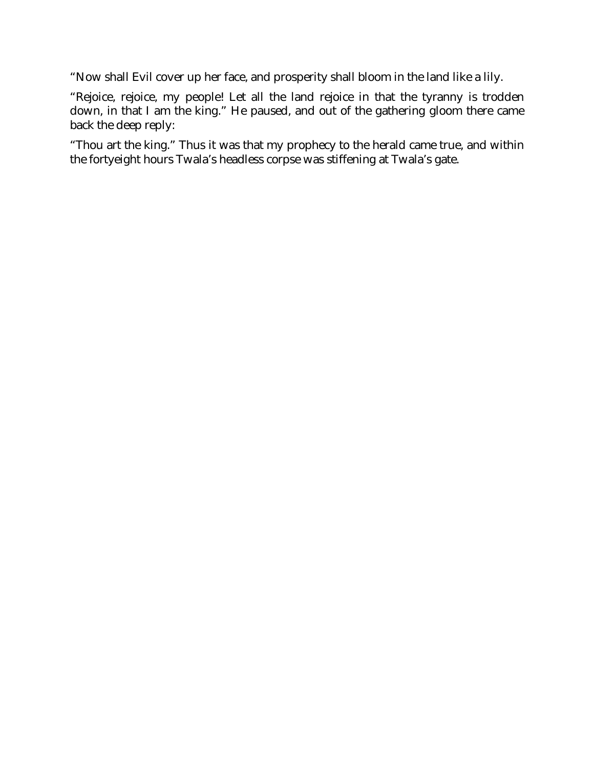"Now shall Evil cover up her face, and prosperity shall bloom in the land like a lily.

"Rejoice, rejoice, my people! Let all the land rejoice in that the tyranny is trodden down, in that I am the king." He paused, and out of the gathering gloom there came back the deep reply:

"Thou art the king." Thus it was that my prophecy to the herald came true, and within the fortyeight hours Twala's headless corpse was stiffening at Twala's gate.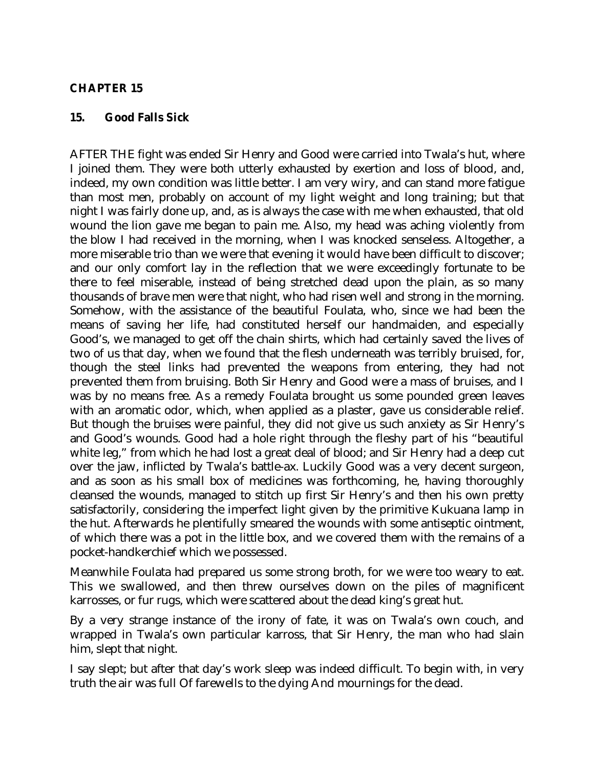### **CHAPTER 15**

#### **15. Good Falls Sick**

AFTER THE fight was ended Sir Henry and Good were carried into Twala's hut, where I joined them. They were both utterly exhausted by exertion and loss of blood, and, indeed, my own condition was little better. I am very wiry, and can stand more fatigue than most men, probably on account of my light weight and long training; but that night I was fairly done up, and, as is always the case with me when exhausted, that old wound the lion gave me began to pain me. Also, my head was aching violently from the blow I had received in the morning, when I was knocked senseless. Altogether, a more miserable trio than we were that evening it would have been difficult to discover; and our only comfort lay in the reflection that we were exceedingly fortunate to be there to feel miserable, instead of being stretched dead upon the plain, as so many thousands of brave men were that night, who had risen well and strong in the morning. Somehow, with the assistance of the beautiful Foulata, who, since we had been the means of saving her life, had constituted herself our handmaiden, and especially Good's, we managed to get off the chain shirts, which had certainly saved the lives of two of us that day, when we found that the flesh underneath was terribly bruised, for, though the steel links had prevented the weapons from entering, they had not prevented them from bruising. Both Sir Henry and Good were a mass of bruises, and I was by no means free. As a remedy Foulata brought us some pounded green leaves with an aromatic odor, which, when applied as a plaster, gave us considerable relief. But though the bruises were painful, they did not give us such anxiety as Sir Henry's and Good's wounds. Good had a hole right through the fleshy part of his "beautiful white leg," from which he had lost a great deal of blood; and Sir Henry had a deep cut over the jaw, inflicted by Twala's battle-ax. Luckily Good was a very decent surgeon, and as soon as his small box of medicines was forthcoming, he, having thoroughly cleansed the wounds, managed to stitch up first Sir Henry's and then his own pretty satisfactorily, considering the imperfect light given by the primitive Kukuana lamp in the hut. Afterwards he plentifully smeared the wounds with some antiseptic ointment, of which there was a pot in the little box, and we covered them with the remains of a pocket-handkerchief which we possessed.

Meanwhile Foulata had prepared us some strong broth, for we were too weary to eat. This we swallowed, and then threw ourselves down on the piles of magnificent karrosses, or fur rugs, which were scattered about the dead king's great hut.

By a very strange instance of the irony of fate, it was on Twala's own couch, and wrapped in Twala's own particular karross, that Sir Henry, the man who had slain him, slept that night.

I say slept; but after that day's work sleep was indeed difficult. To begin with, in very truth the air was full Of farewells to the dying And mournings for the dead.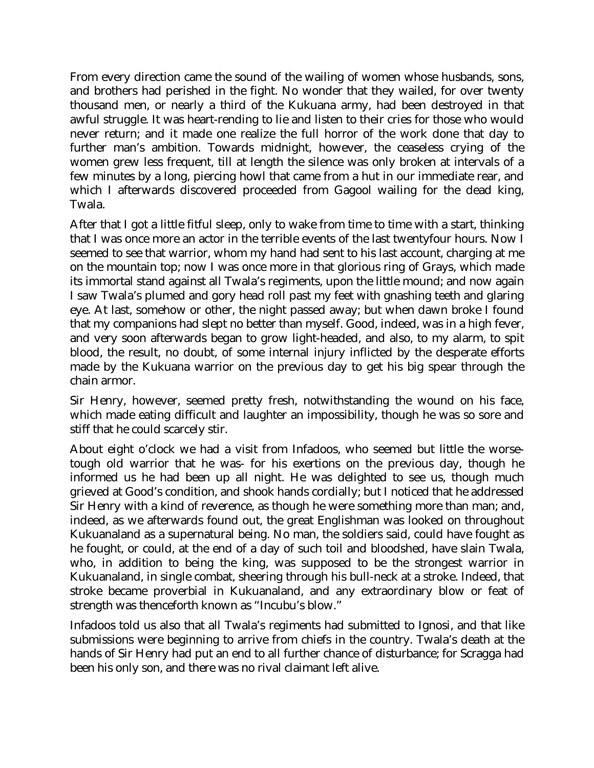From every direction came the sound of the wailing of women whose husbands, sons, and brothers had perished in the fight. No wonder that they wailed, for over twenty thousand men, or nearly a third of the Kukuana army, had been destroyed in that awful struggle. It was heart-rending to lie and listen to their cries for those who would never return; and it made one realize the full horror of the work done that day to further man's ambition. Towards midnight, however, the ceaseless crying of the women grew less frequent, till at length the silence was only broken at intervals of a few minutes by a long, piercing howl that came from a hut in our immediate rear, and which I afterwards discovered proceeded from Gagool wailing for the dead king, Twala.

After that I got a little fitful sleep, only to wake from time to time with a start, thinking that I was once more an actor in the terrible events of the last twentyfour hours. Now I seemed to see that warrior, whom my hand had sent to his last account, charging at me on the mountain top; now I was once more in that glorious ring of Grays, which made its immortal stand against all Twala's regiments, upon the little mound; and now again I saw Twala's plumed and gory head roll past my feet with gnashing teeth and glaring eye. At last, somehow or other, the night passed away; but when dawn broke I found that my companions had slept no better than myself. Good, indeed, was in a high fever, and very soon afterwards began to grow light-headed, and also, to my alarm, to spit blood, the result, no doubt, of some internal injury inflicted by the desperate efforts made by the Kukuana warrior on the previous day to get his big spear through the chain armor.

Sir Henry, however, seemed pretty fresh, notwithstanding the wound on his face, which made eating difficult and laughter an impossibility, though he was so sore and stiff that he could scarcely stir.

About eight o'clock we had a visit from Infadoos, who seemed but little the worsetough old warrior that he was- for his exertions on the previous day, though he informed us he had been up all night. He was delighted to see us, though much grieved at Good's condition, and shook hands cordially; but I noticed that he addressed Sir Henry with a kind of reverence, as though he were something more than man; and, indeed, as we afterwards found out, the great Englishman was looked on throughout Kukuanaland as a supernatural being. No man, the soldiers said, could have fought as he fought, or could, at the end of a day of such toil and bloodshed, have slain Twala, who, in addition to being the king, was supposed to be the strongest warrior in Kukuanaland, in single combat, sheering through his bull-neck at a stroke. Indeed, that stroke became proverbial in Kukuanaland, and any extraordinary blow or feat of strength was thenceforth known as "Incubu's blow."

Infadoos told us also that all Twala's regiments had submitted to Ignosi, and that like submissions were beginning to arrive from chiefs in the country. Twala's death at the hands of Sir Henry had put an end to all further chance of disturbance; for Scragga had been his only son, and there was no rival claimant left alive.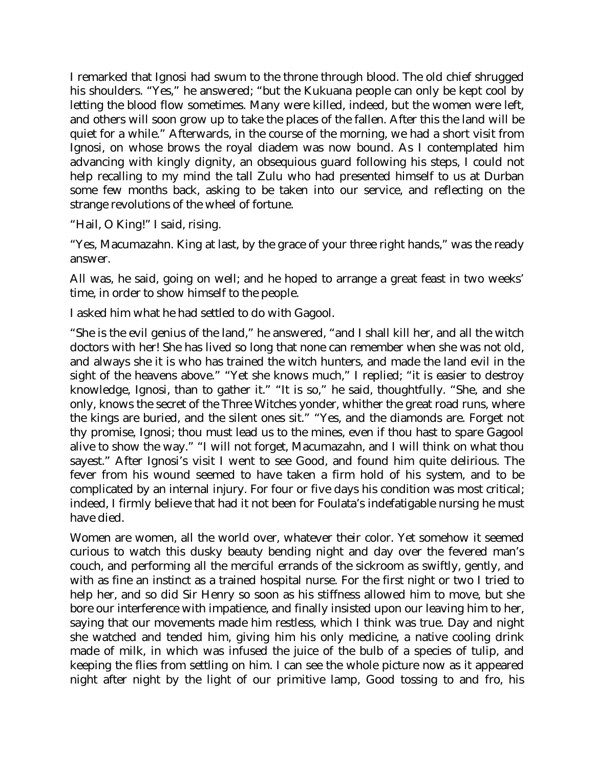I remarked that Ignosi had swum to the throne through blood. The old chief shrugged his shoulders. "Yes," he answered; "but the Kukuana people can only be kept cool by letting the blood flow sometimes. Many were killed, indeed, but the women were left, and others will soon grow up to take the places of the fallen. After this the land will be quiet for a while." Afterwards, in the course of the morning, we had a short visit from Ignosi, on whose brows the royal diadem was now bound. As I contemplated him advancing with kingly dignity, an obsequious guard following his steps, I could not help recalling to my mind the tall Zulu who had presented himself to us at Durban some few months back, asking to be taken into our service, and reflecting on the strange revolutions of the wheel of fortune.

"Hail, O King!" I said, rising.

"Yes, Macumazahn. King at last, by the grace of your three right hands," was the ready answer.

All was, he said, going on well; and he hoped to arrange a great feast in two weeks' time, in order to show himself to the people.

I asked him what he had settled to do with Gagool.

"She is the evil genius of the land," he answered, "and I shall kill her, and all the witch doctors with her! She has lived so long that none can remember when she was not old, and always she it is who has trained the witch hunters, and made the land evil in the sight of the heavens above." "Yet she knows much," I replied; "it is easier to destroy knowledge, Ignosi, than to gather it." "It is so," he said, thoughtfully. "She, and she only, knows the secret of the Three Witches yonder, whither the great road runs, where the kings are buried, and the silent ones sit." "Yes, and the diamonds are. Forget not thy promise, Ignosi; thou must lead us to the mines, even if thou hast to spare Gagool alive to show the way." "I will not forget, Macumazahn, and I will think on what thou sayest." After Ignosi's visit I went to see Good, and found him quite delirious. The fever from his wound seemed to have taken a firm hold of his system, and to be complicated by an internal injury. For four or five days his condition was most critical; indeed, I firmly believe that had it not been for Foulata's indefatigable nursing he must have died.

Women are women, all the world over, whatever their color. Yet somehow it seemed curious to watch this dusky beauty bending night and day over the fevered man's couch, and performing all the merciful errands of the sickroom as swiftly, gently, and with as fine an instinct as a trained hospital nurse. For the first night or two I tried to help her, and so did Sir Henry so soon as his stiffness allowed him to move, but she bore our interference with impatience, and finally insisted upon our leaving him to her, saying that our movements made him restless, which I think was true. Day and night she watched and tended him, giving him his only medicine, a native cooling drink made of milk, in which was infused the juice of the bulb of a species of tulip, and keeping the flies from settling on him. I can see the whole picture now as it appeared night after night by the light of our primitive lamp, Good tossing to and fro, his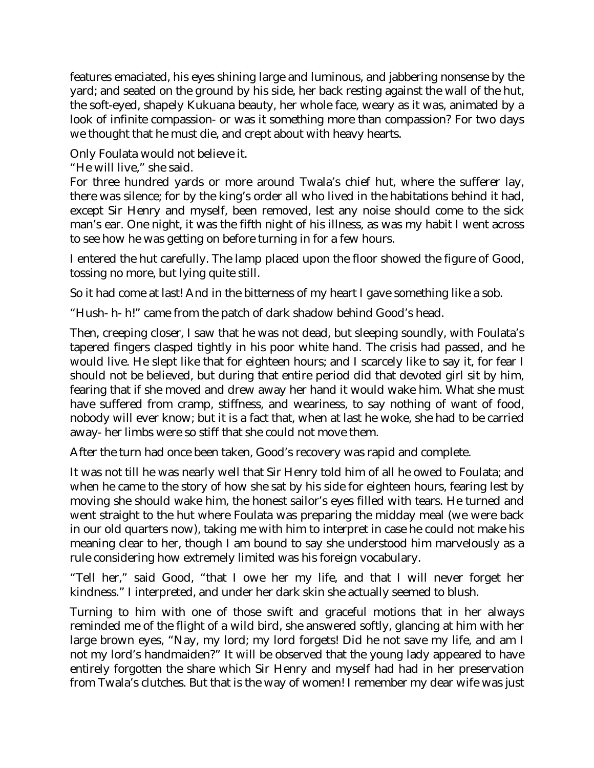features emaciated, his eyes shining large and luminous, and jabbering nonsense by the yard; and seated on the ground by his side, her back resting against the wall of the hut, the soft-eyed, shapely Kukuana beauty, her whole face, weary as it was, animated by a look of infinite compassion- or was it something more than compassion? For two days we thought that he must die, and crept about with heavy hearts.

Only Foulata would not believe it.

"He will live," she said.

For three hundred yards or more around Twala's chief hut, where the sufferer lay, there was silence; for by the king's order all who lived in the habitations behind it had, except Sir Henry and myself, been removed, lest any noise should come to the sick man's ear. One night, it was the fifth night of his illness, as was my habit I went across to see how he was getting on before turning in for a few hours.

I entered the hut carefully. The lamp placed upon the floor showed the figure of Good, tossing no more, but lying quite still.

So it had come at last! And in the bitterness of my heart I gave something like a sob.

"Hush- h- h!" came from the patch of dark shadow behind Good's head.

Then, creeping closer, I saw that he was not dead, but sleeping soundly, with Foulata's tapered fingers clasped tightly in his poor white hand. The crisis had passed, and he would live. He slept like that for eighteen hours; and I scarcely like to say it, for fear I should not be believed, but during that entire period did that devoted girl sit by him, fearing that if she moved and drew away her hand it would wake him. What she must have suffered from cramp, stiffness, and weariness, to say nothing of want of food, nobody will ever know; but it is a fact that, when at last he woke, she had to be carried away- her limbs were so stiff that she could not move them.

After the turn had once been taken, Good's recovery was rapid and complete.

It was not till he was nearly well that Sir Henry told him of all he owed to Foulata; and when he came to the story of how she sat by his side for eighteen hours, fearing lest by moving she should wake him, the honest sailor's eyes filled with tears. He turned and went straight to the hut where Foulata was preparing the midday meal (we were back in our old quarters now), taking me with him to interpret in case he could not make his meaning clear to her, though I am bound to say she understood him marvelously as a rule considering how extremely limited was his foreign vocabulary.

"Tell her," said Good, "that I owe her my life, and that I will never forget her kindness." I interpreted, and under her dark skin she actually seemed to blush.

Turning to him with one of those swift and graceful motions that in her always reminded me of the flight of a wild bird, she answered softly, glancing at him with her large brown eyes, "Nay, my lord; my lord forgets! Did he not save my life, and am I not my lord's handmaiden?" It will be observed that the young lady appeared to have entirely forgotten the share which Sir Henry and myself had had in her preservation from Twala's clutches. But that is the way of women! I remember my dear wife was just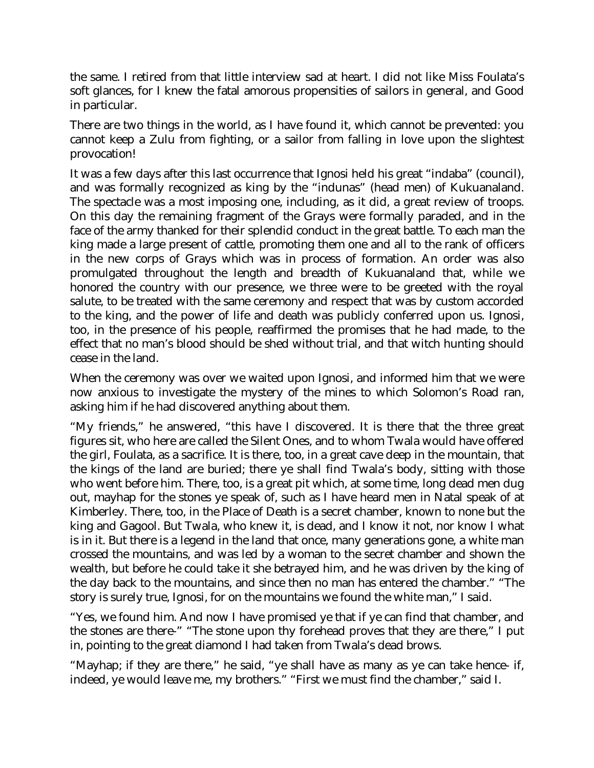the same. I retired from that little interview sad at heart. I did not like Miss Foulata's soft glances, for I knew the fatal amorous propensities of sailors in general, and Good in particular.

There are two things in the world, as I have found it, which cannot be prevented: you cannot keep a Zulu from fighting, or a sailor from falling in love upon the slightest provocation!

It was a few days after this last occurrence that Ignosi held his great "indaba" (council), and was formally recognized as king by the "indunas" (head men) of Kukuanaland. The spectacle was a most imposing one, including, as it did, a great review of troops. On this day the remaining fragment of the Grays were formally paraded, and in the face of the army thanked for their splendid conduct in the great battle. To each man the king made a large present of cattle, promoting them one and all to the rank of officers in the new corps of Grays which was in process of formation. An order was also promulgated throughout the length and breadth of Kukuanaland that, while we honored the country with our presence, we three were to be greeted with the royal salute, to be treated with the same ceremony and respect that was by custom accorded to the king, and the power of life and death was publicly conferred upon us. Ignosi, too, in the presence of his people, reaffirmed the promises that he had made, to the effect that no man's blood should be shed without trial, and that witch hunting should cease in the land.

When the ceremony was over we waited upon Ignosi, and informed him that we were now anxious to investigate the mystery of the mines to which Solomon's Road ran, asking him if he had discovered anything about them.

"My friends," he answered, "this have I discovered. It is there that the three great figures sit, who here are called the Silent Ones, and to whom Twala would have offered the girl, Foulata, as a sacrifice. It is there, too, in a great cave deep in the mountain, that the kings of the land are buried; there ye shall find Twala's body, sitting with those who went before him. There, too, is a great pit which, at some time, long dead men dug out, mayhap for the stones ye speak of, such as I have heard men in Natal speak of at Kimberley. There, too, in the Place of Death is a secret chamber, known to none but the king and Gagool. But Twala, who knew it, is dead, and I know it not, nor know I what is in it. But there is a legend in the land that once, many generations gone, a white man crossed the mountains, and was led by a woman to the secret chamber and shown the wealth, but before he could take it she betrayed him, and he was driven by the king of the day back to the mountains, and since then no man has entered the chamber." "The story is surely true, Ignosi, for on the mountains we found the white man," I said.

"Yes, we found him. And now I have promised ye that if ye can find that chamber, and the stones are there-" "The stone upon thy forehead proves that they are there," I put in, pointing to the great diamond I had taken from Twala's dead brows.

"Mayhap; if they are there," he said, "ye shall have as many as ye can take hence- if, indeed, ye would leave me, my brothers." "First we must find the chamber," said I.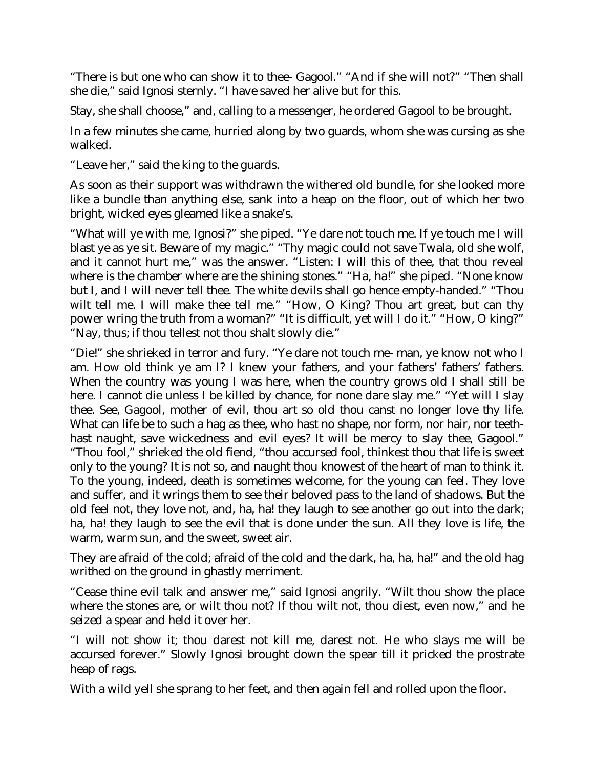"There is but one who can show it to thee- Gagool." "And if she will not?" "Then shall she die," said Ignosi sternly. "I have saved her alive but for this.

Stay, she shall choose," and, calling to a messenger, he ordered Gagool to be brought.

In a few minutes she came, hurried along by two guards, whom she was cursing as she walked.

"Leave her," said the king to the guards.

As soon as their support was withdrawn the withered old bundle, for she looked more like a bundle than anything else, sank into a heap on the floor, out of which her two bright, wicked eyes gleamed like a snake's.

"What will ye with me, Ignosi?" she piped. "Ye dare not touch me. If ye touch me I will blast ye as ye sit. Beware of my magic." "Thy magic could not save Twala, old she wolf, and it cannot hurt me," was the answer. "Listen: I will this of thee, that thou reveal where is the chamber where are the shining stones." "Ha, ha!" she piped. "None know but I, and I will never tell thee. The white devils shall go hence empty-handed." "Thou wilt tell me. I will make thee tell me." "How, O King? Thou art great, but can thy power wring the truth from a woman?" "It is difficult, yet will I do it." "How, O king?" "Nay, thus; if thou tellest not thou shalt slowly die."

"Die!" she shrieked in terror and fury. "Ye dare not touch me- man, ye know not who I am. How old think ye am I? I knew your fathers, and your fathers' fathers' fathers. When the country was young I was here, when the country grows old I shall still be here. I cannot die unless I be killed by chance, for none dare slay me." "Yet will I slay thee. See, Gagool, mother of evil, thou art so old thou canst no longer love thy life. What can life be to such a hag as thee, who hast no shape, nor form, nor hair, nor teethhast naught, save wickedness and evil eyes? It will be mercy to slay thee, Gagool." "Thou fool," shrieked the old fiend, "thou accursed fool, thinkest thou that life is sweet only to the young? It is not so, and naught thou knowest of the heart of man to think it. To the young, indeed, death is sometimes welcome, for the young can feel. They love and suffer, and it wrings them to see their beloved pass to the land of shadows. But the old feel not, they love not, and, ha, ha! they laugh to see another go out into the dark; ha, ha! they laugh to see the evil that is done under the sun. All they love is life, the warm, warm sun, and the sweet, sweet air.

They are afraid of the cold; afraid of the cold and the dark, ha, ha, ha!" and the old hag writhed on the ground in ghastly merriment.

"Cease thine evil talk and answer me," said Ignosi angrily. "Wilt thou show the place where the stones are, or wilt thou not? If thou wilt not, thou diest, even now," and he seized a spear and held it over her.

"I will not show it; thou darest not kill me, darest not. He who slays me will be accursed forever." Slowly Ignosi brought down the spear till it pricked the prostrate heap of rags.

With a wild yell she sprang to her feet, and then again fell and rolled upon the floor.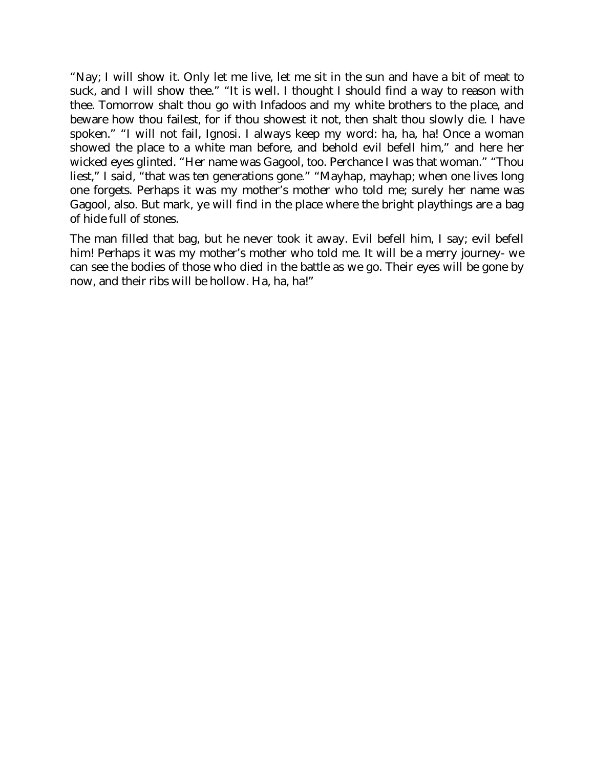"Nay; I will show it. Only let me live, let me sit in the sun and have a bit of meat to suck, and I will show thee." "It is well. I thought I should find a way to reason with thee. Tomorrow shalt thou go with Infadoos and my white brothers to the place, and beware how thou failest, for if thou showest it not, then shalt thou slowly die. I have spoken." "I will not fail, Ignosi. I always keep my word: ha, ha, ha! Once a woman showed the place to a white man before, and behold evil befell him," and here her wicked eyes glinted. "Her name was Gagool, too. Perchance I was that woman." "Thou liest," I said, "that was ten generations gone." "Mayhap, mayhap; when one lives long one forgets. Perhaps it was my mother's mother who told me; surely her name was Gagool, also. But mark, ye will find in the place where the bright playthings are a bag of hide full of stones.

The man filled that bag, but he never took it away. Evil befell him, I say; evil befell him! Perhaps it was my mother's mother who told me. It will be a merry journey- we can see the bodies of those who died in the battle as we go. Their eyes will be gone by now, and their ribs will be hollow. Ha, ha, ha!"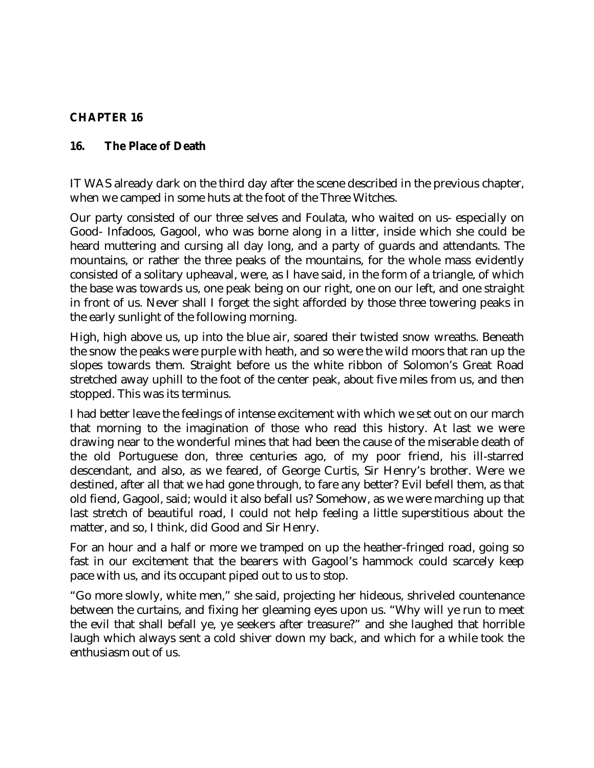## **CHAPTER 16**

## **16. The Place of Death**

IT WAS already dark on the third day after the scene described in the previous chapter, when we camped in some huts at the foot of the Three Witches.

Our party consisted of our three selves and Foulata, who waited on us- especially on Good- Infadoos, Gagool, who was borne along in a litter, inside which she could be heard muttering and cursing all day long, and a party of guards and attendants. The mountains, or rather the three peaks of the mountains, for the whole mass evidently consisted of a solitary upheaval, were, as I have said, in the form of a triangle, of which the base was towards us, one peak being on our right, one on our left, and one straight in front of us. Never shall I forget the sight afforded by those three towering peaks in the early sunlight of the following morning.

High, high above us, up into the blue air, soared their twisted snow wreaths. Beneath the snow the peaks were purple with heath, and so were the wild moors that ran up the slopes towards them. Straight before us the white ribbon of Solomon's Great Road stretched away uphill to the foot of the center peak, about five miles from us, and then stopped. This was its terminus.

I had better leave the feelings of intense excitement with which we set out on our march that morning to the imagination of those who read this history. At last we were drawing near to the wonderful mines that had been the cause of the miserable death of the old Portuguese don, three centuries ago, of my poor friend, his ill-starred descendant, and also, as we feared, of George Curtis, Sir Henry's brother. Were we destined, after all that we had gone through, to fare any better? Evil befell them, as that old fiend, Gagool, said; would it also befall us? Somehow, as we were marching up that last stretch of beautiful road, I could not help feeling a little superstitious about the matter, and so, I think, did Good and Sir Henry.

For an hour and a half or more we tramped on up the heather-fringed road, going so fast in our excitement that the bearers with Gagool's hammock could scarcely keep pace with us, and its occupant piped out to us to stop.

"Go more slowly, white men," she said, projecting her hideous, shriveled countenance between the curtains, and fixing her gleaming eyes upon us. "Why will ye run to meet the evil that shall befall ye, ye seekers after treasure?" and she laughed that horrible laugh which always sent a cold shiver down my back, and which for a while took the enthusiasm out of us.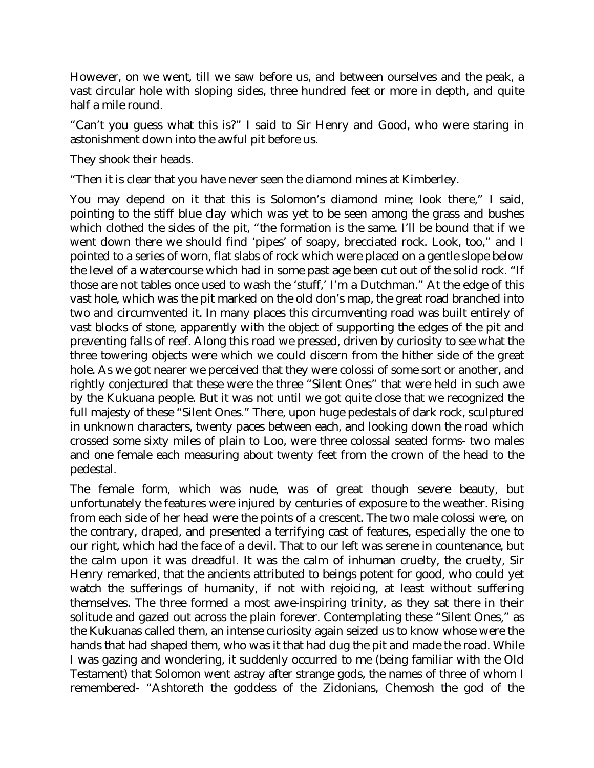However, on we went, till we saw before us, and between ourselves and the peak, a vast circular hole with sloping sides, three hundred feet or more in depth, and quite half a mile round.

"Can't you guess what this is?" I said to Sir Henry and Good, who were staring in astonishment down into the awful pit before us.

They shook their heads.

"Then it is clear that you have never seen the diamond mines at Kimberley.

You may depend on it that this is Solomon's diamond mine; look there," I said, pointing to the stiff blue clay which was yet to be seen among the grass and bushes which clothed the sides of the pit, "the formation is the same. I'll be bound that if we went down there we should find 'pipes' of soapy, brecciated rock. Look, too," and I pointed to a series of worn, flat slabs of rock which were placed on a gentle slope below the level of a watercourse which had in some past age been cut out of the solid rock. "If those are not tables once used to wash the 'stuff,' I'm a Dutchman." At the edge of this vast hole, which was the pit marked on the old don's map, the great road branched into two and circumvented it. In many places this circumventing road was built entirely of vast blocks of stone, apparently with the object of supporting the edges of the pit and preventing falls of reef. Along this road we pressed, driven by curiosity to see what the three towering objects were which we could discern from the hither side of the great hole. As we got nearer we perceived that they were colossi of some sort or another, and rightly conjectured that these were the three "Silent Ones" that were held in such awe by the Kukuana people. But it was not until we got quite close that we recognized the full majesty of these "Silent Ones." There, upon huge pedestals of dark rock, sculptured in unknown characters, twenty paces between each, and looking down the road which crossed some sixty miles of plain to Loo, were three colossal seated forms- two males and one female each measuring about twenty feet from the crown of the head to the pedestal.

The female form, which was nude, was of great though severe beauty, but unfortunately the features were injured by centuries of exposure to the weather. Rising from each side of her head were the points of a crescent. The two male colossi were, on the contrary, draped, and presented a terrifying cast of features, especially the one to our right, which had the face of a devil. That to our left was serene in countenance, but the calm upon it was dreadful. It was the calm of inhuman cruelty, the cruelty, Sir Henry remarked, that the ancients attributed to beings potent for good, who could yet watch the sufferings of humanity, if not with rejoicing, at least without suffering themselves. The three formed a most awe-inspiring trinity, as they sat there in their solitude and gazed out across the plain forever. Contemplating these "Silent Ones," as the Kukuanas called them, an intense curiosity again seized us to know whose were the hands that had shaped them, who was it that had dug the pit and made the road. While I was gazing and wondering, it suddenly occurred to me (being familiar with the Old Testament) that Solomon went astray after strange gods, the names of three of whom I remembered- "Ashtoreth the goddess of the Zidonians, Chemosh the god of the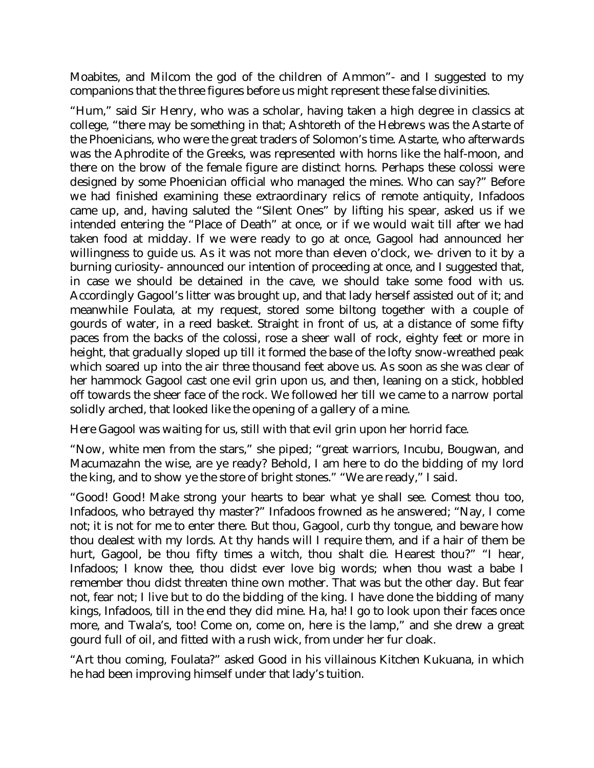Moabites, and Milcom the god of the children of Ammon"- and I suggested to my companions that the three figures before us might represent these false divinities.

"Hum," said Sir Henry, who was a scholar, having taken a high degree in classics at college, "there may be something in that; Ashtoreth of the Hebrews was the Astarte of the Phoenicians, who were the great traders of Solomon's time. Astarte, who afterwards was the Aphrodite of the Greeks, was represented with horns like the half-moon, and there on the brow of the female figure are distinct horns. Perhaps these colossi were designed by some Phoenician official who managed the mines. Who can say?" Before we had finished examining these extraordinary relics of remote antiquity, Infadoos came up, and, having saluted the "Silent Ones" by lifting his spear, asked us if we intended entering the "Place of Death" at once, or if we would wait till after we had taken food at midday. If we were ready to go at once, Gagool had announced her willingness to guide us. As it was not more than eleven o'clock, we- driven to it by a burning curiosity- announced our intention of proceeding at once, and I suggested that, in case we should be detained in the cave, we should take some food with us. Accordingly Gagool's litter was brought up, and that lady herself assisted out of it; and meanwhile Foulata, at my request, stored some biltong together with a couple of gourds of water, in a reed basket. Straight in front of us, at a distance of some fifty paces from the backs of the colossi, rose a sheer wall of rock, eighty feet or more in height, that gradually sloped up till it formed the base of the lofty snow-wreathed peak which soared up into the air three thousand feet above us. As soon as she was clear of her hammock Gagool cast one evil grin upon us, and then, leaning on a stick, hobbled off towards the sheer face of the rock. We followed her till we came to a narrow portal solidly arched, that looked like the opening of a gallery of a mine.

Here Gagool was waiting for us, still with that evil grin upon her horrid face.

"Now, white men from the stars," she piped; "great warriors, Incubu, Bougwan, and Macumazahn the wise, are ye ready? Behold, I am here to do the bidding of my lord the king, and to show ye the store of bright stones." "We are ready," I said.

"Good! Good! Make strong your hearts to bear what ye shall see. Comest thou too, Infadoos, who betrayed thy master?" Infadoos frowned as he answered; "Nay, I come not; it is not for me to enter there. But thou, Gagool, curb thy tongue, and beware how thou dealest with my lords. At thy hands will I require them, and if a hair of them be hurt, Gagool, be thou fifty times a witch, thou shalt die. Hearest thou?" "I hear, Infadoos; I know thee, thou didst ever love big words; when thou wast a babe I remember thou didst threaten thine own mother. That was but the other day. But fear not, fear not; I live but to do the bidding of the king. I have done the bidding of many kings, Infadoos, till in the end they did mine. Ha, ha! I go to look upon their faces once more, and Twala's, too! Come on, come on, here is the lamp," and she drew a great gourd full of oil, and fitted with a rush wick, from under her fur cloak.

"Art thou coming, Foulata?" asked Good in his villainous Kitchen Kukuana, in which he had been improving himself under that lady's tuition.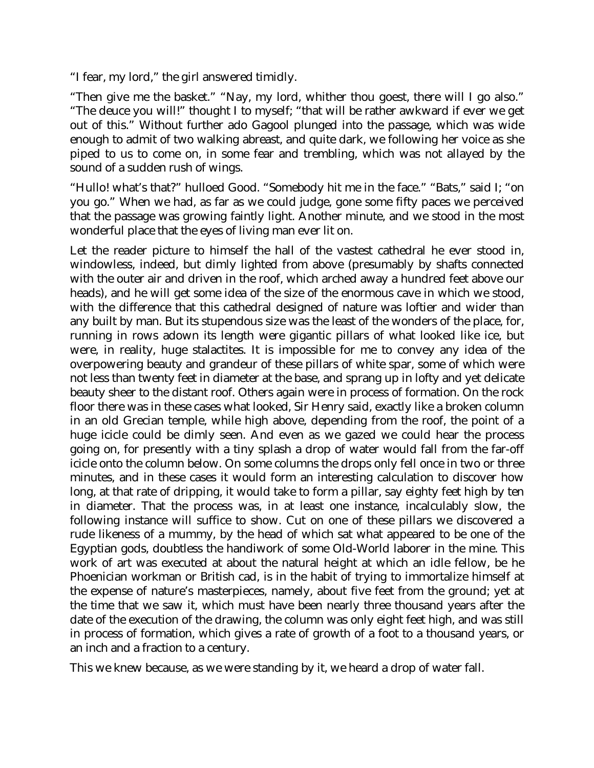"I fear, my lord," the girl answered timidly.

"Then give me the basket." "Nay, my lord, whither thou goest, there will I go also." "The deuce you will!" thought I to myself; "that will be rather awkward if ever we get out of this." Without further ado Gagool plunged into the passage, which was wide enough to admit of two walking abreast, and quite dark, we following her voice as she piped to us to come on, in some fear and trembling, which was not allayed by the sound of a sudden rush of wings.

"Hullo! what's that?" hulloed Good. "Somebody hit me in the face." "Bats," said I; "on you go." When we had, as far as we could judge, gone some fifty paces we perceived that the passage was growing faintly light. Another minute, and we stood in the most wonderful place that the eyes of living man ever lit on.

Let the reader picture to himself the hall of the vastest cathedral he ever stood in, windowless, indeed, but dimly lighted from above (presumably by shafts connected with the outer air and driven in the roof, which arched away a hundred feet above our heads), and he will get some idea of the size of the enormous cave in which we stood, with the difference that this cathedral designed of nature was loftier and wider than any built by man. But its stupendous size was the least of the wonders of the place, for, running in rows adown its length were gigantic pillars of what looked like ice, but were, in reality, huge stalactites. It is impossible for me to convey any idea of the overpowering beauty and grandeur of these pillars of white spar, some of which were not less than twenty feet in diameter at the base, and sprang up in lofty and yet delicate beauty sheer to the distant roof. Others again were in process of formation. On the rock floor there was in these cases what looked, Sir Henry said, exactly like a broken column in an old Grecian temple, while high above, depending from the roof, the point of a huge icicle could be dimly seen. And even as we gazed we could hear the process going on, for presently with a tiny splash a drop of water would fall from the far-off icicle onto the column below. On some columns the drops only fell once in two or three minutes, and in these cases it would form an interesting calculation to discover how long, at that rate of dripping, it would take to form a pillar, say eighty feet high by ten in diameter. That the process was, in at least one instance, incalculably slow, the following instance will suffice to show. Cut on one of these pillars we discovered a rude likeness of a mummy, by the head of which sat what appeared to be one of the Egyptian gods, doubtless the handiwork of some Old-World laborer in the mine. This work of art was executed at about the natural height at which an idle fellow, be he Phoenician workman or British cad, is in the habit of trying to immortalize himself at the expense of nature's masterpieces, namely, about five feet from the ground; yet at the time that we saw it, which must have been nearly three thousand years after the date of the execution of the drawing, the column was only eight feet high, and was still in process of formation, which gives a rate of growth of a foot to a thousand years, or an inch and a fraction to a century.

This we knew because, as we were standing by it, we heard a drop of water fall.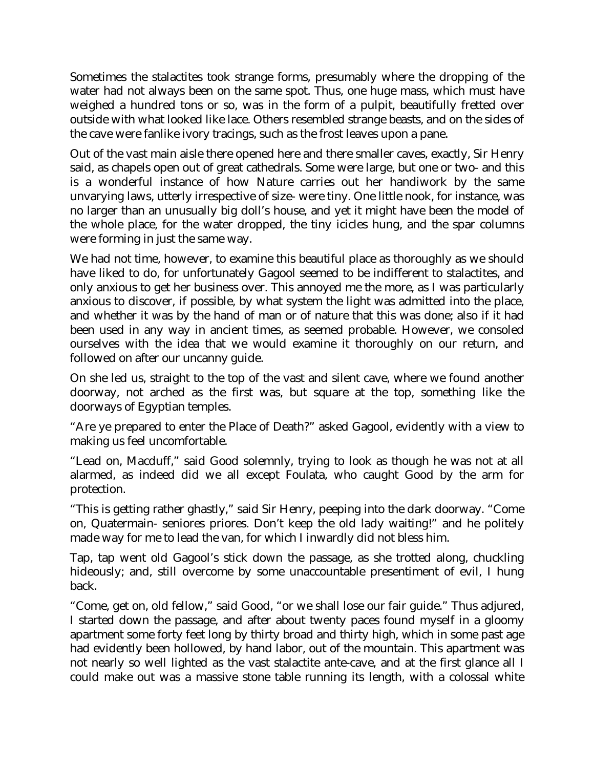Sometimes the stalactites took strange forms, presumably where the dropping of the water had not always been on the same spot. Thus, one huge mass, which must have weighed a hundred tons or so, was in the form of a pulpit, beautifully fretted over outside with what looked like lace. Others resembled strange beasts, and on the sides of the cave were fanlike ivory tracings, such as the frost leaves upon a pane.

Out of the vast main aisle there opened here and there smaller caves, exactly, Sir Henry said, as chapels open out of great cathedrals. Some were large, but one or two- and this is a wonderful instance of how Nature carries out her handiwork by the same unvarying laws, utterly irrespective of size- were tiny. One little nook, for instance, was no larger than an unusually big doll's house, and yet it might have been the model of the whole place, for the water dropped, the tiny icicles hung, and the spar columns were forming in just the same way.

We had not time, however, to examine this beautiful place as thoroughly as we should have liked to do, for unfortunately Gagool seemed to be indifferent to stalactites, and only anxious to get her business over. This annoyed me the more, as I was particularly anxious to discover, if possible, by what system the light was admitted into the place, and whether it was by the hand of man or of nature that this was done; also if it had been used in any way in ancient times, as seemed probable. However, we consoled ourselves with the idea that we would examine it thoroughly on our return, and followed on after our uncanny guide.

On she led us, straight to the top of the vast and silent cave, where we found another doorway, not arched as the first was, but square at the top, something like the doorways of Egyptian temples.

"Are ye prepared to enter the Place of Death?" asked Gagool, evidently with a view to making us feel uncomfortable.

"Lead on, Macduff," said Good solemnly, trying to look as though he was not at all alarmed, as indeed did we all except Foulata, who caught Good by the arm for protection.

"This is getting rather ghastly," said Sir Henry, peeping into the dark doorway. "Come on, Quatermain- seniores priores. Don't keep the old lady waiting!" and he politely made way for me to lead the van, for which I inwardly did not bless him.

Tap, tap went old Gagool's stick down the passage, as she trotted along, chuckling hideously; and, still overcome by some unaccountable presentiment of evil, I hung back.

"Come, get on, old fellow," said Good, "or we shall lose our fair guide." Thus adjured, I started down the passage, and after about twenty paces found myself in a gloomy apartment some forty feet long by thirty broad and thirty high, which in some past age had evidently been hollowed, by hand labor, out of the mountain. This apartment was not nearly so well lighted as the vast stalactite ante-cave, and at the first glance all I could make out was a massive stone table running its length, with a colossal white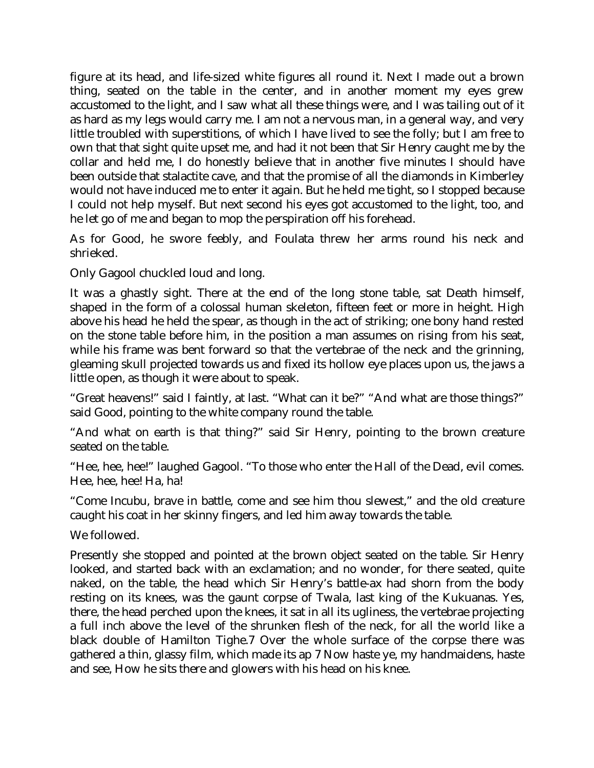figure at its head, and life-sized white figures all round it. Next I made out a brown thing, seated on the table in the center, and in another moment my eyes grew accustomed to the light, and I saw what all these things were, and I was tailing out of it as hard as my legs would carry me. I am not a nervous man, in a general way, and very little troubled with superstitions, of which I have lived to see the folly; but I am free to own that that sight quite upset me, and had it not been that Sir Henry caught me by the collar and held me, I do honestly believe that in another five minutes I should have been outside that stalactite cave, and that the promise of all the diamonds in Kimberley would not have induced me to enter it again. But he held me tight, so I stopped because I could not help myself. But next second his eyes got accustomed to the light, too, and he let go of me and began to mop the perspiration off his forehead.

As for Good, he swore feebly, and Foulata threw her arms round his neck and shrieked.

Only Gagool chuckled loud and long.

It was a ghastly sight. There at the end of the long stone table, sat Death himself, shaped in the form of a colossal human skeleton, fifteen feet or more in height. High above his head he held the spear, as though in the act of striking; one bony hand rested on the stone table before him, in the position a man assumes on rising from his seat, while his frame was bent forward so that the vertebrae of the neck and the grinning, gleaming skull projected towards us and fixed its hollow eye places upon us, the jaws a little open, as though it were about to speak.

"Great heavens!" said I faintly, at last. "What can it be?" "And what are those things?" said Good, pointing to the white company round the table.

"And what on earth is that thing?" said Sir Henry, pointing to the brown creature seated on the table.

"Hee, hee, hee!" laughed Gagool. "To those who enter the Hall of the Dead, evil comes. Hee, hee, hee! Ha, ha!

"Come Incubu, brave in battle, come and see him thou slewest," and the old creature caught his coat in her skinny fingers, and led him away towards the table.

We followed.

Presently she stopped and pointed at the brown object seated on the table. Sir Henry looked, and started back with an exclamation; and no wonder, for there seated, quite naked, on the table, the head which Sir Henry's battle-ax had shorn from the body resting on its knees, was the gaunt corpse of Twala, last king of the Kukuanas. Yes, there, the head perched upon the knees, it sat in all its ugliness, the vertebrae projecting a full inch above the level of the shrunken flesh of the neck, for all the world like a black double of Hamilton Tighe.7 Over the whole surface of the corpse there was gathered a thin, glassy film, which made its ap 7 Now haste ye, my handmaidens, haste and see, How he sits there and glowers with his head on his knee.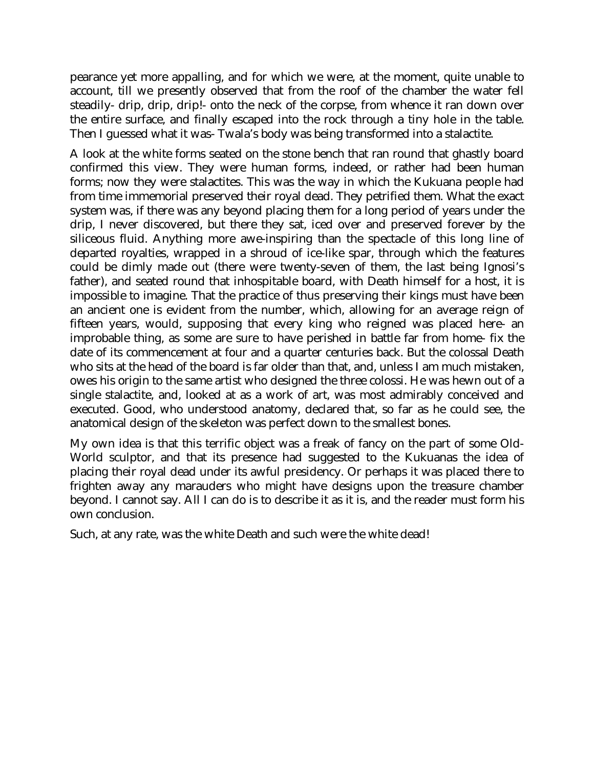pearance yet more appalling, and for which we were, at the moment, quite unable to account, till we presently observed that from the roof of the chamber the water fell steadily- drip, drip, drip!- onto the neck of the corpse, from whence it ran down over the entire surface, and finally escaped into the rock through a tiny hole in the table. Then I guessed what it was- Twala's body was being transformed into a stalactite.

A look at the white forms seated on the stone bench that ran round that ghastly board confirmed this view. They were human forms, indeed, or rather had been human forms; now they were stalactites. This was the way in which the Kukuana people had from time immemorial preserved their royal dead. They petrified them. What the exact system was, if there was any beyond placing them for a long period of years under the drip, I never discovered, but there they sat, iced over and preserved forever by the siliceous fluid. Anything more awe-inspiring than the spectacle of this long line of departed royalties, wrapped in a shroud of ice-like spar, through which the features could be dimly made out (there were twenty-seven of them, the last being Ignosi's father), and seated round that inhospitable board, with Death himself for a host, it is impossible to imagine. That the practice of thus preserving their kings must have been an ancient one is evident from the number, which, allowing for an average reign of fifteen years, would, supposing that every king who reigned was placed here- an improbable thing, as some are sure to have perished in battle far from home- fix the date of its commencement at four and a quarter centuries back. But the colossal Death who sits at the head of the board is far older than that, and, unless I am much mistaken, owes his origin to the same artist who designed the three colossi. He was hewn out of a single stalactite, and, looked at as a work of art, was most admirably conceived and executed. Good, who understood anatomy, declared that, so far as he could see, the anatomical design of the skeleton was perfect down to the smallest bones.

My own idea is that this terrific object was a freak of fancy on the part of some Old-World sculptor, and that its presence had suggested to the Kukuanas the idea of placing their royal dead under its awful presidency. Or perhaps it was placed there to frighten away any marauders who might have designs upon the treasure chamber beyond. I cannot say. All I can do is to describe it as it is, and the reader must form his own conclusion.

Such, at any rate, was the white Death and such were the white dead!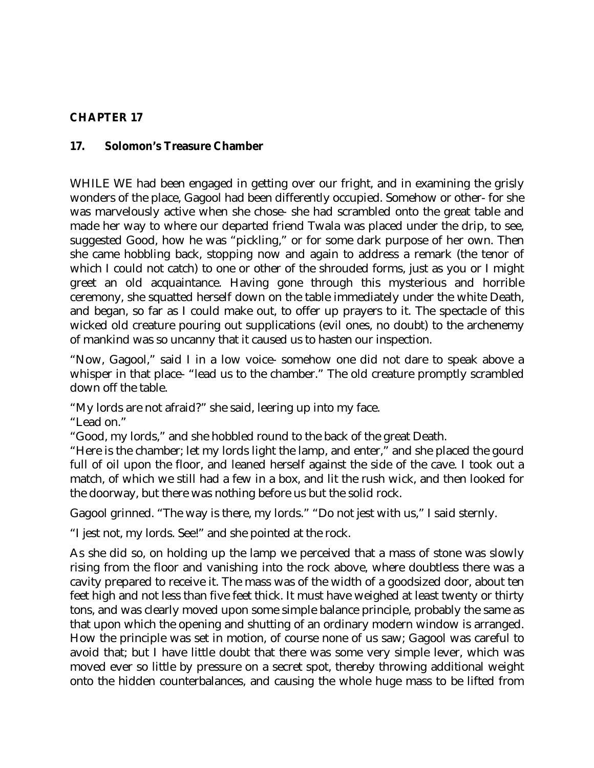# **CHAPTER 17**

#### **17. Solomon's Treasure Chamber**

WHILE WE had been engaged in getting over our fright, and in examining the grisly wonders of the place, Gagool had been differently occupied. Somehow or other- for she was marvelously active when she chose- she had scrambled onto the great table and made her way to where our departed friend Twala was placed under the drip, to see, suggested Good, how he was "pickling," or for some dark purpose of her own. Then she came hobbling back, stopping now and again to address a remark (the tenor of which I could not catch) to one or other of the shrouded forms, just as you or I might greet an old acquaintance. Having gone through this mysterious and horrible ceremony, she squatted herself down on the table immediately under the white Death, and began, so far as I could make out, to offer up prayers to it. The spectacle of this wicked old creature pouring out supplications (evil ones, no doubt) to the archenemy of mankind was so uncanny that it caused us to hasten our inspection.

"Now, Gagool," said I in a low voice- somehow one did not dare to speak above a whisper in that place- "lead us to the chamber." The old creature promptly scrambled down off the table.

"My lords are not afraid?" she said, leering up into my face.

"Lead on."

"Good, my lords," and she hobbled round to the back of the great Death.

"Here is the chamber; let my lords light the lamp, and enter," and she placed the gourd full of oil upon the floor, and leaned herself against the side of the cave. I took out a match, of which we still had a few in a box, and lit the rush wick, and then looked for the doorway, but there was nothing before us but the solid rock.

Gagool grinned. "The way is there, my lords." "Do not jest with us," I said sternly.

"I jest not, my lords. See!" and she pointed at the rock.

As she did so, on holding up the lamp we perceived that a mass of stone was slowly rising from the floor and vanishing into the rock above, where doubtless there was a cavity prepared to receive it. The mass was of the width of a goodsized door, about ten feet high and not less than five feet thick. It must have weighed at least twenty or thirty tons, and was clearly moved upon some simple balance principle, probably the same as that upon which the opening and shutting of an ordinary modern window is arranged. How the principle was set in motion, of course none of us saw; Gagool was careful to avoid that; but I have little doubt that there was some very simple lever, which was moved ever so little by pressure on a secret spot, thereby throwing additional weight onto the hidden counterbalances, and causing the whole huge mass to be lifted from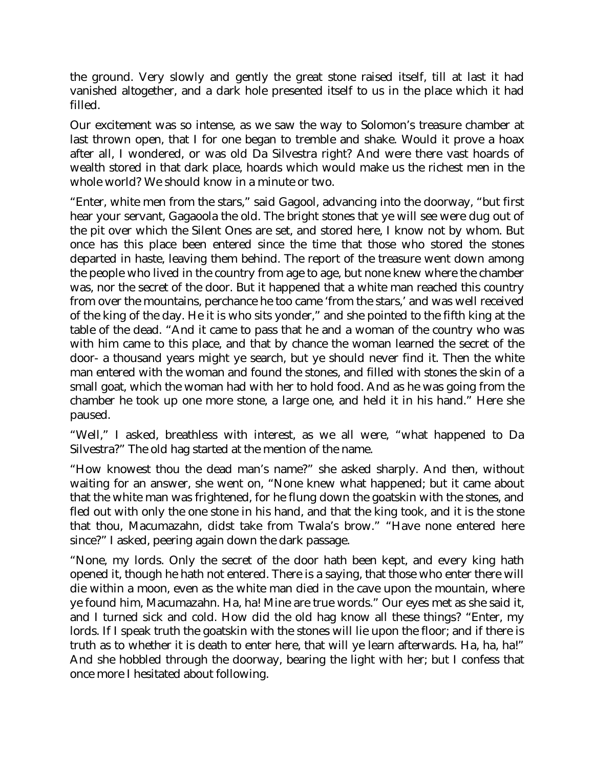the ground. Very slowly and gently the great stone raised itself, till at last it had vanished altogether, and a dark hole presented itself to us in the place which it had filled.

Our excitement was so intense, as we saw the way to Solomon's treasure chamber at last thrown open, that I for one began to tremble and shake. Would it prove a hoax after all, I wondered, or was old Da Silvestra right? And were there vast hoards of wealth stored in that dark place, hoards which would make us the richest men in the whole world? We should know in a minute or two.

"Enter, white men from the stars," said Gagool, advancing into the doorway, "but first hear your servant, Gagaoola the old. The bright stones that ye will see were dug out of the pit over which the Silent Ones are set, and stored here, I know not by whom. But once has this place been entered since the time that those who stored the stones departed in haste, leaving them behind. The report of the treasure went down among the people who lived in the country from age to age, but none knew where the chamber was, nor the secret of the door. But it happened that a white man reached this country from over the mountains, perchance he too came 'from the stars,' and was well received of the king of the day. He it is who sits yonder," and she pointed to the fifth king at the table of the dead. "And it came to pass that he and a woman of the country who was with him came to this place, and that by chance the woman learned the secret of the door- a thousand years might ye search, but ye should never find it. Then the white man entered with the woman and found the stones, and filled with stones the skin of a small goat, which the woman had with her to hold food. And as he was going from the chamber he took up one more stone, a large one, and held it in his hand." Here she paused.

"Well," I asked, breathless with interest, as we all were, "what happened to Da Silvestra?" The old hag started at the mention of the name.

"How knowest thou the dead man's name?" she asked sharply. And then, without waiting for an answer, she went on, "None knew what happened; but it came about that the white man was frightened, for he flung down the goatskin with the stones, and fled out with only the one stone in his hand, and that the king took, and it is the stone that thou, Macumazahn, didst take from Twala's brow." "Have none entered here since?" I asked, peering again down the dark passage.

"None, my lords. Only the secret of the door hath been kept, and every king hath opened it, though he hath not entered. There is a saying, that those who enter there will die within a moon, even as the white man died in the cave upon the mountain, where ye found him, Macumazahn. Ha, ha! Mine are true words." Our eyes met as she said it, and I turned sick and cold. How did the old hag know all these things? "Enter, my lords. If I speak truth the goatskin with the stones will lie upon the floor; and if there is truth as to whether it is death to enter here, that will ye learn afterwards. Ha, ha, ha!" And she hobbled through the doorway, bearing the light with her; but I confess that once more I hesitated about following.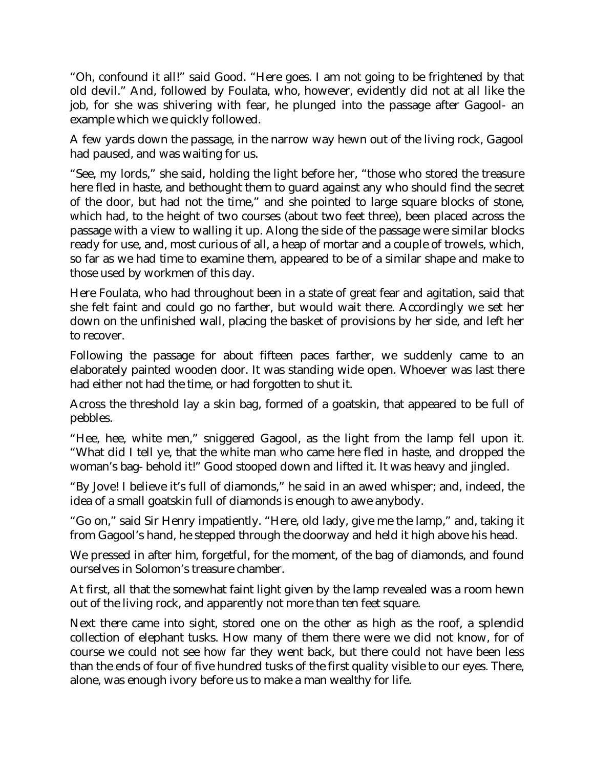"Oh, confound it all!" said Good. "Here goes. I am not going to be frightened by that old devil." And, followed by Foulata, who, however, evidently did not at all like the job, for she was shivering with fear, he plunged into the passage after Gagool- an example which we quickly followed.

A few yards down the passage, in the narrow way hewn out of the living rock, Gagool had paused, and was waiting for us.

"See, my lords," she said, holding the light before her, "those who stored the treasure here fled in haste, and bethought them to guard against any who should find the secret of the door, but had not the time," and she pointed to large square blocks of stone, which had, to the height of two courses (about two feet three), been placed across the passage with a view to walling it up. Along the side of the passage were similar blocks ready for use, and, most curious of all, a heap of mortar and a couple of trowels, which, so far as we had time to examine them, appeared to be of a similar shape and make to those used by workmen of this day.

Here Foulata, who had throughout been in a state of great fear and agitation, said that she felt faint and could go no farther, but would wait there. Accordingly we set her down on the unfinished wall, placing the basket of provisions by her side, and left her to recover.

Following the passage for about fifteen paces farther, we suddenly came to an elaborately painted wooden door. It was standing wide open. Whoever was last there had either not had the time, or had forgotten to shut it.

Across the threshold lay a skin bag, formed of a goatskin, that appeared to be full of pebbles.

"Hee, hee, white men," sniggered Gagool, as the light from the lamp fell upon it. "What did I tell ye, that the white man who came here fled in haste, and dropped the woman's bag- behold it!" Good stooped down and lifted it. It was heavy and jingled.

"By Jove! I believe it's full of diamonds," he said in an awed whisper; and, indeed, the idea of a small goatskin full of diamonds is enough to awe anybody.

"Go on," said Sir Henry impatiently. "Here, old lady, give me the lamp," and, taking it from Gagool's hand, he stepped through the doorway and held it high above his head.

We pressed in after him, forgetful, for the moment, of the bag of diamonds, and found ourselves in Solomon's treasure chamber.

At first, all that the somewhat faint light given by the lamp revealed was a room hewn out of the living rock, and apparently not more than ten feet square.

Next there came into sight, stored one on the other as high as the roof, a splendid collection of elephant tusks. How many of them there were we did not know, for of course we could not see how far they went back, but there could not have been less than the ends of four of five hundred tusks of the first quality visible to our eyes. There, alone, was enough ivory before us to make a man wealthy for life.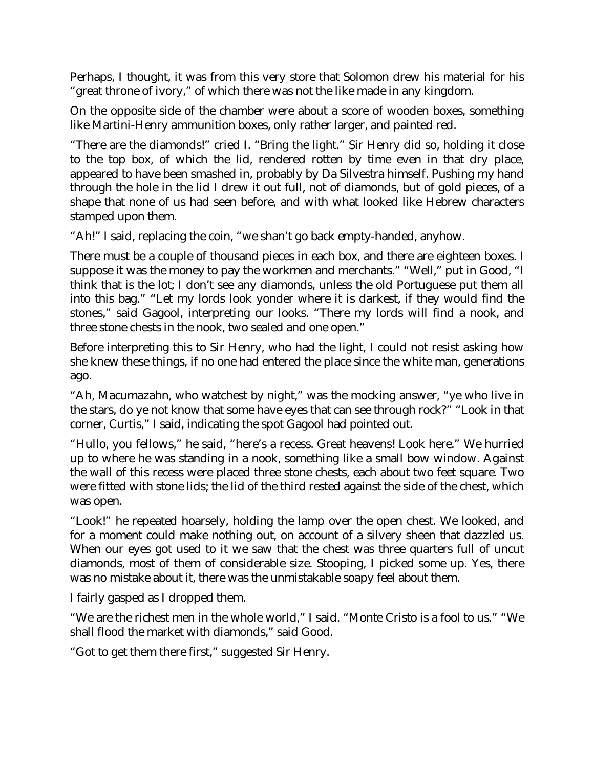Perhaps, I thought, it was from this very store that Solomon drew his material for his "great throne of ivory," of which there was not the like made in any kingdom.

On the opposite side of the chamber were about a score of wooden boxes, something like Martini-Henry ammunition boxes, only rather larger, and painted red.

"There are the diamonds!" cried I. "Bring the light." Sir Henry did so, holding it close to the top box, of which the lid, rendered rotten by time even in that dry place, appeared to have been smashed in, probably by Da Silvestra himself. Pushing my hand through the hole in the lid I drew it out full, not of diamonds, but of gold pieces, of a shape that none of us had seen before, and with what looked like Hebrew characters stamped upon them.

"Ah!" I said, replacing the coin, "we shan't go back empty-handed, anyhow.

There must be a couple of thousand pieces in each box, and there are eighteen boxes. I suppose it was the money to pay the workmen and merchants." "Well," put in Good, "I think that is the lot; I don't see any diamonds, unless the old Portuguese put them all into this bag." "Let my lords look yonder where it is darkest, if they would find the stones," said Gagool, interpreting our looks. "There my lords will find a nook, and three stone chests in the nook, two sealed and one open."

Before interpreting this to Sir Henry, who had the light, I could not resist asking how she knew these things, if no one had entered the place since the white man, generations ago.

"Ah, Macumazahn, who watchest by night," was the mocking answer, "ye who live in the stars, do ye not know that some have eyes that can see through rock?" "Look in that corner, Curtis," I said, indicating the spot Gagool had pointed out.

"Hullo, you fellows," he said, "here's a recess. Great heavens! Look here." We hurried up to where he was standing in a nook, something like a small bow window. Against the wall of this recess were placed three stone chests, each about two feet square. Two were fitted with stone lids; the lid of the third rested against the side of the chest, which was open.

"Look!" he repeated hoarsely, holding the lamp over the open chest. We looked, and for a moment could make nothing out, on account of a silvery sheen that dazzled us. When our eyes got used to it we saw that the chest was three quarters full of uncut diamonds, most of them of considerable size. Stooping, I picked some up. Yes, there was no mistake about it, there was the unmistakable soapy feel about them.

I fairly gasped as I dropped them.

"We are the richest men in the whole world," I said. "Monte Cristo is a fool to us." "We shall flood the market with diamonds," said Good.

"Got to get them there first," suggested Sir Henry.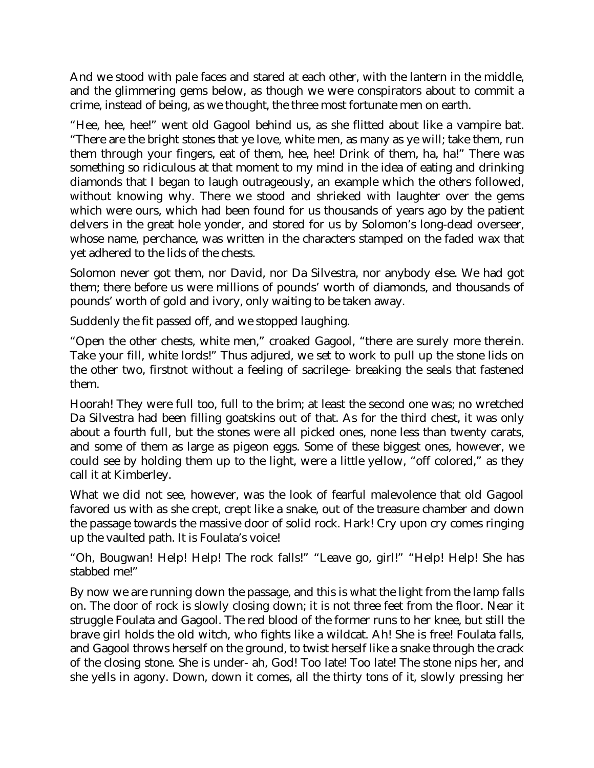And we stood with pale faces and stared at each other, with the lantern in the middle, and the glimmering gems below, as though we were conspirators about to commit a crime, instead of being, as we thought, the three most fortunate men on earth.

"Hee, hee, hee!" went old Gagool behind us, as she flitted about like a vampire bat. "There are the bright stones that ye love, white men, as many as ye will; take them, run them through your fingers, eat of them, hee, hee! Drink of them, ha, ha!" There was something so ridiculous at that moment to my mind in the idea of eating and drinking diamonds that I began to laugh outrageously, an example which the others followed, without knowing why. There we stood and shrieked with laughter over the gems which were ours, which had been found for us thousands of years ago by the patient delvers in the great hole yonder, and stored for us by Solomon's long-dead overseer, whose name, perchance, was written in the characters stamped on the faded wax that yet adhered to the lids of the chests.

Solomon never got them, nor David, nor Da Silvestra, nor anybody else. We had got them; there before us were millions of pounds' worth of diamonds, and thousands of pounds' worth of gold and ivory, only waiting to be taken away.

Suddenly the fit passed off, and we stopped laughing.

"Open the other chests, white men," croaked Gagool, "there are surely more therein. Take your fill, white lords!" Thus adjured, we set to work to pull up the stone lids on the other two, firstnot without a feeling of sacrilege- breaking the seals that fastened them.

Hoorah! They were full too, full to the brim; at least the second one was; no wretched Da Silvestra had been filling goatskins out of that. As for the third chest, it was only about a fourth full, but the stones were all picked ones, none less than twenty carats, and some of them as large as pigeon eggs. Some of these biggest ones, however, we could see by holding them up to the light, were a little yellow, "off colored," as they call it at Kimberley.

What we did not see, however, was the look of fearful malevolence that old Gagool favored us with as she crept, crept like a snake, out of the treasure chamber and down the passage towards the massive door of solid rock. Hark! Cry upon cry comes ringing up the vaulted path. It is Foulata's voice!

"Oh, Bougwan! Help! Help! The rock falls!" "Leave go, girl!" "Help! Help! She has stabbed me!"

By now we are running down the passage, and this is what the light from the lamp falls on. The door of rock is slowly closing down; it is not three feet from the floor. Near it struggle Foulata and Gagool. The red blood of the former runs to her knee, but still the brave girl holds the old witch, who fights like a wildcat. Ah! She is free! Foulata falls, and Gagool throws herself on the ground, to twist herself like a snake through the crack of the closing stone. She is under- ah, God! Too late! Too late! The stone nips her, and she yells in agony. Down, down it comes, all the thirty tons of it, slowly pressing her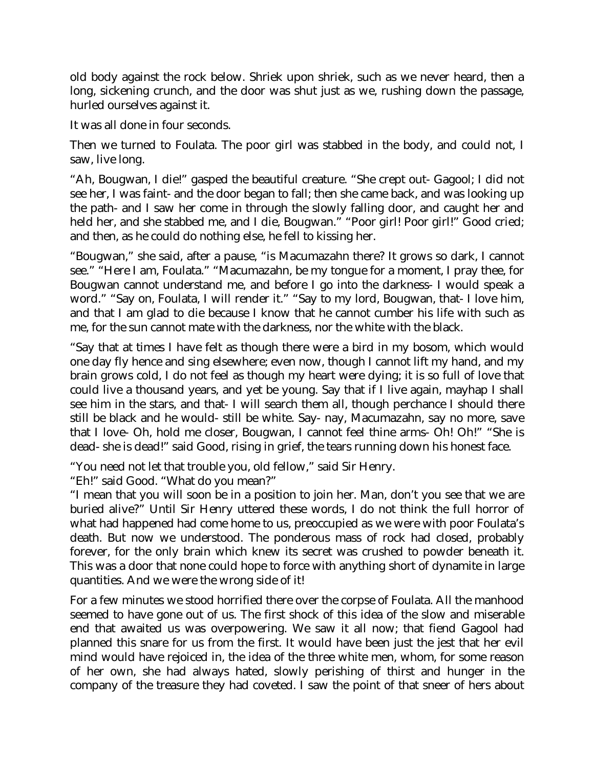old body against the rock below. Shriek upon shriek, such as we never heard, then a long, sickening crunch, and the door was shut just as we, rushing down the passage, hurled ourselves against it.

It was all done in four seconds.

Then we turned to Foulata. The poor girl was stabbed in the body, and could not, I saw, live long.

"Ah, Bougwan, I die!" gasped the beautiful creature. "She crept out- Gagool; I did not see her, I was faint- and the door began to fall; then she came back, and was looking up the path- and I saw her come in through the slowly falling door, and caught her and held her, and she stabbed me, and I die, Bougwan." "Poor girl! Poor girl!" Good cried; and then, as he could do nothing else, he fell to kissing her.

"Bougwan," she said, after a pause, "is Macumazahn there? It grows so dark, I cannot see." "Here I am, Foulata." "Macumazahn, be my tongue for a moment, I pray thee, for Bougwan cannot understand me, and before I go into the darkness- I would speak a word." "Say on, Foulata, I will render it." "Say to my lord, Bougwan, that- I love him, and that I am glad to die because I know that he cannot cumber his life with such as me, for the sun cannot mate with the darkness, nor the white with the black.

"Say that at times I have felt as though there were a bird in my bosom, which would one day fly hence and sing elsewhere; even now, though I cannot lift my hand, and my brain grows cold, I do not feel as though my heart were dying; it is so full of love that could live a thousand years, and yet be young. Say that if I live again, mayhap I shall see him in the stars, and that- I will search them all, though perchance I should there still be black and he would- still be white. Say- nay, Macumazahn, say no more, save that I love- Oh, hold me closer, Bougwan, I cannot feel thine arms- Oh! Oh!" "She is dead- she is dead!" said Good, rising in grief, the tears running down his honest face.

"You need not let that trouble you, old fellow," said Sir Henry.

"Eh!" said Good. "What do you mean?"

"I mean that you will soon be in a position to join her. Man, don't you see that we are buried alive?" Until Sir Henry uttered these words, I do not think the full horror of what had happened had come home to us, preoccupied as we were with poor Foulata's death. But now we understood. The ponderous mass of rock had closed, probably forever, for the only brain which knew its secret was crushed to powder beneath it. This was a door that none could hope to force with anything short of dynamite in large quantities. And we were the wrong side of it!

For a few minutes we stood horrified there over the corpse of Foulata. All the manhood seemed to have gone out of us. The first shock of this idea of the slow and miserable end that awaited us was overpowering. We saw it all now; that fiend Gagool had planned this snare for us from the first. It would have been just the jest that her evil mind would have rejoiced in, the idea of the three white men, whom, for some reason of her own, she had always hated, slowly perishing of thirst and hunger in the company of the treasure they had coveted. I saw the point of that sneer of hers about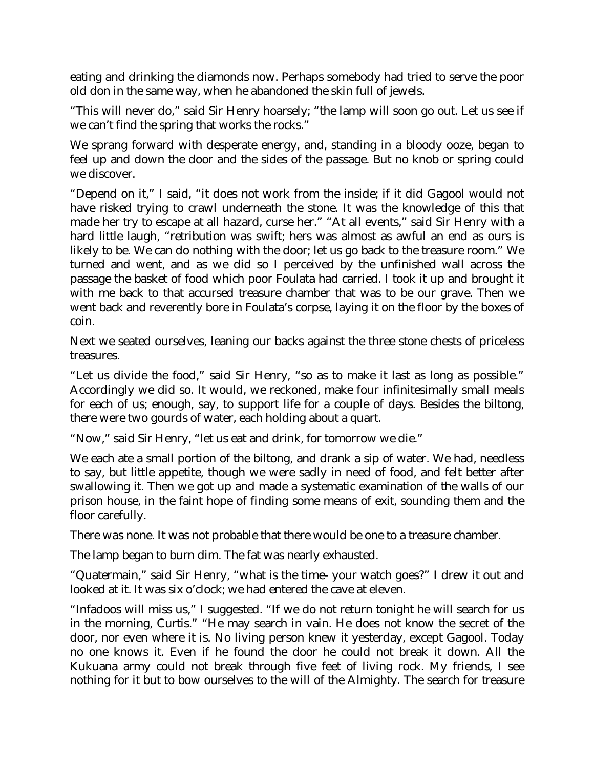eating and drinking the diamonds now. Perhaps somebody had tried to serve the poor old don in the same way, when he abandoned the skin full of jewels.

"This will never do," said Sir Henry hoarsely; "the lamp will soon go out. Let us see if we can't find the spring that works the rocks."

We sprang forward with desperate energy, and, standing in a bloody ooze, began to feel up and down the door and the sides of the passage. But no knob or spring could we discover.

"Depend on it," I said, "it does not work from the inside; if it did Gagool would not have risked trying to crawl underneath the stone. It was the knowledge of this that made her try to escape at all hazard, curse her." "At all events," said Sir Henry with a hard little laugh, "retribution was swift; hers was almost as awful an end as ours is likely to be. We can do nothing with the door; let us go back to the treasure room." We turned and went, and as we did so I perceived by the unfinished wall across the passage the basket of food which poor Foulata had carried. I took it up and brought it with me back to that accursed treasure chamber that was to be our grave. Then we went back and reverently bore in Foulata's corpse, laying it on the floor by the boxes of coin.

Next we seated ourselves, leaning our backs against the three stone chests of priceless treasures.

"Let us divide the food," said Sir Henry, "so as to make it last as long as possible." Accordingly we did so. It would, we reckoned, make four infinitesimally small meals for each of us; enough, say, to support life for a couple of days. Besides the biltong, there were two gourds of water, each holding about a quart.

"Now," said Sir Henry, "let us eat and drink, for tomorrow we die."

We each ate a small portion of the biltong, and drank a sip of water. We had, needless to say, but little appetite, though we were sadly in need of food, and felt better after swallowing it. Then we got up and made a systematic examination of the walls of our prison house, in the faint hope of finding some means of exit, sounding them and the floor carefully.

There was none. It was not probable that there would be one to a treasure chamber.

The lamp began to burn dim. The fat was nearly exhausted.

"Quatermain," said Sir Henry, "what is the time- your watch goes?" I drew it out and looked at it. It was six o'clock; we had entered the cave at eleven.

"Infadoos will miss us," I suggested. "If we do not return tonight he will search for us in the morning, Curtis." "He may search in vain. He does not know the secret of the door, nor even where it is. No living person knew it yesterday, except Gagool. Today no one knows it. Even if he found the door he could not break it down. All the Kukuana army could not break through five feet of living rock. My friends, I see nothing for it but to bow ourselves to the will of the Almighty. The search for treasure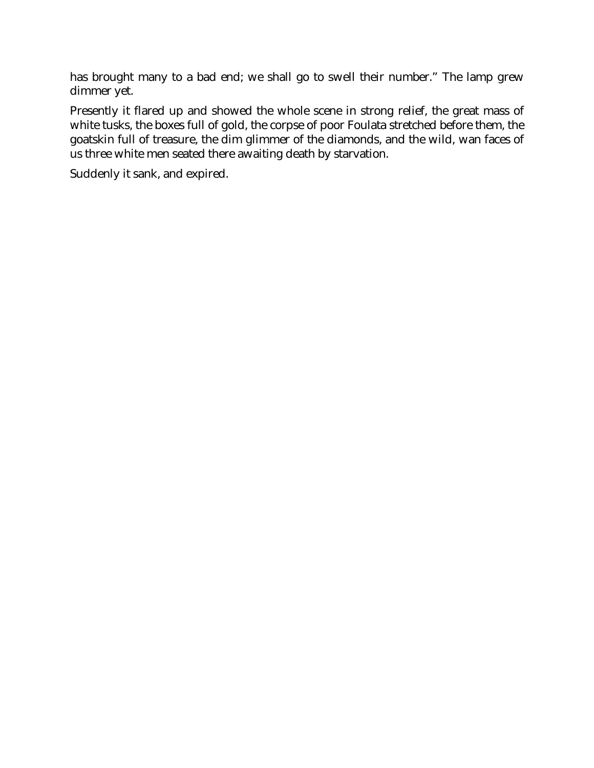has brought many to a bad end; we shall go to swell their number." The lamp grew dimmer yet.

Presently it flared up and showed the whole scene in strong relief, the great mass of white tusks, the boxes full of gold, the corpse of poor Foulata stretched before them, the goatskin full of treasure, the dim glimmer of the diamonds, and the wild, wan faces of us three white men seated there awaiting death by starvation.

Suddenly it sank, and expired.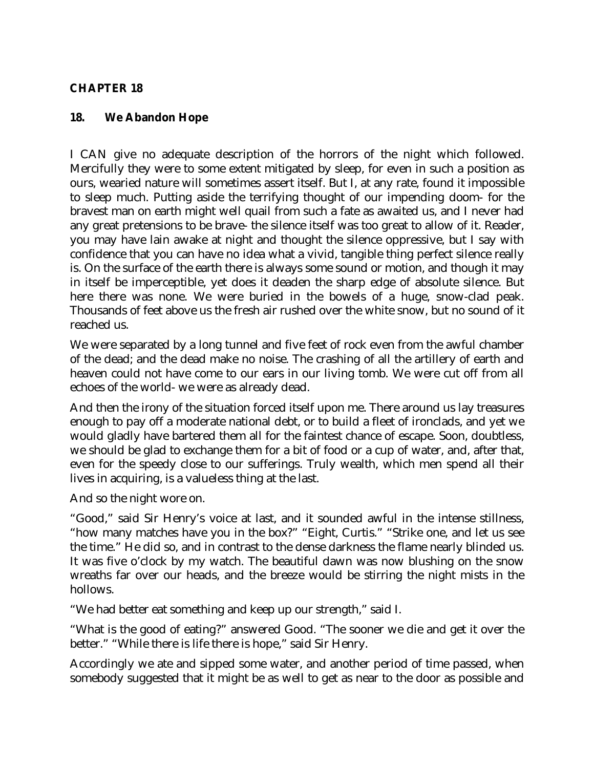## **CHAPTER 18**

#### **18. We Abandon Hope**

I CAN give no adequate description of the horrors of the night which followed. Mercifully they were to some extent mitigated by sleep, for even in such a position as ours, wearied nature will sometimes assert itself. But I, at any rate, found it impossible to sleep much. Putting aside the terrifying thought of our impending doom- for the bravest man on earth might well quail from such a fate as awaited us, and I never had any great pretensions to be brave- the silence itself was too great to allow of it. Reader, you may have lain awake at night and thought the silence oppressive, but I say with confidence that you can have no idea what a vivid, tangible thing perfect silence really is. On the surface of the earth there is always some sound or motion, and though it may in itself be imperceptible, yet does it deaden the sharp edge of absolute silence. But here there was none. We were buried in the bowels of a huge, snow-clad peak. Thousands of feet above us the fresh air rushed over the white snow, but no sound of it reached us.

We were separated by a long tunnel and five feet of rock even from the awful chamber of the dead; and the dead make no noise. The crashing of all the artillery of earth and heaven could not have come to our ears in our living tomb. We were cut off from all echoes of the world- we were as already dead.

And then the irony of the situation forced itself upon me. There around us lay treasures enough to pay off a moderate national debt, or to build a fleet of ironclads, and yet we would gladly have bartered them all for the faintest chance of escape. Soon, doubtless, we should be glad to exchange them for a bit of food or a cup of water, and, after that, even for the speedy close to our sufferings. Truly wealth, which men spend all their lives in acquiring, is a valueless thing at the last.

And so the night wore on.

"Good," said Sir Henry's voice at last, and it sounded awful in the intense stillness, "how many matches have you in the box?" "Eight, Curtis." "Strike one, and let us see the time." He did so, and in contrast to the dense darkness the flame nearly blinded us. It was five o'clock by my watch. The beautiful dawn was now blushing on the snow wreaths far over our heads, and the breeze would be stirring the night mists in the hollows.

"We had better eat something and keep up our strength," said I.

"What is the good of eating?" answered Good. "The sooner we die and get it over the better." "While there is life there is hope," said Sir Henry.

Accordingly we ate and sipped some water, and another period of time passed, when somebody suggested that it might be as well to get as near to the door as possible and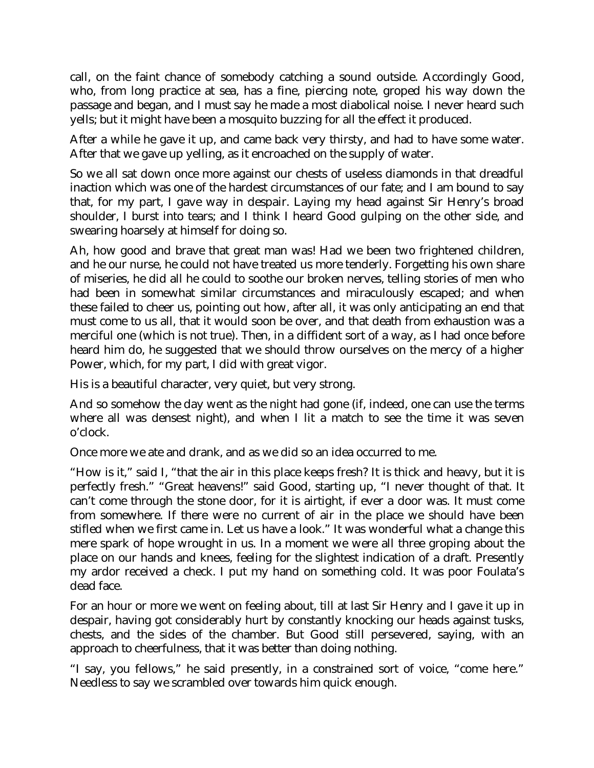call, on the faint chance of somebody catching a sound outside. Accordingly Good, who, from long practice at sea, has a fine, piercing note, groped his way down the passage and began, and I must say he made a most diabolical noise. I never heard such yells; but it might have been a mosquito buzzing for all the effect it produced.

After a while he gave it up, and came back very thirsty, and had to have some water. After that we gave up yelling, as it encroached on the supply of water.

So we all sat down once more against our chests of useless diamonds in that dreadful inaction which was one of the hardest circumstances of our fate; and I am bound to say that, for my part, I gave way in despair. Laying my head against Sir Henry's broad shoulder, I burst into tears; and I think I heard Good gulping on the other side, and swearing hoarsely at himself for doing so.

Ah, how good and brave that great man was! Had we been two frightened children, and he our nurse, he could not have treated us more tenderly. Forgetting his own share of miseries, he did all he could to soothe our broken nerves, telling stories of men who had been in somewhat similar circumstances and miraculously escaped; and when these failed to cheer us, pointing out how, after all, it was only anticipating an end that must come to us all, that it would soon be over, and that death from exhaustion was a merciful one (which is not true). Then, in a diffident sort of a way, as I had once before heard him do, he suggested that we should throw ourselves on the mercy of a higher Power, which, for my part, I did with great vigor.

His is a beautiful character, very quiet, but very strong.

And so somehow the day went as the night had gone (if, indeed, one can use the terms where all was densest night), and when I lit a match to see the time it was seven o'clock.

Once more we ate and drank, and as we did so an idea occurred to me.

"How is it," said I, "that the air in this place keeps fresh? It is thick and heavy, but it is perfectly fresh." "Great heavens!" said Good, starting up, "I never thought of that. It can't come through the stone door, for it is airtight, if ever a door was. It must come from somewhere. If there were no current of air in the place we should have been stifled when we first came in. Let us have a look." It was wonderful what a change this mere spark of hope wrought in us. In a moment we were all three groping about the place on our hands and knees, feeling for the slightest indication of a draft. Presently my ardor received a check. I put my hand on something cold. It was poor Foulata's dead face.

For an hour or more we went on feeling about, till at last Sir Henry and I gave it up in despair, having got considerably hurt by constantly knocking our heads against tusks, chests, and the sides of the chamber. But Good still persevered, saying, with an approach to cheerfulness, that it was better than doing nothing.

"I say, you fellows," he said presently, in a constrained sort of voice, "come here." Needless to say we scrambled over towards him quick enough.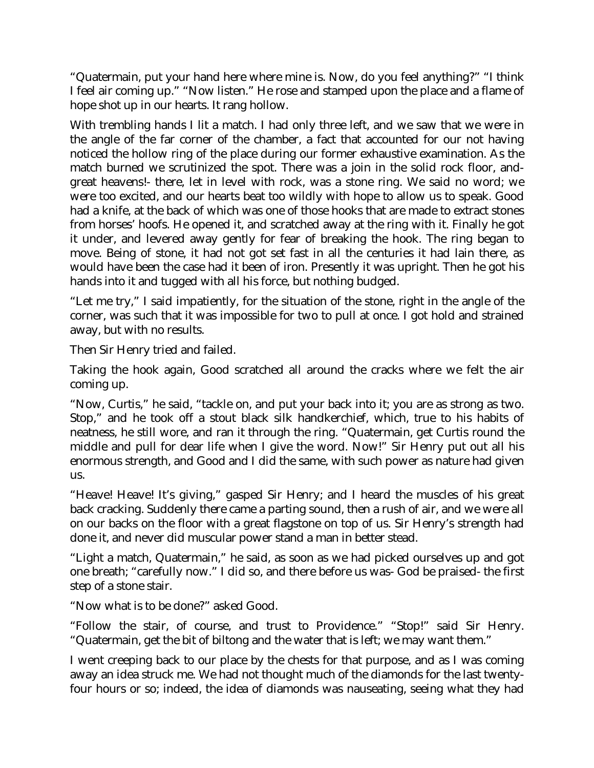"Quatermain, put your hand here where mine is. Now, do you feel anything?" "I think I feel air coming up." "Now listen." He rose and stamped upon the place and a flame of hope shot up in our hearts. It rang hollow.

With trembling hands I lit a match. I had only three left, and we saw that we were in the angle of the far corner of the chamber, a fact that accounted for our not having noticed the hollow ring of the place during our former exhaustive examination. As the match burned we scrutinized the spot. There was a join in the solid rock floor, andgreat heavens!- there, let in level with rock, was a stone ring. We said no word; we were too excited, and our hearts beat too wildly with hope to allow us to speak. Good had a knife, at the back of which was one of those hooks that are made to extract stones from horses' hoofs. He opened it, and scratched away at the ring with it. Finally he got it under, and levered away gently for fear of breaking the hook. The ring began to move. Being of stone, it had not got set fast in all the centuries it had lain there, as would have been the case had it been of iron. Presently it was upright. Then he got his hands into it and tugged with all his force, but nothing budged.

"Let me try," I said impatiently, for the situation of the stone, right in the angle of the corner, was such that it was impossible for two to pull at once. I got hold and strained away, but with no results.

Then Sir Henry tried and failed.

Taking the hook again, Good scratched all around the cracks where we felt the air coming up.

"Now, Curtis," he said, "tackle on, and put your back into it; you are as strong as two. Stop," and he took off a stout black silk handkerchief, which, true to his habits of neatness, he still wore, and ran it through the ring. "Quatermain, get Curtis round the middle and pull for dear life when I give the word. Now!" Sir Henry put out all his enormous strength, and Good and I did the same, with such power as nature had given us.

"Heave! Heave! It's giving," gasped Sir Henry; and I heard the muscles of his great back cracking. Suddenly there came a parting sound, then a rush of air, and we were all on our backs on the floor with a great flagstone on top of us. Sir Henry's strength had done it, and never did muscular power stand a man in better stead.

"Light a match, Quatermain," he said, as soon as we had picked ourselves up and got one breath; "carefully now." I did so, and there before us was- God be praised- the first step of a stone stair.

"Now what is to be done?" asked Good.

"Follow the stair, of course, and trust to Providence." "Stop!" said Sir Henry. "Quatermain, get the bit of biltong and the water that is left; we may want them."

I went creeping back to our place by the chests for that purpose, and as I was coming away an idea struck me. We had not thought much of the diamonds for the last twentyfour hours or so; indeed, the idea of diamonds was nauseating, seeing what they had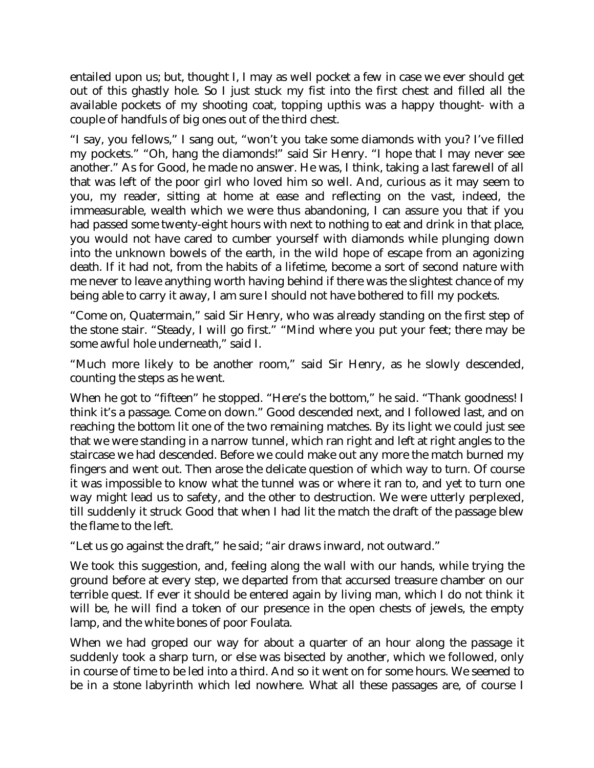entailed upon us; but, thought I, I may as well pocket a few in case we ever should get out of this ghastly hole. So I just stuck my fist into the first chest and filled all the available pockets of my shooting coat, topping upthis was a happy thought- with a couple of handfuls of big ones out of the third chest.

"I say, you fellows," I sang out, "won't you take some diamonds with you? I've filled my pockets." "Oh, hang the diamonds!" said Sir Henry. "I hope that I may never see another." As for Good, he made no answer. He was, I think, taking a last farewell of all that was left of the poor girl who loved him so well. And, curious as it may seem to you, my reader, sitting at home at ease and reflecting on the vast, indeed, the immeasurable, wealth which we were thus abandoning, I can assure you that if you had passed some twenty-eight hours with next to nothing to eat and drink in that place, you would not have cared to cumber yourself with diamonds while plunging down into the unknown bowels of the earth, in the wild hope of escape from an agonizing death. If it had not, from the habits of a lifetime, become a sort of second nature with me never to leave anything worth having behind if there was the slightest chance of my being able to carry it away, I am sure I should not have bothered to fill my pockets.

"Come on, Quatermain," said Sir Henry, who was already standing on the first step of the stone stair. "Steady, I will go first." "Mind where you put your feet; there may be some awful hole underneath," said I.

"Much more likely to be another room," said Sir Henry, as he slowly descended, counting the steps as he went.

When he got to "fifteen" he stopped. "Here's the bottom," he said. "Thank goodness! I think it's a passage. Come on down." Good descended next, and I followed last, and on reaching the bottom lit one of the two remaining matches. By its light we could just see that we were standing in a narrow tunnel, which ran right and left at right angles to the staircase we had descended. Before we could make out any more the match burned my fingers and went out. Then arose the delicate question of which way to turn. Of course it was impossible to know what the tunnel was or where it ran to, and yet to turn one way might lead us to safety, and the other to destruction. We were utterly perplexed, till suddenly it struck Good that when I had lit the match the draft of the passage blew the flame to the left.

"Let us go against the draft," he said; "air draws inward, not outward."

We took this suggestion, and, feeling along the wall with our hands, while trying the ground before at every step, we departed from that accursed treasure chamber on our terrible quest. If ever it should be entered again by living man, which I do not think it will be, he will find a token of our presence in the open chests of jewels, the empty lamp, and the white bones of poor Foulata.

When we had groped our way for about a quarter of an hour along the passage it suddenly took a sharp turn, or else was bisected by another, which we followed, only in course of time to be led into a third. And so it went on for some hours. We seemed to be in a stone labyrinth which led nowhere. What all these passages are, of course I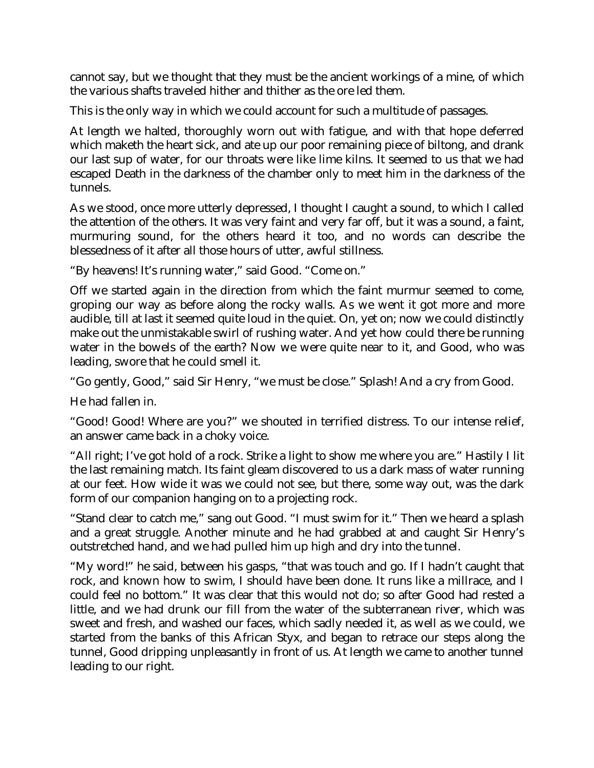cannot say, but we thought that they must be the ancient workings of a mine, of which the various shafts traveled hither and thither as the ore led them.

This is the only way in which we could account for such a multitude of passages.

At length we halted, thoroughly worn out with fatigue, and with that hope deferred which maketh the heart sick, and ate up our poor remaining piece of biltong, and drank our last sup of water, for our throats were like lime kilns. It seemed to us that we had escaped Death in the darkness of the chamber only to meet him in the darkness of the tunnels.

As we stood, once more utterly depressed, I thought I caught a sound, to which I called the attention of the others. It was very faint and very far off, but it was a sound, a faint, murmuring sound, for the others heard it too, and no words can describe the blessedness of it after all those hours of utter, awful stillness.

"By heavens! It's running water," said Good. "Come on."

Off we started again in the direction from which the faint murmur seemed to come, groping our way as before along the rocky walls. As we went it got more and more audible, till at last it seemed quite loud in the quiet. On, yet on; now we could distinctly make out the unmistakable swirl of rushing water. And yet how could there be running water in the bowels of the earth? Now we were quite near to it, and Good, who was leading, swore that he could smell it.

"Go gently, Good," said Sir Henry, "we must be close." Splash! And a cry from Good.

He had fallen in.

"Good! Good! Where are you?" we shouted in terrified distress. To our intense relief, an answer came back in a choky voice.

"All right; I've got hold of a rock. Strike a light to show me where you are." Hastily I lit the last remaining match. Its faint gleam discovered to us a dark mass of water running at our feet. How wide it was we could not see, but there, some way out, was the dark form of our companion hanging on to a projecting rock.

"Stand clear to catch me," sang out Good. "I must swim for it." Then we heard a splash and a great struggle. Another minute and he had grabbed at and caught Sir Henry's outstretched hand, and we had pulled him up high and dry into the tunnel.

"My word!" he said, between his gasps, "that was touch and go. If I hadn't caught that rock, and known how to swim, I should have been done. It runs like a millrace, and I could feel no bottom." It was clear that this would not do; so after Good had rested a little, and we had drunk our fill from the water of the subterranean river, which was sweet and fresh, and washed our faces, which sadly needed it, as well as we could, we started from the banks of this African Styx, and began to retrace our steps along the tunnel, Good dripping unpleasantly in front of us. At length we came to another tunnel leading to our right.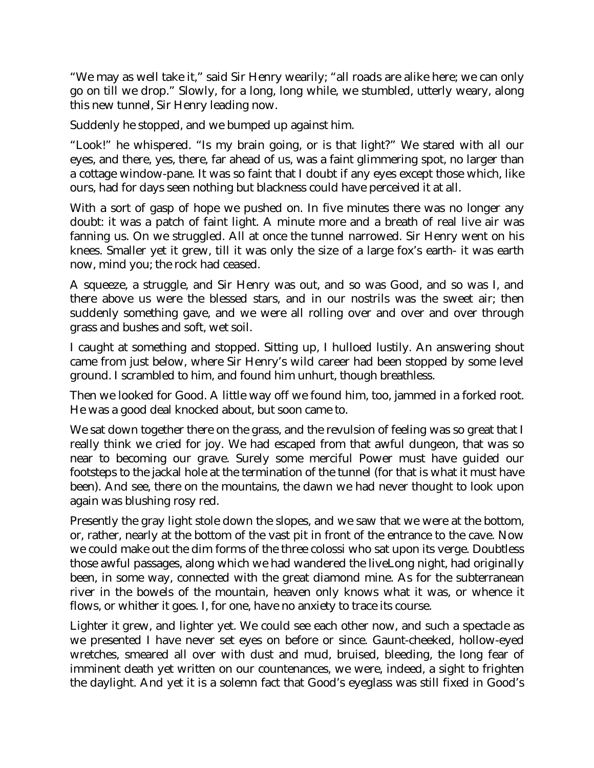"We may as well take it," said Sir Henry wearily; "all roads are alike here; we can only go on till we drop." Slowly, for a long, long while, we stumbled, utterly weary, along this new tunnel, Sir Henry leading now.

Suddenly he stopped, and we bumped up against him.

"Look!" he whispered. "Is my brain going, or is that light?" We stared with all our eyes, and there, yes, there, far ahead of us, was a faint glimmering spot, no larger than a cottage window-pane. It was so faint that I doubt if any eyes except those which, like ours, had for days seen nothing but blackness could have perceived it at all.

With a sort of gasp of hope we pushed on. In five minutes there was no longer any doubt: it was a patch of faint light. A minute more and a breath of real live air was fanning us. On we struggled. All at once the tunnel narrowed. Sir Henry went on his knees. Smaller yet it grew, till it was only the size of a large fox's earth- it was earth now, mind you; the rock had ceased.

A squeeze, a struggle, and Sir Henry was out, and so was Good, and so was I, and there above us were the blessed stars, and in our nostrils was the sweet air; then suddenly something gave, and we were all rolling over and over and over through grass and bushes and soft, wet soil.

I caught at something and stopped. Sitting up, I hulloed lustily. An answering shout came from just below, where Sir Henry's wild career had been stopped by some level ground. I scrambled to him, and found him unhurt, though breathless.

Then we looked for Good. A little way off we found him, too, jammed in a forked root. He was a good deal knocked about, but soon came to.

We sat down together there on the grass, and the revulsion of feeling was so great that I really think we cried for joy. We had escaped from that awful dungeon, that was so near to becoming our grave. Surely some merciful Power must have guided our footsteps to the jackal hole at the termination of the tunnel (for that is what it must have been). And see, there on the mountains, the dawn we had never thought to look upon again was blushing rosy red.

Presently the gray light stole down the slopes, and we saw that we were at the bottom, or, rather, nearly at the bottom of the vast pit in front of the entrance to the cave. Now we could make out the dim forms of the three colossi who sat upon its verge. Doubtless those awful passages, along which we had wandered the liveLong night, had originally been, in some way, connected with the great diamond mine. As for the subterranean river in the bowels of the mountain, heaven only knows what it was, or whence it flows, or whither it goes. I, for one, have no anxiety to trace its course.

Lighter it grew, and lighter yet. We could see each other now, and such a spectacle as we presented I have never set eyes on before or since. Gaunt-cheeked, hollow-eyed wretches, smeared all over with dust and mud, bruised, bleeding, the long fear of imminent death yet written on our countenances, we were, indeed, a sight to frighten the daylight. And yet it is a solemn fact that Good's eyeglass was still fixed in Good's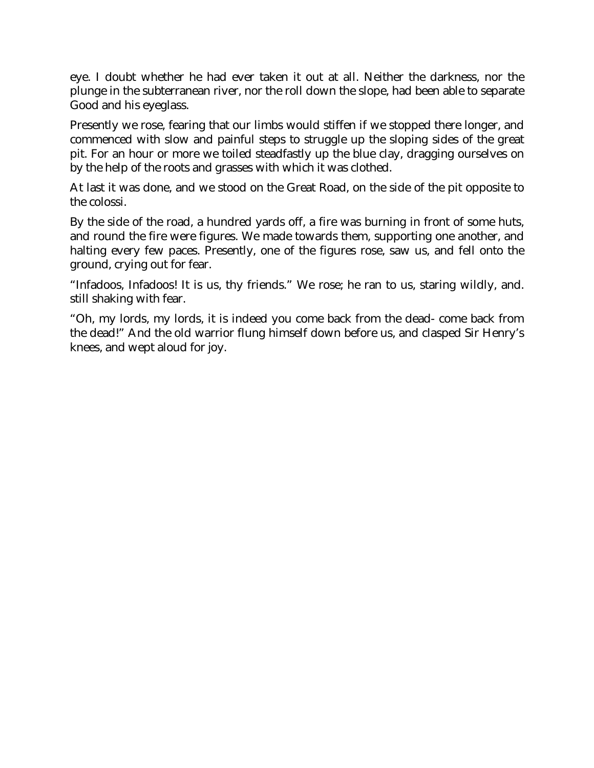eye. I doubt whether he had ever taken it out at all. Neither the darkness, nor the plunge in the subterranean river, nor the roll down the slope, had been able to separate Good and his eyeglass.

Presently we rose, fearing that our limbs would stiffen if we stopped there longer, and commenced with slow and painful steps to struggle up the sloping sides of the great pit. For an hour or more we toiled steadfastly up the blue clay, dragging ourselves on by the help of the roots and grasses with which it was clothed.

At last it was done, and we stood on the Great Road, on the side of the pit opposite to the colossi.

By the side of the road, a hundred yards off, a fire was burning in front of some huts, and round the fire were figures. We made towards them, supporting one another, and halting every few paces. Presently, one of the figures rose, saw us, and fell onto the ground, crying out for fear.

"Infadoos, Infadoos! It is us, thy friends." We rose; he ran to us, staring wildly, and. still shaking with fear.

"Oh, my lords, my lords, it is indeed you come back from the dead- come back from the dead!" And the old warrior flung himself down before us, and clasped Sir Henry's knees, and wept aloud for joy.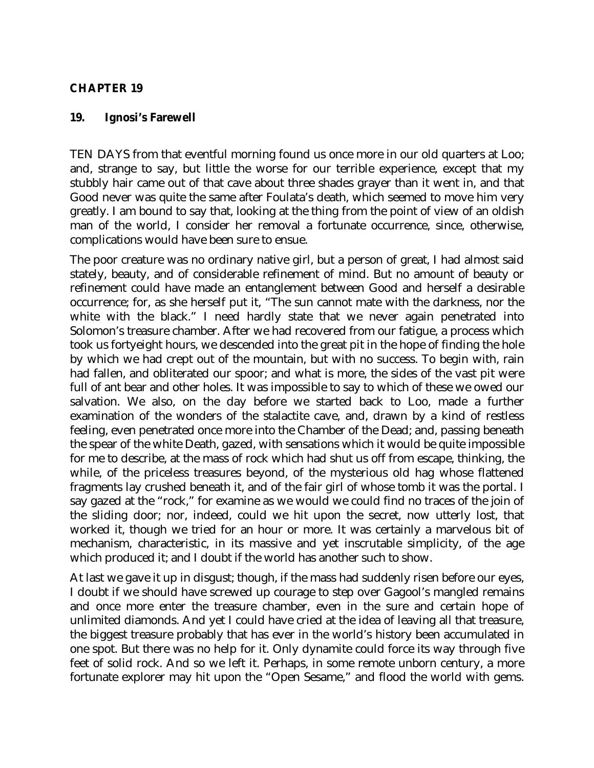### **CHAPTER 19**

#### **19. Ignosi's Farewell**

TEN DAYS from that eventful morning found us once more in our old quarters at Loo; and, strange to say, but little the worse for our terrible experience, except that my stubbly hair came out of that cave about three shades grayer than it went in, and that Good never was quite the same after Foulata's death, which seemed to move him very greatly. I am bound to say that, looking at the thing from the point of view of an oldish man of the world, I consider her removal a fortunate occurrence, since, otherwise, complications would have been sure to ensue.

The poor creature was no ordinary native girl, but a person of great, I had almost said stately, beauty, and of considerable refinement of mind. But no amount of beauty or refinement could have made an entanglement between Good and herself a desirable occurrence; for, as she herself put it, "The sun cannot mate with the darkness, nor the white with the black." I need hardly state that we never again penetrated into Solomon's treasure chamber. After we had recovered from our fatigue, a process which took us fortyeight hours, we descended into the great pit in the hope of finding the hole by which we had crept out of the mountain, but with no success. To begin with, rain had fallen, and obliterated our spoor; and what is more, the sides of the vast pit were full of ant bear and other holes. It was impossible to say to which of these we owed our salvation. We also, on the day before we started back to Loo, made a further examination of the wonders of the stalactite cave, and, drawn by a kind of restless feeling, even penetrated once more into the Chamber of the Dead; and, passing beneath the spear of the white Death, gazed, with sensations which it would be quite impossible for me to describe, at the mass of rock which had shut us off from escape, thinking, the while, of the priceless treasures beyond, of the mysterious old hag whose flattened fragments lay crushed beneath it, and of the fair girl of whose tomb it was the portal. I say gazed at the "rock," for examine as we would we could find no traces of the join of the sliding door; nor, indeed, could we hit upon the secret, now utterly lost, that worked it, though we tried for an hour or more. It was certainly a marvelous bit of mechanism, characteristic, in its massive and yet inscrutable simplicity, of the age which produced it; and I doubt if the world has another such to show.

At last we gave it up in disgust; though, if the mass had suddenly risen before our eyes, I doubt if we should have screwed up courage to step over Gagool's mangled remains and once more enter the treasure chamber, even in the sure and certain hope of unlimited diamonds. And yet I could have cried at the idea of leaving all that treasure, the biggest treasure probably that has ever in the world's history been accumulated in one spot. But there was no help for it. Only dynamite could force its way through five feet of solid rock. And so we left it. Perhaps, in some remote unborn century, a more fortunate explorer may hit upon the "Open Sesame," and flood the world with gems.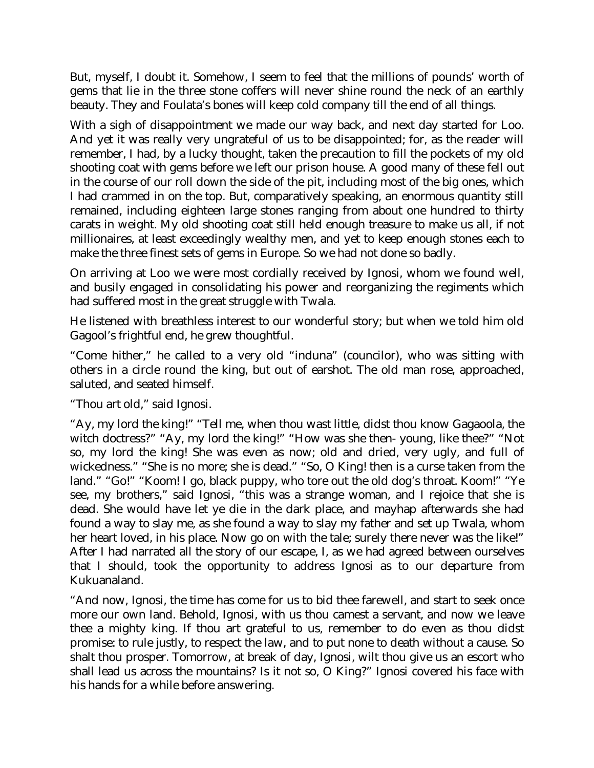But, myself, I doubt it. Somehow, I seem to feel that the millions of pounds' worth of gems that lie in the three stone coffers will never shine round the neck of an earthly beauty. They and Foulata's bones will keep cold company till the end of all things.

With a sigh of disappointment we made our way back, and next day started for Loo. And yet it was really very ungrateful of us to be disappointed; for, as the reader will remember, I had, by a lucky thought, taken the precaution to fill the pockets of my old shooting coat with gems before we left our prison house. A good many of these fell out in the course of our roll down the side of the pit, including most of the big ones, which I had crammed in on the top. But, comparatively speaking, an enormous quantity still remained, including eighteen large stones ranging from about one hundred to thirty carats in weight. My old shooting coat still held enough treasure to make us all, if not millionaires, at least exceedingly wealthy men, and yet to keep enough stones each to make the three finest sets of gems in Europe. So we had not done so badly.

On arriving at Loo we were most cordially received by Ignosi, whom we found well, and busily engaged in consolidating his power and reorganizing the regiments which had suffered most in the great struggle with Twala.

He listened with breathless interest to our wonderful story; but when we told him old Gagool's frightful end, he grew thoughtful.

"Come hither," he called to a very old "induna" (councilor), who was sitting with others in a circle round the king, but out of earshot. The old man rose, approached, saluted, and seated himself.

"Thou art old," said Ignosi.

"Ay, my lord the king!" "Tell me, when thou wast little, didst thou know Gagaoola, the witch doctress?" "Ay, my lord the king!" "How was she then- young, like thee?" "Not so, my lord the king! She was even as now; old and dried, very ugly, and full of wickedness." "She is no more; she is dead." "So, O King! then is a curse taken from the land." "Go!" "Koom! I go, black puppy, who tore out the old dog's throat. Koom!" "Ye see, my brothers," said Ignosi, "this was a strange woman, and I rejoice that she is dead. She would have let ye die in the dark place, and mayhap afterwards she had found a way to slay me, as she found a way to slay my father and set up Twala, whom her heart loved, in his place. Now go on with the tale; surely there never was the like!" After I had narrated all the story of our escape, I, as we had agreed between ourselves that I should, took the opportunity to address Ignosi as to our departure from Kukuanaland.

"And now, Ignosi, the time has come for us to bid thee farewell, and start to seek once more our own land. Behold, Ignosi, with us thou camest a servant, and now we leave thee a mighty king. If thou art grateful to us, remember to do even as thou didst promise: to rule justly, to respect the law, and to put none to death without a cause. So shalt thou prosper. Tomorrow, at break of day, Ignosi, wilt thou give us an escort who shall lead us across the mountains? Is it not so, O King?" Ignosi covered his face with his hands for a while before answering.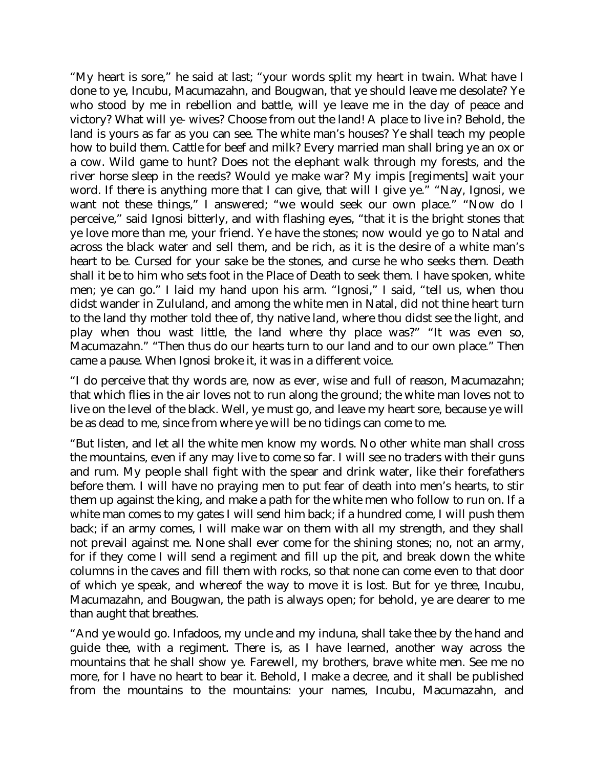"My heart is sore," he said at last; "your words split my heart in twain. What have I done to ye, Incubu, Macumazahn, and Bougwan, that ye should leave me desolate? Ye who stood by me in rebellion and battle, will ye leave me in the day of peace and victory? What will ye- wives? Choose from out the land! A place to live in? Behold, the land is yours as far as you can see. The white man's houses? Ye shall teach my people how to build them. Cattle for beef and milk? Every married man shall bring ye an ox or a cow. Wild game to hunt? Does not the elephant walk through my forests, and the river horse sleep in the reeds? Would ye make war? My impis [regiments] wait your word. If there is anything more that I can give, that will I give ye." "Nay, Ignosi, we want not these things," I answered; "we would seek our own place." "Now do I perceive," said Ignosi bitterly, and with flashing eyes, "that it is the bright stones that ye love more than me, your friend. Ye have the stones; now would ye go to Natal and across the black water and sell them, and be rich, as it is the desire of a white man's heart to be. Cursed for your sake be the stones, and curse he who seeks them. Death shall it be to him who sets foot in the Place of Death to seek them. I have spoken, white men; ye can go." I laid my hand upon his arm. "Ignosi," I said, "tell us, when thou didst wander in Zululand, and among the white men in Natal, did not thine heart turn to the land thy mother told thee of, thy native land, where thou didst see the light, and play when thou wast little, the land where thy place was?" "It was even so, Macumazahn." "Then thus do our hearts turn to our land and to our own place." Then came a pause. When Ignosi broke it, it was in a different voice.

"I do perceive that thy words are, now as ever, wise and full of reason, Macumazahn; that which flies in the air loves not to run along the ground; the white man loves not to live on the level of the black. Well, ye must go, and leave my heart sore, because ye will be as dead to me, since from where ye will be no tidings can come to me.

"But listen, and let all the white men know my words. No other white man shall cross the mountains, even if any may live to come so far. I will see no traders with their guns and rum. My people shall fight with the spear and drink water, like their forefathers before them. I will have no praying men to put fear of death into men's hearts, to stir them up against the king, and make a path for the white men who follow to run on. If a white man comes to my gates I will send him back; if a hundred come, I will push them back; if an army comes, I will make war on them with all my strength, and they shall not prevail against me. None shall ever come for the shining stones; no, not an army, for if they come I will send a regiment and fill up the pit, and break down the white columns in the caves and fill them with rocks, so that none can come even to that door of which ye speak, and whereof the way to move it is lost. But for ye three, Incubu, Macumazahn, and Bougwan, the path is always open; for behold, ye are dearer to me than aught that breathes.

"And ye would go. Infadoos, my uncle and my induna, shall take thee by the hand and guide thee, with a regiment. There is, as I have learned, another way across the mountains that he shall show ye. Farewell, my brothers, brave white men. See me no more, for I have no heart to bear it. Behold, I make a decree, and it shall be published from the mountains to the mountains: your names, Incubu, Macumazahn, and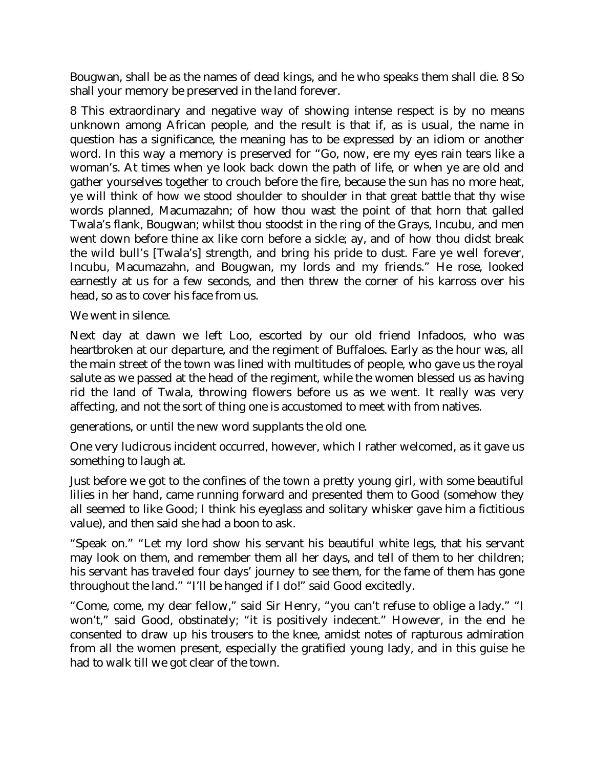Bougwan, shall be as the names of dead kings, and he who speaks them shall die. 8 So shall your memory be preserved in the land forever.

8 This extraordinary and negative way of showing intense respect is by no means unknown among African people, and the result is that if, as is usual, the name in question has a significance, the meaning has to be expressed by an idiom or another word. In this way a memory is preserved for "Go, now, ere my eyes rain tears like a woman's. At times when ye look back down the path of life, or when ye are old and gather yourselves together to crouch before the fire, because the sun has no more heat, ye will think of how we stood shoulder to shoulder in that great battle that thy wise words planned, Macumazahn; of how thou wast the point of that horn that galled Twala's flank, Bougwan; whilst thou stoodst in the ring of the Grays, Incubu, and men went down before thine ax like corn before a sickle; ay, and of how thou didst break the wild bull's [Twala's] strength, and bring his pride to dust. Fare ye well forever, Incubu, Macumazahn, and Bougwan, my lords and my friends." He rose, looked earnestly at us for a few seconds, and then threw the corner of his karross over his head, so as to cover his face from us.

We went in silence.

Next day at dawn we left Loo, escorted by our old friend Infadoos, who was heartbroken at our departure, and the regiment of Buffaloes. Early as the hour was, all the main street of the town was lined with multitudes of people, who gave us the royal salute as we passed at the head of the regiment, while the women blessed us as having rid the land of Twala, throwing flowers before us as we went. It really was very affecting, and not the sort of thing one is accustomed to meet with from natives.

generations, or until the new word supplants the old one.

One very ludicrous incident occurred, however, which I rather welcomed, as it gave us something to laugh at.

Just before we got to the confines of the town a pretty young girl, with some beautiful lilies in her hand, came running forward and presented them to Good (somehow they all seemed to like Good; I think his eyeglass and solitary whisker gave him a fictitious value), and then said she had a boon to ask.

"Speak on." "Let my lord show his servant his beautiful white legs, that his servant may look on them, and remember them all her days, and tell of them to her children; his servant has traveled four days' journey to see them, for the fame of them has gone throughout the land." "I'll be hanged if I do!" said Good excitedly.

"Come, come, my dear fellow," said Sir Henry, "you can't refuse to oblige a lady." "I won't," said Good, obstinately; "it is positively indecent." However, in the end he consented to draw up his trousers to the knee, amidst notes of rapturous admiration from all the women present, especially the gratified young lady, and in this guise he had to walk till we got clear of the town.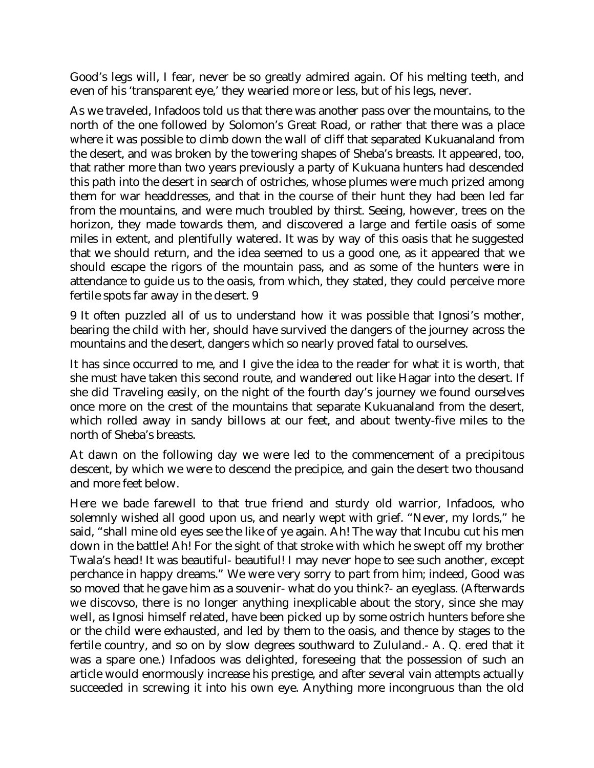Good's legs will, I fear, never be so greatly admired again. Of his melting teeth, and even of his 'transparent eye,' they wearied more or less, but of his legs, never.

As we traveled, Infadoos told us that there was another pass over the mountains, to the north of the one followed by Solomon's Great Road, or rather that there was a place where it was possible to climb down the wall of cliff that separated Kukuanaland from the desert, and was broken by the towering shapes of Sheba's breasts. It appeared, too, that rather more than two years previously a party of Kukuana hunters had descended this path into the desert in search of ostriches, whose plumes were much prized among them for war headdresses, and that in the course of their hunt they had been led far from the mountains, and were much troubled by thirst. Seeing, however, trees on the horizon, they made towards them, and discovered a large and fertile oasis of some miles in extent, and plentifully watered. It was by way of this oasis that he suggested that we should return, and the idea seemed to us a good one, as it appeared that we should escape the rigors of the mountain pass, and as some of the hunters were in attendance to guide us to the oasis, from which, they stated, they could perceive more fertile spots far away in the desert. 9

9 It often puzzled all of us to understand how it was possible that Ignosi's mother, bearing the child with her, should have survived the dangers of the journey across the mountains and the desert, dangers which so nearly proved fatal to ourselves.

It has since occurred to me, and I give the idea to the reader for what it is worth, that she must have taken this second route, and wandered out like Hagar into the desert. If she did Traveling easily, on the night of the fourth day's journey we found ourselves once more on the crest of the mountains that separate Kukuanaland from the desert, which rolled away in sandy billows at our feet, and about twenty-five miles to the north of Sheba's breasts.

At dawn on the following day we were led to the commencement of a precipitous descent, by which we were to descend the precipice, and gain the desert two thousand and more feet below.

Here we bade farewell to that true friend and sturdy old warrior, Infadoos, who solemnly wished all good upon us, and nearly wept with grief. "Never, my lords," he said, "shall mine old eyes see the like of ye again. Ah! The way that Incubu cut his men down in the battle! Ah! For the sight of that stroke with which he swept off my brother Twala's head! It was beautiful- beautiful! I may never hope to see such another, except perchance in happy dreams." We were very sorry to part from him; indeed, Good was so moved that he gave him as a souvenir- what do you think?- an eyeglass. (Afterwards we discovso, there is no longer anything inexplicable about the story, since she may well, as Ignosi himself related, have been picked up by some ostrich hunters before she or the child were exhausted, and led by them to the oasis, and thence by stages to the fertile country, and so on by slow degrees southward to Zululand.- A. Q. ered that it was a spare one.) Infadoos was delighted, foreseeing that the possession of such an article would enormously increase his prestige, and after several vain attempts actually succeeded in screwing it into his own eye. Anything more incongruous than the old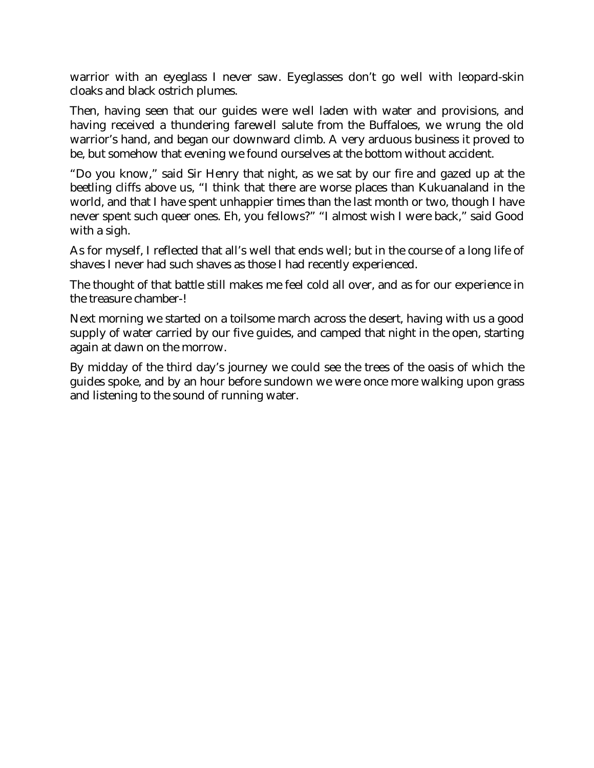warrior with an eyeglass I never saw. Eyeglasses don't go well with leopard-skin cloaks and black ostrich plumes.

Then, having seen that our guides were well laden with water and provisions, and having received a thundering farewell salute from the Buffaloes, we wrung the old warrior's hand, and began our downward climb. A very arduous business it proved to be, but somehow that evening we found ourselves at the bottom without accident.

"Do you know," said Sir Henry that night, as we sat by our fire and gazed up at the beetling cliffs above us, "I think that there are worse places than Kukuanaland in the world, and that I have spent unhappier times than the last month or two, though I have never spent such queer ones. Eh, you fellows?" "I almost wish I were back," said Good with a sigh.

As for myself, I reflected that all's well that ends well; but in the course of a long life of shaves I never had such shaves as those I had recently experienced.

The thought of that battle still makes me feel cold all over, and as for our experience in the treasure chamber-!

Next morning we started on a toilsome march across the desert, having with us a good supply of water carried by our five guides, and camped that night in the open, starting again at dawn on the morrow.

By midday of the third day's journey we could see the trees of the oasis of which the guides spoke, and by an hour before sundown we were once more walking upon grass and listening to the sound of running water.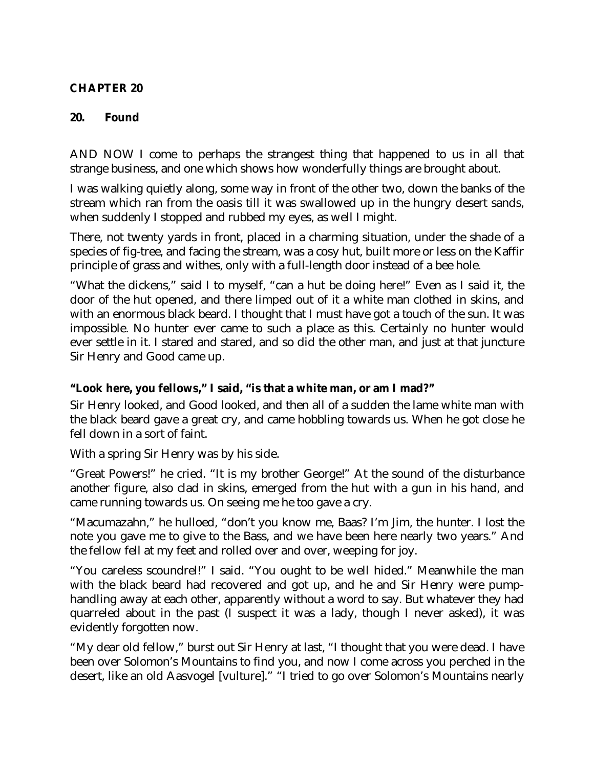## **CHAPTER 20**

## **20. Found**

AND NOW I come to perhaps the strangest thing that happened to us in all that strange business, and one which shows how wonderfully things are brought about.

I was walking quietly along, some way in front of the other two, down the banks of the stream which ran from the oasis till it was swallowed up in the hungry desert sands, when suddenly I stopped and rubbed my eyes, as well I might.

There, not twenty yards in front, placed in a charming situation, under the shade of a species of fig-tree, and facing the stream, was a cosy hut, built more or less on the Kaffir principle of grass and withes, only with a full-length door instead of a bee hole.

"What the dickens," said I to myself, "can a hut be doing here!" Even as I said it, the door of the hut opened, and there limped out of it a white man clothed in skins, and with an enormous black beard. I thought that I must have got a touch of the sun. It was impossible. No hunter ever came to such a place as this. Certainly no hunter would ever settle in it. I stared and stared, and so did the other man, and just at that juncture Sir Henry and Good came up.

## **"Look here, you fellows," I said, "is that a white man, or am I mad?"**

Sir Henry looked, and Good looked, and then all of a sudden the lame white man with the black beard gave a great cry, and came hobbling towards us. When he got close he fell down in a sort of faint.

With a spring Sir Henry was by his side.

"Great Powers!" he cried. "It is my brother George!" At the sound of the disturbance another figure, also clad in skins, emerged from the hut with a gun in his hand, and came running towards us. On seeing me he too gave a cry.

"Macumazahn," he hulloed, "don't you know me, Baas? I'm Jim, the hunter. I lost the note you gave me to give to the Bass, and we have been here nearly two years." And the fellow fell at my feet and rolled over and over, weeping for joy.

"You careless scoundrel!" I said. "You ought to be well hided." Meanwhile the man with the black beard had recovered and got up, and he and Sir Henry were pumphandling away at each other, apparently without a word to say. But whatever they had quarreled about in the past (I suspect it was a lady, though I never asked), it was evidently forgotten now.

"My dear old fellow," burst out Sir Henry at last, "I thought that you were dead. I have been over Solomon's Mountains to find you, and now I come across you perched in the desert, like an old Aasvogel [vulture]." "I tried to go over Solomon's Mountains nearly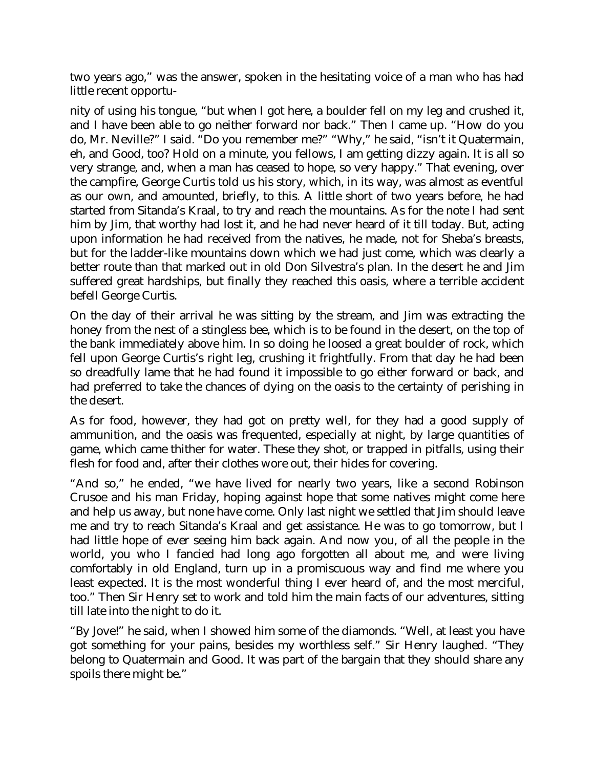two years ago," was the answer, spoken in the hesitating voice of a man who has had little recent opportu-

nity of using his tongue, "but when I got here, a boulder fell on my leg and crushed it, and I have been able to go neither forward nor back." Then I came up. "How do you do, Mr. Neville?" I said. "Do you remember me?" "Why," he said, "isn't it Quatermain, eh, and Good, too? Hold on a minute, you fellows, I am getting dizzy again. It is all so very strange, and, when a man has ceased to hope, so very happy." That evening, over the campfire, George Curtis told us his story, which, in its way, was almost as eventful as our own, and amounted, briefly, to this. A little short of two years before, he had started from Sitanda's Kraal, to try and reach the mountains. As for the note I had sent him by Jim, that worthy had lost it, and he had never heard of it till today. But, acting upon information he had received from the natives, he made, not for Sheba's breasts, but for the ladder-like mountains down which we had just come, which was clearly a better route than that marked out in old Don Silvestra's plan. In the desert he and Jim suffered great hardships, but finally they reached this oasis, where a terrible accident befell George Curtis.

On the day of their arrival he was sitting by the stream, and Jim was extracting the honey from the nest of a stingless bee, which is to be found in the desert, on the top of the bank immediately above him. In so doing he loosed a great boulder of rock, which fell upon George Curtis's right leg, crushing it frightfully. From that day he had been so dreadfully lame that he had found it impossible to go either forward or back, and had preferred to take the chances of dying on the oasis to the certainty of perishing in the desert.

As for food, however, they had got on pretty well, for they had a good supply of ammunition, and the oasis was frequented, especially at night, by large quantities of game, which came thither for water. These they shot, or trapped in pitfalls, using their flesh for food and, after their clothes wore out, their hides for covering.

"And so," he ended, "we have lived for nearly two years, like a second Robinson Crusoe and his man Friday, hoping against hope that some natives might come here and help us away, but none have come. Only last night we settled that Jim should leave me and try to reach Sitanda's Kraal and get assistance. He was to go tomorrow, but I had little hope of ever seeing him back again. And now you, of all the people in the world, you who I fancied had long ago forgotten all about me, and were living comfortably in old England, turn up in a promiscuous way and find me where you least expected. It is the most wonderful thing I ever heard of, and the most merciful, too." Then Sir Henry set to work and told him the main facts of our adventures, sitting till late into the night to do it.

"By Jove!" he said, when I showed him some of the diamonds. "Well, at least you have got something for your pains, besides my worthless self." Sir Henry laughed. "They belong to Quatermain and Good. It was part of the bargain that they should share any spoils there might be."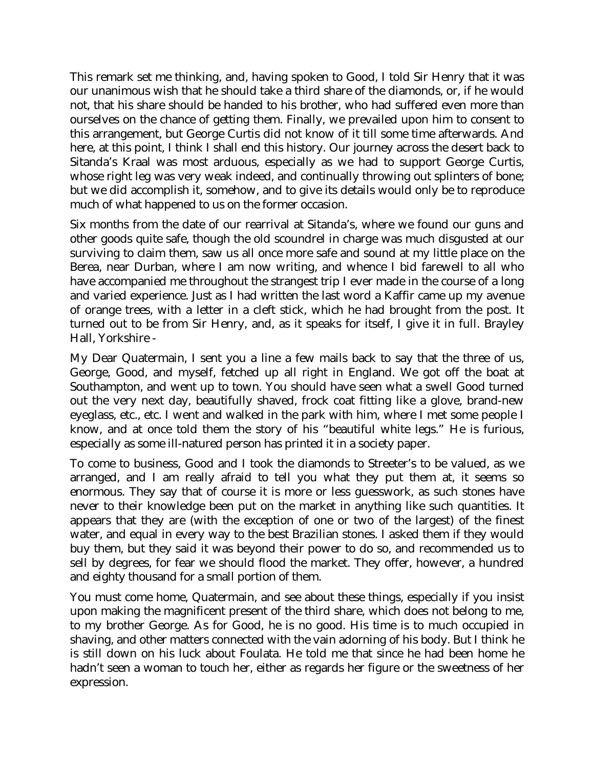This remark set me thinking, and, having spoken to Good, I told Sir Henry that it was our unanimous wish that he should take a third share of the diamonds, or, if he would not, that his share should be handed to his brother, who had suffered even more than ourselves on the chance of getting them. Finally, we prevailed upon him to consent to this arrangement, but George Curtis did not know of it till some time afterwards. And here, at this point, I think I shall end this history. Our journey across the desert back to Sitanda's Kraal was most arduous, especially as we had to support George Curtis, whose right leg was very weak indeed, and continually throwing out splinters of bone; but we did accomplish it, somehow, and to give its details would only be to reproduce much of what happened to us on the former occasion.

Six months from the date of our rearrival at Sitanda's, where we found our guns and other goods quite safe, though the old scoundrel in charge was much disgusted at our surviving to claim them, saw us all once more safe and sound at my little place on the Berea, near Durban, where I am now writing, and whence I bid farewell to all who have accompanied me throughout the strangest trip I ever made in the course of a long and varied experience. Just as I had written the last word a Kaffir came up my avenue of orange trees, with a letter in a cleft stick, which he had brought from the post. It turned out to be from Sir Henry, and, as it speaks for itself, I give it in full. Brayley Hall, Yorkshire -

My Dear Quatermain, I sent you a line a few mails back to say that the three of us, George, Good, and myself, fetched up all right in England. We got off the boat at Southampton, and went up to town. You should have seen what a swell Good turned out the very next day, beautifully shaved, frock coat fitting like a glove, brand-new eyeglass, etc., etc. I went and walked in the park with him, where I met some people I know, and at once told them the story of his "beautiful white legs." He is furious, especially as some ill-natured person has printed it in a society paper.

To come to business, Good and I took the diamonds to Streeter's to be valued, as we arranged, and I am really afraid to tell you what they put them at, it seems so enormous. They say that of course it is more or less guesswork, as such stones have never to their knowledge been put on the market in anything like such quantities. It appears that they are (with the exception of one or two of the largest) of the finest water, and equal in every way to the best Brazilian stones. I asked them if they would buy them, but they said it was beyond their power to do so, and recommended us to sell by degrees, for fear we should flood the market. They offer, however, a hundred and eighty thousand for a small portion of them.

You must come home, Quatermain, and see about these things, especially if you insist upon making the magnificent present of the third share, which does not belong to me, to my brother George. As for Good, he is no good. His time is to much occupied in shaving, and other matters connected with the vain adorning of his body. But I think he is still down on his luck about Foulata. He told me that since he had been home he hadn't seen a woman to touch her, either as regards her figure or the sweetness of her expression.